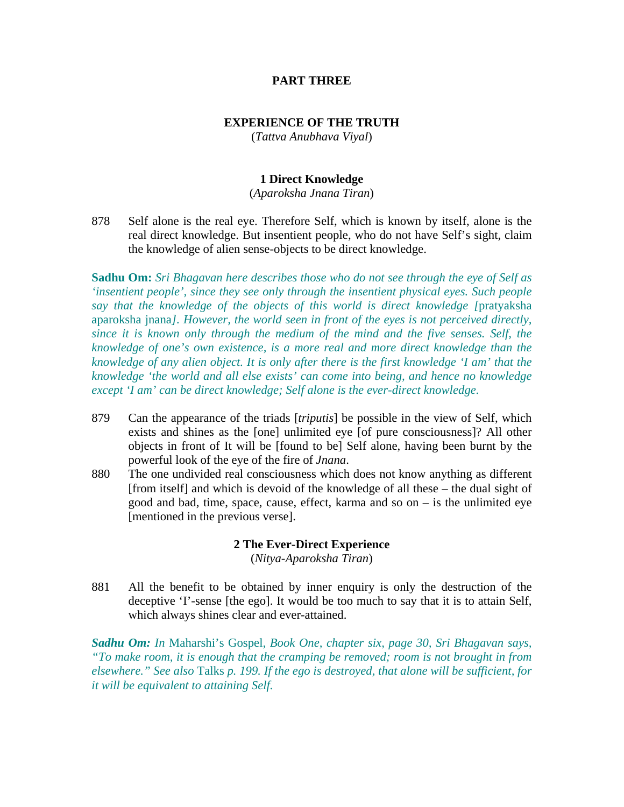### **PART THREE**

#### **EXPERIENCE OF THE TRUTH**

(*Tattva Anubhava Viyal*)

#### **1 Direct Knowledge**

(*Aparoksha Jnana Tiran*)

878 Self alone is the real eye. Therefore Self, which is known by itself, alone is the real direct knowledge. But insentient people, who do not have Self's sight, claim the knowledge of alien sense-objects to be direct knowledge.

**Sadhu Om:** *Sri Bhagavan here describes those who do not see through the eye of Self as 'insentient people', since they see only through the insentient physical eyes. Such people say that the knowledge of the objects of this world is direct knowledge [*pratyaksha aparoksha jnana*]. However, the world seen in front of the eyes is not perceived directly, since it is known only through the medium of the mind and the five senses. Self, the knowledge of one's own existence, is a more real and more direct knowledge than the knowledge of any alien object. It is only after there is the first knowledge 'I am' that the knowledge 'the world and all else exists' can come into being, and hence no knowledge except 'I am' can be direct knowledge; Self alone is the ever-direct knowledge.* 

- 879 Can the appearance of the triads [*triputis*] be possible in the view of Self, which exists and shines as the [one] unlimited eye [of pure consciousness]? All other objects in front of It will be [found to be] Self alone, having been burnt by the powerful look of the eye of the fire of *Jnana*.
- 880 The one undivided real consciousness which does not know anything as different [from itself] and which is devoid of the knowledge of all these – the dual sight of good and bad, time, space, cause, effect, karma and so on – is the unlimited eye [mentioned in the previous verse].

# **2 The Ever-Direct Experience**

(*Nitya-Aparoksha Tiran*)

881 All the benefit to be obtained by inner enquiry is only the destruction of the deceptive 'I'-sense [the ego]. It would be too much to say that it is to attain Self, which always shines clear and ever-attained.

*Sadhu Om: In* Maharshi's Gospel*, Book One, chapter six, page 30, Sri Bhagavan says, "To make room, it is enough that the cramping be removed; room is not brought in from elsewhere." See also* Talks *p. 199. If the ego is destroyed, that alone will be sufficient, for it will be equivalent to attaining Self.*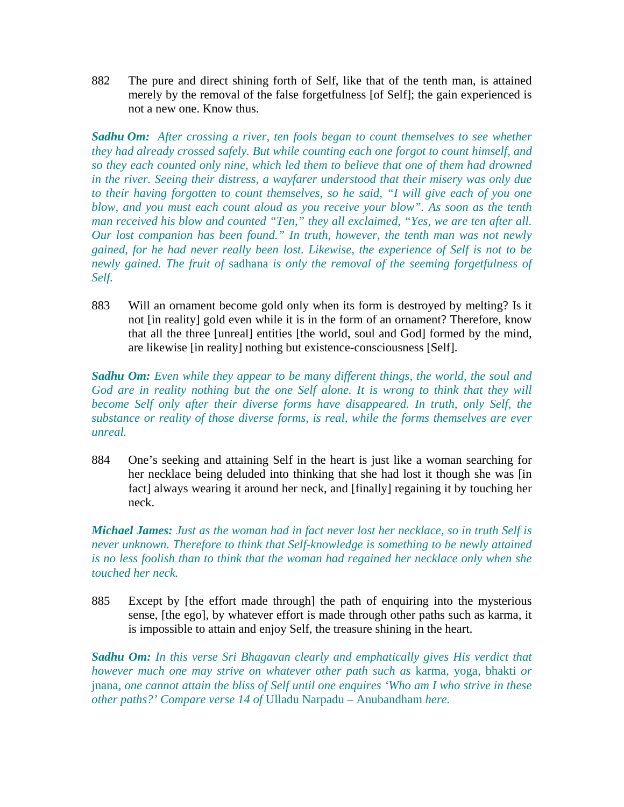882 The pure and direct shining forth of Self, like that of the tenth man, is attained merely by the removal of the false forgetfulness [of Self]; the gain experienced is not a new one. Know thus.

*Sadhu Om: After crossing a river, ten fools began to count themselves to see whether they had already crossed safely. But while counting each one forgot to count himself, and so they each counted only nine, which led them to believe that one of them had drowned in the river. Seeing their distress, a wayfarer understood that their misery was only due to their having forgotten to count themselves, so he said, "I will give each of you one blow, and you must each count aloud as you receive your blow". As soon as the tenth man received his blow and counted "Ten," they all exclaimed, "Yes, we are ten after all. Our lost companion has been found." In truth, however, the tenth man was not newly gained, for he had never really been lost. Likewise, the experience of Self is not to be newly gained. The fruit of* sadhana *is only the removal of the seeming forgetfulness of Self.* 

883 Will an ornament become gold only when its form is destroyed by melting? Is it not [in reality] gold even while it is in the form of an ornament? Therefore, know that all the three [unreal] entities [the world, soul and God] formed by the mind, are likewise [in reality] nothing but existence-consciousness [Self].

*Sadhu Om: Even while they appear to be many different things, the world, the soul and*  God are in reality nothing but the one Self alone. It is wrong to think that they will *become Self only after their diverse forms have disappeared. In truth, only Self, the substance or reality of those diverse forms, is real, while the forms themselves are ever unreal.* 

884 One's seeking and attaining Self in the heart is just like a woman searching for her necklace being deluded into thinking that she had lost it though she was [in fact] always wearing it around her neck, and [finally] regaining it by touching her neck.

*Michael James: Just as the woman had in fact never lost her necklace, so in truth Self is never unknown. Therefore to think that Self-knowledge is something to be newly attained is no less foolish than to think that the woman had regained her necklace only when she touched her neck.* 

885 Except by [the effort made through] the path of enquiring into the mysterious sense, [the ego], by whatever effort is made through other paths such as karma, it is impossible to attain and enjoy Self, the treasure shining in the heart.

*Sadhu Om: In this verse Sri Bhagavan clearly and emphatically gives His verdict that however much one may strive on whatever other path such as* karma*,* yoga*,* bhakti *or*  jnana*, one cannot attain the bliss of Self until one enquires 'Who am I who strive in these other paths?' Compare verse 14 of* Ulladu Narpadu *–* Anubandham *here.*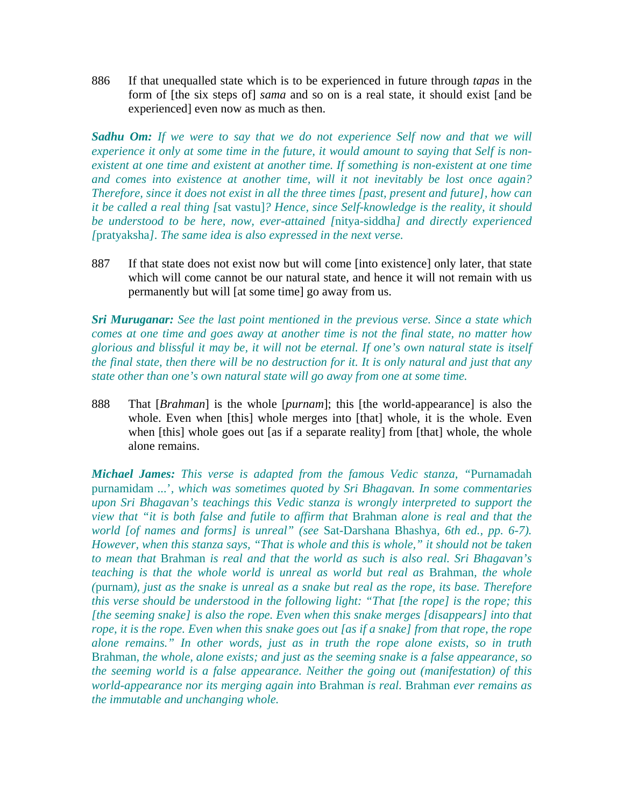886 If that unequalled state which is to be experienced in future through *tapas* in the form of [the six steps of] *sama* and so on is a real state, it should exist [and be experienced] even now as much as then.

*Sadhu Om: If we were to say that we do not experience Self now and that we will experience it only at some time in the future, it would amount to saying that Self is nonexistent at one time and existent at another time. If something is non-existent at one time and comes into existence at another time, will it not inevitably be lost once again? Therefore, since it does not exist in all the three times [past, present and future], how can it be called a real thing [*sat vastu]*? Hence, since Self-knowledge is the reality, it should be understood to be here, now, ever-attained [*nitya-siddha*] and directly experienced [*pratyaksha*]. The same idea is also expressed in the next verse.* 

887 If that state does not exist now but will come [into existence] only later, that state which will come cannot be our natural state, and hence it will not remain with us permanently but will [at some time] go away from us.

*Sri Muruganar: See the last point mentioned in the previous verse. Since a state which comes at one time and goes away at another time is not the final state, no matter how glorious and blissful it may be, it will not be eternal. If one's own natural state is itself the final state, then there will be no destruction for it. It is only natural and just that any state other than one's own natural state will go away from one at some time.* 

888 That [*Brahman*] is the whole [*purnam*]; this [the world-appearance] is also the whole. Even when [this] whole merges into [that] whole, it is the whole. Even when [this] whole goes out [as if a separate reality] from [that] whole, the whole alone remains.

*Michael James: This verse is adapted from the famous Vedic stanza, "*Purnamadah purnamidam *...*'*, which was sometimes quoted by Sri Bhagavan. In some commentaries upon Sri Bhagavan's teachings this Vedic stanza is wrongly interpreted to support the view that "it is both false and futile to affirm that* Brahman *alone is real and that the world [of names and forms] is unreal" (see* Sat-Darshana Bhashya*, 6th ed., pp. 6-7). However, when this stanza says, "That is whole and this is whole," it should not be taken to mean that* Brahman *is real and that the world as such is also real. Sri Bhagavan's teaching is that the whole world is unreal as world but real as* Brahman*, the whole (*purnam*), just as the snake is unreal as a snake but real as the rope, its base. Therefore this verse should be understood in the following light: "That [the rope] is the rope; this [the seeming snake] is also the rope. Even when this snake merges [disappears] into that rope, it is the rope. Even when this snake goes out [as if a snake] from that rope, the rope alone remains." In other words, just as in truth the rope alone exists, so in truth*  Brahman*, the whole, alone exists; and just as the seeming snake is a false appearance, so the seeming world is a false appearance. Neither the going out (manifestation) of this world-appearance nor its merging again into* Brahman *is real.* Brahman *ever remains as the immutable and unchanging whole.*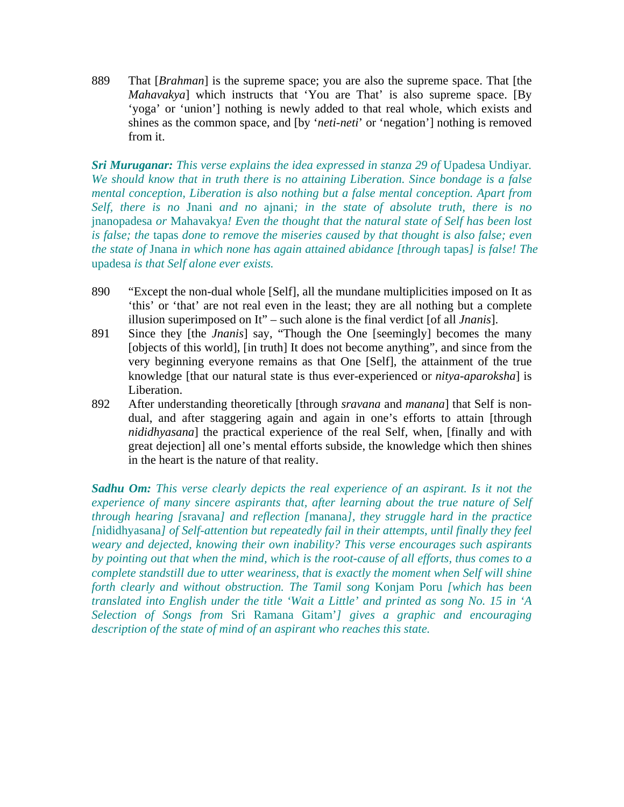889 That [*Brahman*] is the supreme space; you are also the supreme space. That [the *Mahavakya*] which instructs that 'You are That' is also supreme space. [By 'yoga' or 'union'] nothing is newly added to that real whole, which exists and shines as the common space, and [by '*neti-neti*' or 'negation'] nothing is removed from it.

*Sri Muruganar: This verse explains the idea expressed in stanza 29 of* Upadesa Undiyar*. We should know that in truth there is no attaining Liberation. Since bondage is a false mental conception, Liberation is also nothing but a false mental conception. Apart from Self, there is no* Jnani *and no* ajnani*; in the state of absolute truth, there is no*  jnanopadesa *or* Mahavakya*! Even the thought that the natural state of Self has been lost is false; the* tapas *done to remove the miseries caused by that thought is also false; even the state of* Jnana *in which none has again attained abidance [through* tapas*] is false! The*  upadesa *is that Self alone ever exists.* 

- 890 "Except the non-dual whole [Self], all the mundane multiplicities imposed on It as 'this' or 'that' are not real even in the least; they are all nothing but a complete illusion superimposed on It" – such alone is the final verdict [of all *Jnanis*].
- 891 Since they [the *Jnanis*] say, "Though the One [seemingly] becomes the many [objects of this world], [in truth] It does not become anything", and since from the very beginning everyone remains as that One [Self], the attainment of the true knowledge [that our natural state is thus ever-experienced or *nitya-aparoksha*] is Liberation.
- 892 After understanding theoretically [through *sravana* and *manana*] that Self is nondual, and after staggering again and again in one's efforts to attain [through *nididhyasana*] the practical experience of the real Self, when, [finally and with great dejection] all one's mental efforts subside, the knowledge which then shines in the heart is the nature of that reality.

*Sadhu Om: This verse clearly depicts the real experience of an aspirant. Is it not the experience of many sincere aspirants that, after learning about the true nature of Self through hearing [*sravana*] and reflection [*manana*], they struggle hard in the practice [*nididhyasana*] of Self-attention but repeatedly fail in their attempts, until finally they feel weary and dejected, knowing their own inability? This verse encourages such aspirants by pointing out that when the mind, which is the root-cause of all efforts, thus comes to a complete standstill due to utter weariness, that is exactly the moment when Self will shine forth clearly and without obstruction. The Tamil song* Konjam Poru *[which has been translated into English under the title 'Wait a Little' and printed as song No. 15 in 'A Selection of Songs from* Sri Ramana Gitam'*] gives a graphic and encouraging description of the state of mind of an aspirant who reaches this state.*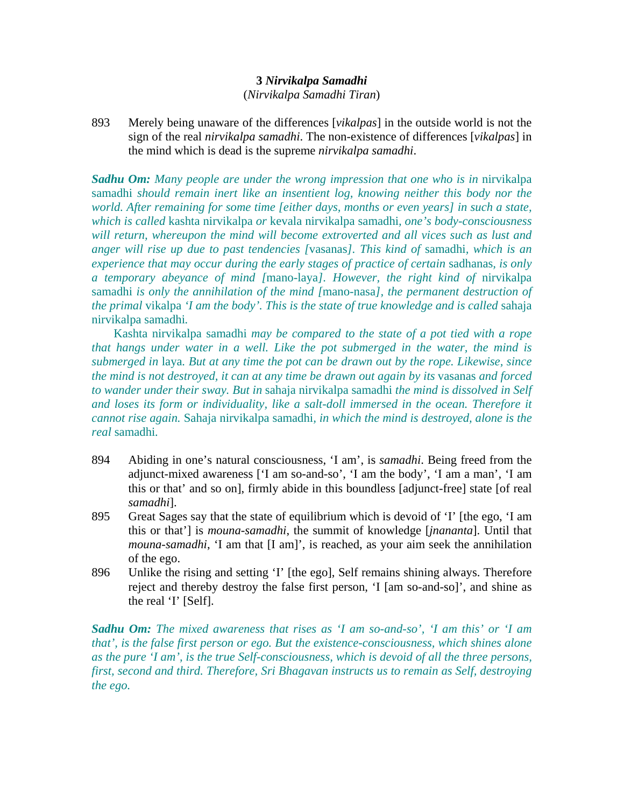## **3** *Nirvikalpa Samadhi* (*Nirvikalpa Samadhi Tiran*)

893 Merely being unaware of the differences [*vikalpas*] in the outside world is not the sign of the real *nirvikalpa samadhi*. The non-existence of differences [*vikalpas*] in the mind which is dead is the supreme *nirvikalpa samadhi*.

*Sadhu Om: Many people are under the wrong impression that one who is in* nirvikalpa samadhi *should remain inert like an insentient log, knowing neither this body nor the world. After remaining for some time [either days, months or even years] in such a state, which is called* kashta nirvikalpa *or* kevala nirvikalpa samadhi*, one's body-consciousness will return, whereupon the mind will become extroverted and all vices such as lust and anger will rise up due to past tendencies [*vasanas*]. This kind of* samadhi*, which is an experience that may occur during the early stages of practice of certain* sadhanas*, is only a temporary abeyance of mind [*mano-laya*]. However, the right kind of* nirvikalpa samadhi *is only the annihilation of the mind [*mano-nasa*], the permanent destruction of the primal* vikalpa *'I am the body'. This is the state of true knowledge and is called* sahaja nirvikalpa samadhi*.* 

Kashta nirvikalpa samadhi *may be compared to the state of a pot tied with a rope that hangs under water in a well. Like the pot submerged in the water, the mind is submerged in* laya*. But at any time the pot can be drawn out by the rope. Likewise, since the mind is not destroyed, it can at any time be drawn out again by its* vasanas *and forced to wander under their sway. But in* sahaja nirvikalpa samadhi *the mind is dissolved in Self and loses its form or individuality, like a salt-doll immersed in the ocean. Therefore it cannot rise again.* Sahaja nirvikalpa samadhi*, in which the mind is destroyed, alone is the real* samadhi*.* 

- 894 Abiding in one's natural consciousness, 'I am', is *samadhi*. Being freed from the adjunct-mixed awareness ['I am so-and-so', 'I am the body', 'I am a man', 'I am this or that' and so on], firmly abide in this boundless [adjunct-free] state [of real *samadhi*].
- 895 Great Sages say that the state of equilibrium which is devoid of 'I' [the ego, 'I am this or that'] is *mouna-samadhi*, the summit of knowledge [*jnananta*]. Until that *mouna-samadhi*, 'I am that [I am]', is reached, as your aim seek the annihilation of the ego.
- 896 Unlike the rising and setting 'I' [the ego], Self remains shining always. Therefore reject and thereby destroy the false first person, 'I [am so-and-so]', and shine as the real 'I' [Self].

*Sadhu Om: The mixed awareness that rises as 'I am so-and-so', 'I am this' or 'I am that', is the false first person or ego. But the existence-consciousness, which shines alone as the pure 'I am', is the true Self-consciousness, which is devoid of all the three persons, first, second and third. Therefore, Sri Bhagavan instructs us to remain as Self, destroying the ego.*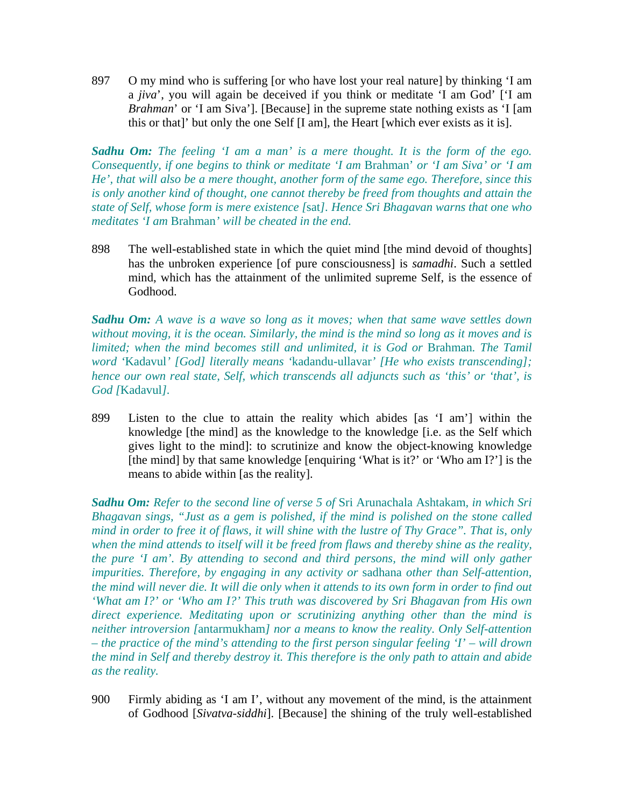897 O my mind who is suffering [or who have lost your real nature] by thinking 'I am a *jiva*', you will again be deceived if you think or meditate 'I am God' ['I am *Brahman*' or 'I am Siva']. [Because] in the supreme state nothing exists as 'I [am this or that]' but only the one Self [I am], the Heart [which ever exists as it is].

*Sadhu Om: The feeling 'I am a man' is a mere thought. It is the form of the ego. Consequently, if one begins to think or meditate 'I am* Brahman' *or 'I am Siva' or 'I am He', that will also be a mere thought, another form of the same ego. Therefore, since this is only another kind of thought, one cannot thereby be freed from thoughts and attain the state of Self, whose form is mere existence [*sat*]. Hence Sri Bhagavan warns that one who meditates 'I am* Brahman*' will be cheated in the end.* 

898 The well-established state in which the quiet mind [the mind devoid of thoughts] has the unbroken experience [of pure consciousness] is *samadhi*. Such a settled mind, which has the attainment of the unlimited supreme Self, is the essence of Godhood.

*Sadhu Om: A wave is a wave so long as it moves; when that same wave settles down without moving, it is the ocean. Similarly, the mind is the mind so long as it moves and is limited; when the mind becomes still and unlimited, it is God or* Brahman*. The Tamil word '*Kadavul*' [God] literally means '*kadandu-ullavar*' [He who exists transcending]; hence our own real state, Self, which transcends all adjuncts such as 'this' or 'that', is God [*Kadavul*].* 

899 Listen to the clue to attain the reality which abides [as 'I am'] within the knowledge [the mind] as the knowledge to the knowledge [i.e. as the Self which gives light to the mind]: to scrutinize and know the object-knowing knowledge [the mind] by that same knowledge [enquiring 'What is it?' or 'Who am I?'] is the means to abide within [as the reality].

*Sadhu Om: Refer to the second line of verse 5 of* Sri Arunachala Ashtakam*, in which Sri Bhagavan sings, "Just as a gem is polished, if the mind is polished on the stone called mind in order to free it of flaws, it will shine with the lustre of Thy Grace". That is, only when the mind attends to itself will it be freed from flaws and thereby shine as the reality, the pure 'I am'. By attending to second and third persons, the mind will only gather impurities. Therefore, by engaging in any activity or* sadhana *other than Self-attention, the mind will never die. It will die only when it attends to its own form in order to find out 'What am I?' or 'Who am I?' This truth was discovered by Sri Bhagavan from His own direct experience. Meditating upon or scrutinizing anything other than the mind is neither introversion [*antarmukham*] nor a means to know the reality. Only Self-attention – the practice of the mind's attending to the first person singular feeling 'I' – will drown the mind in Self and thereby destroy it. This therefore is the only path to attain and abide as the reality.* 

900 Firmly abiding as 'I am I', without any movement of the mind, is the attainment of Godhood [*Sivatva-siddhi*]. [Because] the shining of the truly well-established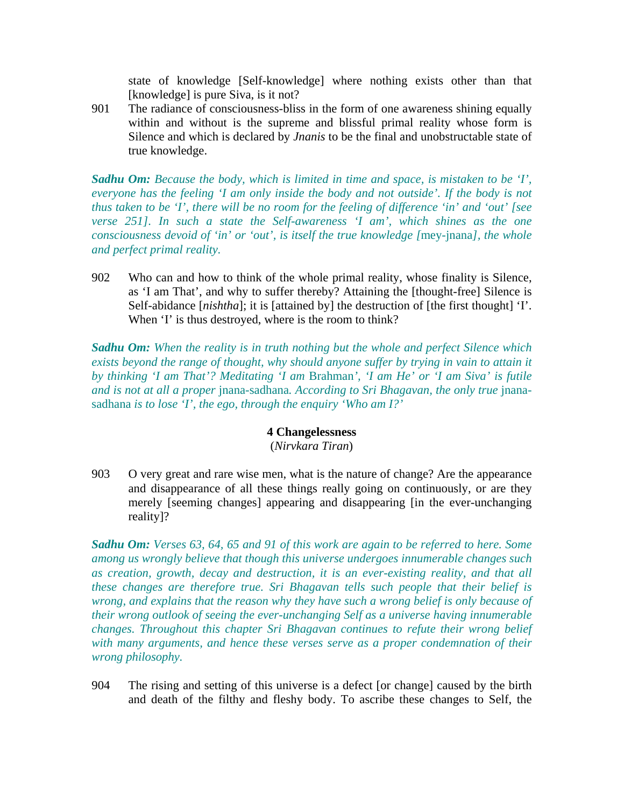state of knowledge [Self-knowledge] where nothing exists other than that [knowledge] is pure Siva, is it not?

901 The radiance of consciousness-bliss in the form of one awareness shining equally within and without is the supreme and blissful primal reality whose form is Silence and which is declared by *Jnanis* to be the final and unobstructable state of true knowledge.

*Sadhu Om: Because the body, which is limited in time and space, is mistaken to be 'I', everyone has the feeling 'I am only inside the body and not outside'. If the body is not thus taken to be 'I', there will be no room for the feeling of difference 'in' and 'out' [see verse 251]. In such a state the Self-awareness 'I am', which shines as the one consciousness devoid of 'in' or 'out', is itself the true knowledge [*mey-jnana*], the whole and perfect primal reality.* 

902 Who can and how to think of the whole primal reality, whose finality is Silence, as 'I am That', and why to suffer thereby? Attaining the [thought-free] Silence is Self-abidance [*nishtha*]; it is [attained by] the destruction of [the first thought] 'I'. When 'I' is thus destroyed, where is the room to think?

*Sadhu Om: When the reality is in truth nothing but the whole and perfect Silence which exists beyond the range of thought, why should anyone suffer by trying in vain to attain it by thinking 'I am That'? Meditating 'I am* Brahman*', 'I am He' or 'I am Siva' is futile and is not at all a proper* jnana-sadhana*. According to Sri Bhagavan, the only true* jnanasadhana *is to lose 'I', the ego, through the enquiry 'Who am I?'* 

#### **4 Changelessness**

(*Nirvkara Tiran*)

903 O very great and rare wise men, what is the nature of change? Are the appearance and disappearance of all these things really going on continuously, or are they merely [seeming changes] appearing and disappearing [in the ever-unchanging reality]?

*Sadhu Om: Verses 63, 64, 65 and 91 of this work are again to be referred to here. Some among us wrongly believe that though this universe undergoes innumerable changes such as creation, growth, decay and destruction, it is an ever-existing reality, and that all these changes are therefore true. Sri Bhagavan tells such people that their belief is wrong, and explains that the reason why they have such a wrong belief is only because of their wrong outlook of seeing the ever-unchanging Self as a universe having innumerable changes. Throughout this chapter Sri Bhagavan continues to refute their wrong belief with many arguments, and hence these verses serve as a proper condemnation of their wrong philosophy.* 

904 The rising and setting of this universe is a defect [or change] caused by the birth and death of the filthy and fleshy body. To ascribe these changes to Self, the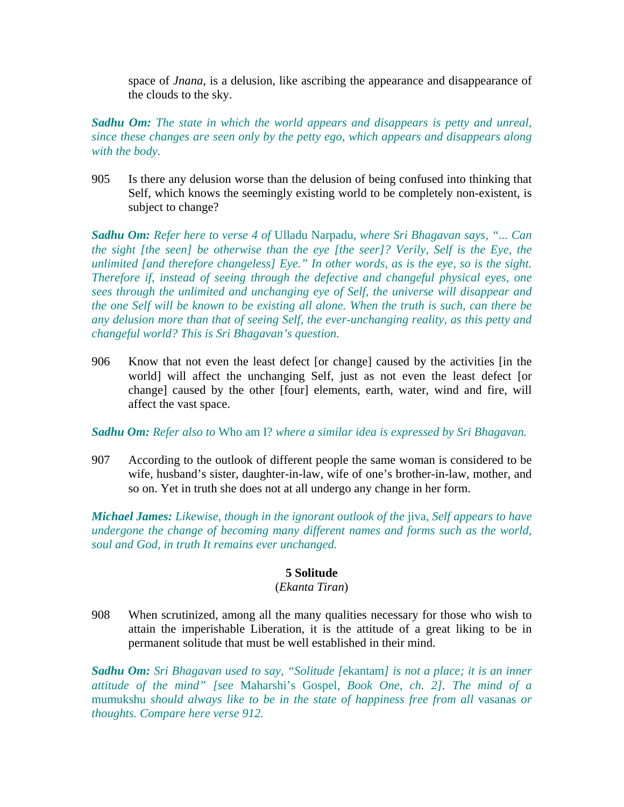space of *Jnana*, is a delusion, like ascribing the appearance and disappearance of the clouds to the sky.

*Sadhu Om: The state in which the world appears and disappears is petty and unreal, since these changes are seen only by the petty ego, which appears and disappears along with the body.* 

905 Is there any delusion worse than the delusion of being confused into thinking that Self, which knows the seemingly existing world to be completely non-existent, is subject to change?

*Sadhu Om: Refer here to verse 4 of* Ulladu Narpadu*, where Sri Bhagavan says, "... Can the sight [the seen] be otherwise than the eye [the seer]? Verily, Self is the Eye, the unlimited [and therefore changeless] Eye." In other words, as is the eye, so is the sight. Therefore if, instead of seeing through the defective and changeful physical eyes, one sees through the unlimited and unchanging eye of Self, the universe will disappear and the one Self will be known to be existing all alone. When the truth is such, can there be any delusion more than that of seeing Self, the ever-unchanging reality, as this petty and changeful world? This is Sri Bhagavan's question.* 

906 Know that not even the least defect [or change] caused by the activities [in the world] will affect the unchanging Self, just as not even the least defect [or change] caused by the other [four] elements, earth, water, wind and fire, will affect the vast space.

## *Sadhu Om: Refer also to* Who am I? *where a similar idea is expressed by Sri Bhagavan.*

907 According to the outlook of different people the same woman is considered to be wife, husband's sister, daughter-in-law, wife of one's brother-in-law, mother, and so on. Yet in truth she does not at all undergo any change in her form.

*Michael James: Likewise, though in the ignorant outlook of the* jiva*, Self appears to have undergone the change of becoming many different names and forms such as the world, soul and God, in truth It remains ever unchanged.* 

## **5 Solitude**

## (*Ekanta Tiran*)

908 When scrutinized, among all the many qualities necessary for those who wish to attain the imperishable Liberation, it is the attitude of a great liking to be in permanent solitude that must be well established in their mind.

*Sadhu Om: Sri Bhagavan used to say, "Solitude [*ekantam*] is not a place; it is an inner attitude of the mind" [see* Maharshi's Gospel*, Book One, ch. 2]. The mind of a*  mumukshu *should always like to be in the state of happiness free from all vasanas or thoughts. Compare here verse 912.*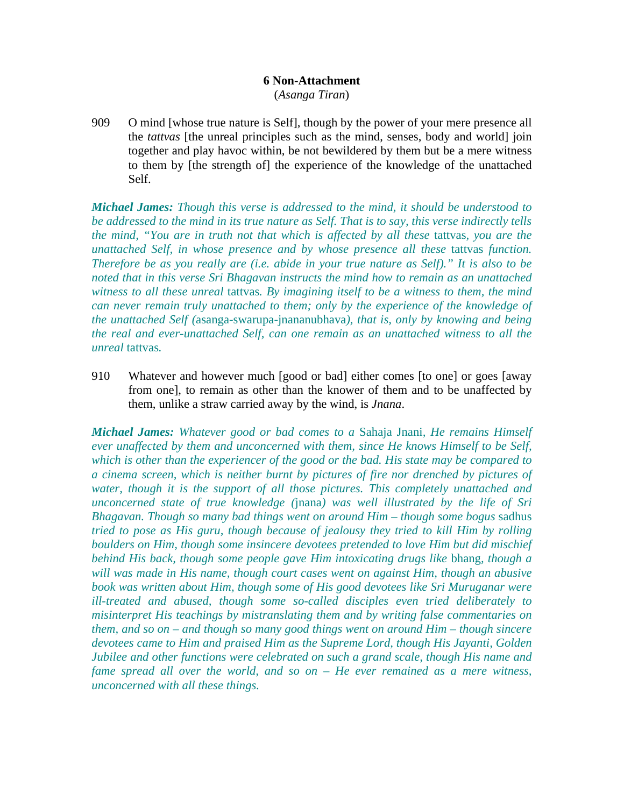#### **6 Non-Attachment**  (*Asanga Tiran*)

909 O mind [whose true nature is Self], though by the power of your mere presence all the *tattvas* [the unreal principles such as the mind, senses, body and world] join together and play havoc within, be not bewildered by them but be a mere witness to them by [the strength of] the experience of the knowledge of the unattached Self.

*Michael James: Though this verse is addressed to the mind, it should be understood to be addressed to the mind in its true nature as Self. That is to say, this verse indirectly tells the mind, "You are in truth not that which is affected by all these* tattvas*, you are the unattached Self, in whose presence and by whose presence all these* tattvas *function. Therefore be as you really are (i.e. abide in your true nature as Self)." It is also to be noted that in this verse Sri Bhagavan instructs the mind how to remain as an unattached witness to all these unreal* tattvas*. By imagining itself to be a witness to them, the mind can never remain truly unattached to them; only by the experience of the knowledge of the unattached Self (*asanga-swarupa-jnananubhava*), that is, only by knowing and being the real and ever-unattached Self, can one remain as an unattached witness to all the unreal* tattvas*.* 

910 Whatever and however much [good or bad] either comes [to one] or goes [away from one], to remain as other than the knower of them and to be unaffected by them, unlike a straw carried away by the wind, is *Jnana*.

*Michael James: Whatever good or bad comes to a* Sahaja Jnani*, He remains Himself ever unaffected by them and unconcerned with them, since He knows Himself to be Self, which is other than the experiencer of the good or the bad. His state may be compared to a cinema screen, which is neither burnt by pictures of fire nor drenched by pictures of water, though it is the support of all those pictures. This completely unattached and unconcerned state of true knowledge (*jnana*) was well illustrated by the life of Sri Bhagavan. Though so many bad things went on around Him – though some bogus* sadhus *tried to pose as His guru, though because of jealousy they tried to kill Him by rolling boulders on Him, though some insincere devotees pretended to love Him but did mischief behind His back, though some people gave Him intoxicating drugs like* bhang*, though a will was made in His name, though court cases went on against Him, though an abusive book was written about Him, though some of His good devotees like Sri Muruganar were ill-treated and abused, though some so-called disciples even tried deliberately to misinterpret His teachings by mistranslating them and by writing false commentaries on them, and so on – and though so many good things went on around Him – though sincere devotees came to Him and praised Him as the Supreme Lord, though His Jayanti, Golden Jubilee and other functions were celebrated on such a grand scale, though His name and fame spread all over the world, and so on – He ever remained as a mere witness, unconcerned with all these things.*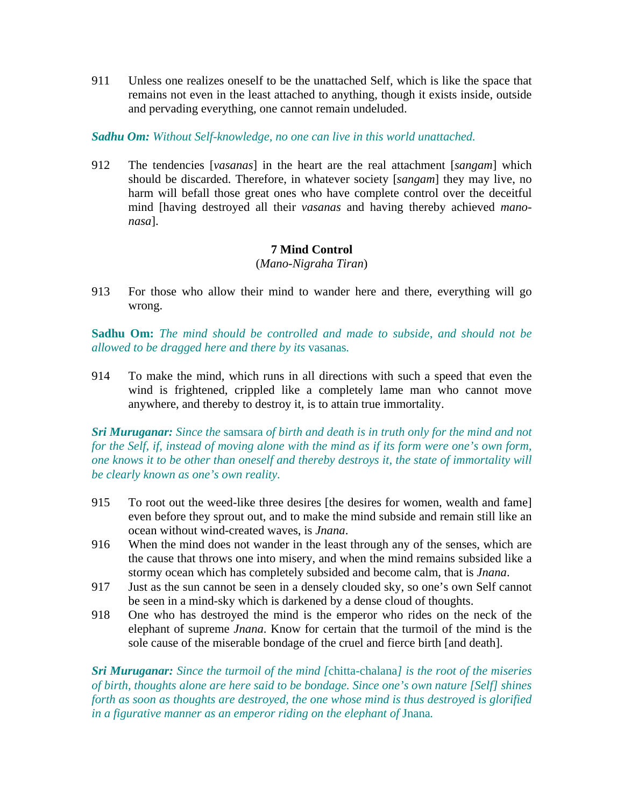911 Unless one realizes oneself to be the unattached Self, which is like the space that remains not even in the least attached to anything, though it exists inside, outside and pervading everything, one cannot remain undeluded.

*Sadhu Om: Without Self-knowledge, no one can live in this world unattached.* 

912 The tendencies [*vasanas*] in the heart are the real attachment [*sangam*] which should be discarded. Therefore, in whatever society [*sangam*] they may live, no harm will befall those great ones who have complete control over the deceitful mind [having destroyed all their *vasanas* and having thereby achieved *manonasa*].

# **7 Mind Control**

# (*Mano-Nigraha Tiran*)

913 For those who allow their mind to wander here and there, everything will go wrong.

**Sadhu Om:** *The mind should be controlled and made to subside, and should not be allowed to be dragged here and there by its* vasanas*.* 

914 To make the mind, which runs in all directions with such a speed that even the wind is frightened, crippled like a completely lame man who cannot move anywhere, and thereby to destroy it, is to attain true immortality.

*Sri Muruganar: Since the* samsara *of birth and death is in truth only for the mind and not for the Self, if, instead of moving alone with the mind as if its form were one's own form, one knows it to be other than oneself and thereby destroys it, the state of immortality will be clearly known as one's own reality.* 

- 915 To root out the weed-like three desires [the desires for women, wealth and fame] even before they sprout out, and to make the mind subside and remain still like an ocean without wind-created waves, is *Jnana*.
- 916 When the mind does not wander in the least through any of the senses, which are the cause that throws one into misery, and when the mind remains subsided like a stormy ocean which has completely subsided and become calm, that is *Jnana*.
- 917 Just as the sun cannot be seen in a densely clouded sky, so one's own Self cannot be seen in a mind-sky which is darkened by a dense cloud of thoughts.
- 918 One who has destroyed the mind is the emperor who rides on the neck of the elephant of supreme *Jnana*. Know for certain that the turmoil of the mind is the sole cause of the miserable bondage of the cruel and fierce birth [and death].

*Sri Muruganar: Since the turmoil of the mind [*chitta-chalana*] is the root of the miseries of birth, thoughts alone are here said to be bondage. Since one's own nature [Self] shines forth as soon as thoughts are destroyed, the one whose mind is thus destroyed is glorified in a figurative manner as an emperor riding on the elephant of* Jnana*.*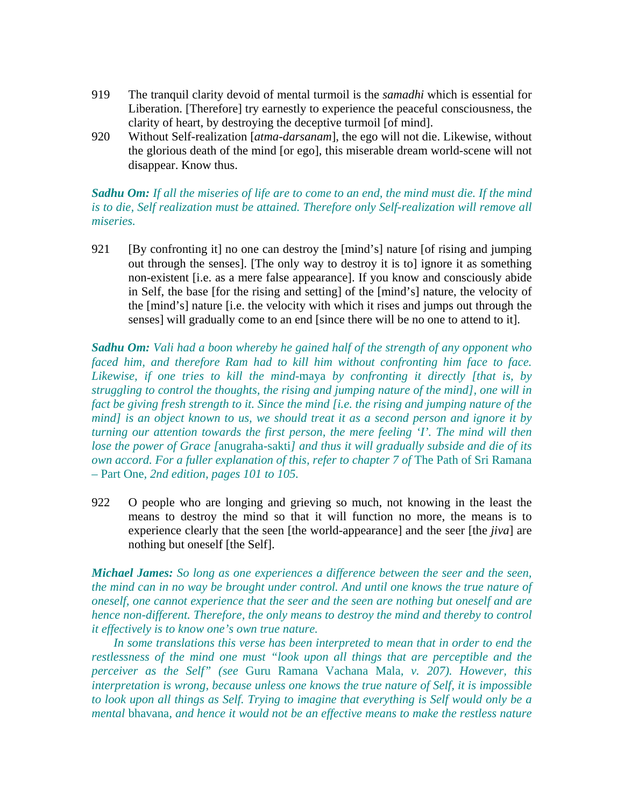- 919 The tranquil clarity devoid of mental turmoil is the *samadhi* which is essential for Liberation. [Therefore] try earnestly to experience the peaceful consciousness, the clarity of heart, by destroying the deceptive turmoil [of mind].
- 920 Without Self-realization [*atma-darsanam*], the ego will not die. Likewise, without the glorious death of the mind [or ego], this miserable dream world-scene will not disappear. Know thus.

# *Sadhu Om: If all the miseries of life are to come to an end, the mind must die. If the mind is to die, Self realization must be attained. Therefore only Self-realization will remove all miseries.*

921 [By confronting it] no one can destroy the [mind's] nature [of rising and jumping out through the senses]. [The only way to destroy it is to] ignore it as something non-existent [i.e. as a mere false appearance]. If you know and consciously abide in Self, the base [for the rising and setting] of the [mind's] nature, the velocity of the [mind's] nature [i.e. the velocity with which it rises and jumps out through the senses] will gradually come to an end [since there will be no one to attend to it].

*Sadhu Om: Vali had a boon whereby he gained half of the strength of any opponent who faced him, and therefore Ram had to kill him without confronting him face to face. Likewise, if one tries to kill the mind-*maya *by confronting it directly [that is, by struggling to control the thoughts, the rising and jumping nature of the mind], one will in fact be giving fresh strength to it. Since the mind [i.e. the rising and jumping nature of the mind] is an object known to us, we should treat it as a second person and ignore it by turning our attention towards the first person, the mere feeling 'I'. The mind will then lose the power of Grace [*anugraha-sakti*] and thus it will gradually subside and die of its own accord. For a fuller explanation of this, refer to chapter 7 of The Path of Sri Ramana* – Part One*, 2nd edition, pages 101 to 105.* 

922 O people who are longing and grieving so much, not knowing in the least the means to destroy the mind so that it will function no more, the means is to experience clearly that the seen [the world-appearance] and the seer [the *jiva*] are nothing but oneself [the Self].

*Michael James: So long as one experiences a difference between the seer and the seen, the mind can in no way be brought under control. And until one knows the true nature of oneself, one cannot experience that the seer and the seen are nothing but oneself and are hence non-different. Therefore, the only means to destroy the mind and thereby to control it effectively is to know one's own true nature.* 

 *In some translations this verse has been interpreted to mean that in order to end the restlessness of the mind one must "look upon all things that are perceptible and the perceiver as the Self" (see* Guru Ramana Vachana Mala*, v. 207). However, this interpretation is wrong, because unless one knows the true nature of Self, it is impossible to look upon all things as Self. Trying to imagine that everything is Self would only be a mental* bhavana*, and hence it would not be an effective means to make the restless nature*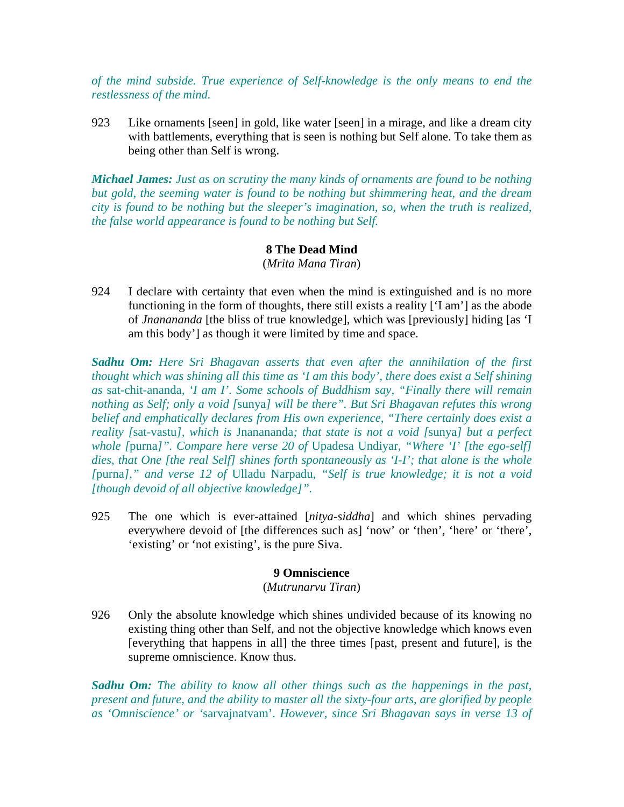*of the mind subside. True experience of Self-knowledge is the only means to end the restlessness of the mind.* 

923 Like ornaments [seen] in gold, like water [seen] in a mirage, and like a dream city with battlements, everything that is seen is nothing but Self alone. To take them as being other than Self is wrong.

*Michael James: Just as on scrutiny the many kinds of ornaments are found to be nothing but gold, the seeming water is found to be nothing but shimmering heat, and the dream city is found to be nothing but the sleeper's imagination, so, when the truth is realized, the false world appearance is found to be nothing but Self.* 

## **8 The Dead Mind**

(*Mrita Mana Tiran*)

924 I declare with certainty that even when the mind is extinguished and is no more functioning in the form of thoughts, there still exists a reality ['I am'] as the abode of *Jnanananda* [the bliss of true knowledge], which was [previously] hiding [as 'I am this body'] as though it were limited by time and space.

*Sadhu Om: Here Sri Bhagavan asserts that even after the annihilation of the first thought which was shining all this time as 'I am this body', there does exist a Self shining as* sat-chit-ananda*, 'I am I'. Some schools of Buddhism say, "Finally there will remain nothing as Self; only a void [*sunya*] will be there". But Sri Bhagavan refutes this wrong belief and emphatically declares from His own experience, "There certainly does exist a reality [*sat-vastu*], which is* Jnanananda*; that state is not a void [*sunya*] but a perfect whole [*purna*]". Compare here verse 20 of* Upadesa Undiyar*, "Where 'I' [the ego-self] dies, that One [the real Self] shines forth spontaneously as 'I-I'; that alone is the whole [*purna*]," and verse 12 of* Ulladu Narpadu*, "Self is true knowledge; it is not a void [though devoid of all objective knowledge]".* 

925 The one which is ever-attained [*nitya-siddha*] and which shines pervading everywhere devoid of [the differences such as] 'now' or 'then', 'here' or 'there', 'existing' or 'not existing', is the pure Siva.

## **9 Omniscience**

(*Mutrunarvu Tiran*)

926 Only the absolute knowledge which shines undivided because of its knowing no existing thing other than Self, and not the objective knowledge which knows even [everything that happens in all] the three times [past, present and future], is the supreme omniscience. Know thus.

*Sadhu Om: The ability to know all other things such as the happenings in the past, present and future, and the ability to master all the sixty-four arts, are glorified by people as 'Omniscience' or '*sarvajnatvam'. *However, since Sri Bhagavan says in verse 13 of*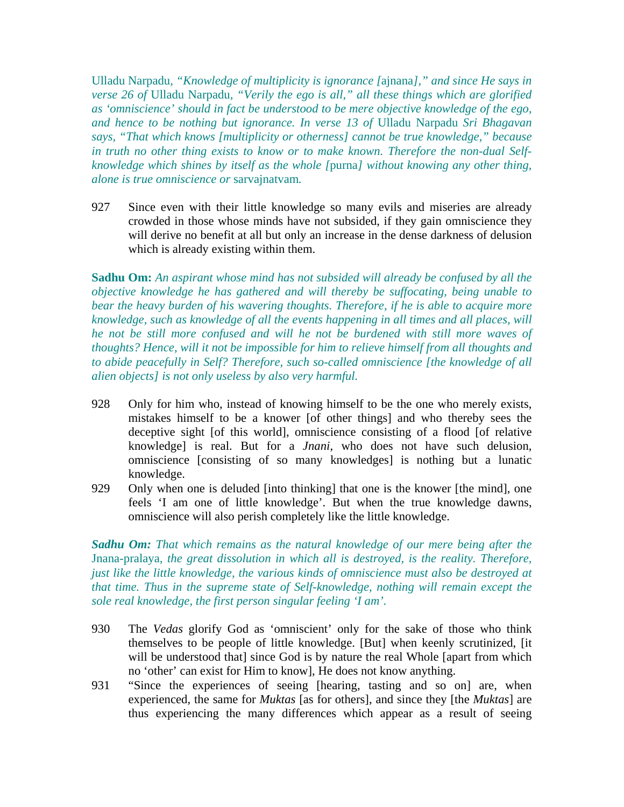Ulladu Narpadu*, "Knowledge of multiplicity is ignorance [*ajnana*]," and since He says in verse 26 of* Ulladu Narpadu*, "Verily the ego is all," all these things which are glorified as 'omniscience' should in fact be understood to be mere objective knowledge of the ego, and hence to be nothing but ignorance. In verse 13 of* Ulladu Narpadu *Sri Bhagavan says, "That which knows [multiplicity or otherness] cannot be true knowledge," because in truth no other thing exists to know or to make known. Therefore the non-dual Selfknowledge which shines by itself as the whole [*purna*] without knowing any other thing, alone is true omniscience or* sarvajnatvam*.* 

927 Since even with their little knowledge so many evils and miseries are already crowded in those whose minds have not subsided, if they gain omniscience they will derive no benefit at all but only an increase in the dense darkness of delusion which is already existing within them.

**Sadhu Om:** *An aspirant whose mind has not subsided will already be confused by all the objective knowledge he has gathered and will thereby be suffocating, being unable to bear the heavy burden of his wavering thoughts. Therefore, if he is able to acquire more knowledge, such as knowledge of all the events happening in all times and all places, will he not be still more confused and will he not be burdened with still more waves of thoughts? Hence, will it not be impossible for him to relieve himself from all thoughts and to abide peacefully in Self? Therefore, such so-called omniscience [the knowledge of all alien objects] is not only useless by also very harmful.* 

- 928 Only for him who, instead of knowing himself to be the one who merely exists, mistakes himself to be a knower [of other things] and who thereby sees the deceptive sight [of this world], omniscience consisting of a flood [of relative knowledge] is real. But for a *Jnani*, who does not have such delusion, omniscience [consisting of so many knowledges] is nothing but a lunatic knowledge.
- 929 Only when one is deluded [into thinking] that one is the knower [the mind], one feels 'I am one of little knowledge'. But when the true knowledge dawns, omniscience will also perish completely like the little knowledge.

*Sadhu Om: That which remains as the natural knowledge of our mere being after the*  Jnana-pralaya*, the great dissolution in which all is destroyed, is the reality. Therefore, just like the little knowledge, the various kinds of omniscience must also be destroyed at that time. Thus in the supreme state of Self-knowledge, nothing will remain except the sole real knowledge, the first person singular feeling 'I am'.* 

- 930 The *Vedas* glorify God as 'omniscient' only for the sake of those who think themselves to be people of little knowledge. [But] when keenly scrutinized, [it will be understood that] since God is by nature the real Whole [apart from which no 'other' can exist for Him to know], He does not know anything.
- 931 "Since the experiences of seeing [hearing, tasting and so on] are, when experienced, the same for *Muktas* [as for others], and since they [the *Muktas*] are thus experiencing the many differences which appear as a result of seeing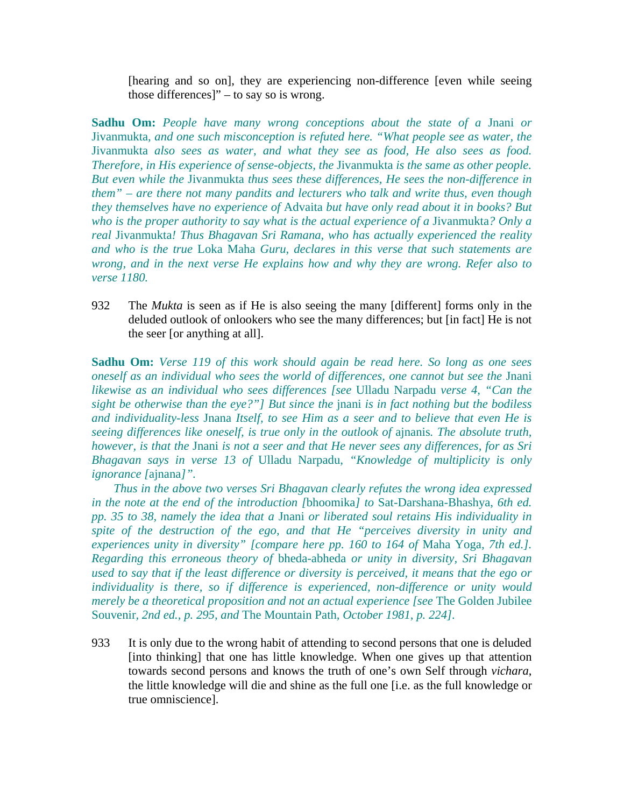[hearing and so on], they are experiencing non-difference [even while seeing those differences]" – to say so is wrong.

**Sadhu Om:** *People have many wrong conceptions about the state of a* Jnani *or*  Jivanmukta*, and one such misconception is refuted here. "What people see as water, the*  Jivanmukta *also sees as water, and what they see as food, He also sees as food. Therefore, in His experience of sense-objects, the* Jivanmukta *is the same as other people. But even while the* Jivanmukta *thus sees these differences, He sees the non-difference in them" – are there not many pandits and lecturers who talk and write thus, even though they themselves have no experience of* Advaita *but have only read about it in books? But who is the proper authority to say what is the actual experience of a Jivanmukta? Only a real* Jivanmukta*! Thus Bhagavan Sri Ramana, who has actually experienced the reality and who is the true* Loka Maha *Guru, declares in this verse that such statements are wrong, and in the next verse He explains how and why they are wrong. Refer also to verse 1180.* 

932 The *Mukta* is seen as if He is also seeing the many [different] forms only in the deluded outlook of onlookers who see the many differences; but [in fact] He is not the seer [or anything at all].

**Sadhu Om:** *Verse 119 of this work should again be read here. So long as one sees oneself as an individual who sees the world of differences, one cannot but see the Jnani likewise as an individual who sees differences [see* Ulladu Narpadu *verse 4, "Can the sight be otherwise than the eye?"] But since the* jnani *is in fact nothing but the bodiless and individuality-less* Jnana *Itself, to see Him as a seer and to believe that even He is seeing differences like oneself, is true only in the outlook of ajnanis. The absolute truth, however, is that the* Jnani *is not a seer and that He never sees any differences, for as Sri Bhagavan says in verse 13 of* Ulladu Narpadu*, "Knowledge of multiplicity is only ignorance [*ajnana*]".* 

 *Thus in the above two verses Sri Bhagavan clearly refutes the wrong idea expressed in the note at the end of the introduction [*bhoomika*] to* Sat-Darshana-Bhashya, *6th ed. pp. 35 to 38, namely the idea that a* Jnani *or liberated soul retains His individuality in spite of the destruction of the ego, and that He "perceives diversity in unity and experiences unity in diversity" [compare here pp. 160 to 164 of Maha Yoga, 7th ed.]. Regarding this erroneous theory of* bheda-abheda *or unity in diversity, Sri Bhagavan used to say that if the least difference or diversity is perceived, it means that the ego or individuality is there, so if difference is experienced, non-difference or unity would merely be a theoretical proposition and not an actual experience [see* The Golden Jubilee Souvenir*, 2nd ed., p. 295, and* The Mountain Path*, October 1981, p. 224].* 

933 It is only due to the wrong habit of attending to second persons that one is deluded [into thinking] that one has little knowledge. When one gives up that attention towards second persons and knows the truth of one's own Self through *vichara*, the little knowledge will die and shine as the full one [i.e. as the full knowledge or true omniscience].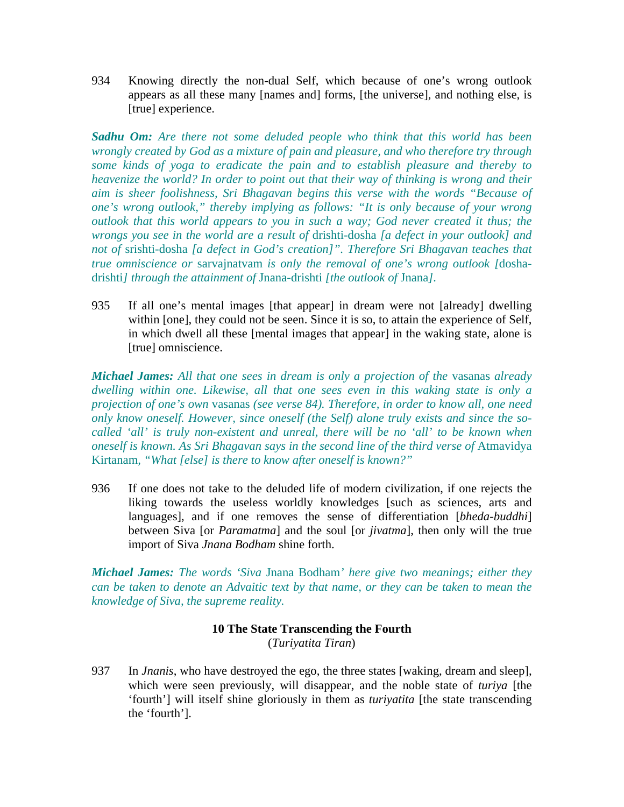934 Knowing directly the non-dual Self, which because of one's wrong outlook appears as all these many [names and] forms, [the universe], and nothing else, is [true] experience.

*Sadhu Om: Are there not some deluded people who think that this world has been wrongly created by God as a mixture of pain and pleasure, and who therefore try through some kinds of yoga to eradicate the pain and to establish pleasure and thereby to heavenize the world? In order to point out that their way of thinking is wrong and their aim is sheer foolishness, Sri Bhagavan begins this verse with the words "Because of one's wrong outlook," thereby implying as follows: "It is only because of your wrong outlook that this world appears to you in such a way; God never created it thus; the wrongs you see in the world are a result of* drishti-dosha *[a defect in your outlook] and not of* srishti-dosha *[a defect in God's creation]". Therefore Sri Bhagavan teaches that true omniscience or* sarvajnatvam *is only the removal of one's wrong outlook [*doshadrishti*] through the attainment of* Jnana-drishti *[the outlook of* Jnana*].* 

935 If all one's mental images [that appear] in dream were not [already] dwelling within [one], they could not be seen. Since it is so, to attain the experience of Self, in which dwell all these [mental images that appear] in the waking state, alone is [true] omniscience.

*Michael James: All that one sees in dream is only a projection of the* vasanas *already dwelling within one. Likewise, all that one sees even in this waking state is only a projection of one's own* vasanas *(see verse 84). Therefore, in order to know all, one need only know oneself. However, since oneself (the Self) alone truly exists and since the socalled 'all' is truly non-existent and unreal, there will be no 'all' to be known when oneself is known. As Sri Bhagavan says in the second line of the third verse of* Atmavidya Kirtanam*, "What [else] is there to know after oneself is known?"* 

936 If one does not take to the deluded life of modern civilization, if one rejects the liking towards the useless worldly knowledges [such as sciences, arts and languages], and if one removes the sense of differentiation [*bheda-buddhi*] between Siva [or *Paramatma*] and the soul [or *jivatma*], then only will the true import of Siva *Jnana Bodham* shine forth.

*Michael James: The words 'Siva* Jnana Bodham*' here give two meanings; either they can be taken to denote an Advaitic text by that name, or they can be taken to mean the knowledge of Siva, the supreme reality.*

### **10 The State Transcending the Fourth**  (*Turiyatita Tiran*)

937 In *Jnanis*, who have destroyed the ego, the three states [waking, dream and sleep], which were seen previously, will disappear, and the noble state of *turiya* [the 'fourth'] will itself shine gloriously in them as *turiyatita* [the state transcending the 'fourth'].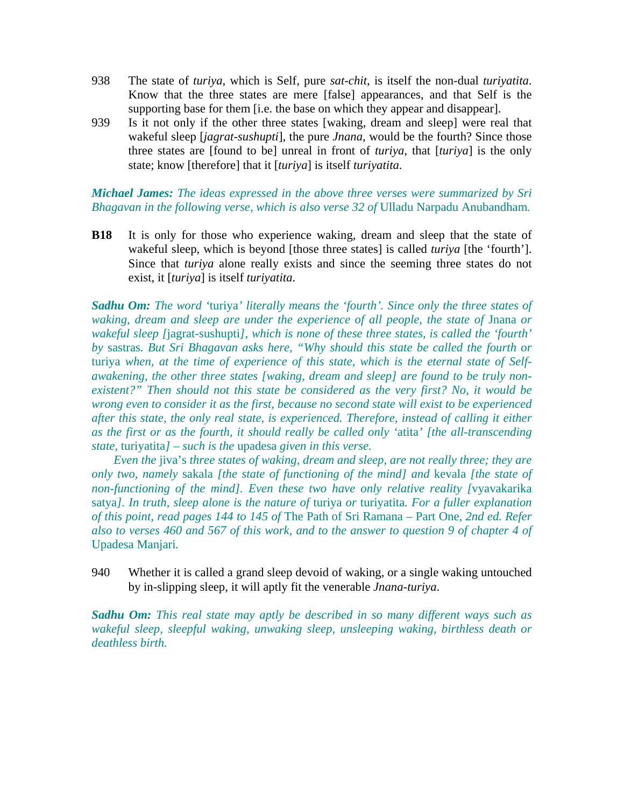- 938 The state of *turiya*, which is Self, pure *sat-chit*, is itself the non-dual *turiyatita*. Know that the three states are mere [false] appearances, and that Self is the supporting base for them [i.e. the base on which they appear and disappear].
- 939 Is it not only if the other three states [waking, dream and sleep] were real that wakeful sleep [*jagrat-sushupti*], the pure *Jnana*, would be the fourth? Since those three states are [found to be] unreal in front of *turiya*, that [*turiya*] is the only state; know [therefore] that it [*turiya*] is itself *turiyatita*.

#### *Michael James: The ideas expressed in the above three verses were summarized by Sri Bhagavan in the following verse, which is also verse 32 of* Ulladu Narpadu Anubandham*.*

**B18** It is only for those who experience waking, dream and sleep that the state of wakeful sleep, which is beyond [those three states] is called *turiya* [the 'fourth']. Since that *turiya* alone really exists and since the seeming three states do not exist, it [*turiya*] is itself *turiyatita*.

*Sadhu Om: The word '*turiya*' literally means the 'fourth'. Since only the three states of waking, dream and sleep are under the experience of all people, the state of Jnana or wakeful sleep [*jagrat-sushupti*], which is none of these three states, is called the 'fourth' by* sastras*. But Sri Bhagavan asks here, "Why should this state be called the fourth or*  turiya *when, at the time of experience of this state, which is the eternal state of Selfawakening, the other three states [waking, dream and sleep] are found to be truly nonexistent?" Then should not this state be considered as the very first? No, it would be wrong even to consider it as the first, because no second state will exist to be experienced after this state, the only real state, is experienced. Therefore, instead of calling it either as the first or as the fourth, it should really be called only '*atita*' [the all-transcending state,* turiyatita*] – such is the* upadesa *given in this verse.* 

 *Even the* jiva's *three states of waking, dream and sleep, are not really three; they are only two, namely* sakala *[the state of functioning of the mind] and* kevala *[the state of non-functioning of the mind]. Even these two have only relative reality [*vyavakarika satya*]. In truth, sleep alone is the nature of* turiya *or* turiyatita*. For a fuller explanation of this point, read pages 144 to 145 of* The Path of Sri Ramana – Part One*, 2nd ed. Refer also to verses 460 and 567 of this work, and to the answer to question 9 of chapter 4 of*  Upadesa Manjari*.* 

940 Whether it is called a grand sleep devoid of waking, or a single waking untouched by in-slipping sleep, it will aptly fit the venerable *Jnana-turiya*.

*Sadhu Om: This real state may aptly be described in so many different ways such as wakeful sleep, sleepful waking, unwaking sleep, unsleeping waking, birthless death or deathless birth.*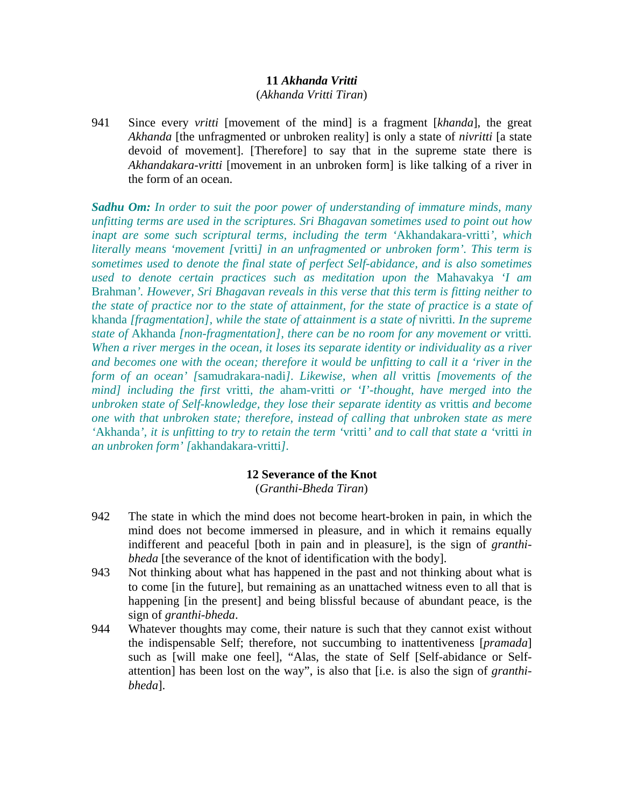# **11** *Akhanda Vritti* (*Akhanda Vritti Tiran*)

941 Since every *vritti* [movement of the mind] is a fragment [*khanda*], the great *Akhanda* [the unfragmented or unbroken reality] is only a state of *nivritti* [a state devoid of movement]. [Therefore] to say that in the supreme state there is *Akhandakara-vritti* [movement in an unbroken form] is like talking of a river in the form of an ocean.

*Sadhu Om: In order to suit the poor power of understanding of immature minds, many unfitting terms are used in the scriptures. Sri Bhagavan sometimes used to point out how inapt are some such scriptural terms, including the term '*Akhandakara-vritti*', which literally means 'movement [*vritti*] in an unfragmented or unbroken form'. This term is sometimes used to denote the final state of perfect Self-abidance, and is also sometimes used to denote certain practices such as meditation upon the* Mahavakya *'I am*  Brahman*'. However, Sri Bhagavan reveals in this verse that this term is fitting neither to the state of practice nor to the state of attainment, for the state of practice is a state of* khanda *[fragmentation], while the state of attainment is a state of* nivritti*. In the supreme state of* Akhanda *[non-fragmentation], there can be no room for any movement or* vritti*. When a river merges in the ocean, it loses its separate identity or individuality as a river and becomes one with the ocean; therefore it would be unfitting to call it a 'river in the form of an ocean' [*samudrakara-nadi*]. Likewise, when all* vrittis *[movements of the mind] including the first* vritti*, the* aham-vritti *or 'I'-thought, have merged into the unbroken state of Self-knowledge, they lose their separate identity as* vrittis *and become one with that unbroken state; therefore, instead of calling that unbroken state as mere '*Akhanda*', it is unfitting to try to retain the term '*vritti*' and to call that state a '*vritti *in an unbroken form' [*akhandakara-vritti*].* 

## **12 Severance of the Knot**

(*Granthi-Bheda Tiran*)

- 942 The state in which the mind does not become heart-broken in pain, in which the mind does not become immersed in pleasure, and in which it remains equally indifferent and peaceful [both in pain and in pleasure], is the sign of *granthibheda* [the severance of the knot of identification with the body].
- 943 Not thinking about what has happened in the past and not thinking about what is to come [in the future], but remaining as an unattached witness even to all that is happening [in the present] and being blissful because of abundant peace, is the sign of *granthi-bheda*.
- 944 Whatever thoughts may come, their nature is such that they cannot exist without the indispensable Self; therefore, not succumbing to inattentiveness [*pramada*] such as [will make one feel], "Alas, the state of Self [Self-abidance or Selfattention] has been lost on the way", is also that [i.e. is also the sign of *granthibheda*].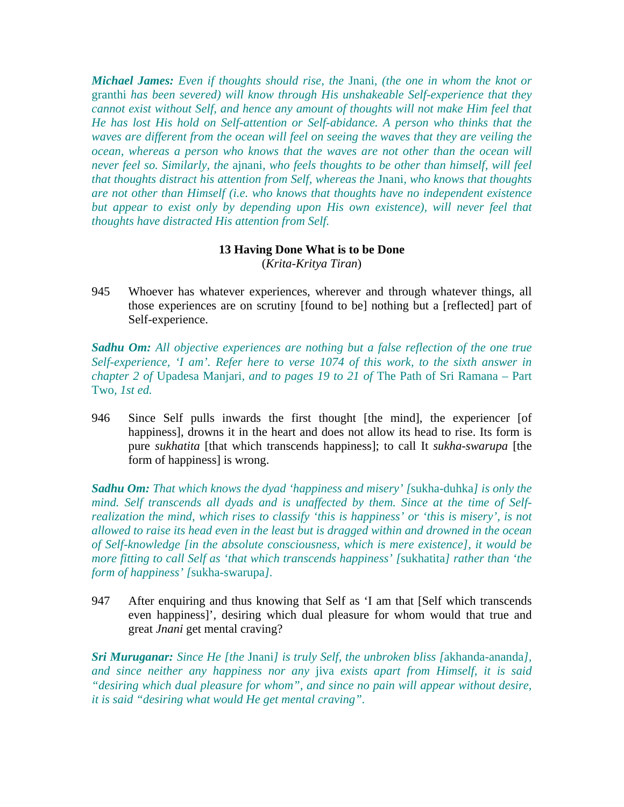*Michael James: Even if thoughts should rise, the* Jnani*, (the one in whom the knot or*  granthi *has been severed) will know through His unshakeable Self-experience that they cannot exist without Self, and hence any amount of thoughts will not make Him feel that He has lost His hold on Self-attention or Self-abidance. A person who thinks that the waves are different from the ocean will feel on seeing the waves that they are veiling the ocean, whereas a person who knows that the waves are not other than the ocean will never feel so. Similarly, the* ajnani*, who feels thoughts to be other than himself, will feel that thoughts distract his attention from Self, whereas the* Jnani*, who knows that thoughts are not other than Himself (i.e. who knows that thoughts have no independent existence*  but appear to exist only by depending upon His own existence), will never feel that *thoughts have distracted His attention from Self.* 

#### **13 Having Done What is to be Done**  (*Krita-Kritya Tiran*)

945 Whoever has whatever experiences, wherever and through whatever things, all those experiences are on scrutiny [found to be] nothing but a [reflected] part of Self-experience.

*Sadhu Om: All objective experiences are nothing but a false reflection of the one true Self-experience, 'I am'. Refer here to verse 1074 of this work, to the sixth answer in chapter 2 of* Upadesa Manjari*, and to pages 19 to 21 of* The Path of Sri Ramana – Part Two*, 1st ed.* 

946 Since Self pulls inwards the first thought [the mind], the experiencer [of happiness], drowns it in the heart and does not allow its head to rise. Its form is pure *sukhatita* [that which transcends happiness]; to call It *sukha-swarupa* [the form of happiness] is wrong.

*Sadhu Om: That which knows the dyad 'happiness and misery' [*sukha-duhka*] is only the mind. Self transcends all dyads and is unaffected by them. Since at the time of Selfrealization the mind, which rises to classify 'this is happiness' or 'this is misery', is not allowed to raise its head even in the least but is dragged within and drowned in the ocean of Self-knowledge [in the absolute consciousness, which is mere existence], it would be more fitting to call Self as 'that which transcends happiness' [*sukhatita*] rather than 'the form of happiness' [*sukha-swarupa*].* 

947 After enquiring and thus knowing that Self as 'I am that [Self which transcends even happiness]', desiring which dual pleasure for whom would that true and great *Jnani* get mental craving?

*Sri Muruganar: Since He [the* Jnani*] is truly Self, the unbroken bliss [*akhanda-ananda*], and since neither any happiness nor any* jiva *exists apart from Himself, it is said "desiring which dual pleasure for whom", and since no pain will appear without desire, it is said "desiring what would He get mental craving".*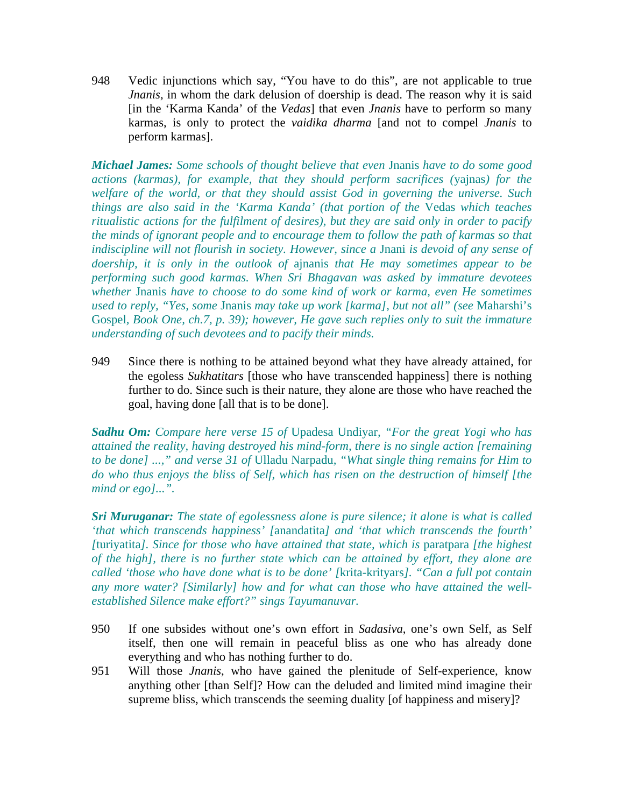948 Vedic injunctions which say, "You have to do this", are not applicable to true *Jnanis*, in whom the dark delusion of doership is dead. The reason why it is said [in the 'Karma Kanda' of the *Vedas*] that even *Jnanis* have to perform so many karmas, is only to protect the *vaidika dharma* [and not to compel *Jnanis* to perform karmas].

*Michael James: Some schools of thought believe that even* Jnanis *have to do some good actions (karmas), for example, that they should perform sacrifices (*yajnas*) for the welfare of the world, or that they should assist God in governing the universe. Such things are also said in the 'Karma Kanda' (that portion of the* Vedas *which teaches ritualistic actions for the fulfilment of desires), but they are said only in order to pacify the minds of ignorant people and to encourage them to follow the path of karmas so that indiscipline will not flourish in society. However, since a* Jnani *is devoid of any sense of doership, it is only in the outlook of* ajnanis *that He may sometimes appear to be performing such good karmas. When Sri Bhagavan was asked by immature devotees whether* Jnanis *have to choose to do some kind of work or karma, even He sometimes used to reply, "Yes, some* Jnanis *may take up work [karma], but not all" (see* Maharshi's Gospel*, Book One, ch.7, p. 39); however, He gave such replies only to suit the immature understanding of such devotees and to pacify their minds.* 

949 Since there is nothing to be attained beyond what they have already attained, for the egoless *Sukhatitars* [those who have transcended happiness] there is nothing further to do. Since such is their nature, they alone are those who have reached the goal, having done [all that is to be done].

*Sadhu Om: Compare here verse 15 of* Upadesa Undiyar*, "For the great Yogi who has attained the reality, having destroyed his mind-form, there is no single action [remaining to be done] ...," and verse 31 of* Ulladu Narpadu*, "What single thing remains for Him to do who thus enjoys the bliss of Self, which has risen on the destruction of himself [the mind or ego]...".* 

*Sri Muruganar: The state of egolessness alone is pure silence; it alone is what is called 'that which transcends happiness' [*anandatita*] and 'that which transcends the fourth' [*turiyatita*]. Since for those who have attained that state, which is* paratpara *[the highest of the high], there is no further state which can be attained by effort, they alone are called 'those who have done what is to be done' [*krita-krityars*]. "Can a full pot contain any more water? [Similarly] how and for what can those who have attained the wellestablished Silence make effort?" sings Tayumanuvar.* 

- 950 If one subsides without one's own effort in *Sadasiva*, one's own Self, as Self itself, then one will remain in peaceful bliss as one who has already done everything and who has nothing further to do.
- 951 Will those *Jnanis*, who have gained the plenitude of Self-experience, know anything other [than Self]? How can the deluded and limited mind imagine their supreme bliss, which transcends the seeming duality [of happiness and misery]?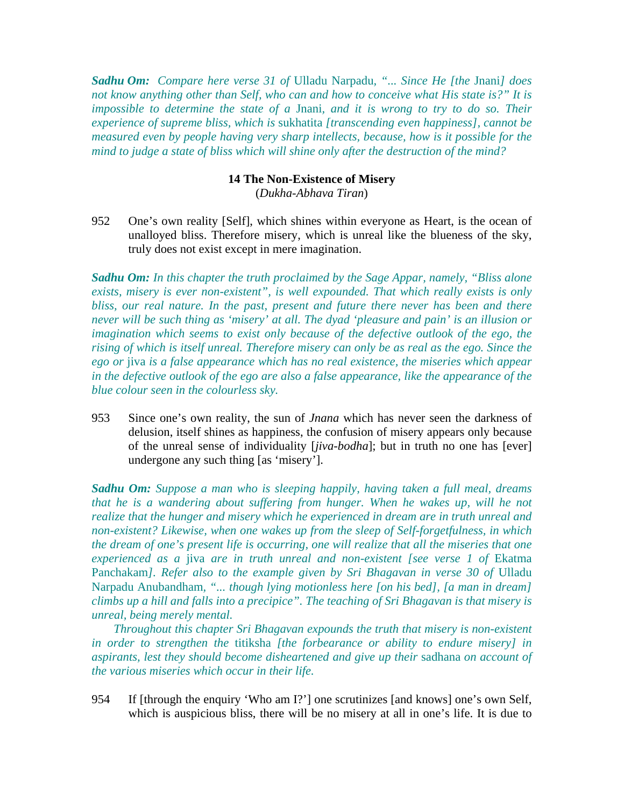*Sadhu Om: Compare here verse 31 of* Ulladu Narpadu*, "... Since He [the* Jnani*] does not know anything other than Self, who can and how to conceive what His state is?" It is impossible to determine the state of a* Jnani*, and it is wrong to try to do so. Their experience of supreme bliss, which is* sukhatita *[transcending even happiness], cannot be measured even by people having very sharp intellects, because, how is it possible for the mind to judge a state of bliss which will shine only after the destruction of the mind?* 

## **14 The Non-Existence of Misery**

(*Dukha-Abhava Tiran*)

952 One's own reality [Self], which shines within everyone as Heart, is the ocean of unalloyed bliss. Therefore misery, which is unreal like the blueness of the sky, truly does not exist except in mere imagination.

*Sadhu Om: In this chapter the truth proclaimed by the Sage Appar, namely, "Bliss alone exists, misery is ever non-existent", is well expounded. That which really exists is only bliss, our real nature. In the past, present and future there never has been and there never will be such thing as 'misery' at all. The dyad 'pleasure and pain' is an illusion or imagination which seems to exist only because of the defective outlook of the ego, the rising of which is itself unreal. Therefore misery can only be as real as the ego. Since the ego or* jiva *is a false appearance which has no real existence, the miseries which appear in the defective outlook of the ego are also a false appearance, like the appearance of the blue colour seen in the colourless sky.* 

953 Since one's own reality, the sun of *Jnana* which has never seen the darkness of delusion, itself shines as happiness, the confusion of misery appears only because of the unreal sense of individuality [*jiva-bodha*]; but in truth no one has [ever] undergone any such thing [as 'misery'].

*Sadhu Om: Suppose a man who is sleeping happily, having taken a full meal, dreams that he is a wandering about suffering from hunger. When he wakes up, will he not realize that the hunger and misery which he experienced in dream are in truth unreal and non-existent? Likewise, when one wakes up from the sleep of Self-forgetfulness, in which the dream of one's present life is occurring, one will realize that all the miseries that one experienced as a* jiva *are in truth unreal and non-existent [see verse 1 of* Ekatma Panchakam*]. Refer also to the example given by Sri Bhagavan in verse 30 of* Ulladu Narpadu Anubandham*, "... though lying motionless here [on his bed], [a man in dream] climbs up a hill and falls into a precipice". The teaching of Sri Bhagavan is that misery is unreal, being merely mental.* 

 *Throughout this chapter Sri Bhagavan expounds the truth that misery is non-existent in order to strengthen the* titiksha *[the forbearance or ability to endure misery] in aspirants, lest they should become disheartened and give up their* sadhana *on account of the various miseries which occur in their life.* 

954 If [through the enquiry 'Who am I?'] one scrutinizes [and knows] one's own Self, which is auspicious bliss, there will be no misery at all in one's life. It is due to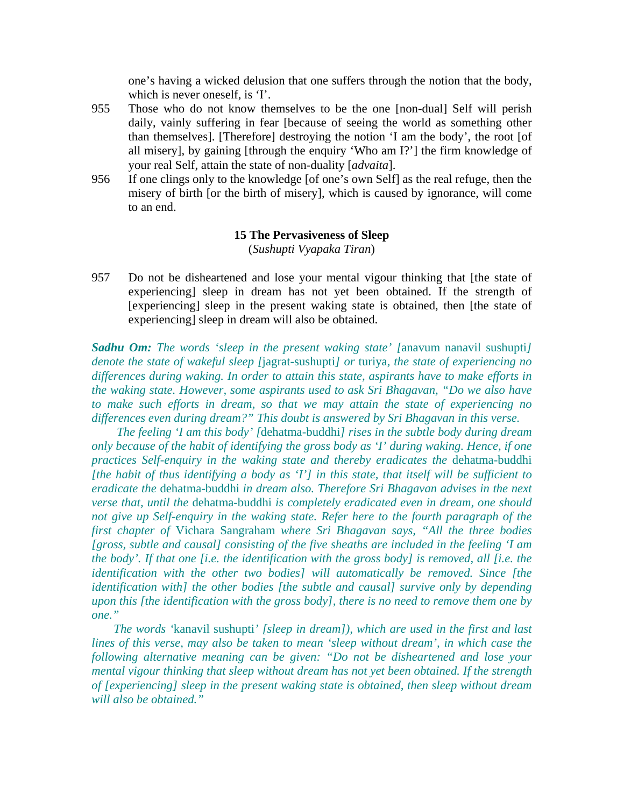one's having a wicked delusion that one suffers through the notion that the body, which is never oneself, is 'I'.

- 955 Those who do not know themselves to be the one [non-dual] Self will perish daily, vainly suffering in fear [because of seeing the world as something other than themselves]. [Therefore] destroying the notion 'I am the body', the root [of all misery], by gaining [through the enquiry 'Who am I?'] the firm knowledge of your real Self, attain the state of non-duality [*advaita*].
- 956 If one clings only to the knowledge [of one's own Self] as the real refuge, then the misery of birth [or the birth of misery], which is caused by ignorance, will come to an end.

#### **15 The Pervasiveness of Sleep**

(*Sushupti Vyapaka Tiran*)

957 Do not be disheartened and lose your mental vigour thinking that [the state of experiencing] sleep in dream has not yet been obtained. If the strength of [experiencing] sleep in the present waking state is obtained, then [the state of experiencing] sleep in dream will also be obtained.

*Sadhu Om: The words 'sleep in the present waking state' [*anavum nanavil sushupti*] denote the state of wakeful sleep [*jagrat-sushupti*] or* turiya*, the state of experiencing no differences during waking. In order to attain this state, aspirants have to make efforts in the waking state. However, some aspirants used to ask Sri Bhagavan, "Do we also have to make such efforts in dream, so that we may attain the state of experiencing no differences even during dream?" This doubt is answered by Sri Bhagavan in this verse.* 

 *The feeling 'I am this body' [*dehatma-buddhi*] rises in the subtle body during dream only because of the habit of identifying the gross body as 'I' during waking. Hence, if one practices Self-enquiry in the waking state and thereby eradicates the* dehatma-buddhi *[the habit of thus identifying a body as 'I'] in this state, that itself will be sufficient to eradicate the* dehatma-buddhi *in dream also. Therefore Sri Bhagavan advises in the next verse that, until the* dehatma-buddhi *is completely eradicated even in dream, one should not give up Self-enquiry in the waking state. Refer here to the fourth paragraph of the first chapter of* Vichara Sangraham *where Sri Bhagavan says, "All the three bodies [gross, subtle and causal] consisting of the five sheaths are included in the feeling 'I am the body'. If that one [i.e. the identification with the gross body] is removed, all [i.e. the identification with the other two bodies] will automatically be removed. Since [the identification with] the other bodies [the subtle and causal] survive only by depending upon this [the identification with the gross body], there is no need to remove them one by one."* 

 *The words '*kanavil sushupti*' [sleep in dream]), which are used in the first and last lines of this verse, may also be taken to mean 'sleep without dream', in which case the following alternative meaning can be given: "Do not be disheartened and lose your mental vigour thinking that sleep without dream has not yet been obtained. If the strength of [experiencing] sleep in the present waking state is obtained, then sleep without dream will also be obtained."*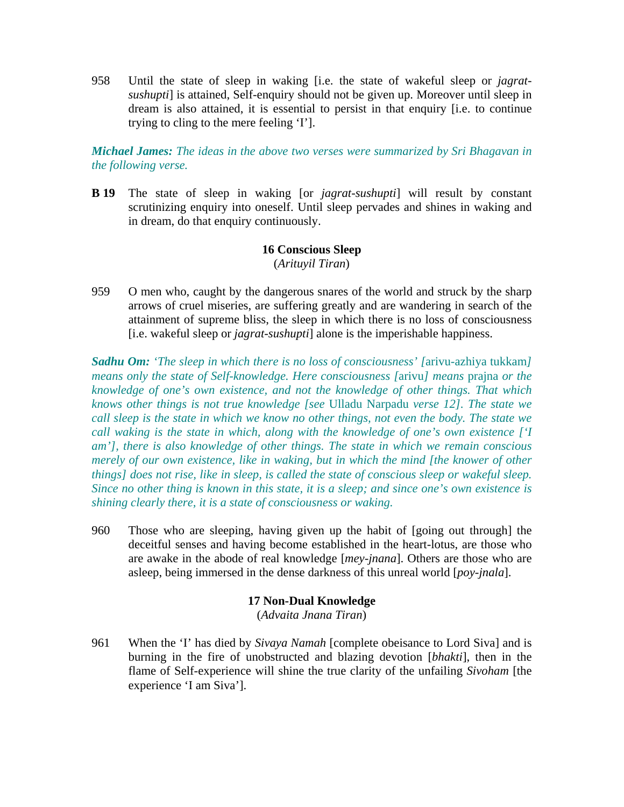958 Until the state of sleep in waking [i.e. the state of wakeful sleep or *jagratsushupti*] is attained, Self-enquiry should not be given up. Moreover until sleep in dream is also attained, it is essential to persist in that enquiry [i.e. to continue trying to cling to the mere feeling 'I'].

# *Michael James: The ideas in the above two verses were summarized by Sri Bhagavan in the following verse.*

**B 19** The state of sleep in waking [or *jagrat-sushupti*] will result by constant scrutinizing enquiry into oneself. Until sleep pervades and shines in waking and in dream, do that enquiry continuously.

## **16 Conscious Sleep**  (*Arituyil Tiran*)

959 O men who, caught by the dangerous snares of the world and struck by the sharp arrows of cruel miseries, are suffering greatly and are wandering in search of the attainment of supreme bliss, the sleep in which there is no loss of consciousness [i.e. wakeful sleep or *jagrat-sushupti*] alone is the imperishable happiness.

*Sadhu Om: 'The sleep in which there is no loss of consciousness' [*arivu-azhiya tukkam*] means only the state of Self-knowledge. Here consciousness [*arivu*] means* prajna *or the knowledge of one's own existence, and not the knowledge of other things. That which knows other things is not true knowledge [see* Ulladu Narpadu *verse 12]. The state we call sleep is the state in which we know no other things, not even the body. The state we call waking is the state in which, along with the knowledge of one's own existence ['I am'], there is also knowledge of other things. The state in which we remain conscious merely of our own existence, like in waking, but in which the mind [the knower of other things] does not rise, like in sleep, is called the state of conscious sleep or wakeful sleep. Since no other thing is known in this state, it is a sleep; and since one's own existence is shining clearly there, it is a state of consciousness or waking.* 

960 Those who are sleeping, having given up the habit of [going out through] the deceitful senses and having become established in the heart-lotus, are those who are awake in the abode of real knowledge [*mey-jnana*]. Others are those who are asleep, being immersed in the dense darkness of this unreal world [*poy-jnala*].

# **17 Non-Dual Knowledge**

(*Advaita Jnana Tiran*)

961 When the 'I' has died by *Sivaya Namah* [complete obeisance to Lord Siva] and is burning in the fire of unobstructed and blazing devotion [*bhakti*], then in the flame of Self-experience will shine the true clarity of the unfailing *Sivoham* [the experience 'I am Siva'].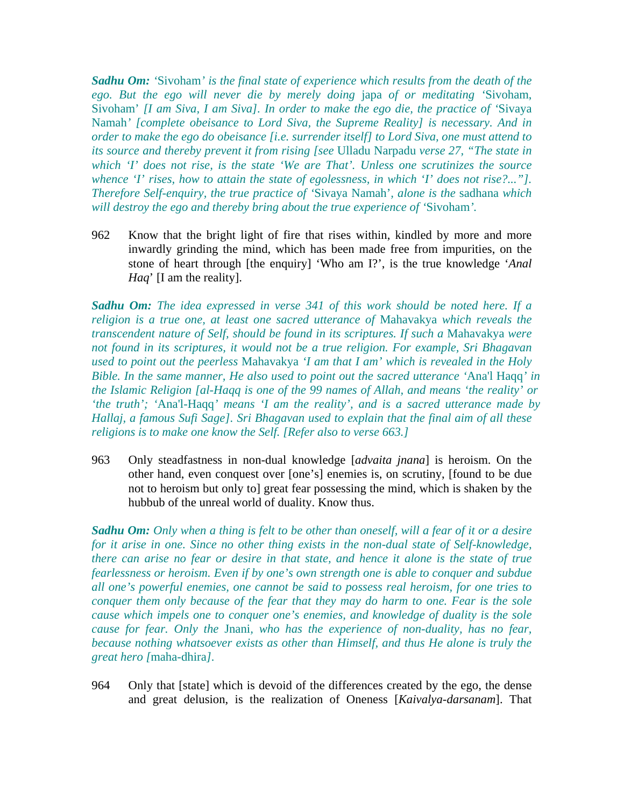*Sadhu Om: '*Sivoham*' is the final state of experience which results from the death of the ego. But the ego will never die by merely doing* japa *of or meditating '*Sivoham, Sivoham' *[I am Siva, I am Siva]. In order to make the ego die, the practice of '*Sivaya Namah*' [complete obeisance to Lord Siva, the Supreme Reality] is necessary. And in order to make the ego do obeisance [i.e. surrender itself] to Lord Siva, one must attend to its source and thereby prevent it from rising [see* Ulladu Narpadu *verse 27, "The state in which 'I' does not rise, is the state 'We are That'. Unless one scrutinizes the source whence 'I' rises, how to attain the state of egolessness, in which 'I' does not rise?..."]. Therefore Self-enquiry, the true practice of '*Sivaya Namah'*, alone is the* sadhana *which will destroy the ego and thereby bring about the true experience of '*Sivoham*'.* 

962 Know that the bright light of fire that rises within, kindled by more and more inwardly grinding the mind, which has been made free from impurities, on the stone of heart through [the enquiry] 'Who am I?', is the true knowledge '*Anal Haq*' [I am the reality].

*Sadhu Om: The idea expressed in verse 341 of this work should be noted here. If a religion is a true one, at least one sacred utterance of* Mahavakya *which reveals the transcendent nature of Self, should be found in its scriptures. If such a* Mahavakya *were not found in its scriptures, it would not be a true religion. For example, Sri Bhagavan used to point out the peerless* Mahavakya *'I am that I am' which is revealed in the Holy Bible. In the same manner, He also used to point out the sacred utterance '*Ana'l Haqq*' in the Islamic Religion [al-Haqq is one of the 99 names of Allah, and means 'the reality' or 'the truth'; '*Ana'l-Haqq*' means 'I am the reality', and is a sacred utterance made by Hallaj, a famous Sufi Sage]. Sri Bhagavan used to explain that the final aim of all these religions is to make one know the Self. [Refer also to verse 663.]*

963 Only steadfastness in non-dual knowledge [*advaita jnana*] is heroism. On the other hand, even conquest over [one's] enemies is, on scrutiny, [found to be due not to heroism but only to] great fear possessing the mind, which is shaken by the hubbub of the unreal world of duality. Know thus.

*Sadhu Om: Only when a thing is felt to be other than oneself, will a fear of it or a desire for it arise in one. Since no other thing exists in the non-dual state of Self-knowledge, there can arise no fear or desire in that state, and hence it alone is the state of true fearlessness or heroism. Even if by one's own strength one is able to conquer and subdue all one's powerful enemies, one cannot be said to possess real heroism, for one tries to conquer them only because of the fear that they may do harm to one. Fear is the sole cause which impels one to conquer one's enemies, and knowledge of duality is the sole cause for fear. Only the* Jnani*, who has the experience of non-duality, has no fear, because nothing whatsoever exists as other than Himself, and thus He alone is truly the great hero [*maha-dhira*].* 

964 Only that [state] which is devoid of the differences created by the ego, the dense and great delusion, is the realization of Oneness [*Kaivalya-darsanam*]. That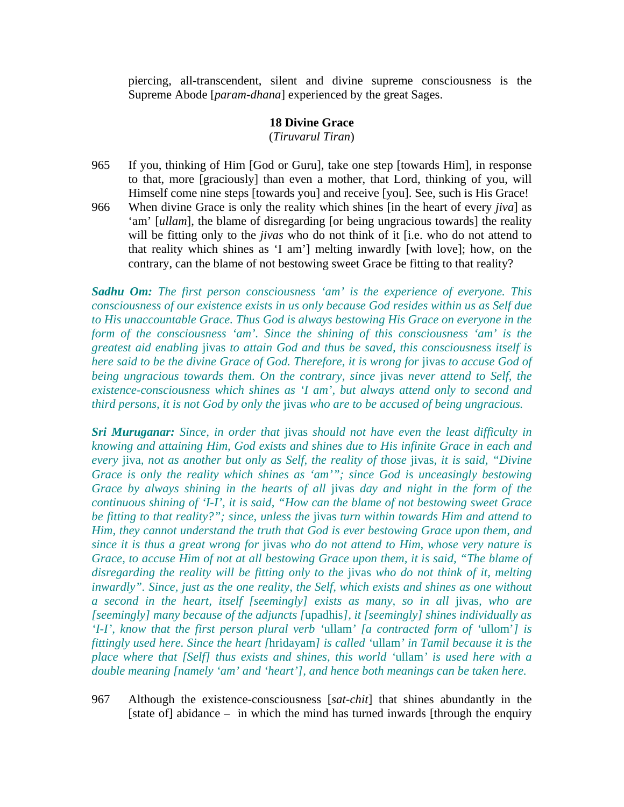piercing, all-transcendent, silent and divine supreme consciousness is the Supreme Abode [*param-dhana*] experienced by the great Sages.

# **18 Divine Grace**

(*Tiruvarul Tiran*)

965 If you, thinking of Him [God or Guru], take one step [towards Him], in response to that, more [graciously] than even a mother, that Lord, thinking of you, will Himself come nine steps [towards you] and receive [you]. See, such is His Grace! 966 When divine Grace is only the reality which shines [in the heart of every *jiva*] as 'am' [*ullam*], the blame of disregarding [or being ungracious towards] the reality will be fitting only to the *jivas* who do not think of it [i.e. who do not attend to that reality which shines as 'I am'] melting inwardly [with love]; how, on the contrary, can the blame of not bestowing sweet Grace be fitting to that reality?

*Sadhu Om: The first person consciousness 'am' is the experience of everyone. This consciousness of our existence exists in us only because God resides within us as Self due to His unaccountable Grace. Thus God is always bestowing His Grace on everyone in the form of the consciousness 'am'. Since the shining of this consciousness 'am' is the greatest aid enabling* jivas *to attain God and thus be saved, this consciousness itself is here said to be the divine Grace of God. Therefore, it is wrong for* jivas *to accuse God of being ungracious towards them. On the contrary, since* jivas *never attend to Self, the existence-consciousness which shines as 'I am', but always attend only to second and third persons, it is not God by only the* jivas *who are to be accused of being ungracious.* 

*Sri Muruganar: Since, in order that* jivas *should not have even the least difficulty in knowing and attaining Him, God exists and shines due to His infinite Grace in each and every* jiva*, not as another but only as Self, the reality of those* jivas*, it is said, "Divine Grace is only the reality which shines as 'am'"; since God is unceasingly bestowing Grace by always shining in the hearts of all* jivas *day and night in the form of the continuous shining of 'I-I', it is said, "How can the blame of not bestowing sweet Grace be fitting to that reality?"; since, unless the* jivas *turn within towards Him and attend to Him, they cannot understand the truth that God is ever bestowing Grace upon them, and since it is thus a great wrong for* jivas *who do not attend to Him, whose very nature is Grace, to accuse Him of not at all bestowing Grace upon them, it is said, "The blame of disregarding the reality will be fitting only to the* jivas *who do not think of it, melting inwardly". Since, just as the one reality, the Self, which exists and shines as one without a second in the heart, itself [seemingly] exists as many, so in all* jivas*, who are [seemingly] many because of the adjuncts [*upadhis*], it [seemingly] shines individually as 'I-I', know that the first person plural verb '*ullam*' [a contracted form of '*ullom'*] is fittingly used here. Since the heart [*hridayam*] is called '*ullam*' in Tamil because it is the place where that [Self] thus exists and shines, this world '*ullam*' is used here with a double meaning [namely 'am' and 'heart'], and hence both meanings can be taken here.* 

967 Although the existence-consciousness [*sat-chit*] that shines abundantly in the [state of] abidance – in which the mind has turned inwards [through the enquiry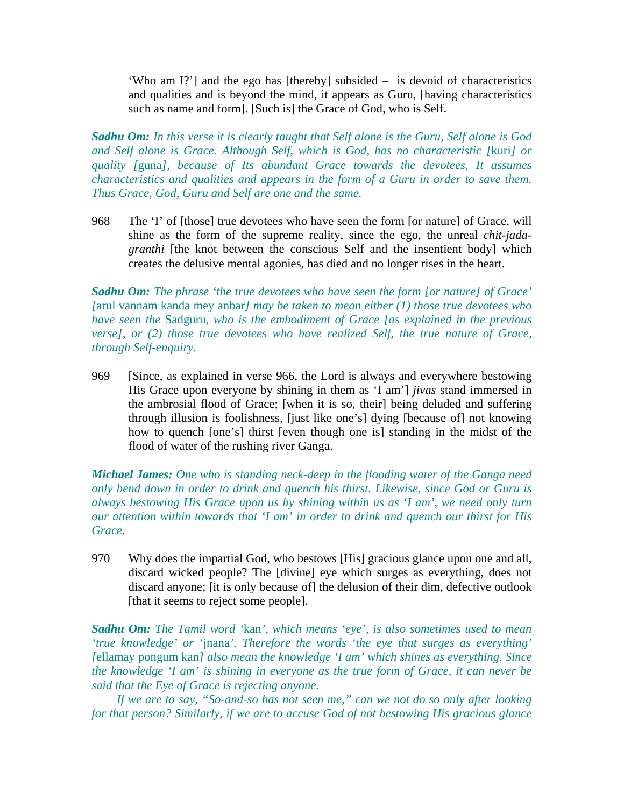'Who am I?'] and the ego has [thereby] subsided – is devoid of characteristics and qualities and is beyond the mind, it appears as Guru, [having characteristics such as name and form]. [Such is] the Grace of God, who is Self.

*Sadhu Om: In this verse it is clearly taught that Self alone is the Guru, Self alone is God and Self alone is Grace. Although Self, which is God, has no characteristic [*kuri*] or quality [*guna*], because of Its abundant Grace towards the devotees, It assumes characteristics and qualities and appears in the form of a Guru in order to save them. Thus Grace, God, Guru and Self are one and the same.* 

968 The 'I' of [those] true devotees who have seen the form [or nature] of Grace, will shine as the form of the supreme reality, since the ego, the unreal *chit-jadagranthi* [the knot between the conscious Self and the insentient body] which creates the delusive mental agonies, has died and no longer rises in the heart.

*Sadhu Om: The phrase 'the true devotees who have seen the form [or nature] of Grace' [*arul vannam kanda mey anbar*] may be taken to mean either (1) those true devotees who have seen the* Sadguru*, who is the embodiment of Grace [as explained in the previous verse], or (2) those true devotees who have realized Self, the true nature of Grace, through Self-enquiry.* 

969 [Since, as explained in verse 966, the Lord is always and everywhere bestowing His Grace upon everyone by shining in them as 'I am'] *jivas* stand immersed in the ambrosial flood of Grace; [when it is so, their] being deluded and suffering through illusion is foolishness, [just like one's] dying [because of] not knowing how to quench [one's] thirst [even though one is] standing in the midst of the flood of water of the rushing river Ganga.

*Michael James: One who is standing neck-deep in the flooding water of the Ganga need only bend down in order to drink and quench his thirst. Likewise, since God or Guru is always bestowing His Grace upon us by shining within us as 'I am', we need only turn our attention within towards that 'I am' in order to drink and quench our thirst for His Grace.* 

970 Why does the impartial God, who bestows [His] gracious glance upon one and all, discard wicked people? The [divine] eye which surges as everything, does not discard anyone; [it is only because of] the delusion of their dim, defective outlook [that it seems to reject some people].

*Sadhu Om: The Tamil word '*kan*', which means 'eye', is also sometimes used to mean 'true knowledge' or '*jnana*'. Therefore the words 'the eye that surges as everything' [*ellamay pongum kan*] also mean the knowledge 'I am' which shines as everything. Since the knowledge 'I am' is shining in everyone as the true form of Grace, it can never be said that the Eye of Grace is rejecting anyone.* 

 *If we are to say, "So-and-so has not seen me," can we not do so only after looking for that person? Similarly, if we are to accuse God of not bestowing His gracious glance*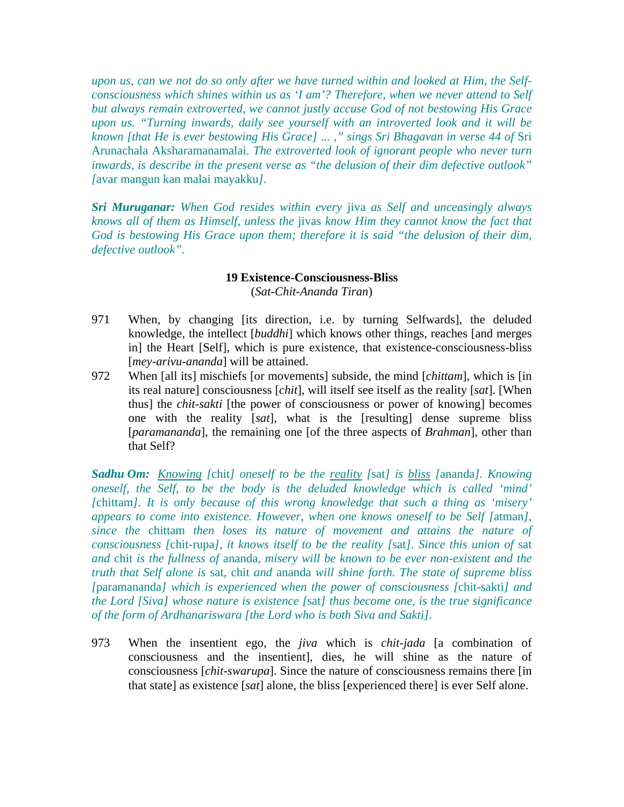*upon us, can we not do so only after we have turned within and looked at Him, the Selfconsciousness which shines within us as 'I am'? Therefore, when we never attend to Self but always remain extroverted, we cannot justly accuse God of not bestowing His Grace upon us. "Turning inwards, daily see yourself with an introverted look and it will be known [that He is ever bestowing His Grace] ... ," sings Sri Bhagavan in verse 44 of Sri* Arunachala Aksharamanamalai. *The extroverted look of ignorant people who never turn inwards, is describe in the present verse as "the delusion of their dim defective outlook" [*avar mangun kan malai mayakku*].* 

*Sri Muruganar: When God resides within every* jiva *as Self and unceasingly always knows all of them as Himself, unless the* jivas *know Him they cannot know the fact that God is bestowing His Grace upon them; therefore it is said "the delusion of their dim, defective outlook".* 

#### **19 Existence-Consciousness-Bliss**  (*Sat-Chit-Ananda Tiran*)

- 971 When, by changing [its direction, i.e. by turning Selfwards], the deluded knowledge, the intellect [*buddhi*] which knows other things, reaches [and merges in] the Heart [Self], which is pure existence, that existence-consciousness-bliss [*mey-arivu-ananda*] will be attained.
- 972 When [all its] mischiefs [or movements] subside, the mind [*chittam*], which is [in its real nature] consciousness [*chit*], will itself see itself as the reality [*sat*]. [When thus] the *chit-sakti* [the power of consciousness or power of knowing] becomes one with the reality [*sat*], what is the [resulting] dense supreme bliss [*paramananda*], the remaining one [of the three aspects of *Brahman*], other than that Self?

*Sadhu Om: Knowing [*chit*] oneself to be the reality [*sat*] is bliss [*ananda*]. Knowing oneself, the Self, to be the body is the deluded knowledge which is called 'mind' [*chittam*]. It is only because of this wrong knowledge that such a thing as 'misery' appears to come into existence. However, when one knows oneself to be Self [*atman*], since the* chittam *then loses its nature of movement and attains the nature of consciousness [*chit-rupa*], it knows itself to be the reality [*sat*]. Since this union of* sat *and* chit *is the fullness of* ananda*, misery will be known to be ever non-existent and the truth that Self alone is* sat*,* chit *and* ananda *will shine forth. The state of supreme bliss [*paramananda*] which is experienced when the power of consciousness [*chit-sakti*] and the Lord [Siva] whose nature is existence [*sat*] thus become one, is the true significance of the form of Ardhanariswara [the Lord who is both Siva and Sakti].* 

973 When the insentient ego, the *jiva* which is *chit-jada* [a combination of consciousness and the insentient], dies, he will shine as the nature of consciousness [*chit-swarupa*]. Since the nature of consciousness remains there [in that state] as existence [*sat*] alone, the bliss [experienced there] is ever Self alone.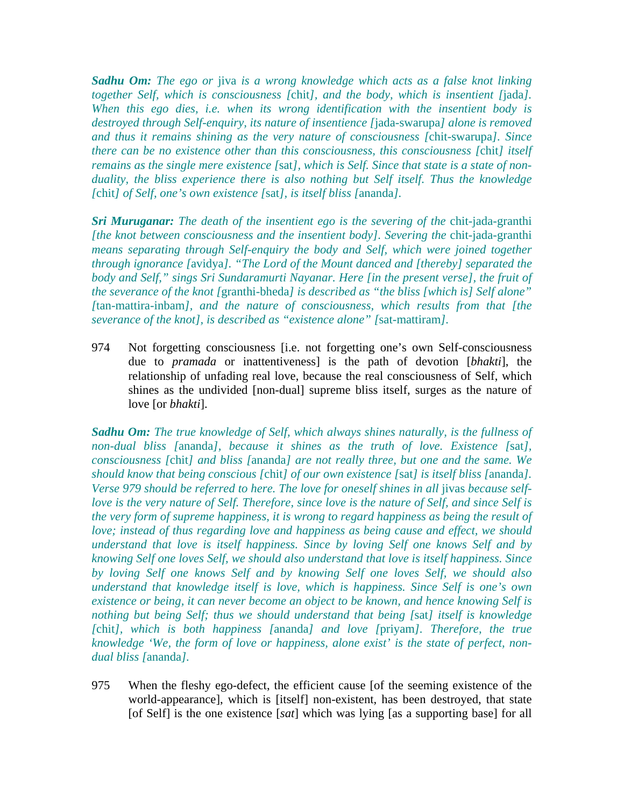*Sadhu Om: The ego or* jiva *is a wrong knowledge which acts as a false knot linking together Self, which is consciousness [*chit*], and the body, which is insentient [*jada*]. When this ego dies, i.e. when its wrong identification with the insentient body is destroyed through Self-enquiry, its nature of insentience [*jada-swarupa*] alone is removed and thus it remains shining as the very nature of consciousness [*chit-swarupa*]. Since there can be no existence other than this consciousness, this consciousness [*chit*] itself remains as the single mere existence [*sat*], which is Self. Since that state is a state of nonduality, the bliss experience there is also nothing but Self itself. Thus the knowledge [*chit*] of Self, one's own existence [*sat*], is itself bliss [*ananda*].* 

*Sri Muruganar: The death of the insentient ego is the severing of the* chit-jada-granthi *[the knot between consciousness and the insentient body]. Severing the* chit-jada-granthi *means separating through Self-enquiry the body and Self, which were joined together through ignorance [*avidya*]. "The Lord of the Mount danced and [thereby] separated the body and Self," sings Sri Sundaramurti Nayanar. Here [in the present verse], the fruit of the severance of the knot [*granthi-bheda*] is described as "the bliss [which is] Self alone" [*tan-mattira-inbam*], and the nature of consciousness, which results from that [the severance of the knot], is described as "existence alone" [*sat-mattiram*].* 

974 Not forgetting consciousness [i.e. not forgetting one's own Self-consciousness due to *pramada* or inattentiveness] is the path of devotion [*bhakti*], the relationship of unfading real love, because the real consciousness of Self, which shines as the undivided [non-dual] supreme bliss itself, surges as the nature of love [or *bhakti*].

*Sadhu Om: The true knowledge of Self, which always shines naturally, is the fullness of non-dual bliss [*ananda*], because it shines as the truth of love. Existence [*sat*], consciousness [*chit*] and bliss [*ananda*] are not really three, but one and the same. We should know that being conscious [*chit*] of our own existence [*sat*] is itself bliss [*ananda*].*  Verse 979 should be referred to here. The love for oneself shines in all *jivas because selflove is the very nature of Self. Therefore, since love is the nature of Self, and since Self is the very form of supreme happiness, it is wrong to regard happiness as being the result of love; instead of thus regarding love and happiness as being cause and effect, we should understand that love is itself happiness. Since by loving Self one knows Self and by knowing Self one loves Self, we should also understand that love is itself happiness. Since by loving Self one knows Self and by knowing Self one loves Self, we should also understand that knowledge itself is love, which is happiness. Since Self is one's own existence or being, it can never become an object to be known, and hence knowing Self is nothing but being Self; thus we should understand that being [*sat*] itself is knowledge [*chit*], which is both happiness [*ananda*] and love [*priyam*]. Therefore, the true knowledge 'We, the form of love or happiness, alone exist' is the state of perfect, nondual bliss [*ananda*].* 

975 When the fleshy ego-defect, the efficient cause [of the seeming existence of the world-appearance], which is [itself] non-existent, has been destroyed, that state [of Self] is the one existence [*sat*] which was lying [as a supporting base] for all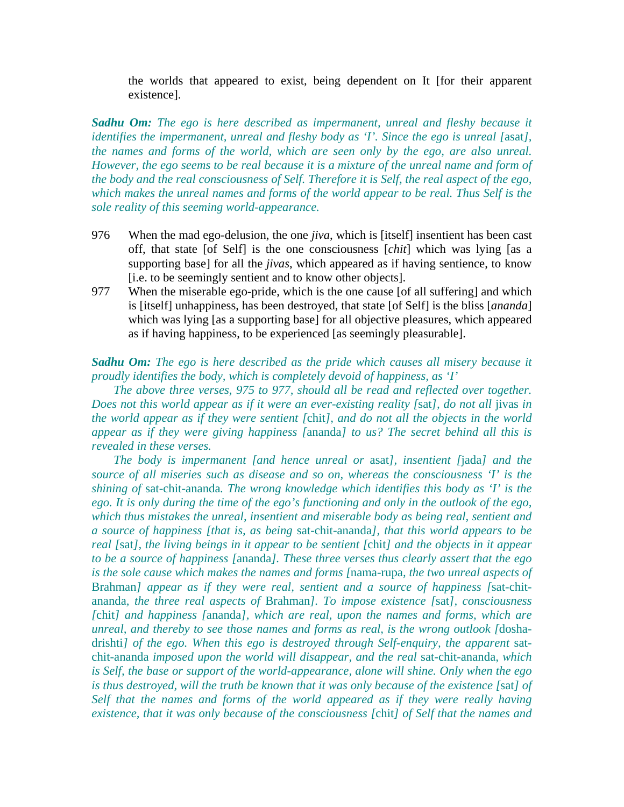the worlds that appeared to exist, being dependent on It [for their apparent existence].

*Sadhu Om: The ego is here described as impermanent, unreal and fleshy because it identifies the impermanent, unreal and fleshy body as 'I'. Since the ego is unreal [*asat*], the names and forms of the world, which are seen only by the ego, are also unreal. However, the ego seems to be real because it is a mixture of the unreal name and form of the body and the real consciousness of Self. Therefore it is Self, the real aspect of the ego, which makes the unreal names and forms of the world appear to be real. Thus Self is the sole reality of this seeming world-appearance.* 

- 976 When the mad ego-delusion, the one *jiva*, which is [itself] insentient has been cast off, that state [of Self] is the one consciousness [*chit*] which was lying [as a supporting base] for all the *jivas*, which appeared as if having sentience, to know [i.e. to be seemingly sentient and to know other objects].
- 977 When the miserable ego-pride, which is the one cause [of all suffering] and which is [itself] unhappiness, has been destroyed, that state [of Self] is the bliss [*ananda*] which was lying [as a supporting base] for all objective pleasures, which appeared as if having happiness, to be experienced [as seemingly pleasurable].

*Sadhu Om: The ego is here described as the pride which causes all misery because it proudly identifies the body, which is completely devoid of happiness, as 'I'* 

 *The above three verses, 975 to 977, should all be read and reflected over together. Does not this world appear as if it were an ever-existing reality [*sat*], do not all* jivas *in the world appear as if they were sentient [*chit*], and do not all the objects in the world appear as if they were giving happiness [*ananda*] to us? The secret behind all this is revealed in these verses.* 

 *The body is impermanent [and hence unreal or* asat*], insentient [*jada*] and the source of all miseries such as disease and so on, whereas the consciousness 'I' is the shining of* sat-chit-ananda*. The wrong knowledge which identifies this body as 'I' is the ego. It is only during the time of the ego's functioning and only in the outlook of the ego, which thus mistakes the unreal, insentient and miserable body as being real, sentient and a source of happiness [that is, as being* sat-chit-ananda*], that this world appears to be real [*sat*], the living beings in it appear to be sentient [*chit*] and the objects in it appear to be a source of happiness [*ananda*]. These three verses thus clearly assert that the ego is the sole cause which makes the names and forms [*nama-rupa*, the two unreal aspects of*  Brahman*] appear as if they were real, sentient and a source of happiness [*sat-chitananda*, the three real aspects of* Brahman*]. To impose existence [*sat*], consciousness [*chit*] and happiness [*ananda*], which are real, upon the names and forms, which are unreal, and thereby to see those names and forms as real, is the wrong outlook [*doshadrishti*] of the ego. When this ego is destroyed through Self-enquiry, the apparent* satchit-ananda *imposed upon the world will disappear, and the real* sat-chit-ananda*, which is Self, the base or support of the world-appearance, alone will shine. Only when the ego is thus destroyed, will the truth be known that it was only because of the existence [*sat*] of Self that the names and forms of the world appeared as if they were really having existence, that it was only because of the consciousness [*chit*] of Self that the names and*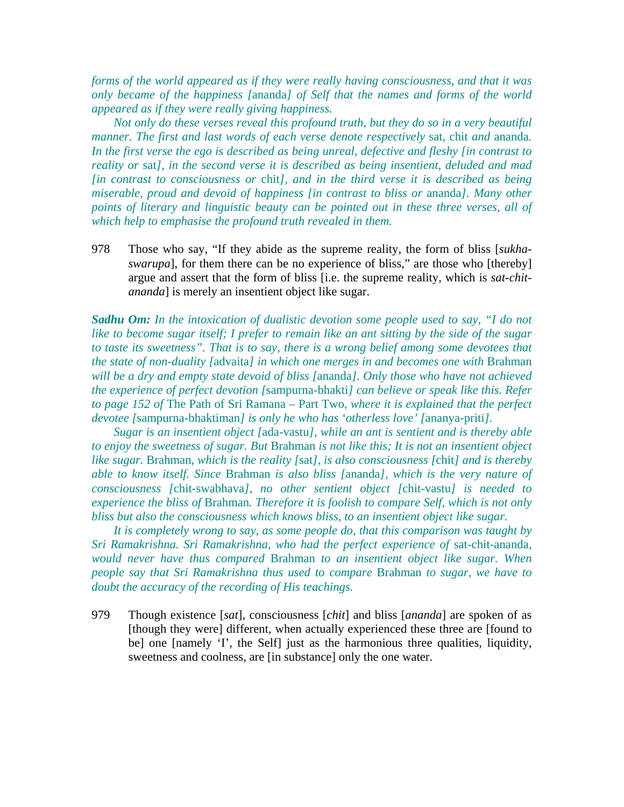*forms of the world appeared as if they were really having consciousness, and that it was only became of the happiness [*ananda*] of Self that the names and forms of the world appeared as if they were really giving happiness.* 

 *Not only do these verses reveal this profound truth, but they do so in a very beautiful manner. The first and last words of each verse denote respectively* sat*,* chit *and* ananda*. In the first verse the ego is described as being unreal, defective and fleshy [in contrast to reality or* sat*], in the second verse it is described as being insentient, deluded and mad [in contrast to consciousness or* chit*], and in the third verse it is described as being miserable, proud and devoid of happiness [in contrast to bliss or* ananda*]. Many other points of literary and linguistic beauty can be pointed out in these three verses, all of which help to emphasise the profound truth revealed in them.* 

978 Those who say, "If they abide as the supreme reality, the form of bliss [*sukhaswarupa*], for them there can be no experience of bliss," are those who [thereby] argue and assert that the form of bliss [i.e. the supreme reality, which is *sat-chitananda*] is merely an insentient object like sugar.

*Sadhu Om: In the intoxication of dualistic devotion some people used to say, "I do not*  like to become sugar itself; I prefer to remain like an ant sitting by the side of the sugar *to taste its sweetness". That is to say, there is a wrong belief among some devotees that the state of non-duality [*advaita*] in which one merges in and becomes one with* Brahman *will be a dry and empty state devoid of bliss [*ananda*]. Only those who have not achieved the experience of perfect devotion [*sampurna-bhakti*] can believe or speak like this. Refer to page 152 of* The Path of Sri Ramana – Part Two*, where it is explained that the perfect devotee [*sampurna-bhaktiman*] is only he who has 'otherless love' [*ananya-priti*].* 

 *Sugar is an insentient object [*ada-vastu*], while an ant is sentient and is thereby able to enjoy the sweetness of sugar. But* Brahman *is not like this; It is not an insentient object like sugar.* Brahman*, which is the reality [*sat*], is also consciousness [*chit*] and is thereby able to know itself. Since* Brahman *is also bliss [*ananda*], which is the very nature of consciousness [*chit-swabhava*], no other sentient object [*chit-vastu*] is needed to experience the bliss of* Brahman*. Therefore it is foolish to compare Self, which is not only bliss but also the consciousness which knows bliss, to an insentient object like sugar.* 

 *It is completely wrong to say, as some people do, that this comparison was taught by Sri Ramakrishna. Sri Ramakrishna, who had the perfect experience of* sat-chit-ananda*, would never have thus compared* Brahman *to an insentient object like sugar. When people say that Sri Ramakrishna thus used to compare* Brahman *to sugar, we have to doubt the accuracy of the recording of His teachings.* 

979 Though existence [*sat*], consciousness [*chit*] and bliss [*ananda*] are spoken of as [though they were] different, when actually experienced these three are [found to be] one [namely 'I', the Self] just as the harmonious three qualities, liquidity, sweetness and coolness, are [in substance] only the one water.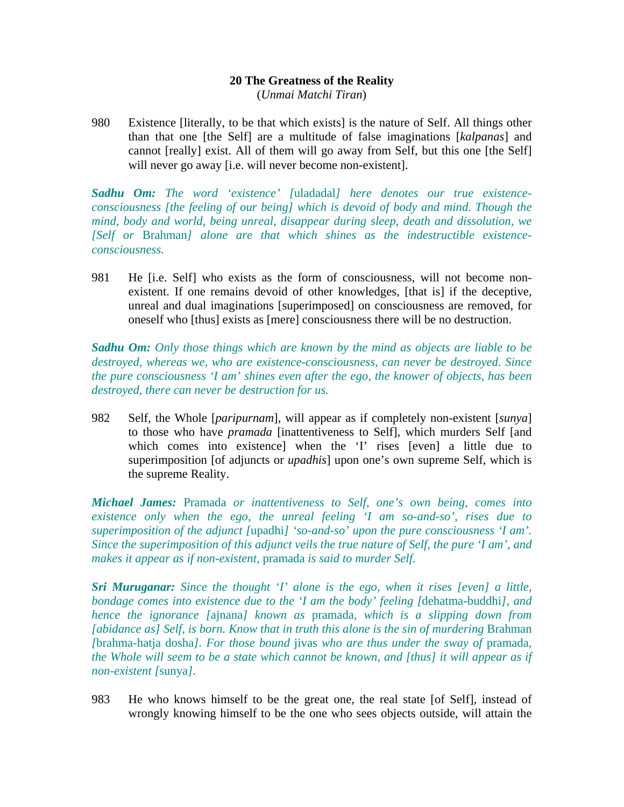# **20 The Greatness of the Reality**

(*Unmai Matchi Tiran*)

980 Existence [literally, to be that which exists] is the nature of Self. All things other than that one [the Self] are a multitude of false imaginations [*kalpanas*] and cannot [really] exist. All of them will go away from Self, but this one [the Self] will never go away [i.e. will never become non-existent].

*Sadhu Om: The word 'existence' [*uladadal*] here denotes our true existenceconsciousness [the feeling of our being] which is devoid of body and mind. Though the mind, body and world, being unreal, disappear during sleep, death and dissolution, we [Self or* Brahman*] alone are that which shines as the indestructible existenceconsciousness.* 

981 He [i.e. Self] who exists as the form of consciousness, will not become nonexistent. If one remains devoid of other knowledges, [that is] if the deceptive, unreal and dual imaginations [superimposed] on consciousness are removed, for oneself who [thus] exists as [mere] consciousness there will be no destruction.

*Sadhu Om: Only those things which are known by the mind as objects are liable to be destroyed, whereas we, who are existence-consciousness, can never be destroyed. Since the pure consciousness 'I am' shines even after the ego, the knower of objects, has been destroyed, there can never be destruction for us.* 

982 Self, the Whole [*paripurnam*], will appear as if completely non-existent [*sunya*] to those who have *pramada* [inattentiveness to Self], which murders Self [and which comes into existence] when the 'I' rises [even] a little due to superimposition [of adjuncts or *upadhis*] upon one's own supreme Self, which is the supreme Reality.

*Michael James:* Pramada *or inattentiveness to Self, one's own being, comes into existence only when the ego, the unreal feeling 'I am so-and-so', rises due to superimposition of the adjunct [*upadhi*] 'so-and-so' upon the pure consciousness 'I am'. Since the superimposition of this adjunct veils the true nature of Self, the pure 'I am', and makes it appear as if non-existent,* pramada *is said to murder Self.* 

*Sri Muruganar: Since the thought 'I' alone is the ego, when it rises [even] a little, bondage comes into existence due to the 'I am the body' feeling [*dehatma-buddhi*], and hence the ignorance [*ajnana*] known as* pramada*, which is a slipping down from*  [abidance as] Self, is born. Know that in truth this alone is the sin of murdering Brahman *[*brahma-hatja dosha*]. For those bound* jivas *who are thus under the sway of* pramada*, the Whole will seem to be a state which cannot be known, and [thus] it will appear as if non-existent [*sunya*].* 

983 He who knows himself to be the great one, the real state [of Self], instead of wrongly knowing himself to be the one who sees objects outside, will attain the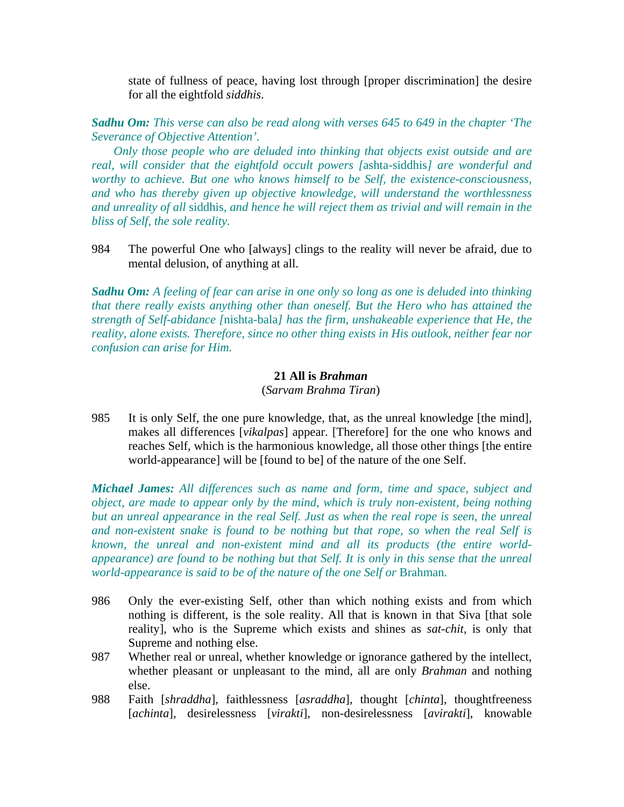state of fullness of peace, having lost through [proper discrimination] the desire for all the eightfold *siddhis*.

*Sadhu Om: This verse can also be read along with verses 645 to 649 in the chapter 'The Severance of Objective Attention'.* 

 *Only those people who are deluded into thinking that objects exist outside and are real, will consider that the eightfold occult powers [*ashta-siddhis*] are wonderful and worthy to achieve. But one who knows himself to be Self, the existence-consciousness, and who has thereby given up objective knowledge, will understand the worthlessness and unreality of all* siddhis*, and hence he will reject them as trivial and will remain in the bliss of Self, the sole reality.* 

984 The powerful One who [always] clings to the reality will never be afraid, due to mental delusion, of anything at all.

*Sadhu Om: A feeling of fear can arise in one only so long as one is deluded into thinking that there really exists anything other than oneself. But the Hero who has attained the strength of Self-abidance [*nishta-bala*] has the firm, unshakeable experience that He, the reality, alone exists. Therefore, since no other thing exists in His outlook, neither fear nor confusion can arise for Him.* 

#### **21 All is** *Brahman*

(*Sarvam Brahma Tiran*)

985 It is only Self, the one pure knowledge, that, as the unreal knowledge [the mind], makes all differences [*vikalpas*] appear. [Therefore] for the one who knows and reaches Self, which is the harmonious knowledge, all those other things [the entire world-appearance] will be [found to be] of the nature of the one Self.

*Michael James: All differences such as name and form, time and space, subject and object, are made to appear only by the mind, which is truly non-existent, being nothing but an unreal appearance in the real Self. Just as when the real rope is seen, the unreal and non-existent snake is found to be nothing but that rope, so when the real Self is known, the unreal and non-existent mind and all its products (the entire worldappearance) are found to be nothing but that Self. It is only in this sense that the unreal world-appearance is said to be of the nature of the one Self or Brahman.* 

- 986 Only the ever-existing Self, other than which nothing exists and from which nothing is different, is the sole reality. All that is known in that Siva [that sole reality], who is the Supreme which exists and shines as *sat-chit*, is only that Supreme and nothing else.
- 987 Whether real or unreal, whether knowledge or ignorance gathered by the intellect, whether pleasant or unpleasant to the mind, all are only *Brahman* and nothing else.
- 988 Faith [*shraddha*], faithlessness [*asraddha*], thought [*chinta*], thoughtfreeness [*achinta*], desirelessness [*virakti*], non-desirelessness [*avirakti*], knowable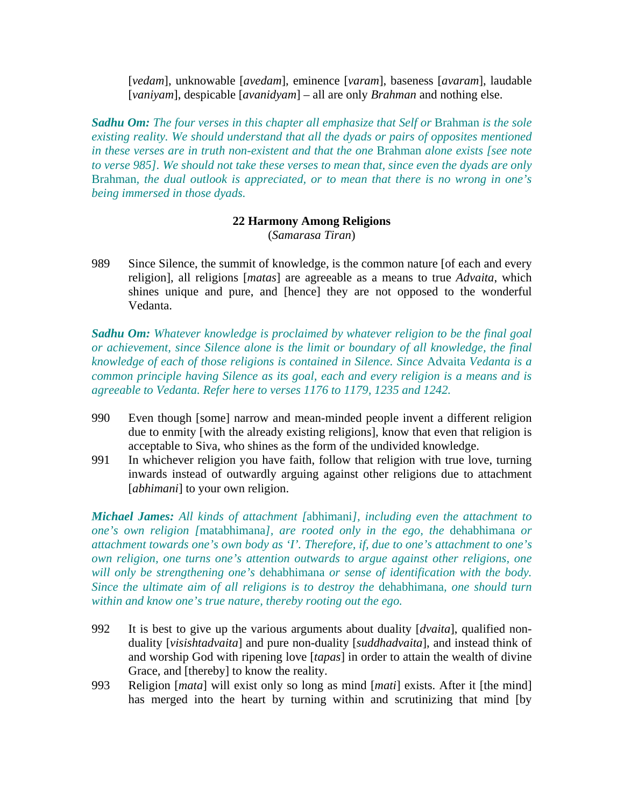[*vedam*], unknowable [*avedam*], eminence [*varam*], baseness [*avaram*], laudable [*vaniyam*], despicable [*avanidyam*] – all are only *Brahman* and nothing else.

*Sadhu Om: The four verses in this chapter all emphasize that Self or* Brahman *is the sole existing reality. We should understand that all the dyads or pairs of opposites mentioned in these verses are in truth non-existent and that the one* Brahman *alone exists [see note to verse 985]. We should not take these verses to mean that, since even the dyads are only*  Brahman*, the dual outlook is appreciated, or to mean that there is no wrong in one's being immersed in those dyads.* 

## **22 Harmony Among Religions**

(*Samarasa Tiran*)

989 Since Silence, the summit of knowledge, is the common nature [of each and every religion], all religions [*matas*] are agreeable as a means to true *Advaita*, which shines unique and pure, and [hence] they are not opposed to the wonderful Vedanta.

*Sadhu Om: Whatever knowledge is proclaimed by whatever religion to be the final goal or achievement, since Silence alone is the limit or boundary of all knowledge, the final knowledge of each of those religions is contained in Silence. Since* Advaita *Vedanta is a common principle having Silence as its goal, each and every religion is a means and is agreeable to Vedanta. Refer here to verses 1176 to 1179, 1235 and 1242.* 

- 990 Even though [some] narrow and mean-minded people invent a different religion due to enmity [with the already existing religions], know that even that religion is acceptable to Siva, who shines as the form of the undivided knowledge.
- 991 In whichever religion you have faith, follow that religion with true love, turning inwards instead of outwardly arguing against other religions due to attachment [abhimani] to your own religion.

*Michael James: All kinds of attachment [*abhimani*], including even the attachment to one's own religion [*matabhimana*], are rooted only in the ego, the* dehabhimana *or attachment towards one's own body as 'I'. Therefore, if, due to one's attachment to one's own religion, one turns one's attention outwards to argue against other religions, one will only be strengthening one's* dehabhimana *or sense of identification with the body. Since the ultimate aim of all religions is to destroy the* dehabhimana*, one should turn within and know one's true nature, thereby rooting out the ego.* 

- 992 It is best to give up the various arguments about duality [*dvaita*], qualified nonduality [*visishtadvaita*] and pure non-duality [*suddhadvaita*], and instead think of and worship God with ripening love [*tapas*] in order to attain the wealth of divine Grace, and [thereby] to know the reality.
- 993 Religion [*mata*] will exist only so long as mind [*mati*] exists. After it [the mind] has merged into the heart by turning within and scrutinizing that mind [by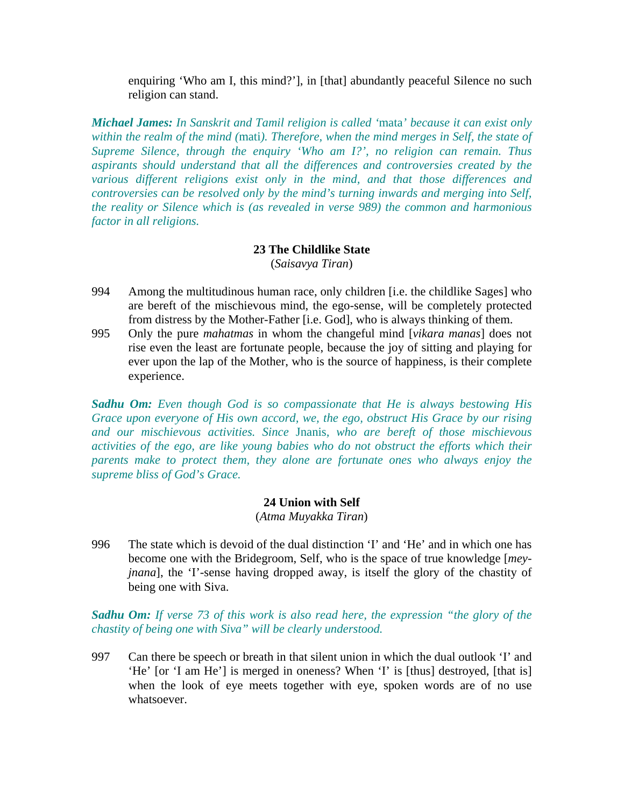enquiring 'Who am I, this mind?'], in [that] abundantly peaceful Silence no such religion can stand.

*Michael James: In Sanskrit and Tamil religion is called '*mata*' because it can exist only within the realm of the mind (*mati*). Therefore, when the mind merges in Self, the state of Supreme Silence, through the enquiry 'Who am I?', no religion can remain. Thus aspirants should understand that all the differences and controversies created by the various different religions exist only in the mind, and that those differences and controversies can be resolved only by the mind's turning inwards and merging into Self, the reality or Silence which is (as revealed in verse 989) the common and harmonious factor in all religions.* 

# **23 The Childlike State**

(*Saisavya Tiran*)

- 994 Among the multitudinous human race, only children [i.e. the childlike Sages] who are bereft of the mischievous mind, the ego-sense, will be completely protected from distress by the Mother-Father [i.e. God], who is always thinking of them.
- 995 Only the pure *mahatmas* in whom the changeful mind [*vikara manas*] does not rise even the least are fortunate people, because the joy of sitting and playing for ever upon the lap of the Mother, who is the source of happiness, is their complete experience.

*Sadhu Om: Even though God is so compassionate that He is always bestowing His Grace upon everyone of His own accord, we, the ego, obstruct His Grace by our rising and our mischievous activities. Since* Jnanis*, who are bereft of those mischievous activities of the ego, are like young babies who do not obstruct the efforts which their parents make to protect them, they alone are fortunate ones who always enjoy the supreme bliss of God's Grace.* 

# **24 Union with Self**

(*Atma Muyakka Tiran*)

996 The state which is devoid of the dual distinction 'I' and 'He' and in which one has become one with the Bridegroom, Self, who is the space of true knowledge [*meyjnana*], the 'I'-sense having dropped away, is itself the glory of the chastity of being one with Siva.

*Sadhu Om: If verse 73 of this work is also read here, the expression "the glory of the chastity of being one with Siva" will be clearly understood.* 

997 Can there be speech or breath in that silent union in which the dual outlook 'I' and 'He' [or 'I am He'] is merged in oneness? When 'I' is [thus] destroyed, [that is] when the look of eye meets together with eye, spoken words are of no use whatsoever.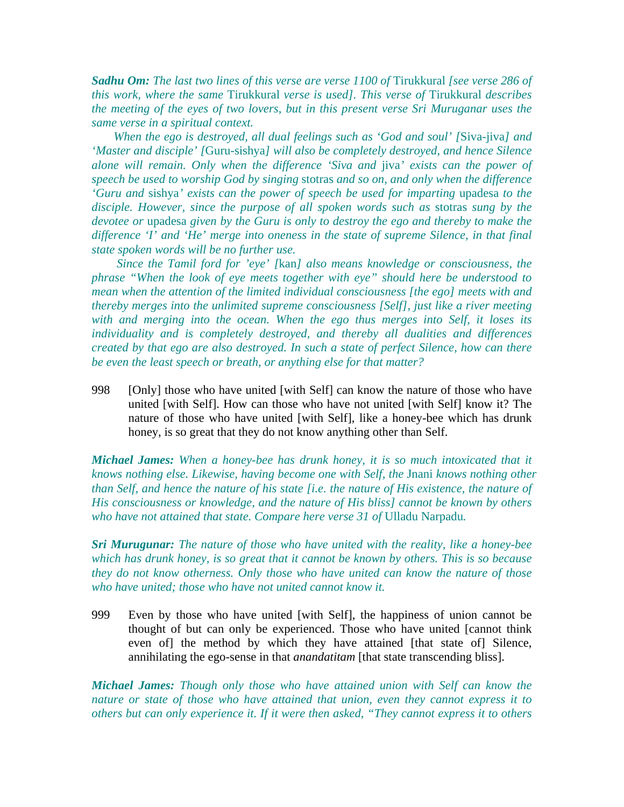*Sadhu Om: The last two lines of this verse are verse 1100 of* Tirukkural *[see verse 286 of this work, where the same* Tirukkural *verse is used]. This verse of* Tirukkural *describes the meeting of the eyes of two lovers, but in this present verse Sri Muruganar uses the same verse in a spiritual context.* 

 *When the ego is destroyed, all dual feelings such as 'God and soul' [*Siva-jiva*] and 'Master and disciple' [*Guru-sishya*] will also be completely destroyed, and hence Silence alone will remain. Only when the difference 'Siva and* jiva*' exists can the power of speech be used to worship God by singing* stotras *and so on, and only when the difference 'Guru and* sishya*' exists can the power of speech be used for imparting* upadesa *to the disciple. However, since the purpose of all spoken words such as* stotras *sung by the devotee or* upadesa *given by the Guru is only to destroy the ego and thereby to make the difference 'I' and 'He' merge into oneness in the state of supreme Silence, in that final state spoken words will be no further use.* 

 *Since the Tamil ford for 'eye' [*kan*] also means knowledge or consciousness, the phrase "When the look of eye meets together with eye" should here be understood to mean when the attention of the limited individual consciousness [the ego] meets with and thereby merges into the unlimited supreme consciousness [Self], just like a river meeting with and merging into the ocean. When the ego thus merges into Self, it loses its individuality and is completely destroyed, and thereby all dualities and differences created by that ego are also destroyed. In such a state of perfect Silence, how can there be even the least speech or breath, or anything else for that matter?* 

998 [Only] those who have united [with Self] can know the nature of those who have united [with Self]. How can those who have not united [with Self] know it? The nature of those who have united [with Self], like a honey-bee which has drunk honey, is so great that they do not know anything other than Self.

*Michael James: When a honey-bee has drunk honey, it is so much intoxicated that it knows nothing else. Likewise, having become one with Self, the* Jnani *knows nothing other than Self, and hence the nature of his state [i.e. the nature of His existence, the nature of His consciousness or knowledge, and the nature of His bliss] cannot be known by others who have not attained that state. Compare here verse 31 of* Ulladu Narpadu*.* 

*Sri Murugunar: The nature of those who have united with the reality, like a honey-bee which has drunk honey, is so great that it cannot be known by others. This is so because they do not know otherness. Only those who have united can know the nature of those who have united; those who have not united cannot know it.* 

999 Even by those who have united [with Self], the happiness of union cannot be thought of but can only be experienced. Those who have united [cannot think even of] the method by which they have attained [that state of] Silence, annihilating the ego-sense in that *anandatitam* [that state transcending bliss].

*Michael James: Though only those who have attained union with Self can know the nature or state of those who have attained that union, even they cannot express it to others but can only experience it. If it were then asked, "They cannot express it to others*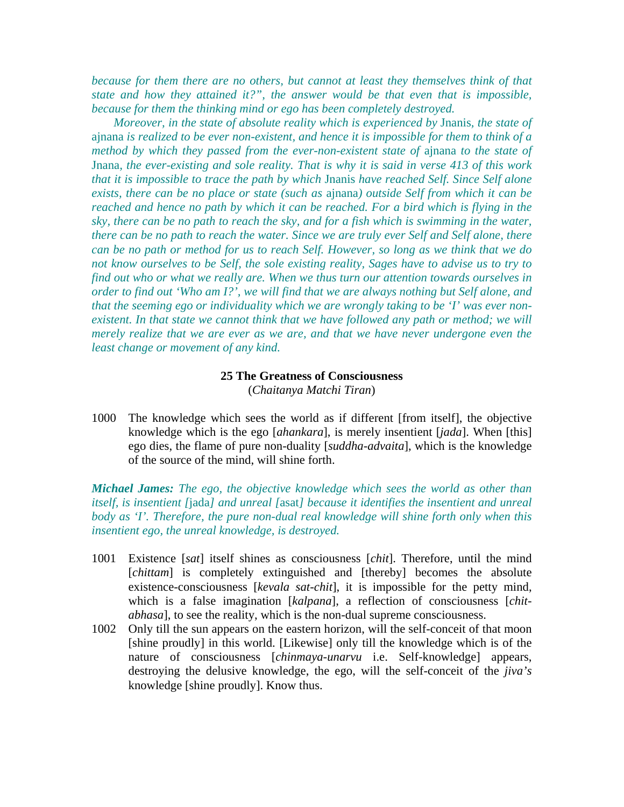*because for them there are no others, but cannot at least they themselves think of that state and how they attained it?", the answer would be that even that is impossible, because for them the thinking mind or ego has been completely destroyed.* 

 *Moreover, in the state of absolute reality which is experienced by* Jnanis*, the state of*  ajnana *is realized to be ever non-existent, and hence it is impossible for them to think of a method by which they passed from the ever-non-existent state of* ajnana *to the state of*  Jnana*, the ever-existing and sole reality. That is why it is said in verse 413 of this work that it is impossible to trace the path by which* Jnanis *have reached Self. Since Self alone exists, there can be no place or state (such as* ajnana*) outside Self from which it can be reached and hence no path by which it can be reached. For a bird which is flying in the sky, there can be no path to reach the sky, and for a fish which is swimming in the water, there can be no path to reach the water. Since we are truly ever Self and Self alone, there can be no path or method for us to reach Self. However, so long as we think that we do*  not know ourselves to be Self, the sole existing reality, Sages have to advise us to try to *find out who or what we really are. When we thus turn our attention towards ourselves in order to find out 'Who am I?', we will find that we are always nothing but Self alone, and that the seeming ego or individuality which we are wrongly taking to be 'I' was ever nonexistent. In that state we cannot think that we have followed any path or method; we will merely realize that we are ever as we are, and that we have never undergone even the least change or movement of any kind.* 

#### **25 The Greatness of Consciousness**

(*Chaitanya Matchi Tiran*)

1000 The knowledge which sees the world as if different [from itself], the objective knowledge which is the ego [*ahankara*], is merely insentient [*jada*]. When [this] ego dies, the flame of pure non-duality [*suddha-advaita*], which is the knowledge of the source of the mind, will shine forth.

*Michael James: The ego, the objective knowledge which sees the world as other than itself, is insentient [*jada*] and unreal [*asat*] because it identifies the insentient and unreal body as 'I'. Therefore, the pure non-dual real knowledge will shine forth only when this insentient ego, the unreal knowledge, is destroyed.* 

- 1001 Existence [*sat*] itself shines as consciousness [*chit*]. Therefore, until the mind [*chittam*] is completely extinguished and [thereby] becomes the absolute existence-consciousness [*kevala sat-chit*], it is impossible for the petty mind, which is a false imagination [*kalpana*], a reflection of consciousness [*chitabhasa*], to see the reality, which is the non-dual supreme consciousness.
- 1002 Only till the sun appears on the eastern horizon, will the self-conceit of that moon [shine proudly] in this world. [Likewise] only till the knowledge which is of the nature of consciousness [*chinmaya-unarvu* i.e. Self-knowledge] appears, destroying the delusive knowledge, the ego, will the self-conceit of the *jiva's* knowledge [shine proudly]. Know thus.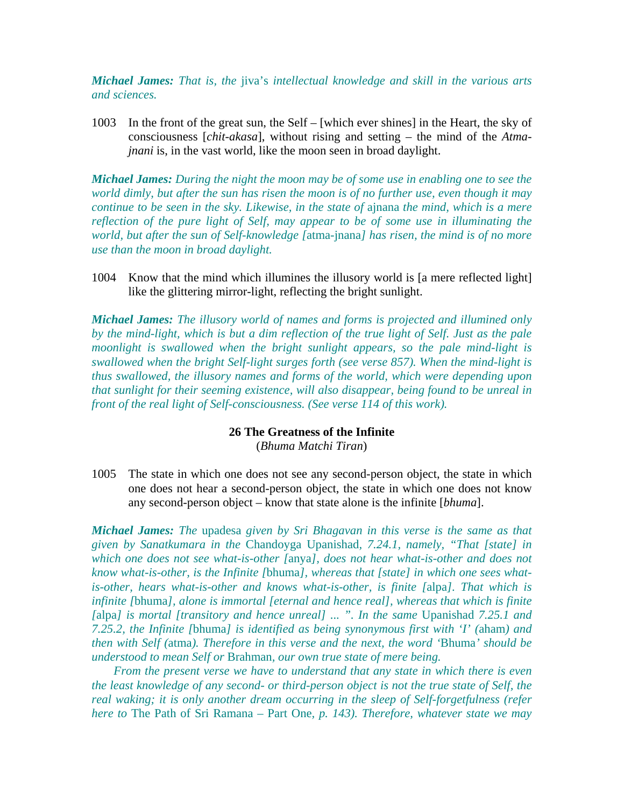*Michael James: That is, the* jiva's *intellectual knowledge and skill in the various arts and sciences.* 

1003 In the front of the great sun, the Self – [which ever shines] in the Heart, the sky of consciousness [*chit-akasa*], without rising and setting – the mind of the *Atmajnani* is, in the vast world, like the moon seen in broad daylight.

*Michael James: During the night the moon may be of some use in enabling one to see the world dimly, but after the sun has risen the moon is of no further use, even though it may continue to be seen in the sky. Likewise, in the state of* ajnana *the mind, which is a mere reflection of the pure light of Self, may appear to be of some use in illuminating the world, but after the sun of Self-knowledge [*atma-jnana*] has risen, the mind is of no more use than the moon in broad daylight.* 

1004 Know that the mind which illumines the illusory world is [a mere reflected light] like the glittering mirror-light, reflecting the bright sunlight.

*Michael James: The illusory world of names and forms is projected and illumined only by the mind-light, which is but a dim reflection of the true light of Self. Just as the pale moonlight is swallowed when the bright sunlight appears, so the pale mind-light is swallowed when the bright Self-light surges forth (see verse 857). When the mind-light is thus swallowed, the illusory names and forms of the world, which were depending upon that sunlight for their seeming existence, will also disappear, being found to be unreal in front of the real light of Self-consciousness. (See verse 114 of this work).* 

#### **26 The Greatness of the Infinite**

(*Bhuma Matchi Tiran*)

1005 The state in which one does not see any second-person object, the state in which one does not hear a second-person object, the state in which one does not know any second-person object – know that state alone is the infinite [*bhuma*].

*Michael James: The* upadesa *given by Sri Bhagavan in this verse is the same as that given by Sanatkumara in the* Chandoyga Upanishad*, 7.24.1, namely, "That [state] in which one does not see what-is-other [*anya*], does not hear what-is-other and does not know what-is-other, is the Infinite [*bhuma*], whereas that [state] in which one sees whatis-other, hears what-is-other and knows what-is-other, is finite [*alpa*]. That which is infinite [*bhuma*], alone is immortal [eternal and hence real], whereas that which is finite [*alpa*] is mortal [transitory and hence unreal] ... ". In the same* Upanishad *7.25.1 and 7.25.2, the Infinite [*bhuma*] is identified as being synonymous first with 'I' (*aham*) and then with Self (*atma*). Therefore in this verse and the next, the word '*Bhuma*' should be understood to mean Self or* Brahman*, our own true state of mere being.* 

 *From the present verse we have to understand that any state in which there is even the least knowledge of any second- or third-person object is not the true state of Self, the real waking; it is only another dream occurring in the sleep of Self-forgetfulness (refer here to* The Path of Sri Ramana – Part One*, p. 143). Therefore, whatever state we may*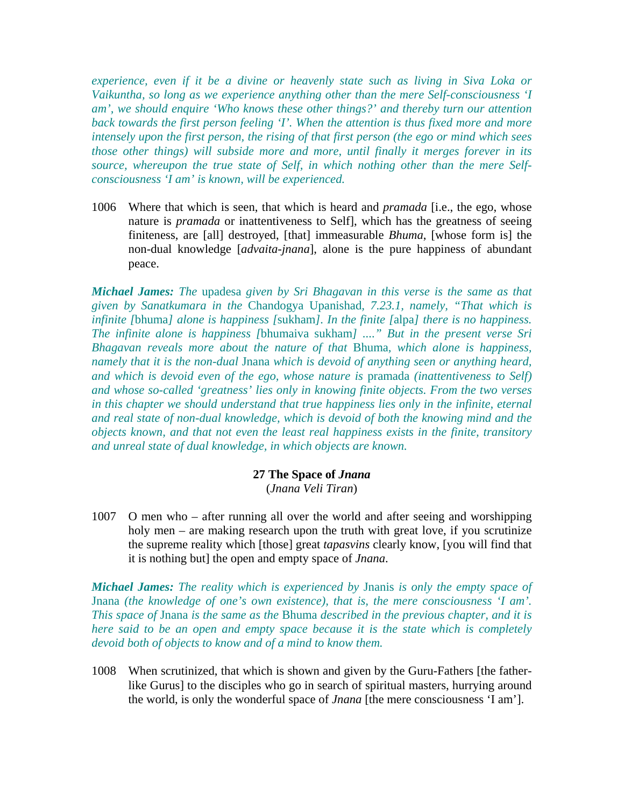*experience, even if it be a divine or heavenly state such as living in Siva Loka or Vaikuntha, so long as we experience anything other than the mere Self-consciousness 'I am', we should enquire 'Who knows these other things?' and thereby turn our attention back towards the first person feeling 'I'. When the attention is thus fixed more and more intensely upon the first person, the rising of that first person (the ego or mind which sees those other things) will subside more and more, until finally it merges forever in its source, whereupon the true state of Self, in which nothing other than the mere Selfconsciousness 'I am' is known, will be experienced.* 

1006 Where that which is seen, that which is heard and *pramada* [i.e., the ego, whose nature is *pramada* or inattentiveness to Self], which has the greatness of seeing finiteness, are [all] destroyed, [that] immeasurable *Bhuma*, [whose form is] the non-dual knowledge [*advaita-jnana*], alone is the pure happiness of abundant peace.

*Michael James: The* upadesa *given by Sri Bhagavan in this verse is the same as that given by Sanatkumara in the* Chandogya Upanishad*, 7.23.1, namely, "That which is infinite [*bhuma*] alone is happiness [*sukham*]. In the finite [*alpa*] there is no happiness. The infinite alone is happiness [*bhumaiva sukham*] ...." But in the present verse Sri Bhagavan reveals more about the nature of that* Bhuma*, which alone is happiness, namely that it is the non-dual* Jnana *which is devoid of anything seen or anything heard, and which is devoid even of the ego, whose nature is* pramada *(inattentiveness to Self) and whose so-called 'greatness' lies only in knowing finite objects. From the two verses in this chapter we should understand that true happiness lies only in the infinite, eternal and real state of non-dual knowledge, which is devoid of both the knowing mind and the objects known, and that not even the least real happiness exists in the finite, transitory and unreal state of dual knowledge, in which objects are known.* 

#### **27 The Space of** *Jnana* (*Jnana Veli Tiran*)

1007 O men who – after running all over the world and after seeing and worshipping holy men – are making research upon the truth with great love, if you scrutinize the supreme reality which [those] great *tapasvins* clearly know, [you will find that it is nothing but] the open and empty space of *Jnana*.

*Michael James: The reality which is experienced by* Jnanis *is only the empty space of*  Jnana *(the knowledge of one's own existence), that is, the mere consciousness 'I am'. This space of* Jnana *is the same as the* Bhuma *described in the previous chapter, and it is here said to be an open and empty space because it is the state which is completely devoid both of objects to know and of a mind to know them.* 

1008 When scrutinized, that which is shown and given by the Guru-Fathers [the fatherlike Gurus] to the disciples who go in search of spiritual masters, hurrying around the world, is only the wonderful space of *Jnana* [the mere consciousness 'I am'].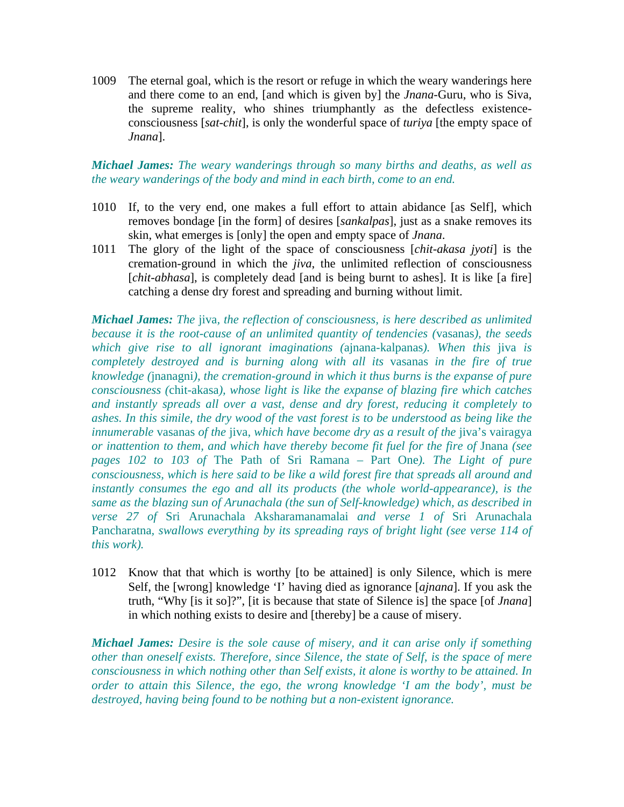1009 The eternal goal, which is the resort or refuge in which the weary wanderings here and there come to an end, [and which is given by] the *Jnana*-Guru, who is Siva, the supreme reality, who shines triumphantly as the defectless existenceconsciousness [*sat-chit*], is only the wonderful space of *turiya* [the empty space of *Jnana*].

## *Michael James: The weary wanderings through so many births and deaths, as well as the weary wanderings of the body and mind in each birth, come to an end.*

- 1010 If, to the very end, one makes a full effort to attain abidance [as Self], which removes bondage [in the form] of desires [*sankalpas*], just as a snake removes its skin, what emerges is [only] the open and empty space of *Jnana*.
- 1011 The glory of the light of the space of consciousness [*chit-akasa jyoti*] is the cremation-ground in which the *jiva*, the unlimited reflection of consciousness [*chit-abhasa*], is completely dead [and is being burnt to ashes]. It is like [a fire] catching a dense dry forest and spreading and burning without limit.

*Michael James: The* jiva*, the reflection of consciousness, is here described as unlimited because it is the root-cause of an unlimited quantity of tendencies (*vasanas*), the seeds which give rise to all ignorant imaginations (*ajnana-kalpanas*). When this* jiva *is completely destroyed and is burning along with all its* vasanas *in the fire of true knowledge (*jnanagni*), the cremation-ground in which it thus burns is the expanse of pure consciousness (*chit-akasa*), whose light is like the expanse of blazing fire which catches and instantly spreads all over a vast, dense and dry forest, reducing it completely to ashes. In this simile, the dry wood of the vast forest is to be understood as being like the innumerable* vasanas *of the* jiva*, which have become dry as a result of the* jiva's vairagya *or inattention to them, and which have thereby become fit fuel for the fire of* Jnana *(see pages 102 to 103 of* The Path of Sri Ramana – Part One*). The Light of pure consciousness, which is here said to be like a wild forest fire that spreads all around and instantly consumes the ego and all its products (the whole world-appearance), is the same as the blazing sun of Arunachala (the sun of Self-knowledge) which, as described in verse 27 of* Sri Arunachala Aksharamanamalai *and verse 1 of* Sri Arunachala Pancharatna*, swallows everything by its spreading rays of bright light (see verse 114 of this work).* 

1012 Know that that which is worthy [to be attained] is only Silence, which is mere Self, the [wrong] knowledge 'I' having died as ignorance [*ajnana*]. If you ask the truth, "Why [is it so]?", [it is because that state of Silence is] the space [of *Jnana*] in which nothing exists to desire and [thereby] be a cause of misery.

*Michael James: Desire is the sole cause of misery, and it can arise only if something other than oneself exists. Therefore, since Silence, the state of Self, is the space of mere consciousness in which nothing other than Self exists, it alone is worthy to be attained. In order to attain this Silence, the ego, the wrong knowledge 'I am the body', must be destroyed, having being found to be nothing but a non-existent ignorance.*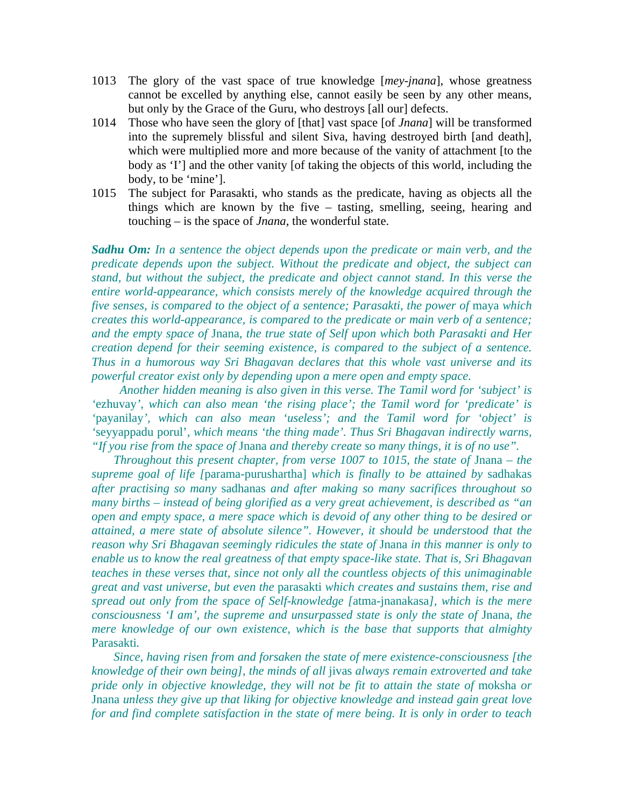- 1013 The glory of the vast space of true knowledge [*mey-jnana*], whose greatness cannot be excelled by anything else, cannot easily be seen by any other means, but only by the Grace of the Guru, who destroys [all our] defects.
- 1014 Those who have seen the glory of [that] vast space [of *Jnana*] will be transformed into the supremely blissful and silent Siva, having destroyed birth [and death], which were multiplied more and more because of the vanity of attachment [to the body as 'I'] and the other vanity [of taking the objects of this world, including the body, to be 'mine'].
- 1015 The subject for Parasakti, who stands as the predicate, having as objects all the things which are known by the five – tasting, smelling, seeing, hearing and touching – is the space of *Jnana*, the wonderful state.

*Sadhu Om: In a sentence the object depends upon the predicate or main verb, and the predicate depends upon the subject. Without the predicate and object, the subject can stand, but without the subject, the predicate and object cannot stand. In this verse the entire world-appearance, which consists merely of the knowledge acquired through the five senses, is compared to the object of a sentence; Parasakti, the power of maya which creates this world-appearance, is compared to the predicate or main verb of a sentence; and the empty space of* Jnana*, the true state of Self upon which both Parasakti and Her creation depend for their seeming existence, is compared to the subject of a sentence. Thus in a humorous way Sri Bhagavan declares that this whole vast universe and its powerful creator exist only by depending upon a mere open and empty space.* 

 *Another hidden meaning is also given in this verse. The Tamil word for 'subject' is '*ezhuvay*', which can also mean 'the rising place'; the Tamil word for 'predicate' is '*payanilay*', which can also mean 'useless'; and the Tamil word for 'object' is '*seyyappadu porul'*, which means 'the thing made'. Thus Sri Bhagavan indirectly warns, "If you rise from the space of* Jnana *and thereby create so many things, it is of no use".* 

*Throughout this present chapter, from verse 1007 to 1015, the state of Jnana – the supreme goal of life [*parama-purushartha] *which is finally to be attained by* sadhakas *after practising so many* sadhanas *and after making so many sacrifices throughout so many births – instead of being glorified as a very great achievement, is described as "an open and empty space, a mere space which is devoid of any other thing to be desired or attained, a mere state of absolute silence". However, it should be understood that the reason why Sri Bhagavan seemingly ridicules the state of* Jnana *in this manner is only to enable us to know the real greatness of that empty space-like state. That is, Sri Bhagavan teaches in these verses that, since not only all the countless objects of this unimaginable great and vast universe, but even the* parasakti *which creates and sustains them, rise and spread out only from the space of Self-knowledge [*atma-jnanakasa*], which is the mere consciousness 'I am', the supreme and unsurpassed state is only the state of Jnana, the mere knowledge of our own existence, which is the base that supports that almighty*  Parasakti*.* 

 *Since, having risen from and forsaken the state of mere existence-consciousness [the knowledge of their own being], the minds of all* jivas *always remain extroverted and take pride only in objective knowledge, they will not be fit to attain the state of moksha or* Jnana *unless they give up that liking for objective knowledge and instead gain great love for and find complete satisfaction in the state of mere being. It is only in order to teach*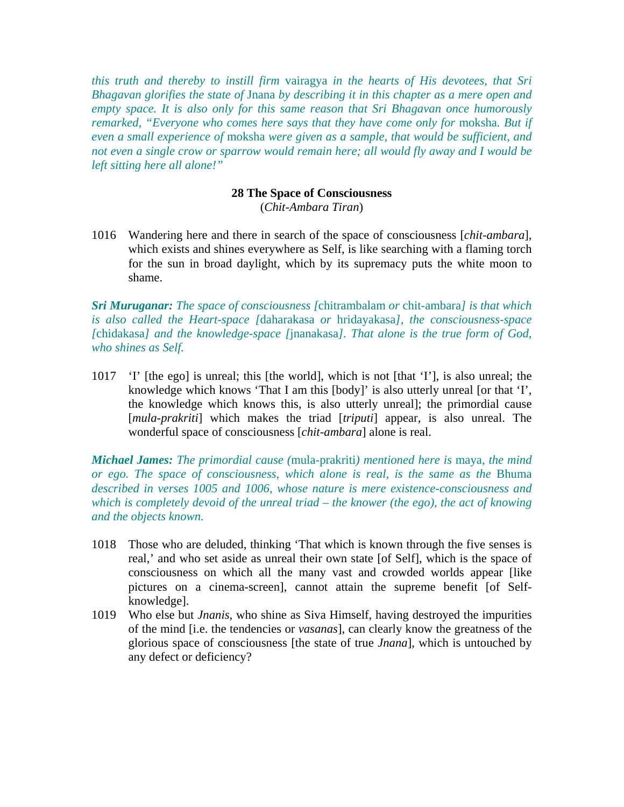*this truth and thereby to instill firm* vairagya *in the hearts of His devotees, that Sri Bhagavan glorifies the state of* Jnana *by describing it in this chapter as a mere open and empty space. It is also only for this same reason that Sri Bhagavan once humorously remarked, "Everyone who comes here says that they have come only for moksha. But if even a small experience of* moksha *were given as a sample, that would be sufficient, and not even a single crow or sparrow would remain here; all would fly away and I would be left sitting here all alone!"* 

#### **28 The Space of Consciousness**

(*Chit-Ambara Tiran*)

1016 Wandering here and there in search of the space of consciousness [*chit-ambara*], which exists and shines everywhere as Self, is like searching with a flaming torch for the sun in broad daylight, which by its supremacy puts the white moon to shame.

*Sri Muruganar: The space of consciousness [*chitrambalam *or* chit-ambara*] is that which is also called the Heart-space [*daharakasa *or* hridayakasa*], the consciousness-space [*chidakasa*] and the knowledge-space [*jnanakasa*]. That alone is the true form of God, who shines as Self.* 

1017 'I' [the ego] is unreal; this [the world], which is not [that 'I'], is also unreal; the knowledge which knows 'That I am this [body]' is also utterly unreal [or that 'I', the knowledge which knows this, is also utterly unreal]; the primordial cause [*mula-prakriti*] which makes the triad [*triputi*] appear, is also unreal. The wonderful space of consciousness [*chit-ambara*] alone is real.

*Michael James: The primordial cause (*mula-prakriti*) mentioned here is* maya*, the mind or ego. The space of consciousness, which alone is real, is the same as the* Bhuma *described in verses 1005 and 1006, whose nature is mere existence-consciousness and which is completely devoid of the unreal triad – the knower (the ego), the act of knowing and the objects known.* 

- 1018 Those who are deluded, thinking 'That which is known through the five senses is real,' and who set aside as unreal their own state [of Self], which is the space of consciousness on which all the many vast and crowded worlds appear [like pictures on a cinema-screen], cannot attain the supreme benefit [of Selfknowledge].
- 1019 Who else but *Jnanis*, who shine as Siva Himself, having destroyed the impurities of the mind [i.e. the tendencies or *vasanas*], can clearly know the greatness of the glorious space of consciousness [the state of true *Jnana*], which is untouched by any defect or deficiency?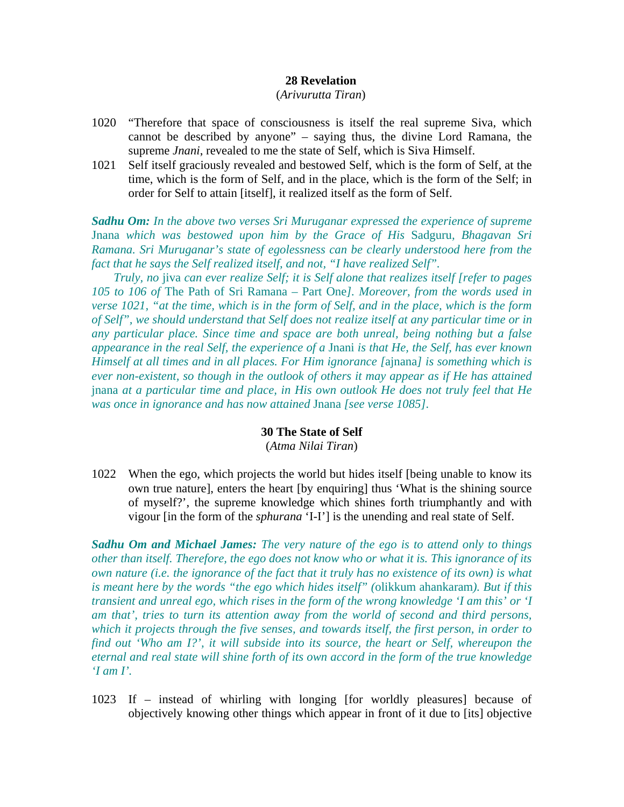## **28 Revelation**

#### (*Arivurutta Tiran*)

- 1020 "Therefore that space of consciousness is itself the real supreme Siva, which cannot be described by anyone" – saying thus, the divine Lord Ramana, the supreme *Jnani*, revealed to me the state of Self, which is Siva Himself.
- 1021 Self itself graciously revealed and bestowed Self, which is the form of Self, at the time, which is the form of Self, and in the place, which is the form of the Self; in order for Self to attain [itself], it realized itself as the form of Self.

*Sadhu Om: In the above two verses Sri Muruganar expressed the experience of supreme*  Jnana *which was bestowed upon him by the Grace of His* Sadguru*, Bhagavan Sri Ramana. Sri Muruganar's state of egolessness can be clearly understood here from the fact that he says the Self realized itself, and not, "I have realized Self".* 

 *Truly, no* jiva *can ever realize Self; it is Self alone that realizes itself [refer to pages 105 to 106 of* The Path of Sri Ramana – Part One*]. Moreover, from the words used in verse 1021, "at the time, which is in the form of Self, and in the place, which is the form of Self", we should understand that Self does not realize itself at any particular time or in any particular place. Since time and space are both unreal, being nothing but a false appearance in the real Self, the experience of a* Jnani *is that He, the Self, has ever known Himself at all times and in all places. For Him ignorance [*ajnana*] is something which is ever non-existent, so though in the outlook of others it may appear as if He has attained*  jnana *at a particular time and place, in His own outlook He does not truly feel that He was once in ignorance and has now attained* Jnana *[see verse 1085].*

#### **30 The State of Self**

(*Atma Nilai Tiran*)

1022 When the ego, which projects the world but hides itself [being unable to know its own true nature], enters the heart [by enquiring] thus 'What is the shining source of myself?', the supreme knowledge which shines forth triumphantly and with vigour [in the form of the *sphurana* 'I-I'] is the unending and real state of Self.

*Sadhu Om and Michael James: The very nature of the ego is to attend only to things other than itself. Therefore, the ego does not know who or what it is. This ignorance of its own nature (i.e. the ignorance of the fact that it truly has no existence of its own) is what is meant here by the words "the ego which hides itself" (*olikkum ahankaram*). But if this transient and unreal ego, which rises in the form of the wrong knowledge 'I am this' or 'I am that', tries to turn its attention away from the world of second and third persons, which it projects through the five senses, and towards itself, the first person, in order to find out 'Who am I?', it will subside into its source, the heart or Self, whereupon the eternal and real state will shine forth of its own accord in the form of the true knowledge 'I am I'.* 

1023 If – instead of whirling with longing [for worldly pleasures] because of objectively knowing other things which appear in front of it due to [its] objective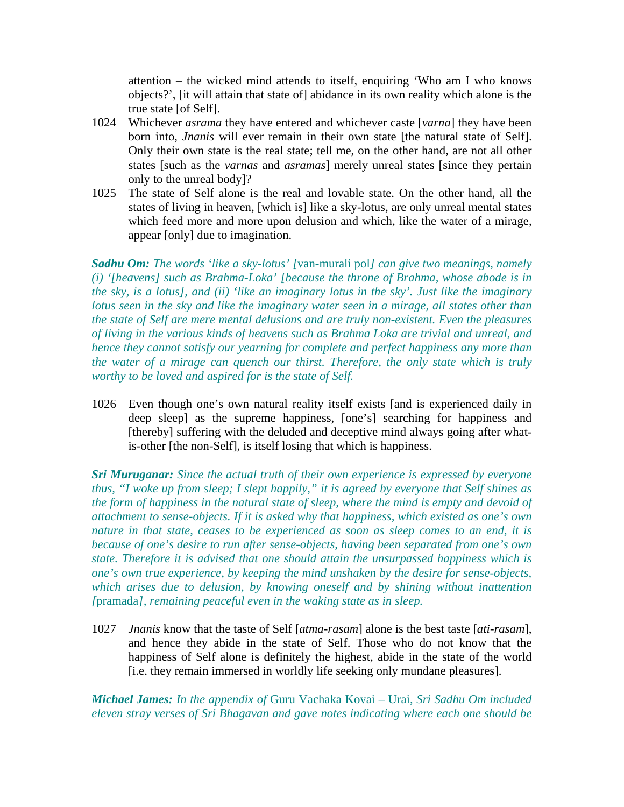attention – the wicked mind attends to itself, enquiring 'Who am I who knows objects?', [it will attain that state of] abidance in its own reality which alone is the true state [of Self].

- 1024 Whichever *asrama* they have entered and whichever caste [*varna*] they have been born into, *Jnanis* will ever remain in their own state [the natural state of Self]. Only their own state is the real state; tell me, on the other hand, are not all other states [such as the *varnas* and *asramas*] merely unreal states [since they pertain only to the unreal body]?
- 1025 The state of Self alone is the real and lovable state. On the other hand, all the states of living in heaven, [which is] like a sky-lotus, are only unreal mental states which feed more and more upon delusion and which, like the water of a mirage, appear [only] due to imagination.

*Sadhu Om: The words 'like a sky-lotus' [*van-murali pol*] can give two meanings, namely (i) '[heavens] such as Brahma-Loka' [because the throne of Brahma, whose abode is in the sky, is a lotus], and (ii) 'like an imaginary lotus in the sky'. Just like the imaginary lotus seen in the sky and like the imaginary water seen in a mirage, all states other than the state of Self are mere mental delusions and are truly non-existent. Even the pleasures of living in the various kinds of heavens such as Brahma Loka are trivial and unreal, and hence they cannot satisfy our yearning for complete and perfect happiness any more than the water of a mirage can quench our thirst. Therefore, the only state which is truly worthy to be loved and aspired for is the state of Self.* 

1026 Even though one's own natural reality itself exists [and is experienced daily in deep sleep] as the supreme happiness, [one's] searching for happiness and [thereby] suffering with the deluded and deceptive mind always going after whatis-other [the non-Self], is itself losing that which is happiness.

*Sri Muruganar: Since the actual truth of their own experience is expressed by everyone thus, "I woke up from sleep; I slept happily," it is agreed by everyone that Self shines as the form of happiness in the natural state of sleep, where the mind is empty and devoid of attachment to sense-objects. If it is asked why that happiness, which existed as one's own nature in that state, ceases to be experienced as soon as sleep comes to an end, it is because of one's desire to run after sense-objects, having been separated from one's own state. Therefore it is advised that one should attain the unsurpassed happiness which is one's own true experience, by keeping the mind unshaken by the desire for sense-objects, which arises due to delusion, by knowing oneself and by shining without inattention [*pramada*], remaining peaceful even in the waking state as in sleep.* 

1027 *Jnanis* know that the taste of Self [*atma-rasam*] alone is the best taste [*ati-rasam*], and hence they abide in the state of Self. Those who do not know that the happiness of Self alone is definitely the highest, abide in the state of the world [i.e. they remain immersed in worldly life seeking only mundane pleasures].

*Michael James: In the appendix of* Guru Vachaka Kovai *–* Urai*, Sri Sadhu Om included eleven stray verses of Sri Bhagavan and gave notes indicating where each one should be*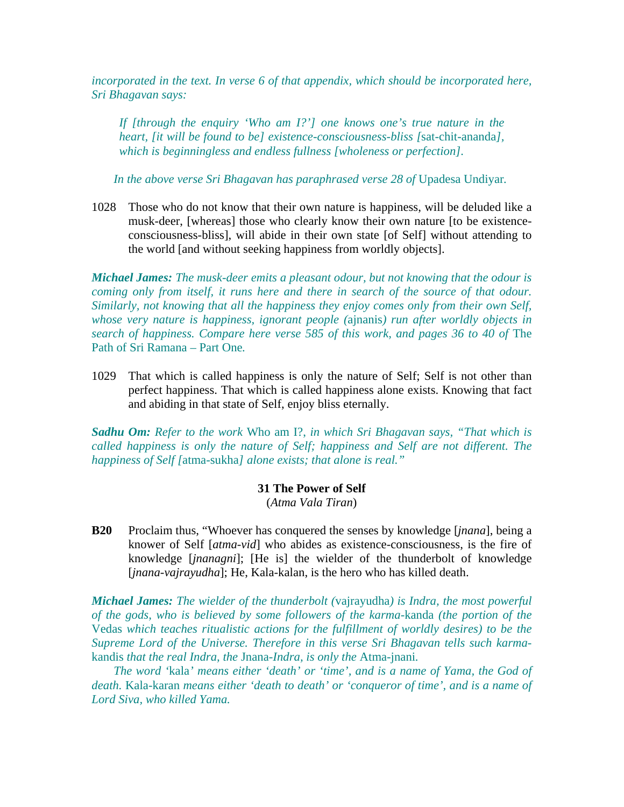*incorporated in the text. In verse 6 of that appendix, which should be incorporated here, Sri Bhagavan says:* 

*If [through the enquiry 'Who am I?'] one knows one's true nature in the heart, [it will be found to be] existence-consciousness-bliss [*sat-chit-ananda*], which is beginningless and endless fullness [wholeness or perfection].* 

*In the above verse Sri Bhagavan has paraphrased verse 28 of* Upadesa Undiyar*.* 

1028 Those who do not know that their own nature is happiness, will be deluded like a musk-deer, [whereas] those who clearly know their own nature [to be existenceconsciousness-bliss], will abide in their own state [of Self] without attending to the world [and without seeking happiness from worldly objects].

*Michael James: The musk-deer emits a pleasant odour, but not knowing that the odour is coming only from itself, it runs here and there in search of the source of that odour. Similarly, not knowing that all the happiness they enjoy comes only from their own Self, whose very nature is happiness, ignorant people (*ajnanis*) run after worldly objects in*  search of happiness. Compare here verse 585 of this work, and pages 36 to 40 of The Path of Sri Ramana – Part One*.* 

1029 That which is called happiness is only the nature of Self; Self is not other than perfect happiness. That which is called happiness alone exists. Knowing that fact and abiding in that state of Self, enjoy bliss eternally.

*Sadhu Om: Refer to the work* Who am I?, *in which Sri Bhagavan says, "That which is called happiness is only the nature of Self; happiness and Self are not different. The happiness of Self [*atma-sukha*] alone exists; that alone is real."* 

## **31 The Power of Self**

(*Atma Vala Tiran*)

**B20** Proclaim thus, "Whoever has conquered the senses by knowledge [*jnana*], being a knower of Self [*atma-vid*] who abides as existence-consciousness, is the fire of knowledge [*jnanagni*]; [He is] the wielder of the thunderbolt of knowledge [*jnana-vajrayudha*]; He, Kala-kalan, is the hero who has killed death.

*Michael James: The wielder of the thunderbolt (*vajrayudha*) is Indra, the most powerful of the gods, who is believed by some followers of the karma-*kanda *(the portion of the*  Vedas *which teaches ritualistic actions for the fulfillment of worldly desires) to be the Supreme Lord of the Universe. Therefore in this verse Sri Bhagavan tells such karma*kandis *that the real Indra, the* Jnana*-Indra, is only the* Atma-jnani*.* 

 *The word '*kala*' means either 'death' or 'time', and is a name of Yama, the God of death.* Kala-karan *means either 'death to death' or 'conqueror of time', and is a name of Lord Siva, who killed Yama.*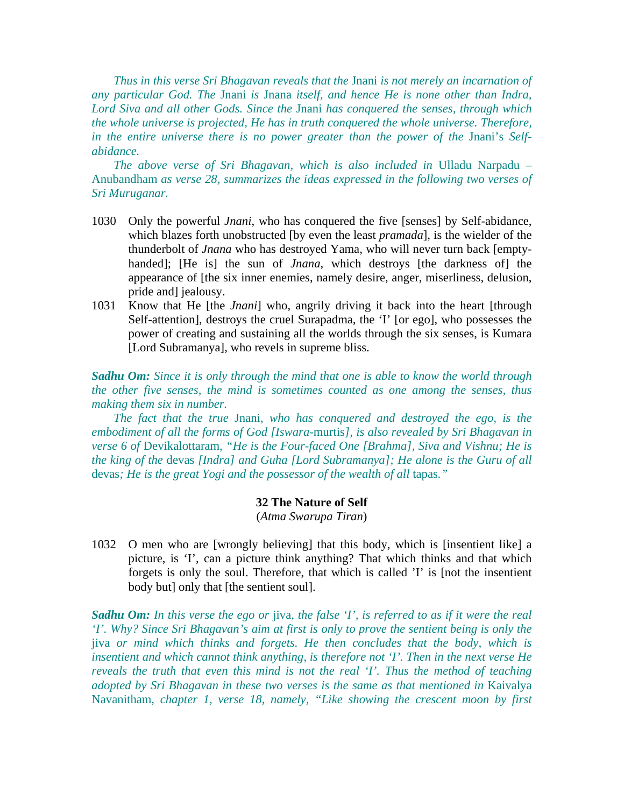*Thus in this verse Sri Bhagavan reveals that the* Jnani *is not merely an incarnation of any particular God. The* Jnani *is* Jnana *itself, and hence He is none other than Indra, Lord Siva and all other Gods. Since the* Jnani *has conquered the senses, through which the whole universe is projected, He has in truth conquered the whole universe. Therefore,*  in the entire universe there is no power greater than the power of the Jnani's Self*abidance.* 

 *The above verse of Sri Bhagavan, which is also included in* Ulladu Narpadu – Anubandham *as verse 28, summarizes the ideas expressed in the following two verses of Sri Muruganar.* 

- 1030 Only the powerful *Jnani*, who has conquered the five [senses] by Self-abidance, which blazes forth unobstructed [by even the least *pramada*], is the wielder of the thunderbolt of *Jnana* who has destroyed Yama, who will never turn back [emptyhanded]; [He is] the sun of *Jnana*, which destroys [the darkness of] the appearance of [the six inner enemies, namely desire, anger, miserliness, delusion, pride and] jealousy.
- 1031 Know that He [the *Jnani*] who, angrily driving it back into the heart [through Self-attention], destroys the cruel Surapadma, the 'I' [or ego], who possesses the power of creating and sustaining all the worlds through the six senses, is Kumara [Lord Subramanya], who revels in supreme bliss.

*Sadhu Om: Since it is only through the mind that one is able to know the world through the other five senses, the mind is sometimes counted as one among the senses, thus making them six in number.* 

 *The fact that the true* Jnani*, who has conquered and destroyed the ego, is the embodiment of all the forms of God [Iswara-*murtis*], is also revealed by Sri Bhagavan in verse 6 of* Devikalottaram*, "He is the Four-faced One [Brahma], Siva and Vishnu; He is the king of the* devas *[Indra] and Guha [Lord Subramanya]; He alone is the Guru of all*  devas; He is the great Yogi and the possessor of the wealth of all tapas."

#### **32 The Nature of Self**

(*Atma Swarupa Tiran*)

1032 O men who are [wrongly believing] that this body, which is [insentient like] a picture, is 'I', can a picture think anything? That which thinks and that which forgets is only the soul. Therefore, that which is called 'I' is [not the insentient body but] only that [the sentient soul].

*Sadhu Om: In this verse the ego or* jiva*, the false 'I', is referred to as if it were the real 'I'. Why? Since Sri Bhagavan's aim at first is only to prove the sentient being is only the*  jiva *or mind which thinks and forgets. He then concludes that the body, which is insentient and which cannot think anything, is therefore not 'I'. Then in the next verse He reveals the truth that even this mind is not the real 'I'. Thus the method of teaching adopted by Sri Bhagavan in these two verses is the same as that mentioned in Kaivalya* Navanitham*, chapter 1, verse 18, namely, "Like showing the crescent moon by first*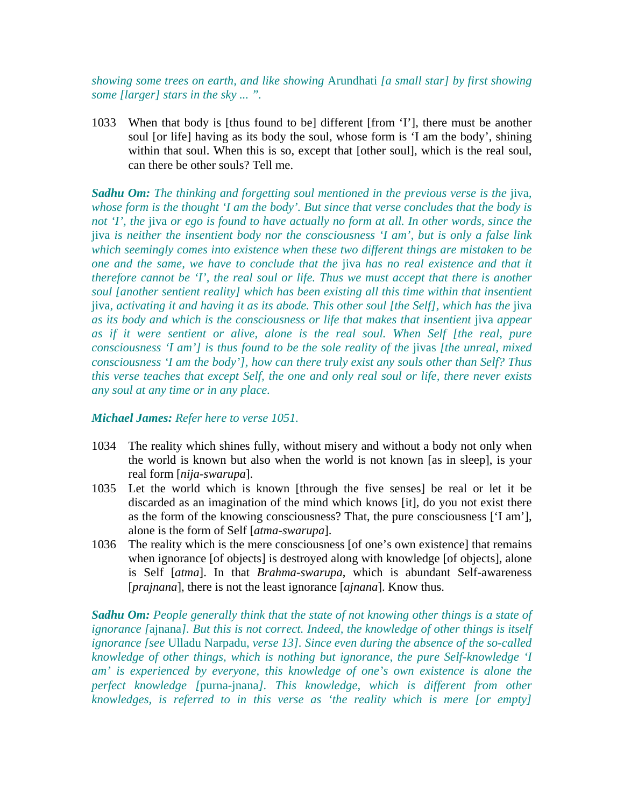*showing some trees on earth, and like showing* Arundhati *[a small star] by first showing some [larger] stars in the sky ... ".* 

1033 When that body is [thus found to be] different [from 'I'], there must be another soul [or life] having as its body the soul, whose form is 'I am the body', shining within that soul. When this is so, except that [other soul], which is the real soul, can there be other souls? Tell me.

**Sadhu Om:** The thinking and forgetting soul mentioned in the previous verse is the jiva, *whose form is the thought 'I am the body'. But since that verse concludes that the body is not 'I', the* jiva *or ego is found to have actually no form at all. In other words, since the*  jiva *is neither the insentient body nor the consciousness 'I am', but is only a false link which seemingly comes into existence when these two different things are mistaken to be one and the same, we have to conclude that the* jiva *has no real existence and that it therefore cannot be 'I', the real soul or life. Thus we must accept that there is another soul [another sentient reality] which has been existing all this time within that insentient*  jiva*, activating it and having it as its abode. This other soul [the Self], which has the* jiva *as its body and which is the consciousness or life that makes that insentient* jiva *appear as if it were sentient or alive, alone is the real soul. When Self [the real, pure consciousness 'I am'] is thus found to be the sole reality of the* jivas *[the unreal, mixed consciousness 'I am the body'], how can there truly exist any souls other than Self? Thus this verse teaches that except Self, the one and only real soul or life, there never exists any soul at any time or in any place.* 

## *Michael James: Refer here to verse 1051.*

- 1034 The reality which shines fully, without misery and without a body not only when the world is known but also when the world is not known [as in sleep], is your real form [*nija-swarupa*].
- 1035 Let the world which is known [through the five senses] be real or let it be discarded as an imagination of the mind which knows [it], do you not exist there as the form of the knowing consciousness? That, the pure consciousness ['I am'], alone is the form of Self [*atma-swarupa*].
- 1036 The reality which is the mere consciousness [of one's own existence] that remains when ignorance [of objects] is destroyed along with knowledge [of objects], alone is Self [*atma*]. In that *Brahma-swarupa*, which is abundant Self-awareness [*prajnana*], there is not the least ignorance [*ajnana*]. Know thus.

*Sadhu Om: People generally think that the state of not knowing other things is a state of ignorance [*ajnana*]. But this is not correct. Indeed, the knowledge of other things is itself ignorance [see* Ulladu Narpadu*, verse 13]. Since even during the absence of the so-called knowledge of other things, which is nothing but ignorance, the pure Self-knowledge 'I am' is experienced by everyone, this knowledge of one's own existence is alone the perfect knowledge [*purna-jnana*]. This knowledge, which is different from other knowledges, is referred to in this verse as 'the reality which is mere [or empty]*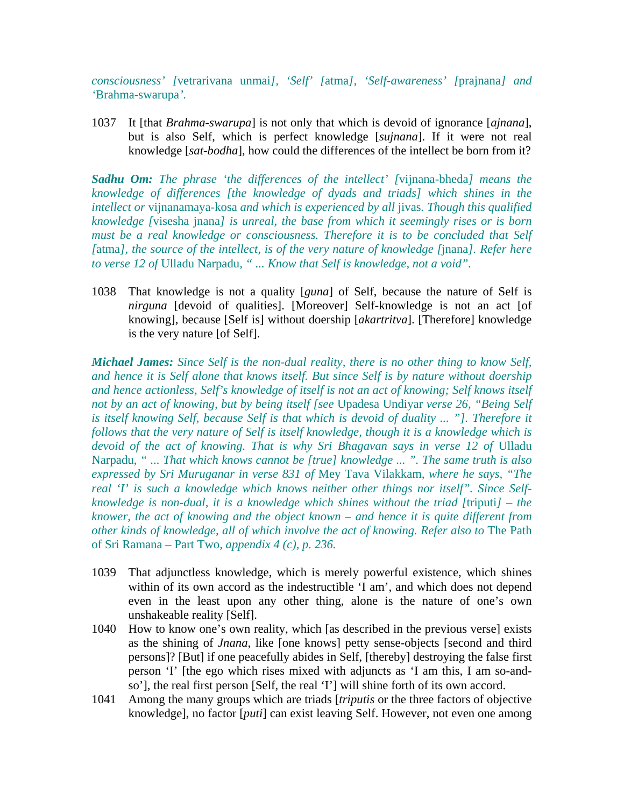*consciousness' [*vetrarivana unmai*], 'Self' [*atma*], 'Self-awareness' [*prajnana*] and '*Brahma-swarupa*'.* 

1037 It [that *Brahma-swarupa*] is not only that which is devoid of ignorance [*ajnana*], but is also Self, which is perfect knowledge [*sujnana*]. If it were not real knowledge [*sat-bodha*], how could the differences of the intellect be born from it?

*Sadhu Om: The phrase 'the differences of the intellect' [*vijnana-bheda*] means the knowledge of differences [the knowledge of dyads and triads] which shines in the intellect or* vijnanamaya-kosa *and which is experienced by all* jivas*. Though this qualified knowledge [*visesha jnana*] is unreal, the base from which it seemingly rises or is born*  must be a real knowledge or consciousness. Therefore it is to be concluded that Self *[*atma*], the source of the intellect, is of the very nature of knowledge [*jnana*]. Refer here to verse 12 of* Ulladu Narpadu*, " ... Know that Self is knowledge, not a void".* 

1038 That knowledge is not a quality [*guna*] of Self, because the nature of Self is *nirguna* [devoid of qualities]. [Moreover] Self-knowledge is not an act [of knowing], because [Self is] without doership [*akartritva*]. [Therefore] knowledge is the very nature [of Self].

*Michael James: Since Self is the non-dual reality, there is no other thing to know Self, and hence it is Self alone that knows itself. But since Self is by nature without doership and hence actionless, Self's knowledge of itself is not an act of knowing; Self knows itself not by an act of knowing, but by being itself [see* Upadesa Undiyar *verse 26, "Being Self is itself knowing Self, because Self is that which is devoid of duality ... "]. Therefore it follows that the very nature of Self is itself knowledge, though it is a knowledge which is devoid of the act of knowing. That is why Sri Bhagavan says in verse 12 of* Ulladu Narpadu*, " ... That which knows cannot be [true] knowledge ... ". The same truth is also expressed by Sri Muruganar in verse 831 of* Mey Tava Vilakkam*, where he says, "The real 'I' is such a knowledge which knows neither other things nor itself". Since Selfknowledge is non-dual, it is a knowledge which shines without the triad [*triputi*] – the knower, the act of knowing and the object known – and hence it is quite different from other kinds of knowledge, all of which involve the act of knowing. Refer also to* The Path of Sri Ramana – Part Two*, appendix 4 (c), p. 236.* 

- 1039 That adjunctless knowledge, which is merely powerful existence, which shines within of its own accord as the indestructible 'I am', and which does not depend even in the least upon any other thing, alone is the nature of one's own unshakeable reality [Self].
- 1040 How to know one's own reality, which [as described in the previous verse] exists as the shining of *Jnana*, like [one knows] petty sense-objects [second and third persons]? [But] if one peacefully abides in Self, [thereby] destroying the false first person 'I' [the ego which rises mixed with adjuncts as 'I am this, I am so-andso'], the real first person [Self, the real 'I'] will shine forth of its own accord.
- 1041 Among the many groups which are triads [*triputis* or the three factors of objective knowledge], no factor [*puti*] can exist leaving Self. However, not even one among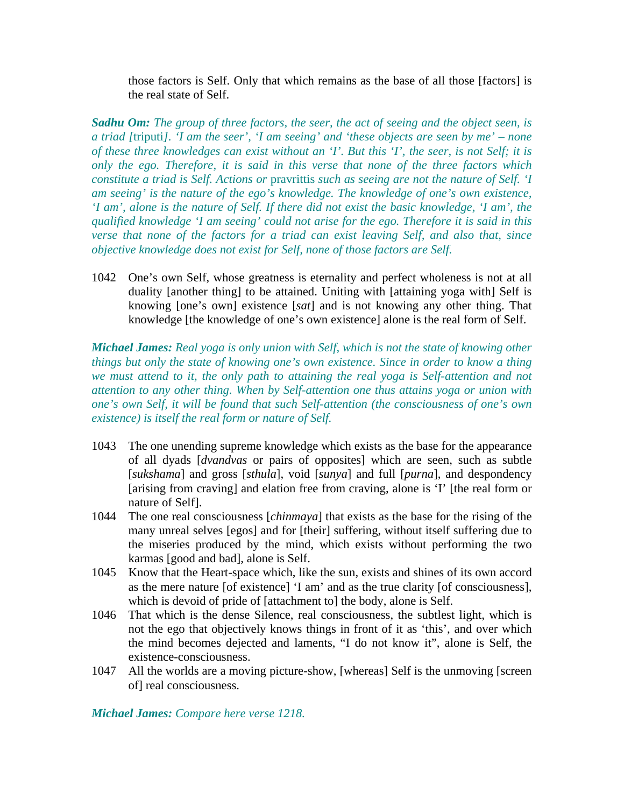those factors is Self. Only that which remains as the base of all those [factors] is the real state of Self.

*Sadhu Om: The group of three factors, the seer, the act of seeing and the object seen, is a triad [*triputi*]. 'I am the seer', 'I am seeing' and 'these objects are seen by me' – none of these three knowledges can exist without an 'I'. But this 'I', the seer, is not Self; it is only the ego. Therefore, it is said in this verse that none of the three factors which constitute a triad is Self. Actions or* pravrittis *such as seeing are not the nature of Self. 'I am seeing' is the nature of the ego's knowledge. The knowledge of one's own existence, 'I am', alone is the nature of Self. If there did not exist the basic knowledge, 'I am', the qualified knowledge 'I am seeing' could not arise for the ego. Therefore it is said in this verse that none of the factors for a triad can exist leaving Self, and also that, since objective knowledge does not exist for Self, none of those factors are Self.* 

1042 One's own Self, whose greatness is eternality and perfect wholeness is not at all duality [another thing] to be attained. Uniting with [attaining yoga with] Self is knowing [one's own] existence [*sat*] and is not knowing any other thing. That knowledge [the knowledge of one's own existence] alone is the real form of Self.

*Michael James: Real yoga is only union with Self, which is not the state of knowing other things but only the state of knowing one's own existence. Since in order to know a thing we must attend to it, the only path to attaining the real yoga is Self-attention and not attention to any other thing. When by Self-attention one thus attains yoga or union with one's own Self, it will be found that such Self-attention (the consciousness of one's own existence) is itself the real form or nature of Self.* 

- 1043 The one unending supreme knowledge which exists as the base for the appearance of all dyads [*dvandvas* or pairs of opposites] which are seen, such as subtle [*sukshama*] and gross [*sthula*], void [*sunya*] and full [*purna*], and despondency [arising from craving] and elation free from craving, alone is 'I' [the real form or nature of Self].
- 1044 The one real consciousness [*chinmaya*] that exists as the base for the rising of the many unreal selves [egos] and for [their] suffering, without itself suffering due to the miseries produced by the mind, which exists without performing the two karmas [good and bad], alone is Self.
- 1045 Know that the Heart-space which, like the sun, exists and shines of its own accord as the mere nature [of existence] 'I am' and as the true clarity [of consciousness], which is devoid of pride of [attachment to] the body, alone is Self.
- 1046 That which is the dense Silence, real consciousness, the subtlest light, which is not the ego that objectively knows things in front of it as 'this', and over which the mind becomes dejected and laments, "I do not know it", alone is Self, the existence-consciousness.
- 1047 All the worlds are a moving picture-show, [whereas] Self is the unmoving [screen of] real consciousness.

*Michael James: Compare here verse 1218.*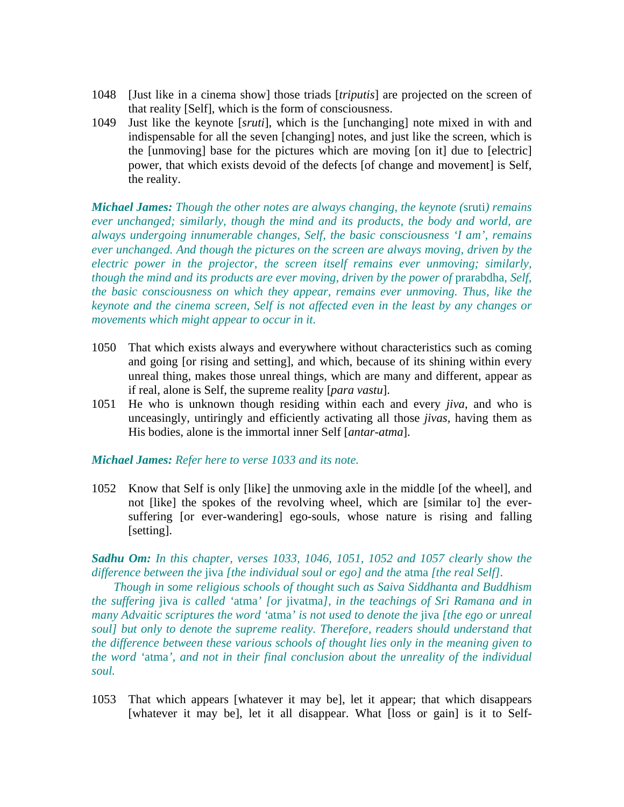- 1048 [Just like in a cinema show] those triads [*triputis*] are projected on the screen of that reality [Self], which is the form of consciousness.
- 1049 Just like the keynote [*sruti*], which is the [unchanging] note mixed in with and indispensable for all the seven [changing] notes, and just like the screen, which is the [unmoving] base for the pictures which are moving [on it] due to [electric] power, that which exists devoid of the defects [of change and movement] is Self, the reality.

*Michael James: Though the other notes are always changing, the keynote (*sruti*) remains ever unchanged; similarly, though the mind and its products, the body and world, are always undergoing innumerable changes, Self, the basic consciousness 'I am', remains ever unchanged. And though the pictures on the screen are always moving, driven by the electric power in the projector, the screen itself remains ever unmoving; similarly, though the mind and its products are ever moving, driven by the power of prarabdha, Self, the basic consciousness on which they appear, remains ever unmoving. Thus, like the keynote and the cinema screen, Self is not affected even in the least by any changes or movements which might appear to occur in it.* 

- 1050 That which exists always and everywhere without characteristics such as coming and going [or rising and setting], and which, because of its shining within every unreal thing, makes those unreal things, which are many and different, appear as if real, alone is Self, the supreme reality [*para vastu*].
- 1051 He who is unknown though residing within each and every *jiva,* and who is unceasingly, untiringly and efficiently activating all those *jivas,* having them as His bodies, alone is the immortal inner Self [*antar-atma*].

#### *Michael James: Refer here to verse 1033 and its note.*

1052 Know that Self is only [like] the unmoving axle in the middle [of the wheel], and not [like] the spokes of the revolving wheel, which are [similar to] the eversuffering [or ever-wandering] ego-souls, whose nature is rising and falling [setting].

*Sadhu Om: In this chapter, verses 1033, 1046, 1051, 1052 and 1057 clearly show the difference between the* jiva *[the individual soul or ego] and the* atma *[the real Self].* 

 *Though in some religious schools of thought such as Saiva Siddhanta and Buddhism the suffering* jiva *is called '*atma*' [or* jivatma*], in the teachings of Sri Ramana and in many Advaitic scriptures the word '*atma*' is not used to denote the* jiva *[the ego or unreal soul] but only to denote the supreme reality. Therefore, readers should understand that the difference between these various schools of thought lies only in the meaning given to the word '*atma*', and not in their final conclusion about the unreality of the individual soul.* 

1053 That which appears [whatever it may be], let it appear; that which disappears [whatever it may be], let it all disappear. What [loss or gain] is it to Self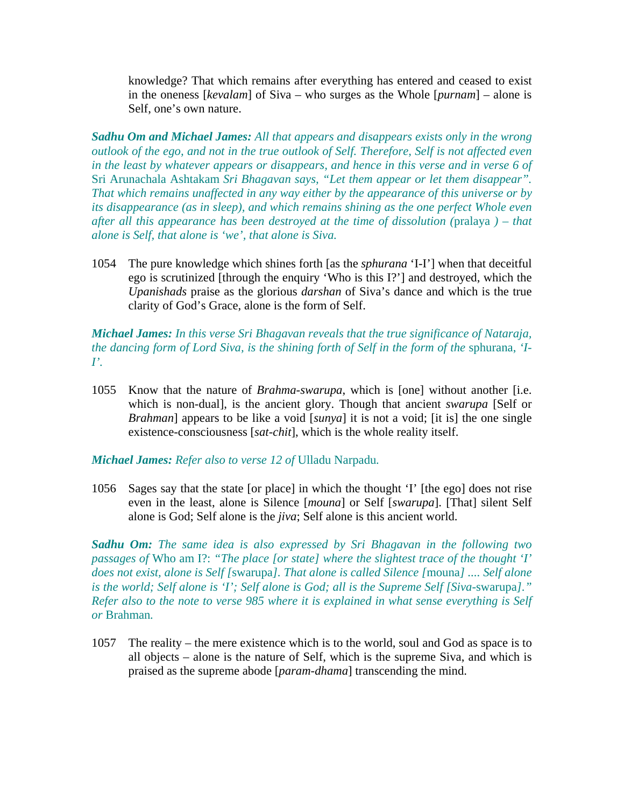knowledge? That which remains after everything has entered and ceased to exist in the oneness [*kevalam*] of Siva – who surges as the Whole [*purnam*] – alone is Self, one's own nature.

*Sadhu Om and Michael James: All that appears and disappears exists only in the wrong outlook of the ego, and not in the true outlook of Self. Therefore, Self is not affected even in the least by whatever appears or disappears, and hence in this verse and in verse 6 of*  Sri Arunachala Ashtakam *Sri Bhagavan says, "Let them appear or let them disappear". That which remains unaffected in any way either by the appearance of this universe or by its disappearance (as in sleep), and which remains shining as the one perfect Whole even after all this appearance has been destroyed at the time of dissolution (*pralaya *) – that alone is Self, that alone is 'we', that alone is Siva.* 

1054 The pure knowledge which shines forth [as the *sphurana* 'I-I'] when that deceitful ego is scrutinized [through the enquiry 'Who is this I?'] and destroyed, which the *Upanishads* praise as the glorious *darshan* of Siva's dance and which is the true clarity of God's Grace, alone is the form of Self.

*Michael James: In this verse Sri Bhagavan reveals that the true significance of Nataraja, the dancing form of Lord Siva, is the shining forth of Self in the form of the* sphurana, *'I-I'.*

1055 Know that the nature of *Brahma-swarupa*, which is [one] without another [i.e. which is non-dual], is the ancient glory. Though that ancient *swarupa* [Self or *Brahman*] appears to be like a void [*sunya*] it is not a void; [it is] the one single existence-consciousness [*sat-chit*], which is the whole reality itself.

## *Michael James: Refer also to verse 12 of* Ulladu Narpadu*.*

1056 Sages say that the state [or place] in which the thought 'I' [the ego] does not rise even in the least, alone is Silence [*mouna*] or Self [*swarupa*]. [That] silent Self alone is God; Self alone is the *jiva*; Self alone is this ancient world.

*Sadhu Om: The same idea is also expressed by Sri Bhagavan in the following two passages of* Who am I?: *"The place [or state] where the slightest trace of the thought 'I' does not exist, alone is Self [*swarupa*]. That alone is called Silence [*mouna*] .... Self alone is the world; Self alone is 'I'; Self alone is God; all is the Supreme Self [Siva-*swarupa*]." Refer also to the note to verse 985 where it is explained in what sense everything is Self or* Brahman*.* 

1057 The reality – the mere existence which is to the world, soul and God as space is to all objects – alone is the nature of Self, which is the supreme Siva, and which is praised as the supreme abode [*param-dhama*] transcending the mind.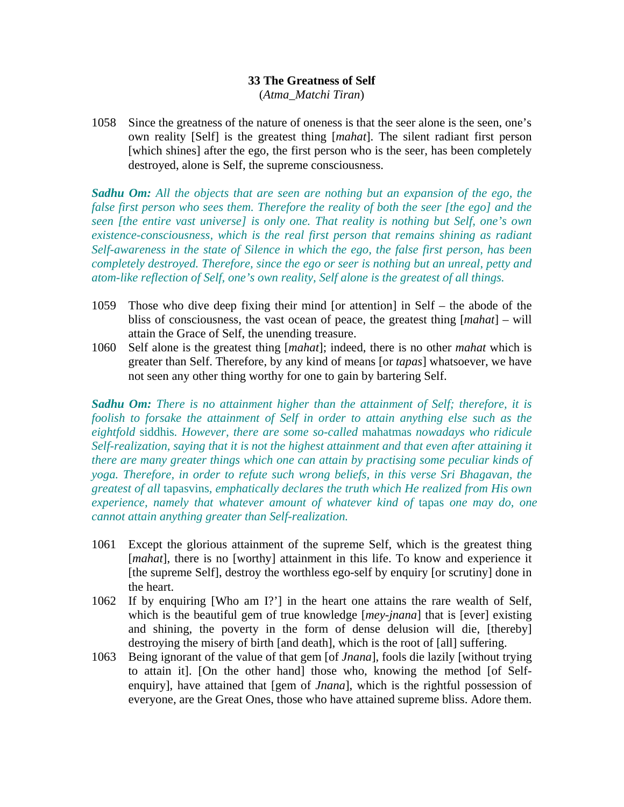## **33 The Greatness of Self**  (*Atma\_Matchi Tiran*)

1058 Since the greatness of the nature of oneness is that the seer alone is the seen, one's own reality [Self] is the greatest thing [*mahat*]. The silent radiant first person [which shines] after the ego, the first person who is the seer, has been completely destroyed, alone is Self, the supreme consciousness.

*Sadhu Om: All the objects that are seen are nothing but an expansion of the ego, the false first person who sees them. Therefore the reality of both the seer [the ego] and the seen [the entire vast universe] is only one. That reality is nothing but Self, one's own existence-consciousness, which is the real first person that remains shining as radiant Self-awareness in the state of Silence in which the ego, the false first person, has been completely destroyed. Therefore, since the ego or seer is nothing but an unreal, petty and atom-like reflection of Self, one's own reality, Self alone is the greatest of all things.* 

- 1059 Those who dive deep fixing their mind [or attention] in Self the abode of the bliss of consciousness, the vast ocean of peace, the greatest thing [*mahat*] – will attain the Grace of Self, the unending treasure.
- 1060 Self alone is the greatest thing [*mahat*]; indeed, there is no other *mahat* which is greater than Self. Therefore, by any kind of means [or *tapas*] whatsoever, we have not seen any other thing worthy for one to gain by bartering Self.

*Sadhu Om: There is no attainment higher than the attainment of Self; therefore, it is foolish to forsake the attainment of Self in order to attain anything else such as the eightfold* siddhis*. However, there are some so-called* mahatmas *nowadays who ridicule Self-realization, saying that it is not the highest attainment and that even after attaining it there are many greater things which one can attain by practising some peculiar kinds of yoga. Therefore, in order to refute such wrong beliefs, in this verse Sri Bhagavan, the greatest of all* tapasvins*, emphatically declares the truth which He realized from His own experience, namely that whatever amount of whatever kind of tapas one may do, one cannot attain anything greater than Self-realization.* 

- 1061 Except the glorious attainment of the supreme Self, which is the greatest thing [*mahat*], there is no [worthy] attainment in this life. To know and experience it [the supreme Self], destroy the worthless ego-self by enquiry [or scrutiny] done in the heart.
- 1062 If by enquiring [Who am I?'] in the heart one attains the rare wealth of Self, which is the beautiful gem of true knowledge [*mey-jnana*] that is [ever] existing and shining, the poverty in the form of dense delusion will die, [thereby] destroying the misery of birth [and death], which is the root of [all] suffering.
- 1063 Being ignorant of the value of that gem [of *Jnana*], fools die lazily [without trying to attain it]. [On the other hand] those who, knowing the method [of Selfenquiry], have attained that [gem of *Jnana*], which is the rightful possession of everyone, are the Great Ones, those who have attained supreme bliss. Adore them.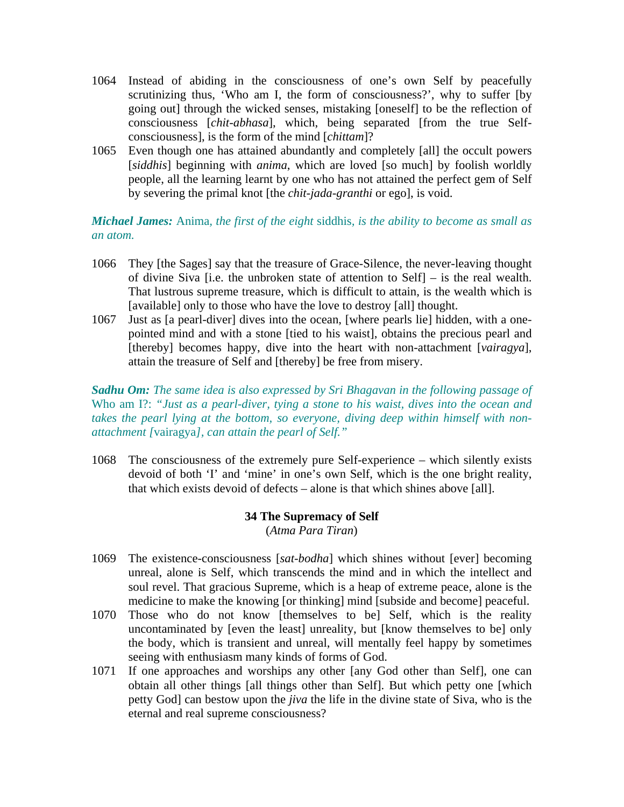- 1064 Instead of abiding in the consciousness of one's own Self by peacefully scrutinizing thus, 'Who am I, the form of consciousness?', why to suffer [by going out] through the wicked senses, mistaking [oneself] to be the reflection of consciousness [*chit-abhasa*], which, being separated [from the true Selfconsciousness], is the form of the mind [*chittam*]?
- 1065 Even though one has attained abundantly and completely [all] the occult powers [siddhis] beginning with *anima*, which are loved [so much] by foolish worldly people, all the learning learnt by one who has not attained the perfect gem of Self by severing the primal knot [the *chit-jada-granthi* or ego], is void.

## *Michael James:* Anima*, the first of the eight* siddhis*, is the ability to become as small as an atom.*

- 1066 They [the Sages] say that the treasure of Grace-Silence, the never-leaving thought of divine Siva [i.e. the unbroken state of attention to Self $|-$  is the real wealth. That lustrous supreme treasure, which is difficult to attain, is the wealth which is [available] only to those who have the love to destroy [all] thought.
- 1067 Just as [a pearl-diver] dives into the ocean, [where pearls lie] hidden, with a onepointed mind and with a stone [tied to his waist], obtains the precious pearl and [thereby] becomes happy, dive into the heart with non-attachment [*vairagya*], attain the treasure of Self and [thereby] be free from misery.

*Sadhu Om: The same idea is also expressed by Sri Bhagavan in the following passage of*  Who am I?: *"Just as a pearl-diver, tying a stone to his waist, dives into the ocean and takes the pearl lying at the bottom, so everyone, diving deep within himself with nonattachment [*vairagya*], can attain the pearl of Self."* 

1068 The consciousness of the extremely pure Self-experience – which silently exists devoid of both 'I' and 'mine' in one's own Self, which is the one bright reality, that which exists devoid of defects – alone is that which shines above [all].

## **34 The Supremacy of Self**

(*Atma Para Tiran*)

- 1069 The existence-consciousness [*sat-bodha*] which shines without [ever] becoming unreal, alone is Self, which transcends the mind and in which the intellect and soul revel. That gracious Supreme, which is a heap of extreme peace, alone is the medicine to make the knowing [or thinking] mind [subside and become] peaceful.
- 1070 Those who do not know [themselves to be] Self, which is the reality uncontaminated by [even the least] unreality, but [know themselves to be] only the body, which is transient and unreal, will mentally feel happy by sometimes seeing with enthusiasm many kinds of forms of God.
- 1071 If one approaches and worships any other [any God other than Self], one can obtain all other things [all things other than Self]. But which petty one [which petty God] can bestow upon the *jiva* the life in the divine state of Siva, who is the eternal and real supreme consciousness?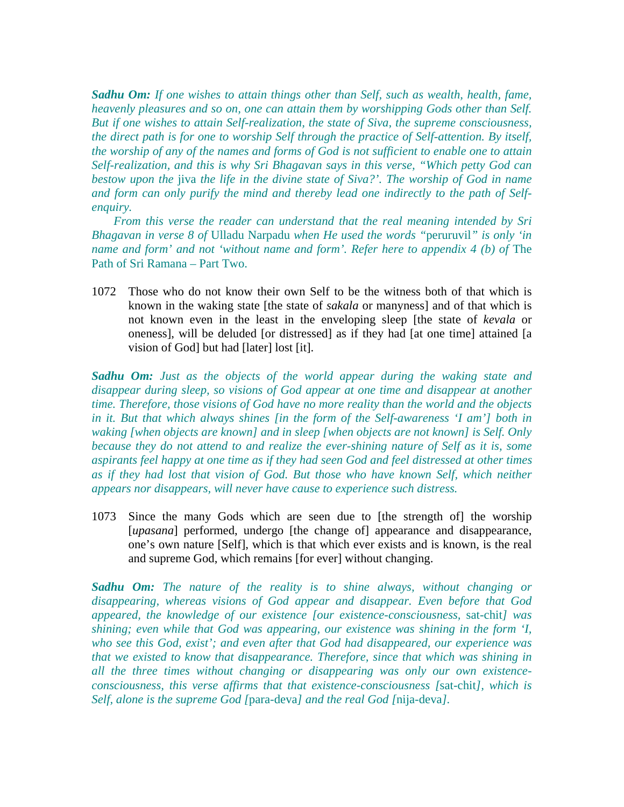*Sadhu Om: If one wishes to attain things other than Self, such as wealth, health, fame, heavenly pleasures and so on, one can attain them by worshipping Gods other than Self. But if one wishes to attain Self-realization, the state of Siva, the supreme consciousness, the direct path is for one to worship Self through the practice of Self-attention. By itself, the worship of any of the names and forms of God is not sufficient to enable one to attain Self-realization, and this is why Sri Bhagavan says in this verse, "Which petty God can bestow upon the* jiva *the life in the divine state of Siva?'. The worship of God in name and form can only purify the mind and thereby lead one indirectly to the path of Selfenquiry.* 

*From this verse the reader can understand that the real meaning intended by Sri Bhagavan in verse 8 of* Ulladu Narpadu *when He used the words "*peruruvil*" is only 'in name and form' and not 'without name and form'. Refer here to appendix 4 (b) of The* Path of Sri Ramana – Part Two.

1072 Those who do not know their own Self to be the witness both of that which is known in the waking state [the state of *sakala* or manyness] and of that which is not known even in the least in the enveloping sleep [the state of *kevala* or oneness], will be deluded [or distressed] as if they had [at one time] attained [a vision of God] but had [later] lost [it].

*Sadhu Om: Just as the objects of the world appear during the waking state and disappear during sleep, so visions of God appear at one time and disappear at another time. Therefore, those visions of God have no more reality than the world and the objects in it. But that which always shines [in the form of the Self-awareness 'I am'] both in waking [when objects are known] and in sleep [when objects are not known] is Self. Only because they do not attend to and realize the ever-shining nature of Self as it is, some aspirants feel happy at one time as if they had seen God and feel distressed at other times*  as if they had lost that vision of God. But those who have known Self, which neither *appears nor disappears, will never have cause to experience such distress.* 

1073 Since the many Gods which are seen due to [the strength of] the worship [*upasana*] performed, undergo [the change of] appearance and disappearance, one's own nature [Self], which is that which ever exists and is known, is the real and supreme God, which remains [for ever] without changing.

*Sadhu Om: The nature of the reality is to shine always, without changing or disappearing, whereas visions of God appear and disappear. Even before that God appeared, the knowledge of our existence [our existence-consciousness,* sat-chit*] was shining; even while that God was appearing, our existence was shining in the form 'I, who see this God, exist'; and even after that God had disappeared, our experience was that we existed to know that disappearance. Therefore, since that which was shining in all the three times without changing or disappearing was only our own existenceconsciousness, this verse affirms that that existence-consciousness [*sat-chit*], which is Self, alone is the supreme God [*para-deva*] and the real God [*nija-deva*].*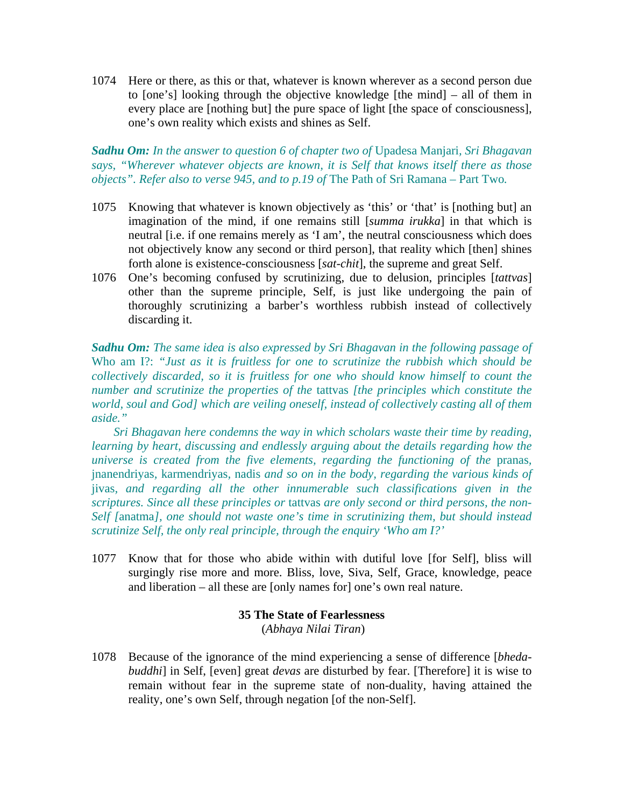1074 Here or there, as this or that, whatever is known wherever as a second person due to [one's] looking through the objective knowledge [the mind] – all of them in every place are [nothing but] the pure space of light [the space of consciousness], one's own reality which exists and shines as Self.

*Sadhu Om: In the answer to question 6 of chapter two of* Upadesa Manjari*, Sri Bhagavan says, "Wherever whatever objects are known, it is Self that knows itself there as those objects". Refer also to verse 945, and to p.19 of* The Path of Sri Ramana – Part Two*.* 

- 1075 Knowing that whatever is known objectively as 'this' or 'that' is [nothing but] an imagination of the mind, if one remains still [*summa irukka*] in that which is neutral [i.e. if one remains merely as 'I am', the neutral consciousness which does not objectively know any second or third person], that reality which [then] shines forth alone is existence-consciousness [*sat-chit*], the supreme and great Self.
- 1076 One's becoming confused by scrutinizing, due to delusion, principles [*tattvas*] other than the supreme principle, Self, is just like undergoing the pain of thoroughly scrutinizing a barber's worthless rubbish instead of collectively discarding it.

*Sadhu Om: The same idea is also expressed by Sri Bhagavan in the following passage of*  Who am I?: *"Just as it is fruitless for one to scrutinize the rubbish which should be collectively discarded, so it is fruitless for one who should know himself to count the number and scrutinize the properties of the* tattvas *[the principles which constitute the world, soul and God] which are veiling oneself, instead of collectively casting all of them aside."* 

 *Sri Bhagavan here condemns the way in which scholars waste their time by reading, learning by heart, discussing and endlessly arguing about the details regarding how the universe is created from the five elements, regarding the functioning of the* pranas*,*  jnanendriyas*,* karmendriyas*,* nadis *and so on in the body, regarding the various kinds of*  jivas*, and regarding all the other innumerable such classifications given in the scriptures. Since all these principles or* tattvas *are only second or third persons, the non-Self [*anatma*], one should not waste one's time in scrutinizing them, but should instead scrutinize Self, the only real principle, through the enquiry 'Who am I?'* 

1077 Know that for those who abide within with dutiful love [for Self], bliss will surgingly rise more and more. Bliss, love, Siva, Self, Grace, knowledge, peace and liberation – all these are [only names for] one's own real nature.

## **35 The State of Fearlessness**  (*Abhaya Nilai Tiran*)

1078 Because of the ignorance of the mind experiencing a sense of difference [*bhedabuddhi*] in Self, [even] great *devas* are disturbed by fear. [Therefore] it is wise to remain without fear in the supreme state of non-duality, having attained the reality, one's own Self, through negation [of the non-Self].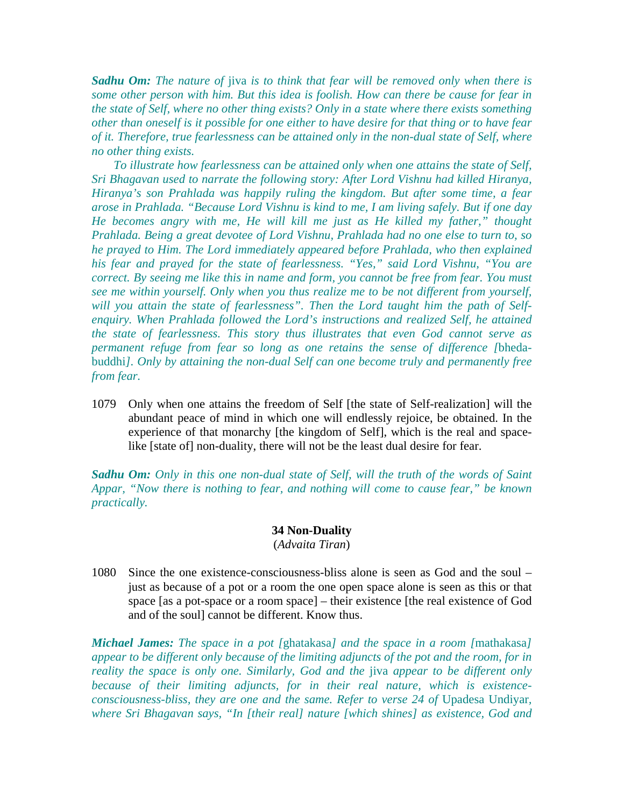*Sadhu Om: The nature of* jiva *is to think that fear will be removed only when there is some other person with him. But this idea is foolish. How can there be cause for fear in the state of Self, where no other thing exists? Only in a state where there exists something other than oneself is it possible for one either to have desire for that thing or to have fear of it. Therefore, true fearlessness can be attained only in the non-dual state of Self, where no other thing exists.* 

 *To illustrate how fearlessness can be attained only when one attains the state of Self, Sri Bhagavan used to narrate the following story: After Lord Vishnu had killed Hiranya, Hiranya's son Prahlada was happily ruling the kingdom. But after some time, a fear arose in Prahlada. "Because Lord Vishnu is kind to me, I am living safely. But if one day He becomes angry with me, He will kill me just as He killed my father," thought Prahlada. Being a great devotee of Lord Vishnu, Prahlada had no one else to turn to, so he prayed to Him. The Lord immediately appeared before Prahlada, who then explained his fear and prayed for the state of fearlessness. "Yes," said Lord Vishnu, "You are correct. By seeing me like this in name and form, you cannot be free from fear. You must see me within yourself. Only when you thus realize me to be not different from yourself, will you attain the state of fearlessness". Then the Lord taught him the path of Selfenquiry. When Prahlada followed the Lord's instructions and realized Self, he attained the state of fearlessness. This story thus illustrates that even God cannot serve as permanent refuge from fear so long as one retains the sense of difference [*bhedabuddhi*]. Only by attaining the non-dual Self can one become truly and permanently free from fear.* 

1079 Only when one attains the freedom of Self [the state of Self-realization] will the abundant peace of mind in which one will endlessly rejoice, be obtained. In the experience of that monarchy [the kingdom of Self], which is the real and spacelike [state of] non-duality, there will not be the least dual desire for fear.

*Sadhu Om: Only in this one non-dual state of Self, will the truth of the words of Saint Appar, "Now there is nothing to fear, and nothing will come to cause fear," be known practically.* 

## **34 Non-Duality**

(*Advaita Tiran*)

1080 Since the one existence-consciousness-bliss alone is seen as God and the soul – just as because of a pot or a room the one open space alone is seen as this or that space [as a pot-space or a room space] – their existence [the real existence of God and of the soul] cannot be different. Know thus.

*Michael James: The space in a pot [*ghatakasa*] and the space in a room [*mathakasa*] appear to be different only because of the limiting adjuncts of the pot and the room, for in reality the space is only one. Similarly, God and the* jiva *appear to be different only because of their limiting adjuncts, for in their real nature, which is existenceconsciousness-bliss, they are one and the same. Refer to verse 24 of* Upadesa Undiyar*, where Sri Bhagavan says, "In [their real] nature [which shines] as existence, God and*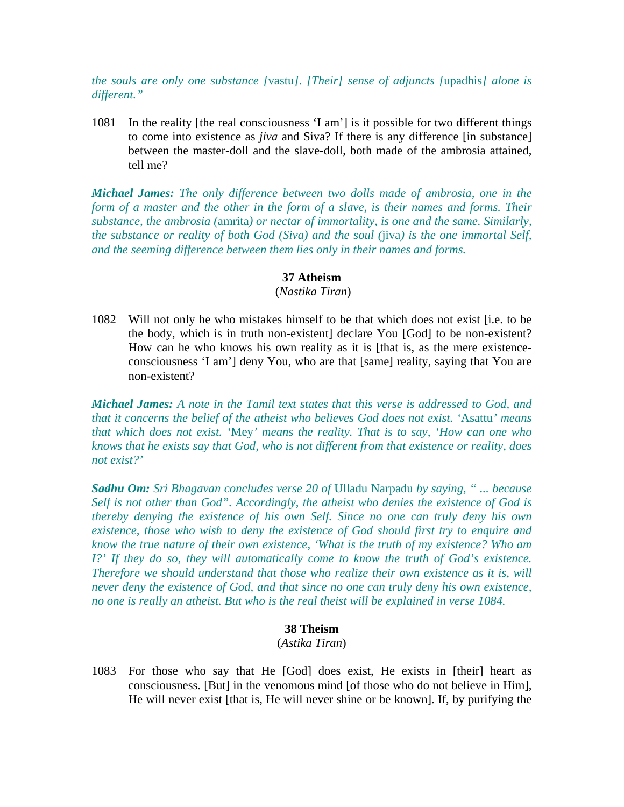*the souls are only one substance [*vastu*]. [Their] sense of adjuncts [*upadhis*] alone is different."* 

1081 In the reality [the real consciousness 'I am'] is it possible for two different things to come into existence as *jiva* and Siva? If there is any difference [in substance] between the master-doll and the slave-doll, both made of the ambrosia attained, tell me?

*Michael James: The only difference between two dolls made of ambrosia, one in the form of a master and the other in the form of a slave, is their names and forms. Their substance, the ambrosia (*amrita*) or nectar of immortality, is one and the same. Similarly, the substance or reality of both God (Siva) and the soul (*jiva*) is the one immortal Self, and the seeming difference between them lies only in their names and forms.* 

#### **37 Atheism**

#### (*Nastika Tiran*)

1082 Will not only he who mistakes himself to be that which does not exist [i.e. to be the body, which is in truth non-existent] declare You [God] to be non-existent? How can he who knows his own reality as it is [that is, as the mere existenceconsciousness 'I am'] deny You, who are that [same] reality, saying that You are non-existent?

*Michael James: A note in the Tamil text states that this verse is addressed to God, and that it concerns the belief of the atheist who believes God does not exist. '*Asattu*' means that which does not exist. '*Mey*' means the reality. That is to say, 'How can one who knows that he exists say that God, who is not different from that existence or reality, does not exist?'* 

*Sadhu Om: Sri Bhagavan concludes verse 20 of* Ulladu Narpadu *by saying, " ... because Self is not other than God". Accordingly, the atheist who denies the existence of God is thereby denying the existence of his own Self. Since no one can truly deny his own existence, those who wish to deny the existence of God should first try to enquire and know the true nature of their own existence, 'What is the truth of my existence? Who am I?' If they do so, they will automatically come to know the truth of God's existence. Therefore we should understand that those who realize their own existence as it is, will never deny the existence of God, and that since no one can truly deny his own existence,*  no one is really an atheist. But who is the real theist will be explained in verse 1084.

#### **38 Theism**

#### (*Astika Tiran*)

1083 For those who say that He [God] does exist, He exists in [their] heart as consciousness. [But] in the venomous mind [of those who do not believe in Him], He will never exist [that is, He will never shine or be known]. If, by purifying the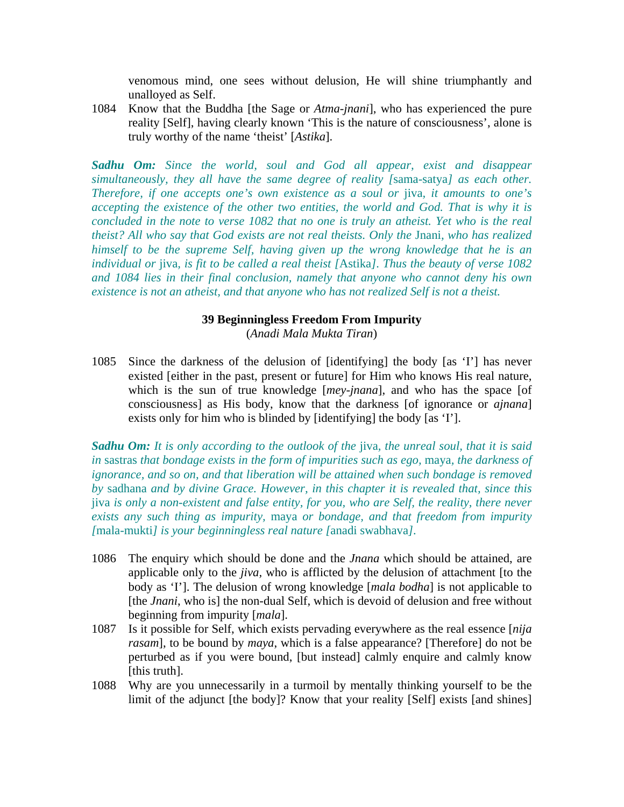venomous mind, one sees without delusion, He will shine triumphantly and unalloyed as Self.

1084 Know that the Buddha [the Sage or *Atma-jnani*], who has experienced the pure reality [Self], having clearly known 'This is the nature of consciousness', alone is truly worthy of the name 'theist' [*Astika*].

*Sadhu Om: Since the world, soul and God all appear, exist and disappear simultaneously, they all have the same degree of reality [*sama-satya*] as each other. Therefore, if one accepts one's own existence as a soul or jiva, it amounts to one's accepting the existence of the other two entities, the world and God. That is why it is concluded in the note to verse 1082 that no one is truly an atheist. Yet who is the real theist? All who say that God exists are not real theists. Only the* Jnani*, who has realized himself to be the supreme Self, having given up the wrong knowledge that he is an individual or* jiva*, is fit to be called a real theist [*Astika*]. Thus the beauty of verse 1082 and 1084 lies in their final conclusion, namely that anyone who cannot deny his own existence is not an atheist, and that anyone who has not realized Self is not a theist.* 

# **39 Beginningless Freedom From Impurity**

(*Anadi Mala Mukta Tiran*)

1085 Since the darkness of the delusion of [identifying] the body [as 'I'] has never existed [either in the past, present or future] for Him who knows His real nature, which is the sun of true knowledge [*mey-jnana*], and who has the space [of consciousness] as His body, know that the darkness [of ignorance or *ajnana*] exists only for him who is blinded by [identifying] the body [as 'I'].

*Sadhu Om: It is only according to the outlook of the* jiva*, the unreal soul, that it is said in* sastras *that bondage exists in the form of impurities such as ego,* maya*, the darkness of ignorance, and so on, and that liberation will be attained when such bondage is removed by* sadhana *and by divine Grace. However, in this chapter it is revealed that, since this*  jiva *is only a non-existent and false entity, for you, who are Self, the reality, there never exists any such thing as impurity,* maya *or bondage, and that freedom from impurity [*mala-mukti*] is your beginningless real nature [*anadi swabhava*].* 

- 1086 The enquiry which should be done and the *Jnana* which should be attained, are applicable only to the *jiva,* who is afflicted by the delusion of attachment [to the body as 'I']. The delusion of wrong knowledge [*mala bodha*] is not applicable to [the *Jnani*, who is] the non-dual Self, which is devoid of delusion and free without beginning from impurity [*mala*].
- 1087 Is it possible for Self, which exists pervading everywhere as the real essence [*nija rasam*], to be bound by *maya*, which is a false appearance? [Therefore] do not be perturbed as if you were bound, [but instead] calmly enquire and calmly know [this truth].
- 1088 Why are you unnecessarily in a turmoil by mentally thinking yourself to be the limit of the adjunct [the body]? Know that your reality [Self] exists [and shines]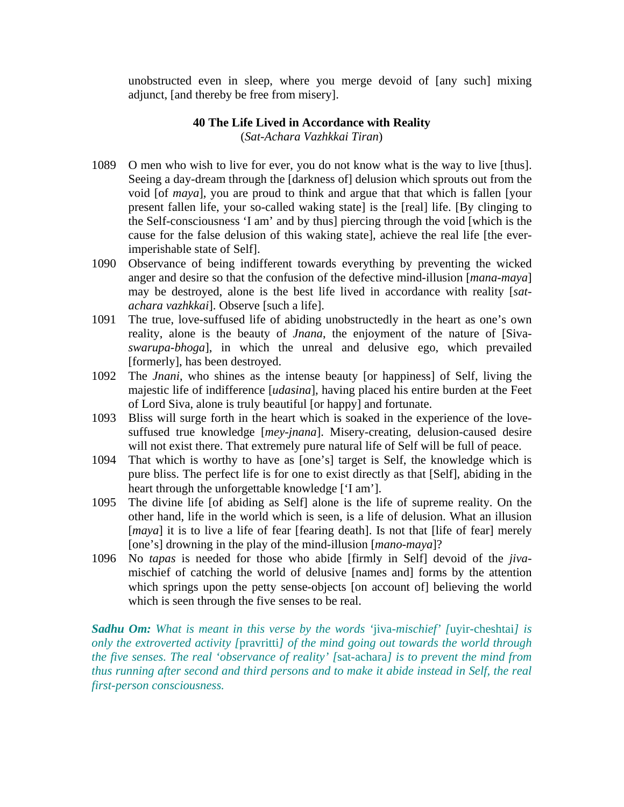unobstructed even in sleep, where you merge devoid of [any such] mixing adjunct, [and thereby be free from misery].

## **40 The Life Lived in Accordance with Reality**  (*Sat-Achara Vazhkkai Tiran*)

- 1089 O men who wish to live for ever, you do not know what is the way to live [thus]. Seeing a day-dream through the [darkness of] delusion which sprouts out from the void [of *maya*], you are proud to think and argue that that which is fallen [your present fallen life, your so-called waking state] is the [real] life. [By clinging to the Self-consciousness 'I am' and by thus] piercing through the void [which is the cause for the false delusion of this waking state], achieve the real life [the everimperishable state of Self].
- 1090 Observance of being indifferent towards everything by preventing the wicked anger and desire so that the confusion of the defective mind-illusion [*mana-maya*] may be destroyed, alone is the best life lived in accordance with reality [*satachara vazhkkai*]. Observe [such a life].
- 1091 The true, love-suffused life of abiding unobstructedly in the heart as one's own reality, alone is the beauty of *Jnana*, the enjoyment of the nature of [Siva*swarupa-bhoga*], in which the unreal and delusive ego, which prevailed [formerly], has been destroyed.
- 1092 The *Jnani*, who shines as the intense beauty [or happiness] of Self, living the majestic life of indifference [*udasina*], having placed his entire burden at the Feet of Lord Siva, alone is truly beautiful [or happy] and fortunate.
- 1093 Bliss will surge forth in the heart which is soaked in the experience of the lovesuffused true knowledge [*mey-jnana*]. Misery-creating, delusion-caused desire will not exist there. That extremely pure natural life of Self will be full of peace.
- 1094 That which is worthy to have as [one's] target is Self, the knowledge which is pure bliss. The perfect life is for one to exist directly as that [Self], abiding in the heart through the unforgettable knowledge ['I am'].
- 1095 The divine life [of abiding as Self] alone is the life of supreme reality. On the other hand, life in the world which is seen, is a life of delusion. What an illusion [*maya*] it is to live a life of fear [fearing death]. Is not that [life of fear] merely [one's] drowning in the play of the mind-illusion [*mano-maya*]?
- 1096 No *tapas* is needed for those who abide [firmly in Self] devoid of the *jiva*mischief of catching the world of delusive [names and] forms by the attention which springs upon the petty sense-objects [on account of] believing the world which is seen through the five senses to be real.

*Sadhu Om: What is meant in this verse by the words '*jiva*-mischief' [*uyir-cheshtai*] is only the extroverted activity [*pravritti*] of the mind going out towards the world through the five senses. The real 'observance of reality' [*sat-achara*] is to prevent the mind from thus running after second and third persons and to make it abide instead in Self, the real first-person consciousness.*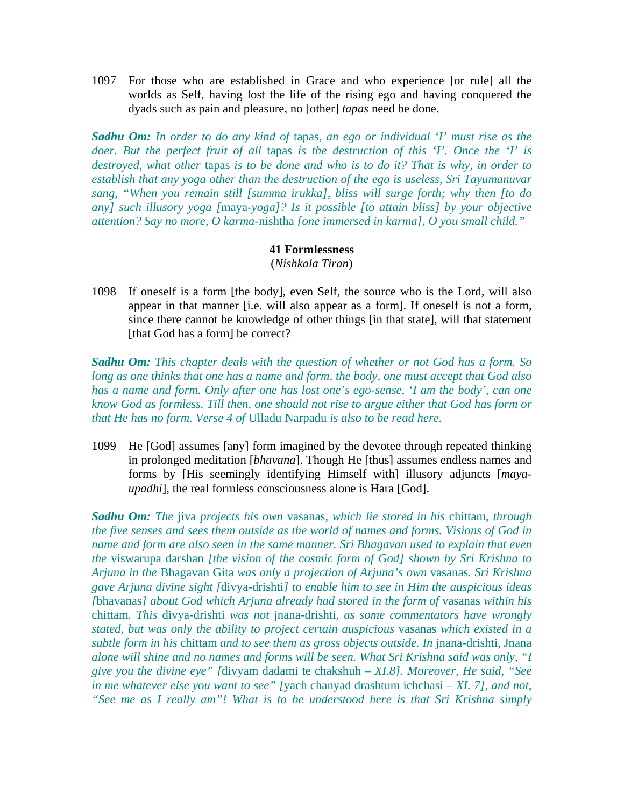1097 For those who are established in Grace and who experience [or rule] all the worlds as Self, having lost the life of the rising ego and having conquered the dyads such as pain and pleasure, no [other] *tapas* need be done.

*Sadhu Om: In order to do any kind of* tapas*, an ego or individual 'I' must rise as the doer. But the perfect fruit of all* tapas *is the destruction of this 'I'. Once the 'I' is destroyed, what other* tapas *is to be done and who is to do it? That is why, in order to establish that any yoga other than the destruction of the ego is useless, Sri Tayumanuvar sang, "When you remain still [summa irukka], bliss will surge forth; why then [to do any] such illusory yoga [*maya*-yoga]? Is it possible [to attain bliss] by your objective attention? Say no more, O karma-*nishtha *[one immersed in karma], O you small child."* 

## **41 Formlessness**

(*Nishkala Tiran*)

1098 If oneself is a form [the body], even Self, the source who is the Lord, will also appear in that manner [i.e. will also appear as a form]. If oneself is not a form, since there cannot be knowledge of other things [in that state], will that statement [that God has a form] be correct?

*Sadhu Om: This chapter deals with the question of whether or not God has a form. So long as one thinks that one has a name and form, the body, one must accept that God also has a name and form. Only after one has lost one's ego-sense, 'I am the body', can one know God as formless. Till then, one should not rise to argue either that God has form or that He has no form. Verse 4 of* Ulladu Narpadu *is also to be read here.* 

1099 He [God] assumes [any] form imagined by the devotee through repeated thinking in prolonged meditation [*bhavana*]. Though He [thus] assumes endless names and forms by [His seemingly identifying Himself with] illusory adjuncts [*mayaupadhi*], the real formless consciousness alone is Hara [God].

*Sadhu Om: The* jiva *projects his own* vasanas*, which lie stored in his* chittam*, through the five senses and sees them outside as the world of names and forms. Visions of God in name and form are also seen in the same manner. Sri Bhagavan used to explain that even the* viswarupa darshan *[the vision of the cosmic form of God] shown by Sri Krishna to Arjuna in the* Bhagavan Gita *was only a projection of Arjuna's own* vasanas*. Sri Krishna gave Arjuna divine sight [*divya-drishti*] to enable him to see in Him the auspicious ideas [*bhavanas*] about God which Arjuna already had stored in the form of* vasanas *within his*  chittam*. This* divya-drishti *was not* jnana-drishti*, as some commentators have wrongly stated, but was only the ability to project certain auspicious* vasanas *which existed in a subtle form in his* chittam *and to see them as gross objects outside. In* jnana-drishti*,* Jnana *alone will shine and no names and forms will be seen. What Sri Krishna said was only, "I give you the divine eye" [*divyam dadami te chakshuh *– XI.8]. Moreover, He said, "See in me whatever else you want to see" [*yach chanyad drashtum ichchasi – *XI. 7], and not, "See me as I really am"! What is to be understood here is that Sri Krishna simply*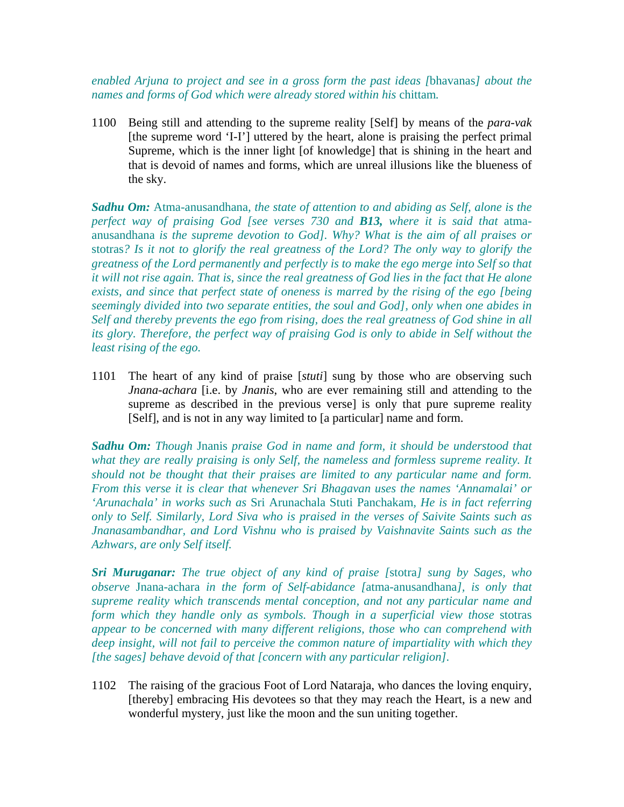*enabled Arjuna to project and see in a gross form the past ideas [*bhavanas*] about the names and forms of God which were already stored within his* chittam*.* 

1100 Being still and attending to the supreme reality [Self] by means of the *para-vak* [the supreme word 'I-I'] uttered by the heart, alone is praising the perfect primal Supreme, which is the inner light [of knowledge] that is shining in the heart and that is devoid of names and forms, which are unreal illusions like the blueness of the sky.

*Sadhu Om:* Atma-anusandhana*, the state of attention to and abiding as Self, alone is the perfect way of praising God [see verses 730 and B13, where it is said that* atmaanusandhana *is the supreme devotion to God]. Why? What is the aim of all praises or*  stotras*? Is it not to glorify the real greatness of the Lord? The only way to glorify the greatness of the Lord permanently and perfectly is to make the ego merge into Self so that it will not rise again. That is, since the real greatness of God lies in the fact that He alone exists, and since that perfect state of oneness is marred by the rising of the ego [being seemingly divided into two separate entities, the soul and God], only when one abides in Self and thereby prevents the ego from rising, does the real greatness of God shine in all its glory. Therefore, the perfect way of praising God is only to abide in Self without the least rising of the ego.* 

1101 The heart of any kind of praise [*stuti*] sung by those who are observing such *Jnana-achara* [i.e. by *Jnanis*, who are ever remaining still and attending to the supreme as described in the previous versel is only that pure supreme reality [Self], and is not in any way limited to [a particular] name and form.

*Sadhu Om: Though* Jnanis *praise God in name and form, it should be understood that what they are really praising is only Self, the nameless and formless supreme reality. It should not be thought that their praises are limited to any particular name and form. From this verse it is clear that whenever Sri Bhagavan uses the names 'Annamalai' or 'Arunachala' in works such as* Sri Arunachala Stuti Panchakam*, He is in fact referring only to Self. Similarly, Lord Siva who is praised in the verses of Saivite Saints such as Jnanasambandhar, and Lord Vishnu who is praised by Vaishnavite Saints such as the Azhwars, are only Self itself.* 

*Sri Muruganar: The true object of any kind of praise [*stotra*] sung by Sages, who observe* Jnana-achara *in the form of Self-abidance [*atma-anusandhana*], is only that supreme reality which transcends mental conception, and not any particular name and form which they handle only as symbols. Though in a superficial view those* stotras *appear to be concerned with many different religions, those who can comprehend with deep insight, will not fail to perceive the common nature of impartiality with which they [the sages] behave devoid of that [concern with any particular religion].* 

1102 The raising of the gracious Foot of Lord Nataraja, who dances the loving enquiry, [thereby] embracing His devotees so that they may reach the Heart, is a new and wonderful mystery, just like the moon and the sun uniting together.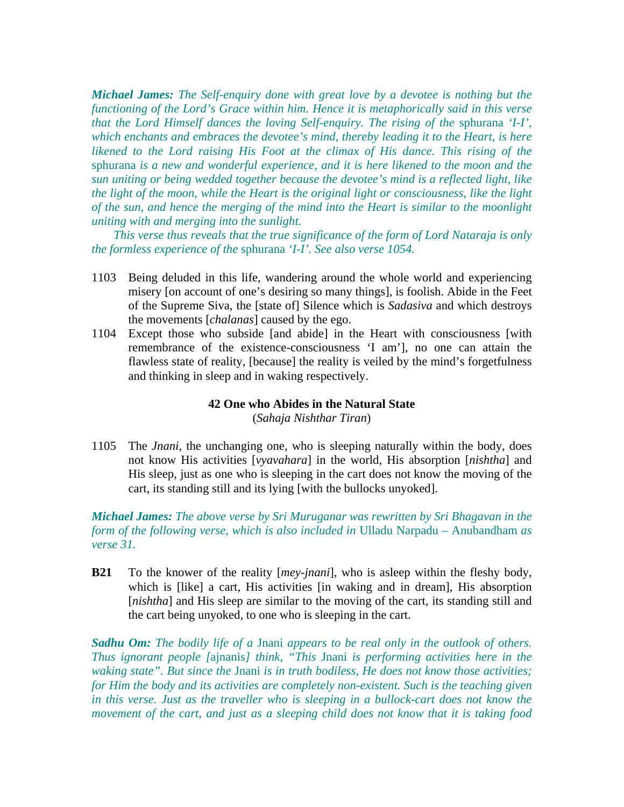*Michael James: The Self-enquiry done with great love by a devotee is nothing but the functioning of the Lord's Grace within him. Hence it is metaphorically said in this verse that the Lord Himself dances the loving Self-enquiry. The rising of the sphurana 'I-I', which enchants and embraces the devotee's mind, thereby leading it to the Heart, is here likened to the Lord raising His Foot at the climax of His dance. This rising of the*  sphurana *is a new and wonderful experience, and it is here likened to the moon and the sun uniting or being wedded together because the devotee's mind is a reflected light, like the light of the moon, while the Heart is the original light or consciousness, like the light of the sun, and hence the merging of the mind into the Heart is similar to the moonlight uniting with and merging into the sunlight.* 

 *This verse thus reveals that the true significance of the form of Lord Nataraja is only the formless experience of the* sphurana *'I-I'. See also verse 1054.* 

- 1103 Being deluded in this life, wandering around the whole world and experiencing misery [on account of one's desiring so many things], is foolish. Abide in the Feet of the Supreme Siva, the [state of] Silence which is *Sadasiva* and which destroys the movements [*chalanas*] caused by the ego.
- 1104 Except those who subside [and abide] in the Heart with consciousness [with remembrance of the existence-consciousness 'I am'], no one can attain the flawless state of reality, [because] the reality is veiled by the mind's forgetfulness and thinking in sleep and in waking respectively.

#### **42 One who Abides in the Natural State**  (*Sahaja Nishthar Tiran*)

1105 The *Jnani*, the unchanging one, who is sleeping naturally within the body, does not know His activities [*vyavahara*] in the world, His absorption [*nishtha*] and His sleep, just as one who is sleeping in the cart does not know the moving of the cart, its standing still and its lying [with the bullocks unyoked].

*Michael James: The above verse by Sri Muruganar was rewritten by Sri Bhagavan in the form of the following verse, which is also included in* Ulladu Narpadu – Anubandham *as verse 31.* 

**B21** To the knower of the reality [*mey-jnani*], who is asleep within the fleshy body, which is [like] a cart, His activities [in waking and in dream], His absorption [*nishtha*] and His sleep are similar to the moving of the cart, its standing still and the cart being unyoked, to one who is sleeping in the cart.

*Sadhu Om: The bodily life of a* Jnani *appears to be real only in the outlook of others. Thus ignorant people [*ajnanis*] think, "This* Jnani *is performing activities here in the waking state". But since the* Jnani *is in truth bodiless, He does not know those activities; for Him the body and its activities are completely non-existent. Such is the teaching given in this verse. Just as the traveller who is sleeping in a bullock-cart does not know the movement of the cart, and just as a sleeping child does not know that it is taking food*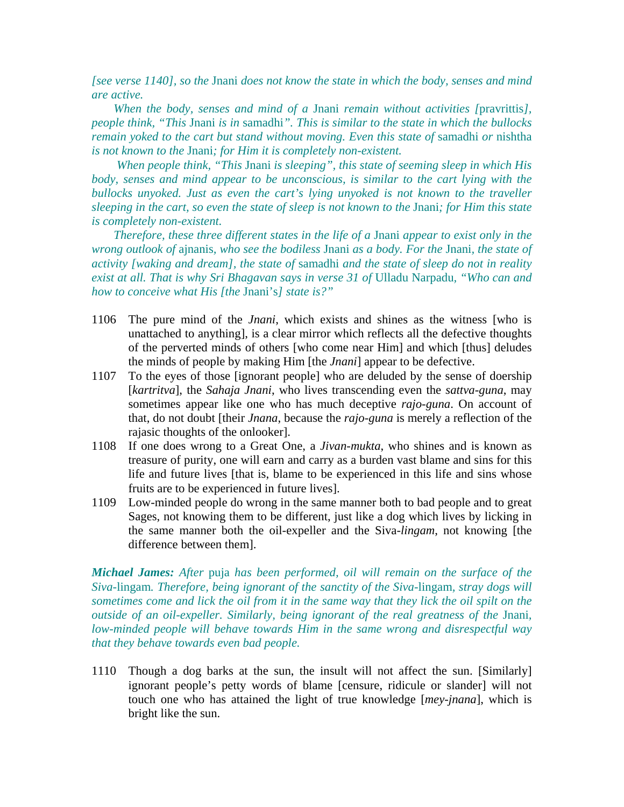*[see verse 1140], so the* Jnani *does not know the state in which the body, senses and mind are active.* 

 *When the body, senses and mind of a* Jnani *remain without activities [*pravrittis*], people think, "This* Jnani *is in* samadhi*". This is similar to the state in which the bullocks remain yoked to the cart but stand without moving. Even this state of samadhi or nishtha is not known to the* Jnani*; for Him it is completely non-existent.* 

 *When people think, "This* Jnani *is sleeping", this state of seeming sleep in which His*  body, senses and mind appear to be unconscious, is similar to the cart lying with the *bullocks unyoked. Just as even the cart's lying unyoked is not known to the traveller sleeping in the cart, so even the state of sleep is not known to the* Jnani*; for Him this state is completely non-existent.* 

 *Therefore, these three different states in the life of a* Jnani *appear to exist only in the wrong outlook of* ajnanis*, who see the bodiless* Jnani *as a body. For the* Jnani*, the state of activity [waking and dream], the state of* samadhi *and the state of sleep do not in reality exist at all. That is why Sri Bhagavan says in verse 31 of* Ulladu Narpadu*, "Who can and how to conceive what His [the* Jnani's*] state is?"* 

- 1106 The pure mind of the *Jnani*, which exists and shines as the witness [who is unattached to anything], is a clear mirror which reflects all the defective thoughts of the perverted minds of others [who come near Him] and which [thus] deludes the minds of people by making Him [the *Jnani*] appear to be defective.
- 1107 To the eyes of those [ignorant people] who are deluded by the sense of doership [*kartritva*], the *Sahaja Jnani*, who lives transcending even the *sattva-guna*, may sometimes appear like one who has much deceptive *rajo-guna*. On account of that, do not doubt [their *Jnana*, because the *rajo-guna* is merely a reflection of the rajasic thoughts of the onlooker].
- 1108 If one does wrong to a Great One, a *Jivan-mukta*, who shines and is known as treasure of purity, one will earn and carry as a burden vast blame and sins for this life and future lives [that is, blame to be experienced in this life and sins whose fruits are to be experienced in future lives].
- 1109 Low-minded people do wrong in the same manner both to bad people and to great Sages, not knowing them to be different, just like a dog which lives by licking in the same manner both the oil-expeller and the Siva-*lingam*, not knowing [the difference between them].

*Michael James: After* puja *has been performed, oil will remain on the surface of the Siva-*lingam*. Therefore, being ignorant of the sanctity of the Siva-*lingam*, stray dogs will sometimes come and lick the oil from it in the same way that they lick the oil spilt on the outside of an oil-expeller. Similarly, being ignorant of the real greatness of the* Jnani*, low-minded people will behave towards Him in the same wrong and disrespectful way that they behave towards even bad people.* 

1110 Though a dog barks at the sun, the insult will not affect the sun. [Similarly] ignorant people's petty words of blame [censure, ridicule or slander] will not touch one who has attained the light of true knowledge [*mey-jnana*], which is bright like the sun.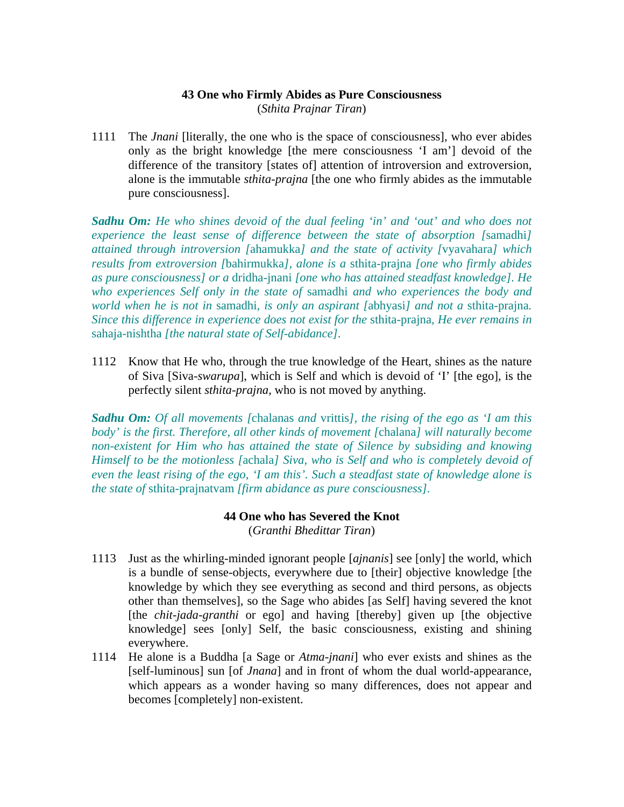## **43 One who Firmly Abides as Pure Consciousness**

(*Sthita Prajnar Tiran*)

1111 The *Jnani* [literally, the one who is the space of consciousness], who ever abides only as the bright knowledge [the mere consciousness 'I am'] devoid of the difference of the transitory [states of] attention of introversion and extroversion, alone is the immutable *sthita-prajna* [the one who firmly abides as the immutable pure consciousness].

*Sadhu Om: He who shines devoid of the dual feeling 'in' and 'out' and who does not experience the least sense of difference between the state of absorption [*samadhi*] attained through introversion [*ahamukka*] and the state of activity [*vyavahara*] which results from extroversion [*bahirmukka*], alone is a* sthita-prajna *[one who firmly abides as pure consciousness] or a* dridha-jnani *[one who has attained steadfast knowledge]. He who experiences Self only in the state of* samadhi *and who experiences the body and world when he is not in* samadhi*, is only an aspirant [*abhyasi*] and not a* sthita-prajna*. Since this difference in experience does not exist for the* sthita-prajna*, He ever remains in*  sahaja-nishtha *[the natural state of Self-abidance].* 

1112 Know that He who, through the true knowledge of the Heart, shines as the nature of Siva [Siva-*swarupa*], which is Self and which is devoid of 'I' [the ego], is the perfectly silent *sthita-prajna*, who is not moved by anything.

*Sadhu Om: Of all movements [*chalanas *and* vrittis*], the rising of the ego as 'I am this body' is the first. Therefore, all other kinds of movement [*chalana*] will naturally become non-existent for Him who has attained the state of Silence by subsiding and knowing Himself to be the motionless [*achala*] Siva, who is Self and who is completely devoid of even the least rising of the ego, 'I am this'. Such a steadfast state of knowledge alone is the state of* sthita-prajnatvam *[firm abidance as pure consciousness].* 

# **44 One who has Severed the Knot**

(*Granthi Bhedittar Tiran*)

- 1113 Just as the whirling-minded ignorant people [*ajnanis*] see [only] the world, which is a bundle of sense-objects, everywhere due to [their] objective knowledge [the knowledge by which they see everything as second and third persons, as objects other than themselves], so the Sage who abides [as Self] having severed the knot [the *chit-jada-granthi* or ego] and having [thereby] given up [the objective knowledge] sees [only] Self, the basic consciousness, existing and shining everywhere.
- 1114 He alone is a Buddha [a Sage or *Atma-jnani*] who ever exists and shines as the [self-luminous] sun [of *Jnana*] and in front of whom the dual world-appearance, which appears as a wonder having so many differences, does not appear and becomes [completely] non-existent.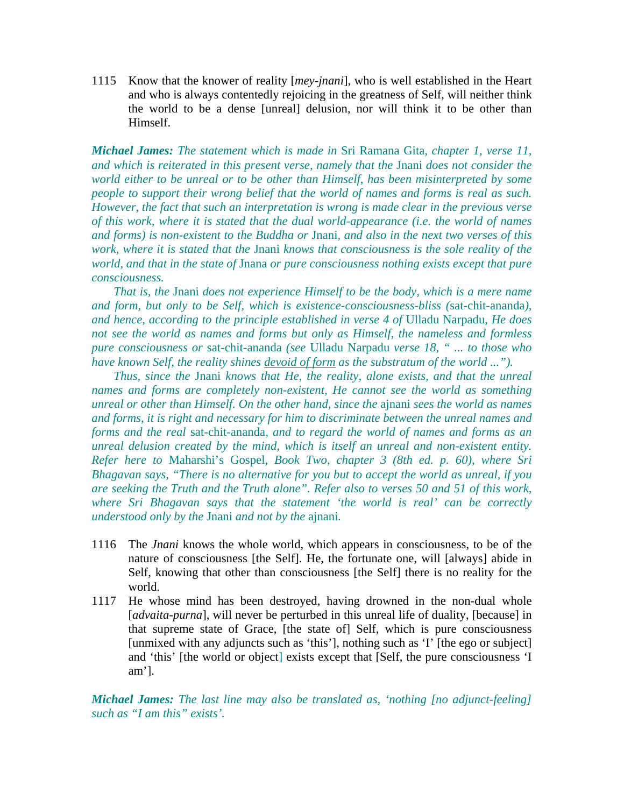1115 Know that the knower of reality [*mey-jnani*], who is well established in the Heart and who is always contentedly rejoicing in the greatness of Self, will neither think the world to be a dense [unreal] delusion, nor will think it to be other than Himself.

*Michael James: The statement which is made in* Sri Ramana Gita*, chapter 1, verse 11, and which is reiterated in this present verse, namely that the* Jnani *does not consider the world either to be unreal or to be other than Himself, has been misinterpreted by some people to support their wrong belief that the world of names and forms is real as such. However, the fact that such an interpretation is wrong is made clear in the previous verse of this work, where it is stated that the dual world-appearance (i.e. the world of names and forms) is non-existent to the Buddha or* Jnani*, and also in the next two verses of this work, where it is stated that the* Jnani *knows that consciousness is the sole reality of the world, and that in the state of* Jnana *or pure consciousness nothing exists except that pure consciousness.* 

 *That is, the* Jnani *does not experience Himself to be the body, which is a mere name and form, but only to be Self, which is existence-consciousness-bliss (*sat-chit-ananda*), and hence, according to the principle established in verse 4 of* Ulladu Narpadu*, He does not see the world as names and forms but only as Himself, the nameless and formless pure consciousness or* sat-chit-ananda *(see* Ulladu Narpadu *verse 18, " ... to those who have known Self, the reality shines devoid of form as the substratum of the world ...").* 

 *Thus, since the* Jnani *knows that He, the reality, alone exists, and that the unreal names and forms are completely non-existent, He cannot see the world as something unreal or other than Himself. On the other hand, since the* ajnani *sees the world as names and forms, it is right and necessary for him to discriminate between the unreal names and forms and the real* sat-chit-ananda*, and to regard the world of names and forms as an unreal delusion created by the mind, which is itself an unreal and non-existent entity. Refer here to* Maharshi's Gospel*, Book Two, chapter 3 (8th ed. p. 60), where Sri Bhagavan says, "There is no alternative for you but to accept the world as unreal, if you are seeking the Truth and the Truth alone". Refer also to verses 50 and 51 of this work, where Sri Bhagavan says that the statement 'the world is real' can be correctly understood only by the* Jnani *and not by the* ajnani*.* 

- 1116 The *Jnani* knows the whole world, which appears in consciousness, to be of the nature of consciousness [the Self]. He, the fortunate one, will [always] abide in Self, knowing that other than consciousness [the Self] there is no reality for the world.
- 1117 He whose mind has been destroyed, having drowned in the non-dual whole [*advaita-purna*], will never be perturbed in this unreal life of duality, [because] in that supreme state of Grace, [the state of] Self, which is pure consciousness [unmixed with any adjuncts such as 'this'], nothing such as 'I' [the ego or subject] and 'this' [the world or object] exists except that [Self, the pure consciousness 'I am'].

*Michael James: The last line may also be translated as, 'nothing [no adjunct-feeling] such as "I am this" exists'.*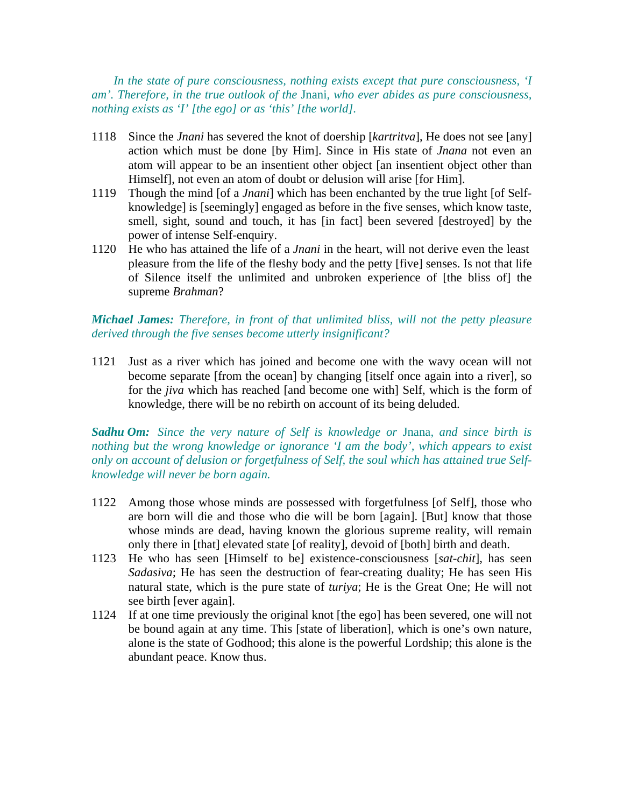*In the state of pure consciousness, nothing exists except that pure consciousness, 'I am'. Therefore, in the true outlook of the* Jnani*, who ever abides as pure consciousness, nothing exists as 'I' [the ego] or as 'this' [the world].* 

- 1118 Since the *Jnani* has severed the knot of doership [*kartritva*], He does not see [any] action which must be done [by Him]. Since in His state of *Jnana* not even an atom will appear to be an insentient other object [an insentient object other than Himself], not even an atom of doubt or delusion will arise [for Him].
- 1119 Though the mind [of a *Jnani*] which has been enchanted by the true light [of Selfknowledge] is [seemingly] engaged as before in the five senses, which know taste, smell, sight, sound and touch, it has [in fact] been severed [destroyed] by the power of intense Self-enquiry.
- 1120 He who has attained the life of a *Jnani* in the heart, will not derive even the least pleasure from the life of the fleshy body and the petty [five] senses. Is not that life of Silence itself the unlimited and unbroken experience of [the bliss of] the supreme *Brahman*?

## *Michael James: Therefore, in front of that unlimited bliss, will not the petty pleasure derived through the five senses become utterly insignificant?*

1121 Just as a river which has joined and become one with the wavy ocean will not become separate [from the ocean] by changing [itself once again into a river], so for the *jiva* which has reached [and become one with] Self, which is the form of knowledge, there will be no rebirth on account of its being deluded.

*Sadhu Om: Since the very nature of Self is knowledge or* Jnana*, and since birth is nothing but the wrong knowledge or ignorance 'I am the body', which appears to exist only on account of delusion or forgetfulness of Self, the soul which has attained true Selfknowledge will never be born again.* 

- 1122 Among those whose minds are possessed with forgetfulness [of Self], those who are born will die and those who die will be born [again]. [But] know that those whose minds are dead, having known the glorious supreme reality, will remain only there in [that] elevated state [of reality], devoid of [both] birth and death.
- 1123 He who has seen [Himself to be] existence-consciousness [*sat-chit*], has seen *Sadasiva*; He has seen the destruction of fear-creating duality; He has seen His natural state, which is the pure state of *turiya*; He is the Great One; He will not see birth [ever again].
- 1124 If at one time previously the original knot [the ego] has been severed, one will not be bound again at any time. This [state of liberation], which is one's own nature, alone is the state of Godhood; this alone is the powerful Lordship; this alone is the abundant peace. Know thus.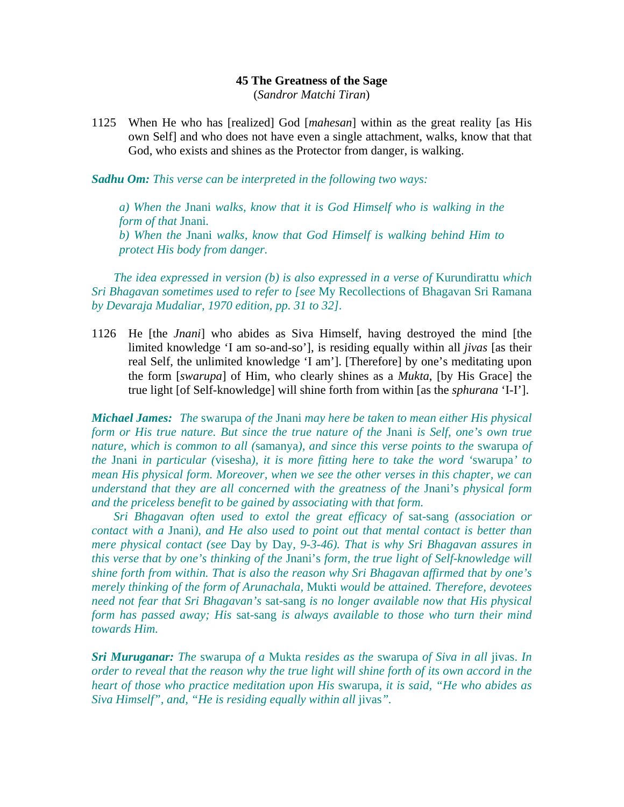## **45 The Greatness of the Sage**

(*Sandror Matchi Tiran*)

1125 When He who has [realized] God [*mahesan*] within as the great reality [as His own Self] and who does not have even a single attachment, walks, know that that God, who exists and shines as the Protector from danger, is walking.

*Sadhu Om: This verse can be interpreted in the following two ways:* 

*a) When the* Jnani *walks, know that it is God Himself who is walking in the form of that* Jnani*. b) When the* Jnani *walks, know that God Himself is walking behind Him to protect His body from danger.* 

 *The idea expressed in version (b) is also expressed in a verse of* Kurundirattu *which Sri Bhagavan sometimes used to refer to [see* My Recollections of Bhagavan Sri Ramana *by Devaraja Mudaliar, 1970 edition, pp. 31 to 32].* 

1126 He [the *Jnani*] who abides as Siva Himself, having destroyed the mind [the limited knowledge 'I am so-and-so'], is residing equally within all *jivas* [as their real Self, the unlimited knowledge 'I am']. [Therefore] by one's meditating upon the form [*swarupa*] of Him, who clearly shines as a *Mukta*, [by His Grace] the true light [of Self-knowledge] will shine forth from within [as the *sphurana* 'I-I'].

*Michael James: The* swarupa *of the* Jnani *may here be taken to mean either His physical form or His true nature. But since the true nature of the* Jnani *is Self, one's own true nature, which is common to all (*samanya*), and since this verse points to the* swarupa *of the* Jnani *in particular (*visesha*), it is more fitting here to take the word '*swarupa*' to mean His physical form. Moreover, when we see the other verses in this chapter, we can understand that they are all concerned with the greatness of the* Jnani's *physical form and the priceless benefit to be gained by associating with that form.* 

 *Sri Bhagavan often used to extol the great efficacy of* sat-sang *(association or contact with a* Jnani*), and He also used to point out that mental contact is better than mere physical contact (see* Day by Day*, 9-3-46). That is why Sri Bhagavan assures in this verse that by one's thinking of the* Jnani's *form, the true light of Self-knowledge will shine forth from within. That is also the reason why Sri Bhagavan affirmed that by one's merely thinking of the form of Arunachala,* Mukti *would be attained. Therefore, devotees need not fear that Sri Bhagavan's* sat-sang *is no longer available now that His physical form has passed away; His* sat-sang *is always available to those who turn their mind towards Him.* 

*Sri Muruganar: The* swarupa *of a* Mukta *resides as the* swarupa *of Siva in all* jivas. *In order to reveal that the reason why the true light will shine forth of its own accord in the heart of those who practice meditation upon His* swarupa*, it is said, "He who abides as Siva Himself", and, "He is residing equally within all* jivas*".*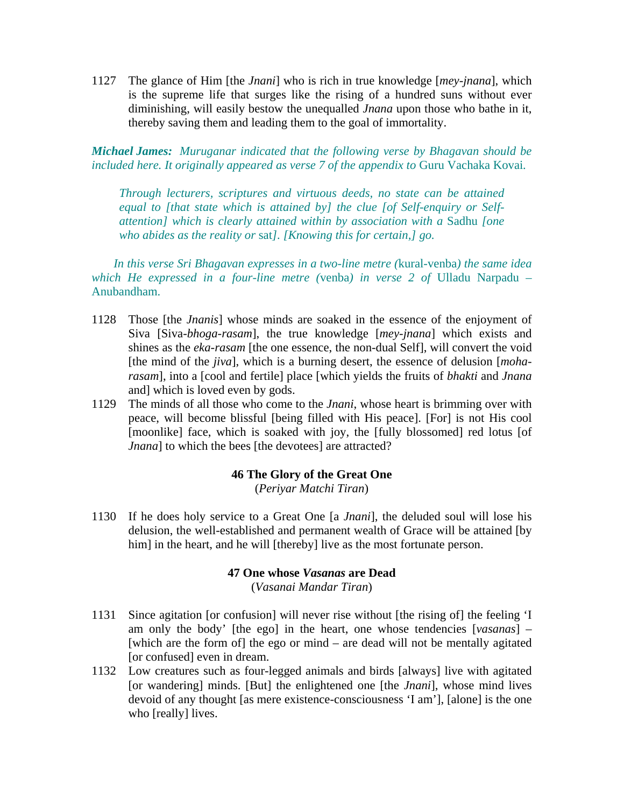1127 The glance of Him [the *Jnani*] who is rich in true knowledge [*mey-jnana*], which is the supreme life that surges like the rising of a hundred suns without ever diminishing, will easily bestow the unequalled *Jnana* upon those who bathe in it, thereby saving them and leading them to the goal of immortality.

*Michael James: Muruganar indicated that the following verse by Bhagavan should be included here. It originally appeared as verse 7 of the appendix to Guru Vachaka Kovai.* 

*Through lecturers, scriptures and virtuous deeds, no state can be attained equal to [that state which is attained by] the clue [of Self-enquiry or Selfattention] which is clearly attained within by association with a* Sadhu *[one who abides as the reality or* sat*]. [Knowing this for certain,] go.* 

 *In this verse Sri Bhagavan expresses in a two-line metre (*kural-venba*) the same idea which He expressed in a four-line metre (*venba*) in verse 2 of* Ulladu Narpadu – Anubandham.

- 1128 Those [the *Jnanis*] whose minds are soaked in the essence of the enjoyment of Siva [Siva-*bhoga-rasam*], the true knowledge [*mey-jnana*] which exists and shines as the *eka-rasam* [the one essence, the non-dual Self], will convert the void [the mind of the *jiva*], which is a burning desert, the essence of delusion [*moharasam*], into a [cool and fertile] place [which yields the fruits of *bhakti* and *Jnana* and] which is loved even by gods.
- 1129 The minds of all those who come to the *Jnani*, whose heart is brimming over with peace, will become blissful [being filled with His peace]. [For] is not His cool [moonlike] face, which is soaked with joy, the [fully blossomed] red lotus [of *Jnana*] to which the bees [the devotees] are attracted?

# **46 The Glory of the Great One**

(*Periyar Matchi Tiran*)

1130 If he does holy service to a Great One [a *Jnani*], the deluded soul will lose his delusion, the well-established and permanent wealth of Grace will be attained [by him] in the heart, and he will [thereby] live as the most fortunate person.

## **47 One whose** *Vasanas* **are Dead**

(*Vasanai Mandar Tiran*)

- 1131 Since agitation [or confusion] will never rise without [the rising of] the feeling 'I am only the body' [the ego] in the heart, one whose tendencies [*vasanas*] – [which are the form of] the ego or mind – are dead will not be mentally agitated [or confused] even in dream.
- 1132 Low creatures such as four-legged animals and birds [always] live with agitated [or wandering] minds. [But] the enlightened one [the *Jnani*], whose mind lives devoid of any thought [as mere existence-consciousness 'I am'], [alone] is the one who [really] lives.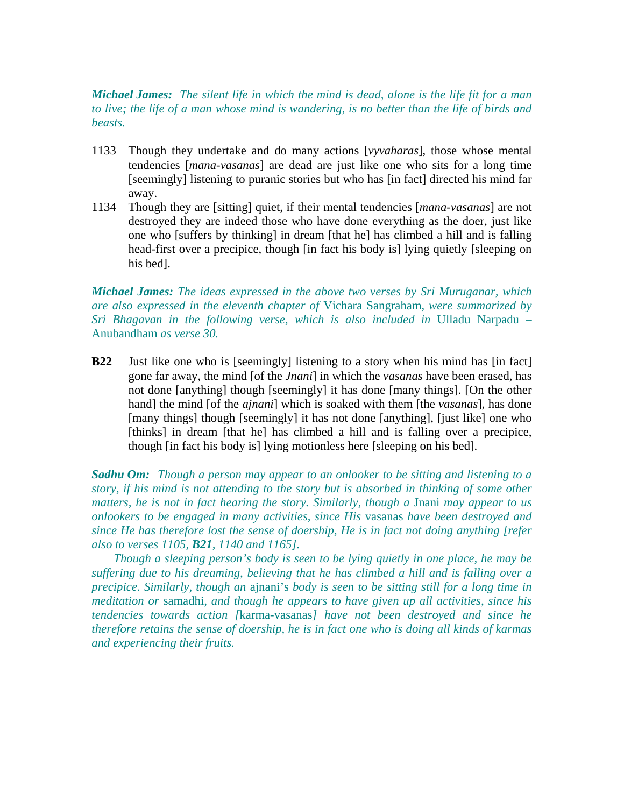*Michael James: The silent life in which the mind is dead, alone is the life fit for a man to live; the life of a man whose mind is wandering, is no better than the life of birds and beasts.* 

- 1133 Though they undertake and do many actions [*vyvaharas*], those whose mental tendencies [*mana-vasanas*] are dead are just like one who sits for a long time [seemingly] listening to puranic stories but who has [in fact] directed his mind far away.
- 1134 Though they are [sitting] quiet, if their mental tendencies [*mana-vasanas*] are not destroyed they are indeed those who have done everything as the doer, just like one who [suffers by thinking] in dream [that he] has climbed a hill and is falling head-first over a precipice, though [in fact his body is] lying quietly [sleeping on his bed].

## *Michael James: The ideas expressed in the above two verses by Sri Muruganar, which are also expressed in the eleventh chapter of* Vichara Sangraham*, were summarized by Sri Bhagavan in the following verse, which is also included in* Ulladu Narpadu – Anubandham *as verse 30.*

**B22** Just like one who is [seemingly] listening to a story when his mind has [in fact] gone far away, the mind [of the *Jnani*] in which the *vasanas* have been erased, has not done [anything] though [seemingly] it has done [many things]. [On the other hand] the mind [of the *ajnani*] which is soaked with them [the *vasanas*], has done [many things] though [seemingly] it has not done [anything], [just like] one who [thinks] in dream [that he] has climbed a hill and is falling over a precipice, though [in fact his body is] lying motionless here [sleeping on his bed].

*Sadhu Om: Though a person may appear to an onlooker to be sitting and listening to a story, if his mind is not attending to the story but is absorbed in thinking of some other matters, he is not in fact hearing the story. Similarly, though a Jnani may appear to us onlookers to be engaged in many activities, since His* vasanas *have been destroyed and since He has therefore lost the sense of doership, He is in fact not doing anything [refer also to verses 1105, B21, 1140 and 1165].* 

 *Though a sleeping person's body is seen to be lying quietly in one place, he may be suffering due to his dreaming, believing that he has climbed a hill and is falling over a precipice. Similarly, though an* ajnani's *body is seen to be sitting still for a long time in meditation or* samadhi*, and though he appears to have given up all activities, since his tendencies towards action [*karma-vasanas*] have not been destroyed and since he therefore retains the sense of doership, he is in fact one who is doing all kinds of karmas and experiencing their fruits.*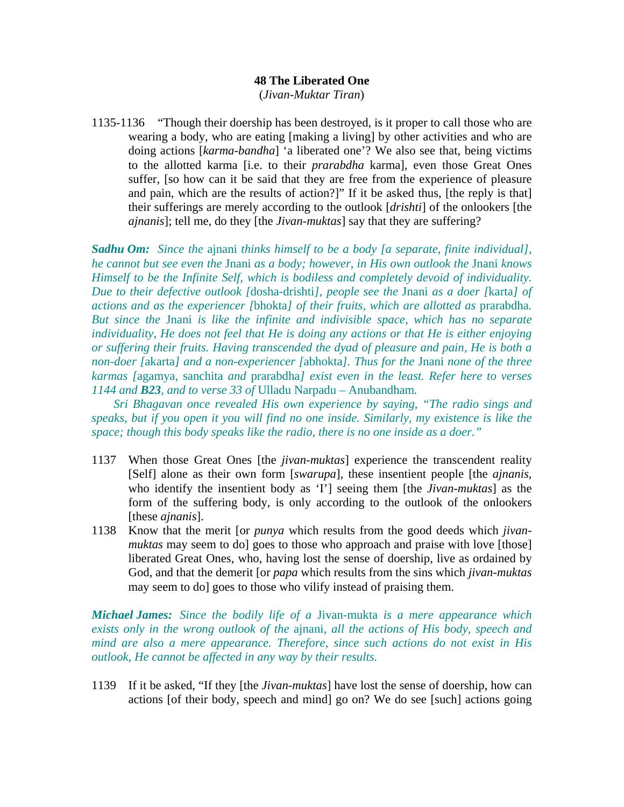## **48 The Liberated One**  (*Jivan-Muktar Tiran*)

1135-1136 "Though their doership has been destroyed, is it proper to call those who are wearing a body, who are eating [making a living] by other activities and who are doing actions [*karma-bandha*] 'a liberated one'? We also see that, being victims to the allotted karma [i.e. to their *prarabdha* karma], even those Great Ones suffer, [so how can it be said that they are free from the experience of pleasure and pain, which are the results of action?]" If it be asked thus, [the reply is that] their sufferings are merely according to the outlook [*drishti*] of the onlookers [the *ajnanis*]; tell me, do they [the *Jivan-muktas*] say that they are suffering?

*Sadhu Om: Since the* ajnani *thinks himself to be a body [a separate, finite individual], he cannot but see even the* Jnani *as a body; however, in His own outlook the* Jnani *knows Himself to be the Infinite Self, which is bodiless and completely devoid of individuality. Due to their defective outlook [*dosha-drishti*], people see the* Jnani *as a doer [*karta*] of actions and as the experiencer [*bhokta*] of their fruits, which are allotted as* prarabdha*. But since the* Jnani *is like the infinite and indivisible space, which has no separate individuality, He does not feel that He is doing any actions or that He is either enjoying or suffering their fruits. Having transcended the dyad of pleasure and pain, He is both a non-doer [*akarta*] and a non-experiencer [*abhokta*]. Thus for the* Jnani *none of the three karmas [*agamya*,* sanchita *and* prarabdha*] exist even in the least. Refer here to verses 1144 and B23, and to verse 33 of* Ulladu Narpadu – Anubandham*.* 

 *Sri Bhagavan once revealed His own experience by saying, "The radio sings and speaks, but if you open it you will find no one inside. Similarly, my existence is like the space; though this body speaks like the radio, there is no one inside as a doer."* 

- 1137 When those Great Ones [the *jivan-muktas*] experience the transcendent reality [Self] alone as their own form [*swarupa*], these insentient people [the *ajnanis*, who identify the insentient body as 'I'] seeing them [the *Jivan-muktas*] as the form of the suffering body, is only according to the outlook of the onlookers [these *ajnanis*].
- 1138 Know that the merit [or *punya* which results from the good deeds which *jivanmuktas* may seem to do] goes to those who approach and praise with love [those] liberated Great Ones, who, having lost the sense of doership, live as ordained by God, and that the demerit [or *papa* which results from the sins which *jivan-muktas* may seem to do] goes to those who vilify instead of praising them.

*Michael James: Since the bodily life of a* Jivan-mukta *is a mere appearance which exists only in the wrong outlook of the* ajnani*, all the actions of His body, speech and mind are also a mere appearance. Therefore, since such actions do not exist in His outlook, He cannot be affected in any way by their results.* 

1139 If it be asked, "If they [the *Jivan-muktas*] have lost the sense of doership, how can actions [of their body, speech and mind] go on? We do see [such] actions going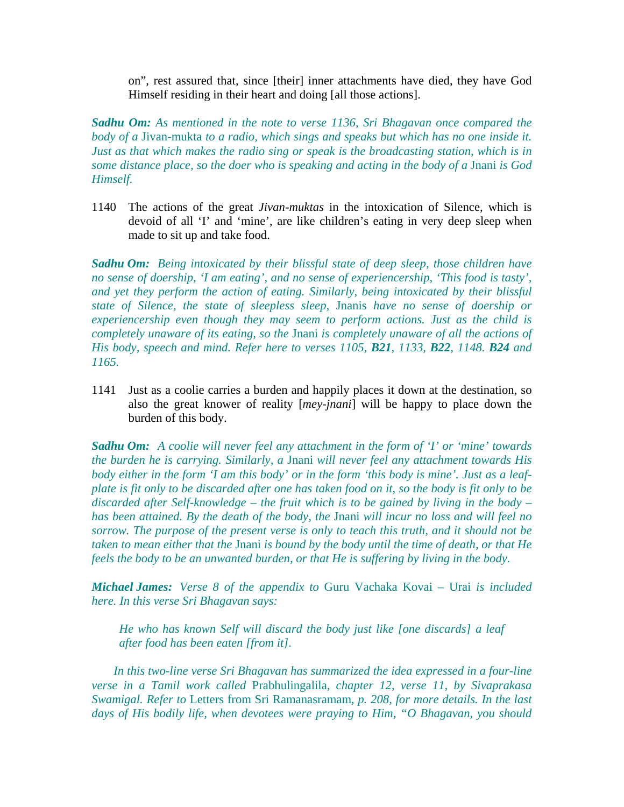on", rest assured that, since [their] inner attachments have died, they have God Himself residing in their heart and doing [all those actions].

*Sadhu Om: As mentioned in the note to verse 1136, Sri Bhagavan once compared the body of a* Jivan-mukta *to a radio, which sings and speaks but which has no one inside it. Just as that which makes the radio sing or speak is the broadcasting station, which is in some distance place, so the doer who is speaking and acting in the body of a* Jnani *is God Himself.* 

1140 The actions of the great *Jivan-muktas* in the intoxication of Silence, which is devoid of all 'I' and 'mine', are like children's eating in very deep sleep when made to sit up and take food.

*Sadhu Om: Being intoxicated by their blissful state of deep sleep, those children have no sense of doership, 'I am eating', and no sense of experiencership, 'This food is tasty', and yet they perform the action of eating. Similarly, being intoxicated by their blissful state of Silence, the state of sleepless sleep,* Jnanis *have no sense of doership or experiencership even though they may seem to perform actions. Just as the child is completely unaware of its eating, so the* Jnani *is completely unaware of all the actions of His body, speech and mind. Refer here to verses 1105, B21, 1133, B22, 1148. B24 and 1165.* 

1141 Just as a coolie carries a burden and happily places it down at the destination, so also the great knower of reality [*mey-jnani*] will be happy to place down the burden of this body.

*Sadhu Om: A coolie will never feel any attachment in the form of 'I' or 'mine' towards the burden he is carrying. Similarly, a* Jnani *will never feel any attachment towards His body either in the form 'I am this body' or in the form 'this body is mine'. Just as a leafplate is fit only to be discarded after one has taken food on it, so the body is fit only to be discarded after Self-knowledge – the fruit which is to be gained by living in the body – has been attained. By the death of the body, the* Jnani *will incur no loss and will feel no sorrow. The purpose of the present verse is only to teach this truth, and it should not be taken to mean either that the* Jnani *is bound by the body until the time of death, or that He feels the body to be an unwanted burden, or that He is suffering by living in the body.* 

*Michael James: Verse 8 of the appendix to* Guru Vachaka Kovai – Urai *is included here. In this verse Sri Bhagavan says:* 

*He who has known Self will discard the body just like [one discards] a leaf after food has been eaten [from it].* 

 *In this two-line verse Sri Bhagavan has summarized the idea expressed in a four-line verse in a Tamil work called* Prabhulingalila*, chapter 12, verse 11, by Sivaprakasa Swamigal. Refer to* Letters from Sri Ramanasramam*, p. 208, for more details. In the last days of His bodily life, when devotees were praying to Him, "O Bhagavan, you should*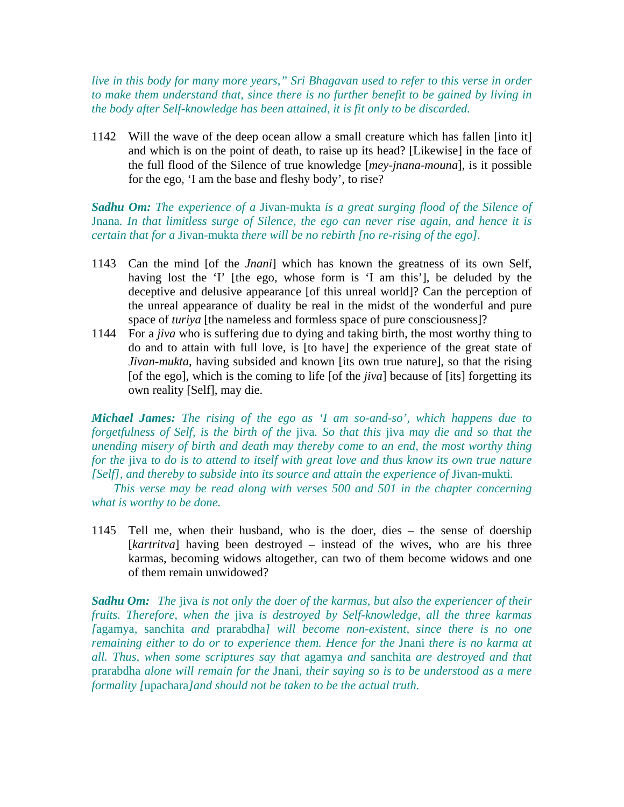*live in this body for many more years," Sri Bhagavan used to refer to this verse in order to make them understand that, since there is no further benefit to be gained by living in the body after Self-knowledge has been attained, it is fit only to be discarded.* 

1142 Will the wave of the deep ocean allow a small creature which has fallen [into it] and which is on the point of death, to raise up its head? [Likewise] in the face of the full flood of the Silence of true knowledge [*mey-jnana-mouna*], is it possible for the ego, 'I am the base and fleshy body', to rise?

*Sadhu Om: The experience of a* Jivan-mukta *is a great surging flood of the Silence of*  Jnana*. In that limitless surge of Silence, the ego can never rise again, and hence it is certain that for a* Jivan-mukta *there will be no rebirth [no re-rising of the ego].* 

- 1143 Can the mind [of the *Jnani*] which has known the greatness of its own Self, having lost the 'I' [the ego, whose form is 'I am this'], be deluded by the deceptive and delusive appearance [of this unreal world]? Can the perception of the unreal appearance of duality be real in the midst of the wonderful and pure space of *turiya* [the nameless and formless space of pure consciousness]?
- 1144 For a *jiva* who is suffering due to dying and taking birth, the most worthy thing to do and to attain with full love, is [to have] the experience of the great state of *Jivan-mukta*, having subsided and known [its own true nature], so that the rising [of the ego], which is the coming to life [of the *jiva*] because of [its] forgetting its own reality [Self], may die.

*Michael James: The rising of the ego as 'I am so-and-so', which happens due to forgetfulness of Self, is the birth of the* jiva*. So that this* jiva *may die and so that the unending misery of birth and death may thereby come to an end, the most worthy thing for the* jiva *to do is to attend to itself with great love and thus know its own true nature [Self], and thereby to subside into its source and attain the experience of Jivan-mukti.* 

 *This verse may be read along with verses 500 and 501 in the chapter concerning what is worthy to be done.* 

1145 Tell me, when their husband, who is the doer, dies – the sense of doership [*kartritva*] having been destroyed – instead of the wives, who are his three karmas, becoming widows altogether, can two of them become widows and one of them remain unwidowed?

*Sadhu Om: The* jiva *is not only the doer of the karmas, but also the experiencer of their fruits. Therefore, when the* jiva *is destroyed by Self-knowledge, all the three karmas [*agamya*,* sanchita *and* prarabdha*] will become non-existent, since there is no one remaining either to do or to experience them. Hence for the* Jnani *there is no karma at all. Thus, when some scriptures say that* agamya *and* sanchita *are destroyed and that*  prarabdha *alone will remain for the* Jnani*, their saying so is to be understood as a mere formality [*upachara*]and should not be taken to be the actual truth.*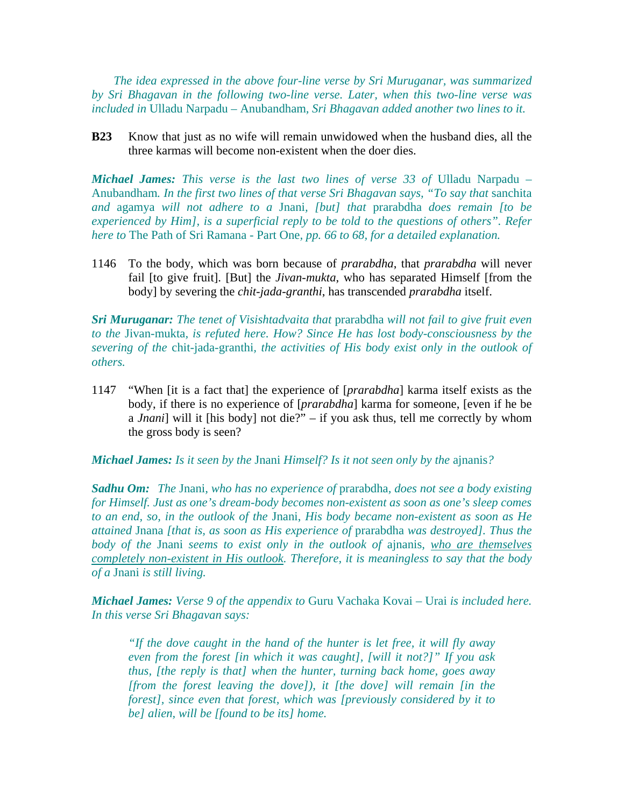*The idea expressed in the above four-line verse by Sri Muruganar, was summarized by Sri Bhagavan in the following two-line verse. Later, when this two-line verse was included in* Ulladu Narpadu – Anubandham*, Sri Bhagavan added another two lines to it.* 

**B23** Know that just as no wife will remain unwidowed when the husband dies, all the three karmas will become non-existent when the doer dies.

*Michael James: This verse is the last two lines of verse 33 of* Ulladu Narpadu – Anubandham*. In the first two lines of that verse Sri Bhagavan says, "To say that* sanchita *and* agamya *will not adhere to a* Jnani*, [but] that* prarabdha *does remain [to be experienced by Him], is a superficial reply to be told to the questions of others". Refer here to* The Path of Sri Ramana - Part One*, pp. 66 to 68, for a detailed explanation.* 

1146 To the body, which was born because of *prarabdha*, that *prarabdha* will never fail [to give fruit]. [But] the *Jivan-mukta*, who has separated Himself [from the body] by severing the *chit-jada-granthi*, has transcended *prarabdha* itself.

*Sri Muruganar: The tenet of Visishtadvaita that* prarabdha *will not fail to give fruit even to the* Jivan-mukta*, is refuted here. How? Since He has lost body-consciousness by the severing of the* chit-jada-granthi*, the activities of His body exist only in the outlook of others.* 

1147 "When [it is a fact that] the experience of [*prarabdha*] karma itself exists as the body, if there is no experience of [*prarabdha*] karma for someone, [even if he be a *Jnani*] will it [his body] not die?" – if you ask thus, tell me correctly by whom the gross body is seen?

*Michael James: Is it seen by the* Jnani *Himself? Is it not seen only by the* ajnanis*?* 

*Sadhu Om: The* Jnani*, who has no experience of* prarabdha*, does not see a body existing for Himself. Just as one's dream-body becomes non-existent as soon as one's sleep comes to an end, so, in the outlook of the* Jnani, *His body became non-existent as soon as He attained* Jnana *[that is, as soon as His experience of* prarabdha *was destroyed]. Thus the body of the* Jnani *seems to exist only in the outlook of* ajnanis*, who are themselves completely non-existent in His outlook. Therefore, it is meaningless to say that the body of a* Jnani *is still living.* 

*Michael James: Verse 9 of the appendix to* Guru Vachaka Kovai – Urai *is included here. In this verse Sri Bhagavan says:* 

*"If the dove caught in the hand of the hunter is let free, it will fly away even from the forest [in which it was caught], [will it not?]" If you ask thus, [the reply is that] when the hunter, turning back home, goes away [from the forest leaving the dove]), it [the dove] will remain [in the forest], since even that forest, which was [previously considered by it to be] alien, will be [found to be its] home.*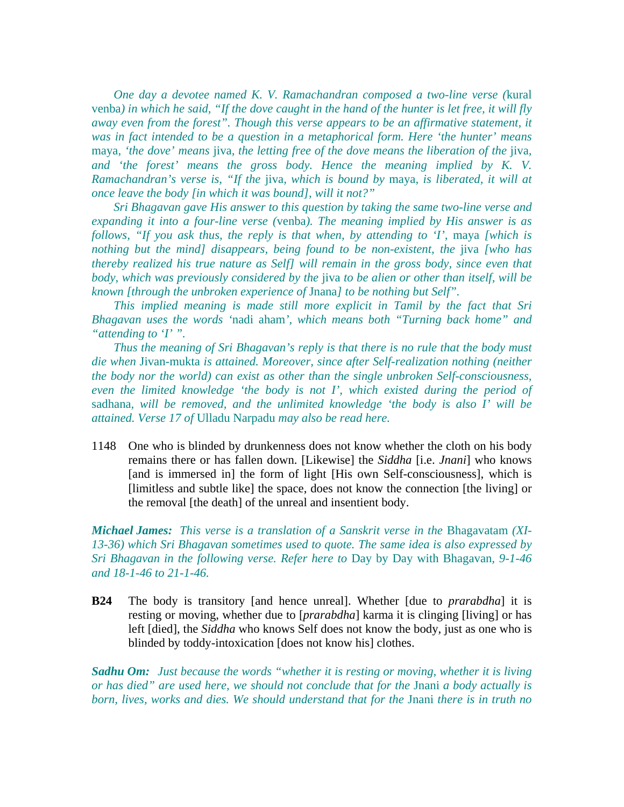*One day a devotee named K. V. Ramachandran composed a two-line verse (*kural venba*) in which he said, "If the dove caught in the hand of the hunter is let free, it will fly away even from the forest". Though this verse appears to be an affirmative statement, it was in fact intended to be a question in a metaphorical form. Here 'the hunter' means*  maya, 'the dove' means jiva, the letting free of the dove means the liberation of the jiva, *and 'the forest' means the gross body. Hence the meaning implied by K. V. Ramachandran's verse is, "If the* jiva*, which is bound by* maya*, is liberated, it will at once leave the body [in which it was bound], will it not?"* 

 *Sri Bhagavan gave His answer to this question by taking the same two-line verse and expanding it into a four-line verse (*venba*). The meaning implied by His answer is as follows, "If you ask thus, the reply is that when, by attending to 'I',* maya *[which is nothing but the mind] disappears, being found to be non-existent, the jiva [who has thereby realized his true nature as Self] will remain in the gross body, since even that body, which was previously considered by the* jiva *to be alien or other than itself, will be known [through the unbroken experience of* Jnana*] to be nothing but Self".* 

 *This implied meaning is made still more explicit in Tamil by the fact that Sri Bhagavan uses the words '*nadi aham*', which means both "Turning back home" and "attending to 'I' ".* 

 *Thus the meaning of Sri Bhagavan's reply is that there is no rule that the body must die when* Jivan-mukta *is attained. Moreover, since after Self-realization nothing (neither the body nor the world) can exist as other than the single unbroken Self-consciousness, even the limited knowledge 'the body is not I', which existed during the period of*  sadhana*, will be removed, and the unlimited knowledge 'the body is also I' will be attained. Verse 17 of* Ulladu Narpadu *may also be read here.* 

1148 One who is blinded by drunkenness does not know whether the cloth on his body remains there or has fallen down. [Likewise] the *Siddha* [i.e. *Jnani*] who knows [and is immersed in] the form of light [His own Self-consciousness], which is [limitless and subtle like] the space, does not know the connection [the living] or the removal [the death] of the unreal and insentient body.

*Michael James: This verse is a translation of a Sanskrit verse in the* Bhagavatam *(XI-13-36) which Sri Bhagavan sometimes used to quote. The same idea is also expressed by Sri Bhagavan in the following verse. Refer here to* Day by Day with Bhagavan*, 9-1-46 and 18-1-46 to 21-1-46.* 

**B24** The body is transitory [and hence unreal]. Whether [due to *prarabdha*] it is resting or moving, whether due to [*prarabdha*] karma it is clinging [living] or has left [died], the *Siddha* who knows Self does not know the body, just as one who is blinded by toddy-intoxication [does not know his] clothes.

*Sadhu Om: Just because the words "whether it is resting or moving, whether it is living or has died" are used here, we should not conclude that for the* Jnani *a body actually is born, lives, works and dies. We should understand that for the* Jnani *there is in truth no*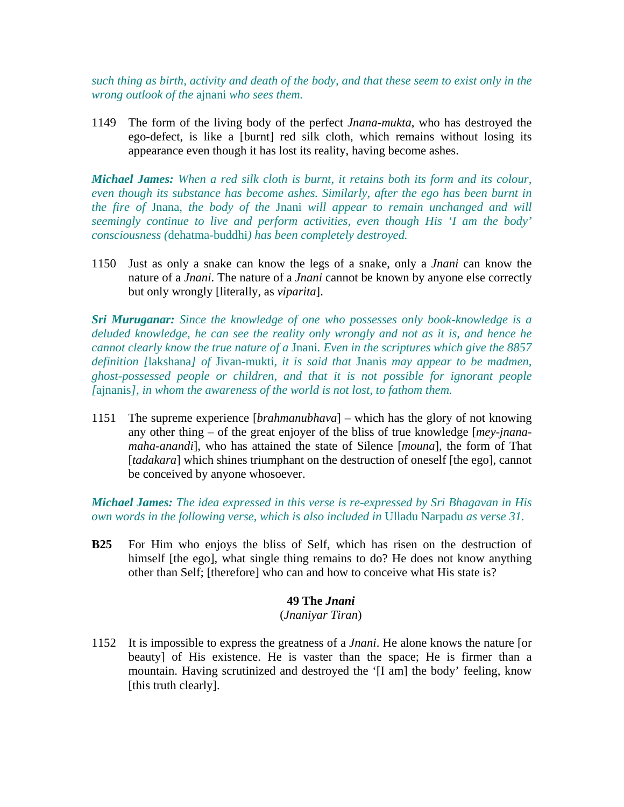*such thing as birth, activity and death of the body, and that these seem to exist only in the wrong outlook of the* ajnani *who sees them.* 

1149 The form of the living body of the perfect *Jnana-mukta*, who has destroyed the ego-defect, is like a [burnt] red silk cloth, which remains without losing its appearance even though it has lost its reality, having become ashes.

*Michael James: When a red silk cloth is burnt, it retains both its form and its colour, even though its substance has become ashes. Similarly, after the ego has been burnt in the fire of* Jnana*, the body of the* Jnani *will appear to remain unchanged and will seemingly continue to live and perform activities, even though His 'I am the body' consciousness (*dehatma-buddhi*) has been completely destroyed.* 

1150 Just as only a snake can know the legs of a snake, only a *Jnani* can know the nature of a *Jnani*. The nature of a *Jnani* cannot be known by anyone else correctly but only wrongly [literally, as *viparita*].

*Sri Muruganar: Since the knowledge of one who possesses only book-knowledge is a deluded knowledge, he can see the reality only wrongly and not as it is, and hence he cannot clearly know the true nature of a* Jnani*. Even in the scriptures which give the 8857 definition [*lakshana*] of* Jivan-mukti*, it is said that* Jnanis *may appear to be madmen, ghost-possessed people or children, and that it is not possible for ignorant people [*ajnanis*], in whom the awareness of the world is not lost, to fathom them.*

1151 The supreme experience [*brahmanubhava*] – which has the glory of not knowing any other thing – of the great enjoyer of the bliss of true knowledge [*mey-jnanamaha-anandi*], who has attained the state of Silence [*mouna*], the form of That [*tadakara*] which shines triumphant on the destruction of oneself [the ego], cannot be conceived by anyone whosoever.

*Michael James: The idea expressed in this verse is re-expressed by Sri Bhagavan in His own words in the following verse, which is also included in* Ulladu Narpadu *as verse 31.* 

**B25** For Him who enjoys the bliss of Self, which has risen on the destruction of himself [the ego], what single thing remains to do? He does not know anything other than Self; [therefore] who can and how to conceive what His state is?

# **49 The** *Jnani*

### (*Jnaniyar Tiran*)

1152 It is impossible to express the greatness of a *Jnani*. He alone knows the nature [or beauty] of His existence. He is vaster than the space; He is firmer than a mountain. Having scrutinized and destroyed the '[I am] the body' feeling, know [this truth clearly].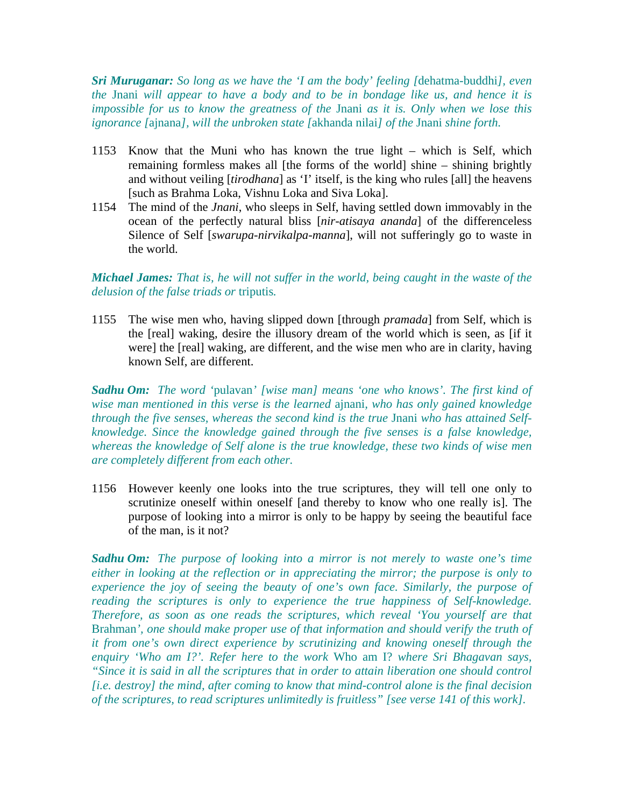*Sri Muruganar: So long as we have the 'I am the body' feeling [*dehatma-buddhi*], even the* Jnani *will appear to have a body and to be in bondage like us, and hence it is impossible for us to know the greatness of the* Jnani *as it is. Only when we lose this ignorance [*ajnana*], will the unbroken state [*akhanda nilai*] of the* Jnani *shine forth.* 

- 1153 Know that the Muni who has known the true light which is Self, which remaining formless makes all [the forms of the world] shine – shining brightly and without veiling [*tirodhana*] as 'I' itself, is the king who rules [all] the heavens [such as Brahma Loka, Vishnu Loka and Siva Loka].
- 1154 The mind of the *Jnani*, who sleeps in Self, having settled down immovably in the ocean of the perfectly natural bliss [*nir-atisaya ananda*] of the differenceless Silence of Self [*swarupa-nirvikalpa-manna*], will not sufferingly go to waste in the world.

# *Michael James: That is, he will not suffer in the world, being caught in the waste of the delusion of the false triads or* triputis*.*

1155 The wise men who, having slipped down [through *pramada*] from Self, which is the [real] waking, desire the illusory dream of the world which is seen, as [if it were] the [real] waking, are different, and the wise men who are in clarity, having known Self, are different.

*Sadhu Om: The word '*pulavan*' [wise man] means 'one who knows'. The first kind of wise man mentioned in this verse is the learned* ajnani*, who has only gained knowledge through the five senses, whereas the second kind is the true* Jnani *who has attained Selfknowledge. Since the knowledge gained through the five senses is a false knowledge, whereas the knowledge of Self alone is the true knowledge, these two kinds of wise men are completely different from each other.* 

1156 However keenly one looks into the true scriptures, they will tell one only to scrutinize oneself within oneself [and thereby to know who one really is]. The purpose of looking into a mirror is only to be happy by seeing the beautiful face of the man, is it not?

*Sadhu Om: The purpose of looking into a mirror is not merely to waste one's time either in looking at the reflection or in appreciating the mirror; the purpose is only to experience the joy of seeing the beauty of one's own face. Similarly, the purpose of reading the scriptures is only to experience the true happiness of Self-knowledge. Therefore, as soon as one reads the scriptures, which reveal 'You yourself are that*  Brahman*', one should make proper use of that information and should verify the truth of it from one's own direct experience by scrutinizing and knowing oneself through the enquiry 'Who am I?'. Refer here to the work* Who am I? *where Sri Bhagavan says, "Since it is said in all the scriptures that in order to attain liberation one should control [i.e. destroy] the mind, after coming to know that mind-control alone is the final decision of the scriptures, to read scriptures unlimitedly is fruitless" [see verse 141 of this work].*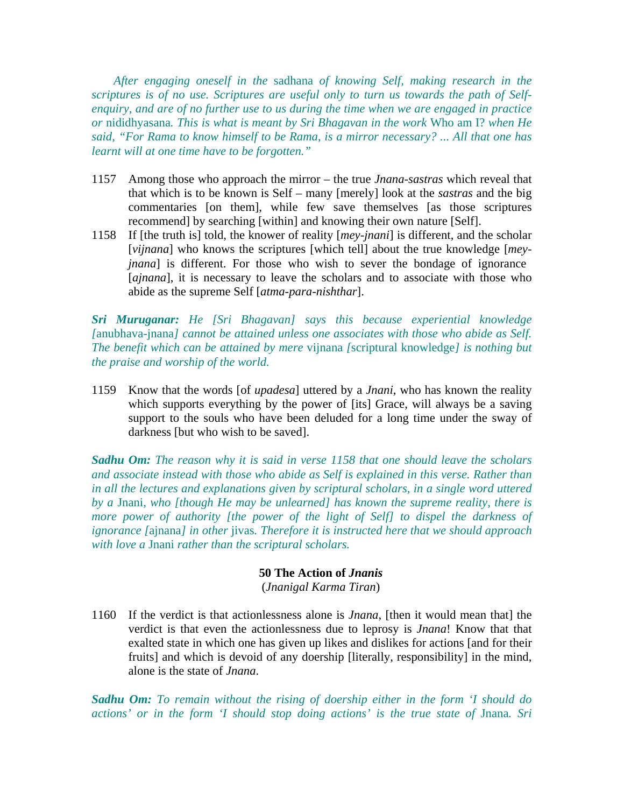*After engaging oneself in the* sadhana *of knowing Self, making research in the scriptures is of no use. Scriptures are useful only to turn us towards the path of Selfenquiry, and are of no further use to us during the time when we are engaged in practice or* nididhyasana*. This is what is meant by Sri Bhagavan in the work* Who am I? *when He said, "For Rama to know himself to be Rama, is a mirror necessary? ... All that one has learnt will at one time have to be forgotten."* 

- 1157 Among those who approach the mirror the true *Jnana-sastras* which reveal that that which is to be known is Self – many [merely] look at the *sastras* and the big commentaries [on them], while few save themselves [as those scriptures recommend] by searching [within] and knowing their own nature [Self].
- 1158 If [the truth is] told, the knower of reality [*mey-jnani*] is different, and the scholar [*vijnana*] who knows the scriptures [which tell] about the true knowledge [*meyjnana*] is different. For those who wish to sever the bondage of ignorance [*ajnana*], it is necessary to leave the scholars and to associate with those who abide as the supreme Self [*atma-para-nishthar*].

*Sri Muruganar: He [Sri Bhagavan] says this because experiential knowledge [*anubhava-jnana*] cannot be attained unless one associates with those who abide as Self. The benefit which can be attained by mere* vijnana *[*scriptural knowledge*] is nothing but the praise and worship of the world.* 

1159 Know that the words [of *upadesa*] uttered by a *Jnani*, who has known the reality which supports everything by the power of [its] Grace, will always be a saving support to the souls who have been deluded for a long time under the sway of darkness [but who wish to be saved].

*Sadhu Om: The reason why it is said in verse 1158 that one should leave the scholars and associate instead with those who abide as Self is explained in this verse. Rather than in all the lectures and explanations given by scriptural scholars, in a single word uttered by a* Jnani*, who [though He may be unlearned] has known the supreme reality, there is*  more power of authority [the power of the light of Self] to dispel the darkness of *ignorance [*ajnana*] in other* jivas*. Therefore it is instructed here that we should approach with love a* Jnani *rather than the scriptural scholars.* 

### **50 The Action of** *Jnanis*

(*Jnanigal Karma Tiran*)

1160 If the verdict is that actionlessness alone is *Jnana*, [then it would mean that] the verdict is that even the actionlessness due to leprosy is *Jnana*! Know that that exalted state in which one has given up likes and dislikes for actions [and for their fruits] and which is devoid of any doership [literally, responsibility] in the mind, alone is the state of *Jnana*.

*Sadhu Om: To remain without the rising of doership either in the form 'I should do actions' or in the form 'I should stop doing actions' is the true state of* Jnana*. Sri*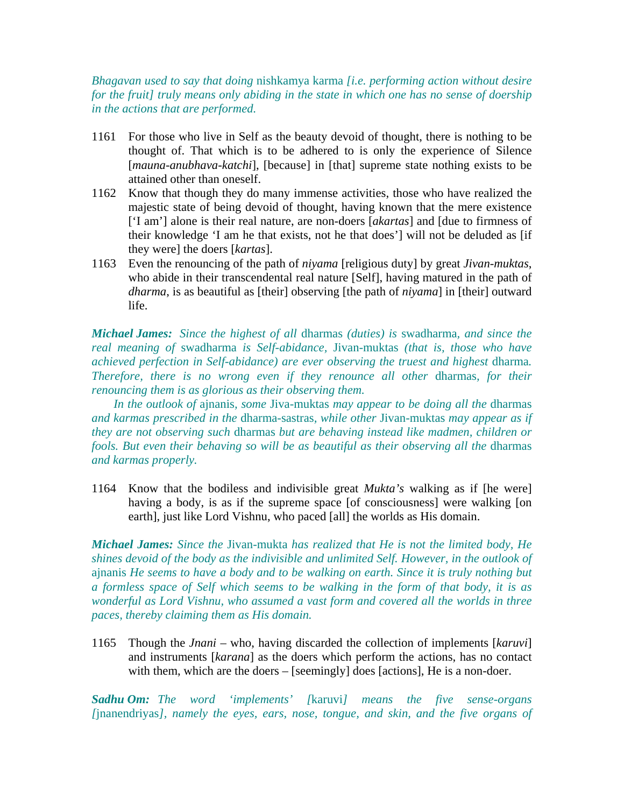*Bhagavan used to say that doing* nishkamya karma *[i.e. performing action without desire for the fruit] truly means only abiding in the state in which one has no sense of doership in the actions that are performed.* 

- 1161 For those who live in Self as the beauty devoid of thought, there is nothing to be thought of. That which is to be adhered to is only the experience of Silence [*mauna-anubhava-katchi*], [because] in [that] supreme state nothing exists to be attained other than oneself.
- 1162 Know that though they do many immense activities, those who have realized the majestic state of being devoid of thought, having known that the mere existence ['I am'] alone is their real nature, are non-doers [*akartas*] and [due to firmness of their knowledge 'I am he that exists, not he that does'] will not be deluded as [if they were] the doers [*kartas*].
- 1163 Even the renouncing of the path of *niyama* [religious duty] by great *Jivan-muktas*, who abide in their transcendental real nature [Self], having matured in the path of *dharma*, is as beautiful as [their] observing [the path of *niyama*] in [their] outward life.

*Michael James: Since the highest of all* dharmas *(duties) is* swadharma*, and since the real meaning of* swadharma *is Self-abidance,* Jivan-muktas *(that is, those who have achieved perfection in Self-abidance) are ever observing the truest and highest dharma. Therefore, there is no wrong even if they renounce all other dharmas, for their renouncing them is as glorious as their observing them.* 

 *In the outlook of* ajnanis*, some* Jiva-muktas *may appear to be doing all the* dharmas *and karmas prescribed in the* dharma-sastras*, while other* Jivan-muktas *may appear as if they are not observing such* dharmas *but are behaving instead like madmen, children or fools. But even their behaving so will be as beautiful as their observing all the* dharmas *and karmas properly.* 

1164 Know that the bodiless and indivisible great *Mukta's* walking as if [he were] having a body, is as if the supreme space [of consciousness] were walking [on earth], just like Lord Vishnu, who paced [all] the worlds as His domain.

*Michael James: Since the* Jivan-mukta *has realized that He is not the limited body, He shines devoid of the body as the indivisible and unlimited Self. However, in the outlook of*  ajnanis *He seems to have a body and to be walking on earth. Since it is truly nothing but a formless space of Self which seems to be walking in the form of that body, it is as wonderful as Lord Vishnu, who assumed a vast form and covered all the worlds in three paces, thereby claiming them as His domain.* 

1165 Though the *Jnani* – who, having discarded the collection of implements [*karuvi*] and instruments [*karana*] as the doers which perform the actions, has no contact with them, which are the doers – [seemingly] does [actions], He is a non-doer.

*Sadhu Om: The word 'implements' [*karuvi*] means the five sense-organs [*jnanendriyas*], namely the eyes, ears, nose, tongue, and skin, and the five organs of*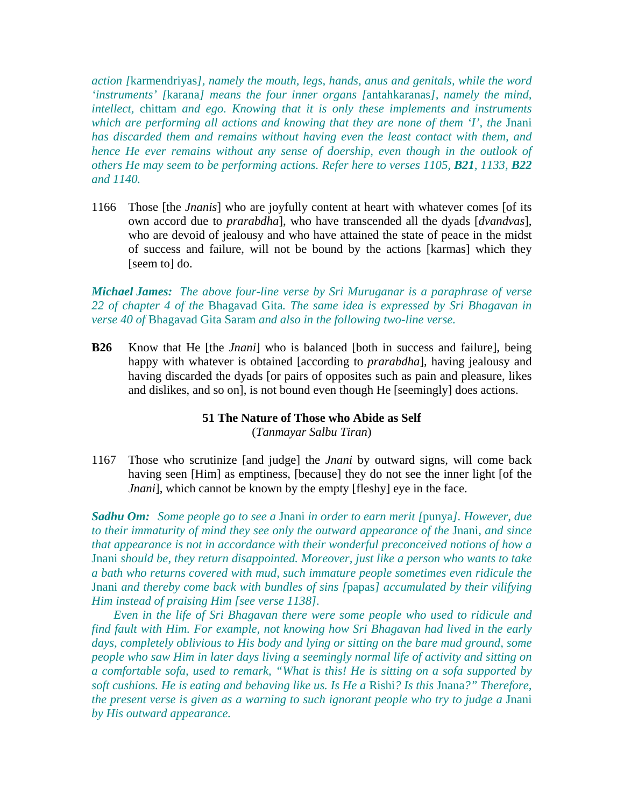*action [*karmendriyas*], namely the mouth, legs, hands, anus and genitals, while the word 'instruments' [*karana*] means the four inner organs [*antahkaranas*], namely the mind, intellect,* chittam *and ego. Knowing that it is only these implements and instruments which are performing all actions and knowing that they are none of them 'I', the Jnani has discarded them and remains without having even the least contact with them, and hence He ever remains without any sense of doership, even though in the outlook of others He may seem to be performing actions. Refer here to verses 1105, B21, 1133, B22 and 1140.* 

1166 Those [the *Jnanis*] who are joyfully content at heart with whatever comes [of its own accord due to *prarabdha*], who have transcended all the dyads [*dvandvas*], who are devoid of jealousy and who have attained the state of peace in the midst of success and failure, will not be bound by the actions [karmas] which they [seem to] do.

*Michael James: The above four-line verse by Sri Muruganar is a paraphrase of verse 22 of chapter 4 of the* Bhagavad Gita*. The same idea is expressed by Sri Bhagavan in verse 40 of* Bhagavad Gita Saram *and also in the following two-line verse.* 

**B26** Know that He [the *Jnani*] who is balanced [both in success and failure], being happy with whatever is obtained [according to *prarabdha*], having jealousy and having discarded the dyads [or pairs of opposites such as pain and pleasure, likes and dislikes, and so on], is not bound even though He [seemingly] does actions.

### **51 The Nature of Those who Abide as Self**  (*Tanmayar Salbu Tiran*)

1167 Those who scrutinize [and judge] the *Jnani* by outward signs, will come back having seen [Him] as emptiness, [because] they do not see the inner light [of the *Jnani*], which cannot be known by the empty [fleshy] eye in the face.

*Sadhu Om: Some people go to see a* Jnani *in order to earn merit [*punya*]. However, due to their immaturity of mind they see only the outward appearance of the* Jnani*, and since that appearance is not in accordance with their wonderful preconceived notions of how a*  Jnani *should be, they return disappointed. Moreover, just like a person who wants to take a bath who returns covered with mud, such immature people sometimes even ridicule the*  Jnani *and thereby come back with bundles of sins [*papas*] accumulated by their vilifying Him instead of praising Him [see verse 1138].*

 *Even in the life of Sri Bhagavan there were some people who used to ridicule and find fault with Him. For example, not knowing how Sri Bhagavan had lived in the early*  days, completely oblivious to His body and lying or sitting on the bare mud ground, some *people who saw Him in later days living a seemingly normal life of activity and sitting on a comfortable sofa, used to remark, "What is this! He is sitting on a sofa supported by soft cushions. He is eating and behaving like us. Is He a* Rishi*? Is this* Jnana*?" Therefore, the present verse is given as a warning to such ignorant people who try to judge a* Jnani *by His outward appearance.*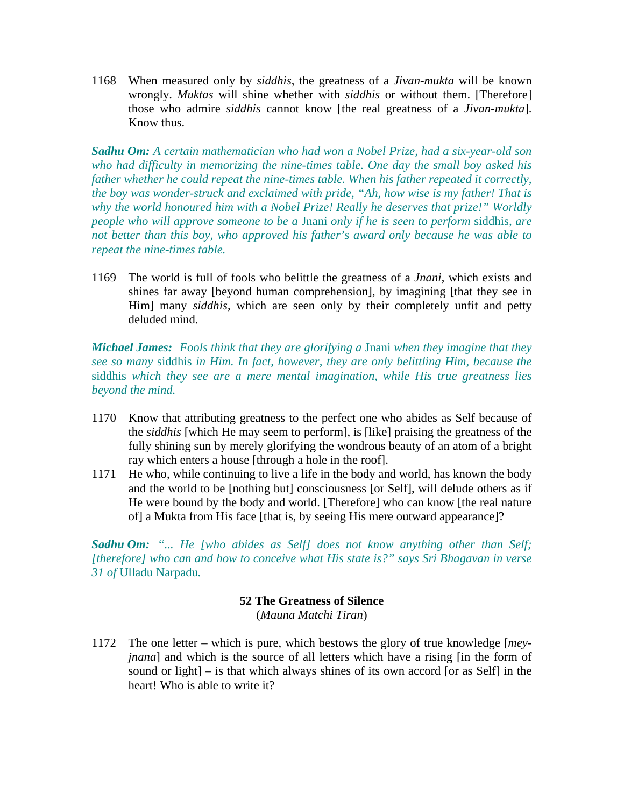1168 When measured only by *siddhis*, the greatness of a *Jivan-mukta* will be known wrongly. *Muktas* will shine whether with *siddhis* or without them. [Therefore] those who admire *siddhis* cannot know [the real greatness of a *Jivan-mukta*]. Know thus.

*Sadhu Om: A certain mathematician who had won a Nobel Prize, had a six-year-old son who had difficulty in memorizing the nine-times table. One day the small boy asked his father whether he could repeat the nine-times table. When his father repeated it correctly, the boy was wonder-struck and exclaimed with pride, "Ah, how wise is my father! That is why the world honoured him with a Nobel Prize! Really he deserves that prize!" Worldly people who will approve someone to be a* Jnani *only if he is seen to perform* siddhis*, are not better than this boy, who approved his father's award only because he was able to repeat the nine-times table.* 

1169 The world is full of fools who belittle the greatness of a *Jnani*, which exists and shines far away [beyond human comprehension], by imagining [that they see in Him] many *siddhis*, which are seen only by their completely unfit and petty deluded mind.

*Michael James: Fools think that they are glorifying a* Jnani *when they imagine that they see so many* siddhis *in Him. In fact, however, they are only belittling Him, because the*  siddhis *which they see are a mere mental imagination, while His true greatness lies beyond the mind.* 

- 1170 Know that attributing greatness to the perfect one who abides as Self because of the *siddhis* [which He may seem to perform], is [like] praising the greatness of the fully shining sun by merely glorifying the wondrous beauty of an atom of a bright ray which enters a house [through a hole in the roof].
- 1171 He who, while continuing to live a life in the body and world, has known the body and the world to be [nothing but] consciousness [or Self], will delude others as if He were bound by the body and world. [Therefore] who can know [the real nature of] a Mukta from His face [that is, by seeing His mere outward appearance]?

*Sadhu Om: "... He [who abides as Self] does not know anything other than Self; [therefore] who can and how to conceive what His state is?" says Sri Bhagavan in verse 31 of* Ulladu Narpadu*.* 

### **52 The Greatness of Silence**

(*Mauna Matchi Tiran*)

1172 The one letter – which is pure, which bestows the glory of true knowledge [*meyjnana*] and which is the source of all letters which have a rising [in the form of sound or light] – is that which always shines of its own accord [or as Self] in the heart! Who is able to write it?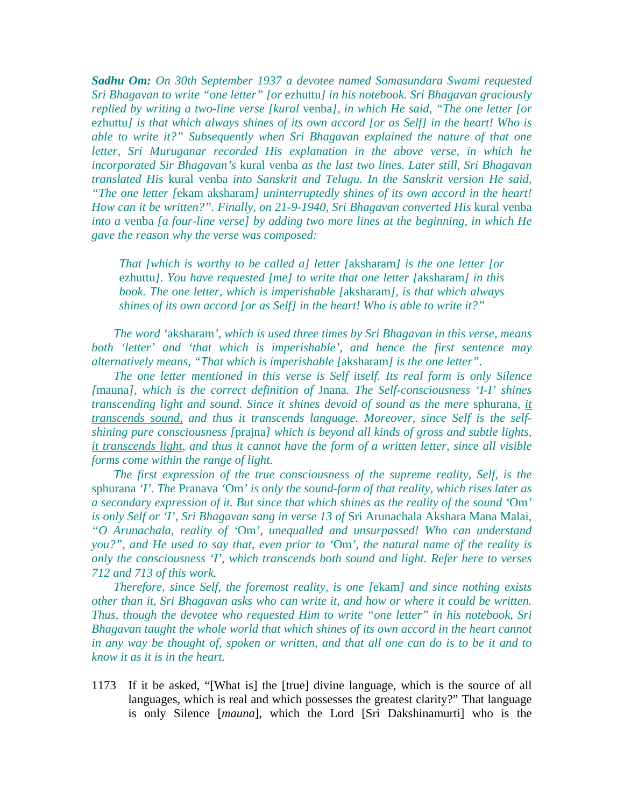*Sadhu Om: On 30th September 1937 a devotee named Somasundara Swami requested Sri Bhagavan to write "one letter" [or* ezhuttu*] in his notebook. Sri Bhagavan graciously replied by writing a two-line verse [kural* venba*], in which He said, "The one letter [or*  ezhuttu*] is that which always shines of its own accord [or as Self] in the heart! Who is able to write it?" Subsequently when Sri Bhagavan explained the nature of that one*  letter, Sri Muruganar recorded His explanation in the above verse, in which he *incorporated Sir Bhagavan's* kural venba *as the last two lines. Later still, Sri Bhagavan translated His* kural venba *into Sanskrit and Telugu. In the Sanskrit version He said, "The one letter [*ekam aksharam*] uninterruptedly shines of its own accord in the heart! How can it be written?". Finally, on 21-9-1940, Sri Bhagavan converted His kural venba into a* venba *[a four-line verse] by adding two more lines at the beginning, in which He gave the reason why the verse was composed:* 

*That [which is worthy to be called a] letter [*aksharam*] is the one letter [or*  ezhuttu*]. You have requested [me] to write that one letter [*aksharam*] in this book. The one letter, which is imperishable [*aksharam*], is that which always shines of its own accord [or as Self] in the heart! Who is able to write it?"* 

 *The word '*aksharam*', which is used three times by Sri Bhagavan in this verse, means both 'letter' and 'that which is imperishable', and hence the first sentence may alternatively means, "That which is imperishable [*aksharam*] is the one letter".* 

 *The one letter mentioned in this verse is Self itself. Its real form is only Silence [*mauna*], which is the correct definition of* Jnana*. The Self-consciousness 'I-I' shines transcending light and sound. Since it shines devoid of sound as the mere* sphurana*, it transcends sound, and thus it transcends language. Moreover, since Self is the selfshining pure consciousness [*prajna*] which is beyond all kinds of gross and subtle lights, it transcends light, and thus it cannot have the form of a written letter, since all visible forms come within the range of light.* 

 *The first expression of the true consciousness of the supreme reality, Self, is the*  sphurana *'I'. The* Pranava *'*Om*' is only the sound-form of that reality, which rises later as a secondary expression of it. But since that which shines as the reality of the sound '*Om*' is only Self or 'I', Sri Bhagavan sang in verse 13 of* Sri Arunachala Akshara Mana Malai*, "O Arunachala, reality of '*Om*', unequalled and unsurpassed! Who can understand you?", and He used to say that, even prior to '*Om*', the natural name of the reality is only the consciousness 'I', which transcends both sound and light. Refer here to verses 712 and 713 of this work.* 

 *Therefore, since Self, the foremost reality, is one [*ekam*] and since nothing exists other than it, Sri Bhagavan asks who can write it, and how or where it could be written. Thus, though the devotee who requested Him to write "one letter" in his notebook, Sri Bhagavan taught the whole world that which shines of its own accord in the heart cannot in any way be thought of, spoken or written, and that all one can do is to be it and to know it as it is in the heart.* 

1173 If it be asked, "[What is] the [true] divine language, which is the source of all languages, which is real and which possesses the greatest clarity?" That language is only Silence [*mauna*], which the Lord [Sri Dakshinamurti] who is the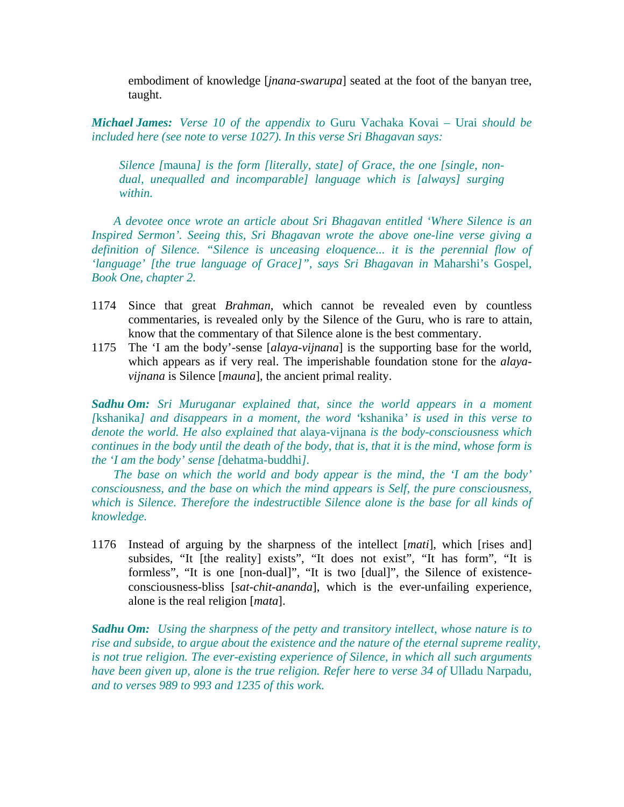embodiment of knowledge [*jnana-swarupa*] seated at the foot of the banyan tree, taught.

*Michael James: Verse 10 of the appendix to* Guru Vachaka Kovai – Urai *should be included here (see note to verse 1027). In this verse Sri Bhagavan says:* 

*Silence [*mauna*] is the form [literally, state] of Grace, the one [single, nondual, unequalled and incomparable] language which is [always] surging within.* 

 *A devotee once wrote an article about Sri Bhagavan entitled 'Where Silence is an Inspired Sermon'. Seeing this, Sri Bhagavan wrote the above one-line verse giving a definition of Silence. "Silence is unceasing eloquence... it is the perennial flow of*  'language' [the true language of Grace]", says Sri Bhagavan in Maharshi's Gospel, *Book One, chapter 2.* 

- 1174 Since that great *Brahman*, which cannot be revealed even by countless commentaries, is revealed only by the Silence of the Guru, who is rare to attain, know that the commentary of that Silence alone is the best commentary.
- 1175 The 'I am the body'-sense [*alaya-vijnana*] is the supporting base for the world, which appears as if very real. The imperishable foundation stone for the *alayavijnana* is Silence [*mauna*], the ancient primal reality.

*Sadhu Om: Sri Muruganar explained that, since the world appears in a moment [*kshanika*] and disappears in a moment, the word '*kshanika*' is used in this verse to denote the world. He also explained that* alaya-vijnana *is the body-consciousness which continues in the body until the death of the body, that is, that it is the mind, whose form is the 'I am the body' sense [*dehatma-buddhi*].* 

 *The base on which the world and body appear is the mind, the 'I am the body' consciousness, and the base on which the mind appears is Self, the pure consciousness,*  which is Silence. Therefore the indestructible Silence alone is the base for all kinds of *knowledge.* 

1176 Instead of arguing by the sharpness of the intellect [*mati*], which [rises and] subsides, "It [the reality] exists", "It does not exist", "It has form", "It is formless", "It is one [non-dual]", "It is two [dual]", the Silence of existenceconsciousness-bliss [*sat-chit-ananda*], which is the ever-unfailing experience, alone is the real religion [*mata*].

*Sadhu Om: Using the sharpness of the petty and transitory intellect, whose nature is to rise and subside, to argue about the existence and the nature of the eternal supreme reality, is not true religion. The ever-existing experience of Silence, in which all such arguments have been given up, alone is the true religion. Refer here to verse 34 of* Ulladu Narpadu*, and to verses 989 to 993 and 1235 of this work.*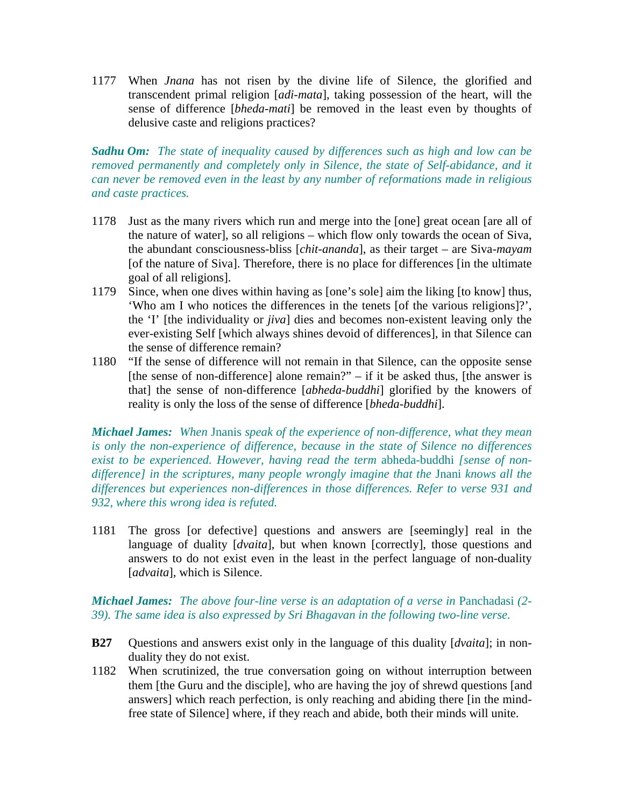1177 When *Jnana* has not risen by the divine life of Silence, the glorified and transcendent primal religion [*adi-mata*], taking possession of the heart, will the sense of difference [*bheda-mati*] be removed in the least even by thoughts of delusive caste and religions practices?

*Sadhu Om: The state of inequality caused by differences such as high and low can be removed permanently and completely only in Silence, the state of Self-abidance, and it can never be removed even in the least by any number of reformations made in religious and caste practices.* 

- 1178 Just as the many rivers which run and merge into the [one] great ocean [are all of the nature of water], so all religions – which flow only towards the ocean of Siva, the abundant consciousness-bliss [*chit-ananda*], as their target – are Siva-*mayam* [of the nature of Siva]. Therefore, there is no place for differences [in the ultimate goal of all religions].
- 1179 Since, when one dives within having as [one's sole] aim the liking [to know] thus, 'Who am I who notices the differences in the tenets [of the various religions]?', the 'I' [the individuality or *jiva*] dies and becomes non-existent leaving only the ever-existing Self [which always shines devoid of differences], in that Silence can the sense of difference remain?
- 1180 "If the sense of difference will not remain in that Silence, can the opposite sense [the sense of non-difference] alone remain?" – if it be asked thus, [the answer is that] the sense of non-difference [*abheda-buddhi*] glorified by the knowers of reality is only the loss of the sense of difference [*bheda-buddhi*].

*Michael James: When* Jnanis *speak of the experience of non-difference, what they mean is only the non-experience of difference, because in the state of Silence no differences exist to be experienced. However, having read the term* abheda-buddhi *[sense of nondifference] in the scriptures, many people wrongly imagine that the* Jnani *knows all the differences but experiences non-differences in those differences. Refer to verse 931 and 932, where this wrong idea is refuted.* 

1181 The gross [or defective] questions and answers are [seemingly] real in the language of duality [*dvaita*], but when known [correctly], those questions and answers to do not exist even in the least in the perfect language of non-duality [*advaita*], which is Silence.

# *Michael James: The above four-line verse is an adaptation of a verse in Panchadasi (2-39). The same idea is also expressed by Sri Bhagavan in the following two-line verse.*

- **B27** Questions and answers exist only in the language of this duality [*dvaita*]; in nonduality they do not exist.
- 1182 When scrutinized, the true conversation going on without interruption between them [the Guru and the disciple], who are having the joy of shrewd questions [and answers] which reach perfection, is only reaching and abiding there [in the mindfree state of Silence] where, if they reach and abide, both their minds will unite.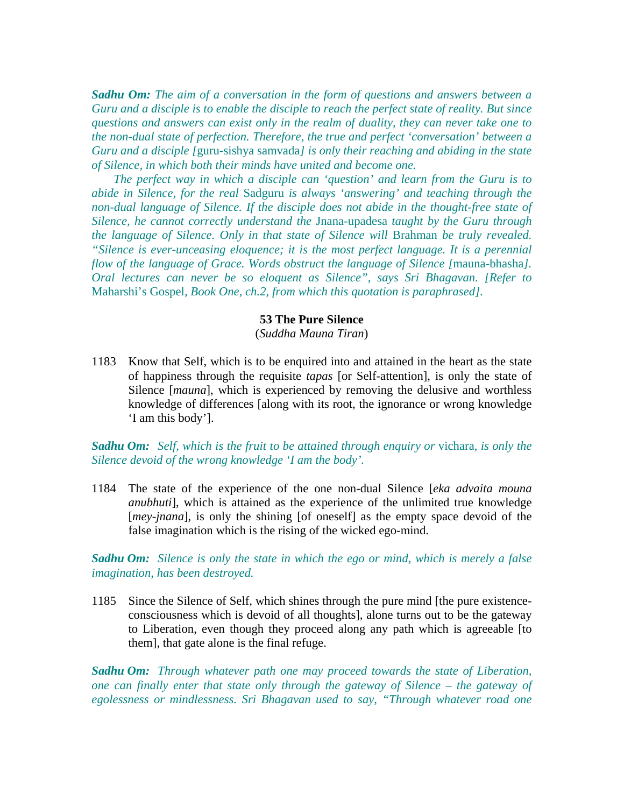*Sadhu Om: The aim of a conversation in the form of questions and answers between a Guru and a disciple is to enable the disciple to reach the perfect state of reality. But since questions and answers can exist only in the realm of duality, they can never take one to the non-dual state of perfection. Therefore, the true and perfect 'conversation' between a Guru and a disciple [*guru-sishya samvada*] is only their reaching and abiding in the state of Silence, in which both their minds have united and become one.* 

 *The perfect way in which a disciple can 'question' and learn from the Guru is to abide in Silence, for the real* Sadguru *is always 'answering' and teaching through the non-dual language of Silence. If the disciple does not abide in the thought-free state of Silence, he cannot correctly understand the* Jnana-upadesa *taught by the Guru through the language of Silence. Only in that state of Silence will* Brahman *be truly revealed. "Silence is ever-unceasing eloquence; it is the most perfect language. It is a perennial flow of the language of Grace. Words obstruct the language of Silence [*mauna-bhasha*]. Oral lectures can never be so eloquent as Silence", says Sri Bhagavan. [Refer to*  Maharshi's Gospel*, Book One, ch.2, from which this quotation is paraphrased].* 

#### **53 The Pure Silence**

(*Suddha Mauna Tiran*)

1183 Know that Self, which is to be enquired into and attained in the heart as the state of happiness through the requisite *tapas* [or Self-attention], is only the state of Silence [*mauna*], which is experienced by removing the delusive and worthless knowledge of differences [along with its root, the ignorance or wrong knowledge 'I am this body'].

### *Sadhu Om: Self, which is the fruit to be attained through enquiry or* vichara*, is only the Silence devoid of the wrong knowledge 'I am the body'.*

1184 The state of the experience of the one non-dual Silence [*eka advaita mouna anubhuti*], which is attained as the experience of the unlimited true knowledge [*mey-jnana*], is only the shining [of oneself] as the empty space devoid of the false imagination which is the rising of the wicked ego-mind.

### *Sadhu Om: Silence is only the state in which the ego or mind, which is merely a false imagination, has been destroyed.*

1185 Since the Silence of Self, which shines through the pure mind [the pure existenceconsciousness which is devoid of all thoughts], alone turns out to be the gateway to Liberation, even though they proceed along any path which is agreeable [to them], that gate alone is the final refuge.

*Sadhu Om: Through whatever path one may proceed towards the state of Liberation, one can finally enter that state only through the gateway of Silence – the gateway of egolessness or mindlessness. Sri Bhagavan used to say, "Through whatever road one*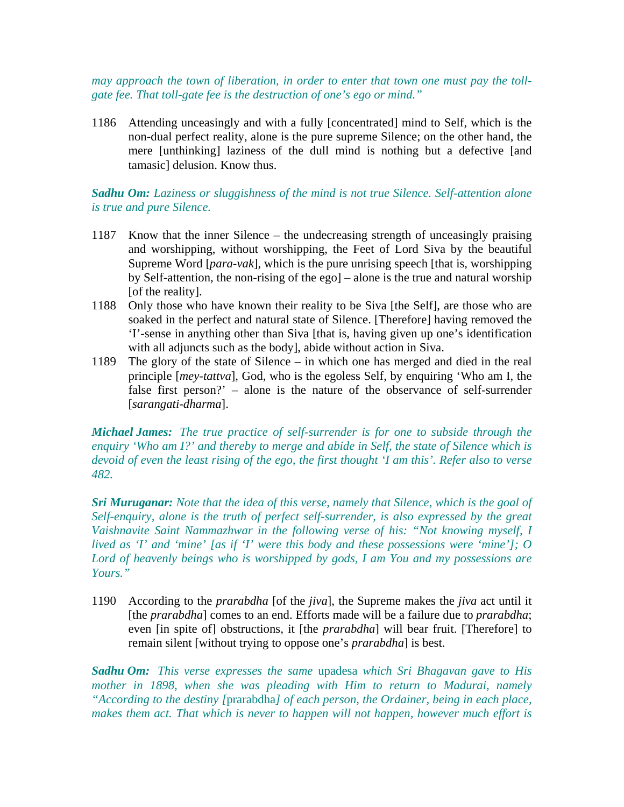*may approach the town of liberation, in order to enter that town one must pay the tollgate fee. That toll-gate fee is the destruction of one's ego or mind."* 

1186 Attending unceasingly and with a fully [concentrated] mind to Self, which is the non-dual perfect reality, alone is the pure supreme Silence; on the other hand, the mere [unthinking] laziness of the dull mind is nothing but a defective [and tamasic] delusion. Know thus.

### *Sadhu Om: Laziness or sluggishness of the mind is not true Silence. Self-attention alone is true and pure Silence.*

- 1187 Know that the inner Silence the undecreasing strength of unceasingly praising and worshipping, without worshipping, the Feet of Lord Siva by the beautiful Supreme Word [*para-vak*], which is the pure unrising speech [that is, worshipping by Self-attention, the non-rising of the ego] – alone is the true and natural worship [of the reality].
- 1188 Only those who have known their reality to be Siva [the Self], are those who are soaked in the perfect and natural state of Silence. [Therefore] having removed the 'I'-sense in anything other than Siva [that is, having given up one's identification with all adjuncts such as the body], abide without action in Siva.
- 1189 The glory of the state of Silence in which one has merged and died in the real principle [*mey-tattva*], God, who is the egoless Self, by enquiring 'Who am I, the false first person?' – alone is the nature of the observance of self-surrender [*sarangati-dharma*].

*Michael James: The true practice of self-surrender is for one to subside through the enquiry 'Who am I?' and thereby to merge and abide in Self, the state of Silence which is devoid of even the least rising of the ego, the first thought 'I am this'. Refer also to verse 482.* 

*Sri Muruganar: Note that the idea of this verse, namely that Silence, which is the goal of Self-enquiry, alone is the truth of perfect self-surrender, is also expressed by the great Vaishnavite Saint Nammazhwar in the following verse of his: "Not knowing myself, I lived as 'I' and 'mine' [as if 'I' were this body and these possessions were 'mine']; O Lord of heavenly beings who is worshipped by gods, I am You and my possessions are Yours."* 

1190 According to the *prarabdha* [of the *jiva*], the Supreme makes the *jiva* act until it [the *prarabdha*] comes to an end. Efforts made will be a failure due to *prarabdha*; even [in spite of] obstructions, it [the *prarabdha*] will bear fruit. [Therefore] to remain silent [without trying to oppose one's *prarabdha*] is best.

*Sadhu Om: This verse expresses the same* upadesa *which Sri Bhagavan gave to His mother in 1898, when she was pleading with Him to return to Madurai, namely "According to the destiny [*prarabdha*] of each person, the Ordainer, being in each place, makes them act. That which is never to happen will not happen, however much effort is*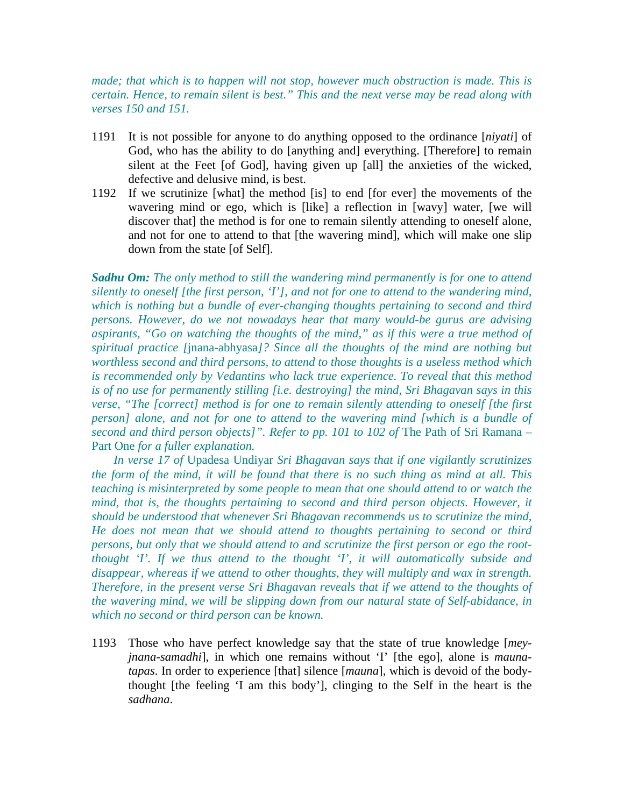*made; that which is to happen will not stop, however much obstruction is made. This is certain. Hence, to remain silent is best." This and the next verse may be read along with verses 150 and 151.* 

- 1191 It is not possible for anyone to do anything opposed to the ordinance [*niyati*] of God, who has the ability to do [anything and] everything. [Therefore] to remain silent at the Feet [of God], having given up [all] the anxieties of the wicked, defective and delusive mind, is best.
- 1192 If we scrutinize [what] the method [is] to end [for ever] the movements of the wavering mind or ego, which is [like] a reflection in [wavy] water, [we will discover that] the method is for one to remain silently attending to oneself alone, and not for one to attend to that [the wavering mind], which will make one slip down from the state [of Self].

*Sadhu Om: The only method to still the wandering mind permanently is for one to attend silently to oneself [the first person, 'I'], and not for one to attend to the wandering mind, which is nothing but a bundle of ever-changing thoughts pertaining to second and third persons. However, do we not nowadays hear that many would-be gurus are advising aspirants, "Go on watching the thoughts of the mind," as if this were a true method of spiritual practice [*jnana-abhyasa*]? Since all the thoughts of the mind are nothing but worthless second and third persons, to attend to those thoughts is a useless method which is recommended only by Vedantins who lack true experience. To reveal that this method is of no use for permanently stilling [i.e. destroying] the mind, Sri Bhagavan says in this verse, "The [correct] method is for one to remain silently attending to oneself [the first person] alone, and not for one to attend to the wavering mind [which is a bundle of second and third person objects]". Refer to pp. 101 to 102 of The Path of Sri Ramana –* Part One *for a fuller explanation.* 

 *In verse 17 of* Upadesa Undiyar *Sri Bhagavan says that if one vigilantly scrutinizes the form of the mind, it will be found that there is no such thing as mind at all. This teaching is misinterpreted by some people to mean that one should attend to or watch the mind, that is, the thoughts pertaining to second and third person objects. However, it should be understood that whenever Sri Bhagavan recommends us to scrutinize the mind, He does not mean that we should attend to thoughts pertaining to second or third persons, but only that we should attend to and scrutinize the first person or ego the rootthought 'I'. If we thus attend to the thought 'I', it will automatically subside and disappear, whereas if we attend to other thoughts, they will multiply and wax in strength. Therefore, in the present verse Sri Bhagavan reveals that if we attend to the thoughts of the wavering mind, we will be slipping down from our natural state of Self-abidance, in which no second or third person can be known.* 

1193 Those who have perfect knowledge say that the state of true knowledge [*meyjnana-samadhi*], in which one remains without 'I' [the ego], alone is *maunatapas*. In order to experience [that] silence [*mauna*], which is devoid of the bodythought [the feeling 'I am this body'], clinging to the Self in the heart is the *sadhana*.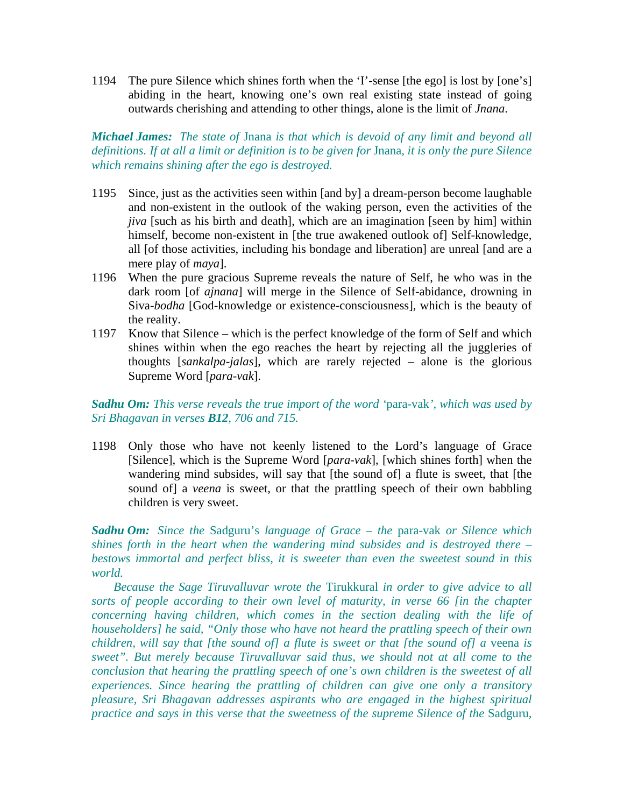1194 The pure Silence which shines forth when the 'I'-sense [the ego] is lost by [one's] abiding in the heart, knowing one's own real existing state instead of going outwards cherishing and attending to other things, alone is the limit of *Jnana*.

*Michael James: The state of* Jnana *is that which is devoid of any limit and beyond all definitions. If at all a limit or definition is to be given for* Jnana*, it is only the pure Silence which remains shining after the ego is destroyed.* 

- 1195 Since, just as the activities seen within [and by] a dream-person become laughable and non-existent in the outlook of the waking person, even the activities of the *jiva* [such as his birth and death], which are an imagination [seen by him] within himself, become non-existent in [the true awakened outlook of] Self-knowledge, all [of those activities, including his bondage and liberation] are unreal [and are a mere play of *maya*].
- 1196 When the pure gracious Supreme reveals the nature of Self, he who was in the dark room [of *ajnana*] will merge in the Silence of Self-abidance, drowning in Siva-*bodha* [God-knowledge or existence-consciousness], which is the beauty of the reality.
- 1197 Know that Silence which is the perfect knowledge of the form of Self and which shines within when the ego reaches the heart by rejecting all the juggleries of thoughts [*sankalpa-jalas*], which are rarely rejected – alone is the glorious Supreme Word [*para-vak*].

# *Sadhu Om: This verse reveals the true import of the word '*para-vak*', which was used by Sri Bhagavan in verses B12, 706 and 715.*

1198 Only those who have not keenly listened to the Lord's language of Grace [Silence], which is the Supreme Word [*para-vak*], [which shines forth] when the wandering mind subsides, will say that [the sound of] a flute is sweet, that [the sound of] a *veena* is sweet, or that the prattling speech of their own babbling children is very sweet.

*Sadhu Om: Since the* Sadguru's *language of Grace – the* para-vak *or Silence which shines forth in the heart when the wandering mind subsides and is destroyed there – bestows immortal and perfect bliss, it is sweeter than even the sweetest sound in this world.* 

 *Because the Sage Tiruvalluvar wrote the* Tirukkural *in order to give advice to all sorts of people according to their own level of maturity, in verse 66 [in the chapter concerning having children, which comes in the section dealing with the life of householders] he said, "Only those who have not heard the prattling speech of their own children, will say that [the sound of] a flute is sweet or that [the sound of] a veena is sweet". But merely because Tiruvalluvar said thus, we should not at all come to the conclusion that hearing the prattling speech of one's own children is the sweetest of all experiences. Since hearing the prattling of children can give one only a transitory pleasure, Sri Bhagavan addresses aspirants who are engaged in the highest spiritual practice and says in this verse that the sweetness of the supreme Silence of the Sadguru,*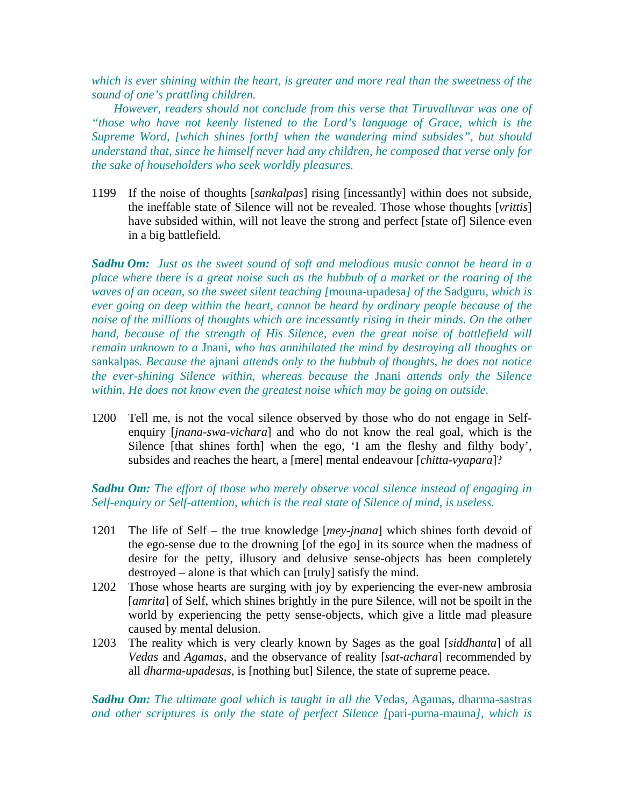*which is ever shining within the heart, is greater and more real than the sweetness of the sound of one's prattling children.* 

 *However, readers should not conclude from this verse that Tiruvalluvar was one of "those who have not keenly listened to the Lord's language of Grace, which is the Supreme Word, [which shines forth] when the wandering mind subsides", but should understand that, since he himself never had any children, he composed that verse only for the sake of householders who seek worldly pleasures.* 

1199 If the noise of thoughts [*sankalpas*] rising [incessantly] within does not subside, the ineffable state of Silence will not be revealed. Those whose thoughts [*vrittis*] have subsided within, will not leave the strong and perfect [state of] Silence even in a big battlefield.

*Sadhu Om: Just as the sweet sound of soft and melodious music cannot be heard in a place where there is a great noise such as the hubbub of a market or the roaring of the waves of an ocean, so the sweet silent teaching [*mouna-upadesa*] of the* Sadguru*, which is ever going on deep within the heart, cannot be heard by ordinary people because of the noise of the millions of thoughts which are incessantly rising in their minds. On the other hand, because of the strength of His Silence, even the great noise of battlefield will remain unknown to a* Jnani*, who has annihilated the mind by destroying all thoughts or*  sankalpas*. Because the* ajnani *attends only to the hubbub of thoughts, he does not notice the ever-shining Silence within, whereas because the* Jnani *attends only the Silence within, He does not know even the greatest noise which may be going on outside.* 

1200 Tell me, is not the vocal silence observed by those who do not engage in Selfenquiry [*jnana-swa-vichara*] and who do not know the real goal, which is the Silence [that shines forth] when the ego, 'I am the fleshy and filthy body', subsides and reaches the heart, a [mere] mental endeavour [*chitta-vyapara*]?

*Sadhu Om: The effort of those who merely observe vocal silence instead of engaging in Self-enquiry or Self-attention, which is the real state of Silence of mind, is useless.* 

- 1201 The life of Self the true knowledge [*mey-jnana*] which shines forth devoid of the ego-sense due to the drowning [of the ego] in its source when the madness of desire for the petty, illusory and delusive sense-objects has been completely destroyed – alone is that which can [truly] satisfy the mind.
- 1202 Those whose hearts are surging with joy by experiencing the ever-new ambrosia [*amrita*] of Self, which shines brightly in the pure Silence, will not be spoilt in the world by experiencing the petty sense-objects, which give a little mad pleasure caused by mental delusion.
- 1203 The reality which is very clearly known by Sages as the goal [*siddhanta*] of all *Vedas* and *Agamas*, and the observance of reality [*sat-achara*] recommended by all *dharma-upadesas*, is [nothing but] Silence, the state of supreme peace.

*Sadhu Om: The ultimate goal which is taught in all the* Vedas*,* Agamas*,* dharma-sastras *and other scriptures is only the state of perfect Silence [*pari-purna-mauna*], which is*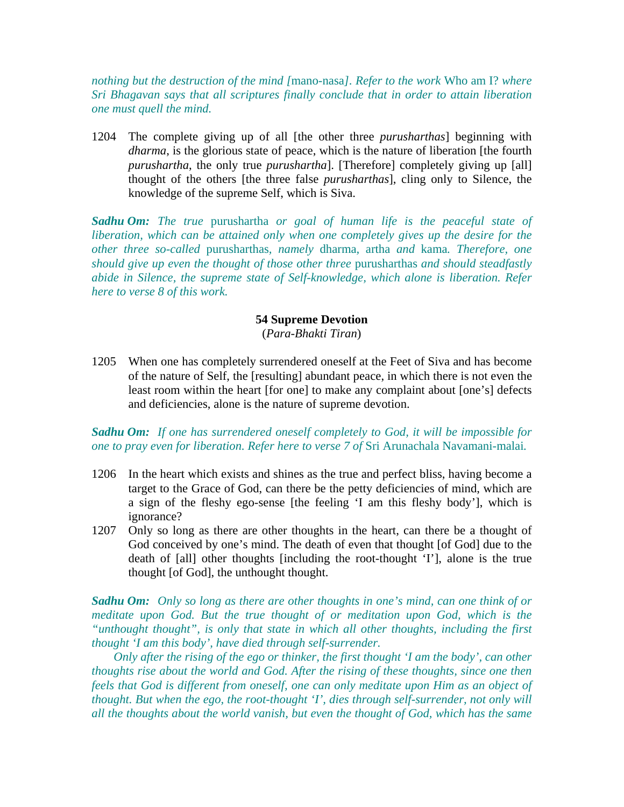*nothing but the destruction of the mind [*mano-nasa*]. Refer to the work* Who am I? *where Sri Bhagavan says that all scriptures finally conclude that in order to attain liberation one must quell the mind.* 

1204 The complete giving up of all [the other three *purusharthas*] beginning with *dharma*, is the glorious state of peace, which is the nature of liberation [the fourth *purushartha*, the only true *purushartha*]. [Therefore] completely giving up [all] thought of the others [the three false *purusharthas*], cling only to Silence, the knowledge of the supreme Self, which is Siva.

*Sadhu Om: The true* purushartha *or goal of human life is the peaceful state of liberation, which can be attained only when one completely gives up the desire for the other three so-called* purusharthas*, namely* dharma*,* artha *and* kama*. Therefore, one should give up even the thought of those other three* purusharthas *and should steadfastly abide in Silence, the supreme state of Self-knowledge, which alone is liberation. Refer here to verse 8 of this work.* 

## **54 Supreme Devotion**

(*Para-Bhakti Tiran*)

1205 When one has completely surrendered oneself at the Feet of Siva and has become of the nature of Self, the [resulting] abundant peace, in which there is not even the least room within the heart [for one] to make any complaint about [one's] defects and deficiencies, alone is the nature of supreme devotion.

## *Sadhu Om: If one has surrendered oneself completely to God, it will be impossible for one to pray even for liberation. Refer here to verse 7 of* Sri Arunachala Navamani-malai*.*

- 1206 In the heart which exists and shines as the true and perfect bliss, having become a target to the Grace of God, can there be the petty deficiencies of mind, which are a sign of the fleshy ego-sense [the feeling 'I am this fleshy body'], which is ignorance?
- 1207 Only so long as there are other thoughts in the heart, can there be a thought of God conceived by one's mind. The death of even that thought [of God] due to the death of [all] other thoughts [including the root-thought 'I'], alone is the true thought [of God], the unthought thought.

*Sadhu Om: Only so long as there are other thoughts in one's mind, can one think of or meditate upon God. But the true thought of or meditation upon God, which is the "unthought thought", is only that state in which all other thoughts, including the first thought 'I am this body', have died through self-surrender.* 

 *Only after the rising of the ego or thinker, the first thought 'I am the body', can other thoughts rise about the world and God. After the rising of these thoughts, since one then feels that God is different from oneself, one can only meditate upon Him as an object of thought. But when the ego, the root-thought 'I', dies through self-surrender, not only will all the thoughts about the world vanish, but even the thought of God, which has the same*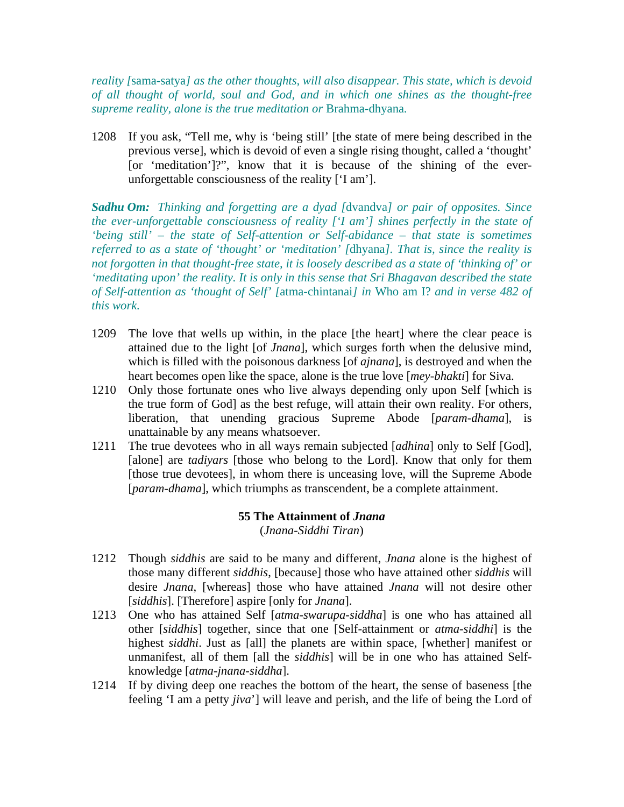*reality [*sama-satya*] as the other thoughts, will also disappear. This state, which is devoid of all thought of world, soul and God, and in which one shines as the thought-free supreme reality, alone is the true meditation or* Brahma-dhyana*.* 

1208 If you ask, "Tell me, why is 'being still' [the state of mere being described in the previous verse], which is devoid of even a single rising thought, called a 'thought' [or 'meditation']?", know that it is because of the shining of the everunforgettable consciousness of the reality ['I am'].

*Sadhu Om: Thinking and forgetting are a dyad [*dvandva*] or pair of opposites. Since the ever-unforgettable consciousness of reality ['I am'] shines perfectly in the state of 'being still' – the state of Self-attention or Self-abidance – that state is sometimes referred to as a state of 'thought' or 'meditation' [*dhyana*]. That is, since the reality is not forgotten in that thought-free state, it is loosely described as a state of 'thinking of' or 'meditating upon' the reality. It is only in this sense that Sri Bhagavan described the state of Self-attention as 'thought of Self' [*atma-chintanai*] in* Who am I? *and in verse 482 of this work.* 

- 1209 The love that wells up within, in the place [the heart] where the clear peace is attained due to the light [of *Jnana*], which surges forth when the delusive mind, which is filled with the poisonous darkness [of *ajnana*], is destroyed and when the heart becomes open like the space, alone is the true love [*mey-bhakti*] for Siva.
- 1210 Only those fortunate ones who live always depending only upon Self [which is the true form of God] as the best refuge, will attain their own reality. For others, liberation, that unending gracious Supreme Abode [*param-dhama*], is unattainable by any means whatsoever.
- 1211 The true devotees who in all ways remain subjected [*adhina*] only to Self [God], [alone] are *tadiyars* [those who belong to the Lord]. Know that only for them [those true devotees], in whom there is unceasing love, will the Supreme Abode [*param-dhama*], which triumphs as transcendent, be a complete attainment.

# **55 The Attainment of** *Jnana*

(*Jnana-Siddhi Tiran*)

- 1212 Though *siddhis* are said to be many and different, *Jnana* alone is the highest of those many different *siddhis*, [because] those who have attained other *siddhis* will desire *Jnana*, [whereas] those who have attained *Jnana* will not desire other [*siddhis*]. [Therefore] aspire [only for *Jnana*].
- 1213 One who has attained Self [*atma-swarupa-siddha*] is one who has attained all other [*siddhis*] together, since that one [Self-attainment or *atma-siddhi*] is the highest *siddhi*. Just as [all] the planets are within space, [whether] manifest or unmanifest, all of them [all the *siddhis*] will be in one who has attained Selfknowledge [*atma-jnana-siddha*].
- 1214 If by diving deep one reaches the bottom of the heart, the sense of baseness [the feeling 'I am a petty *jiva*'] will leave and perish, and the life of being the Lord of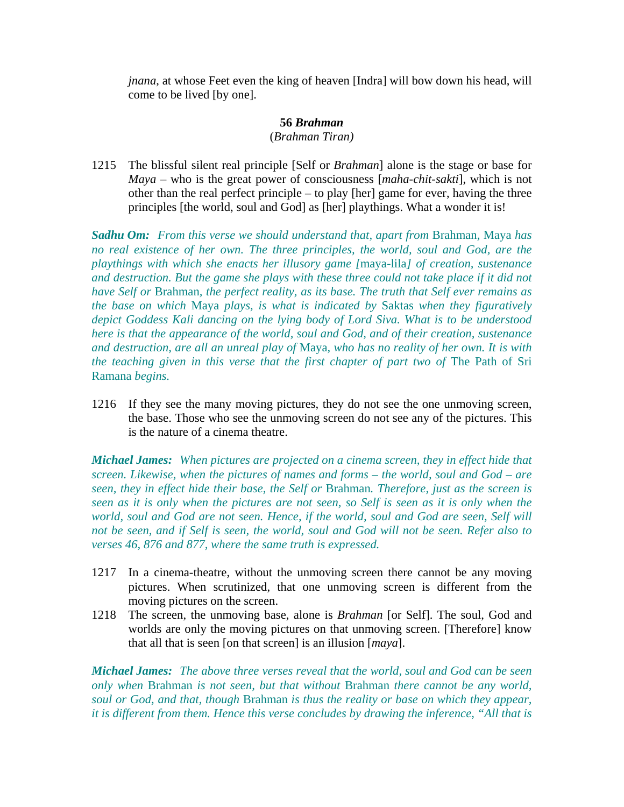*jnana*, at whose Feet even the king of heaven [Indra] will bow down his head, will come to be lived [by one].

### **56** *Brahman* (*Brahman Tiran)*

1215 The blissful silent real principle [Self or *Brahman*] alone is the stage or base for *Maya* – who is the great power of consciousness [*maha-chit-sakti*], which is not other than the real perfect principle – to play [her] game for ever, having the three principles [the world, soul and God] as [her] playthings. What a wonder it is!

*Sadhu Om: From this verse we should understand that, apart from* Brahman*,* Maya *has no real existence of her own. The three principles, the world, soul and God, are the playthings with which she enacts her illusory game [*maya-lila*] of creation, sustenance and destruction. But the game she plays with these three could not take place if it did not have Self or* Brahman*, the perfect reality, as its base. The truth that Self ever remains as the base on which* Maya *plays, is what is indicated by* Saktas *when they figuratively depict Goddess Kali dancing on the lying body of Lord Siva. What is to be understood here is that the appearance of the world, soul and God, and of their creation, sustenance and destruction, are all an unreal play of* Maya*, who has no reality of her own. It is with the teaching given in this verse that the first chapter of part two of* The Path of Sri Ramana *begins.* 

1216 If they see the many moving pictures, they do not see the one unmoving screen, the base. Those who see the unmoving screen do not see any of the pictures. This is the nature of a cinema theatre.

*Michael James: When pictures are projected on a cinema screen, they in effect hide that screen. Likewise, when the pictures of names and forms – the world, soul and God – are seen, they in effect hide their base, the Self or* Brahman*. Therefore, just as the screen is seen as it is only when the pictures are not seen, so Self is seen as it is only when the world, soul and God are not seen. Hence, if the world, soul and God are seen, Self will not be seen, and if Self is seen, the world, soul and God will not be seen. Refer also to verses 46, 876 and 877, where the same truth is expressed.* 

- 1217 In a cinema-theatre, without the unmoving screen there cannot be any moving pictures. When scrutinized, that one unmoving screen is different from the moving pictures on the screen.
- 1218 The screen, the unmoving base, alone is *Brahman* [or Self]. The soul, God and worlds are only the moving pictures on that unmoving screen. [Therefore] know that all that is seen [on that screen] is an illusion [*maya*].

*Michael James: The above three verses reveal that the world, soul and God can be seen only when* Brahman *is not seen, but that without* Brahman *there cannot be any world, soul or God, and that, though* Brahman *is thus the reality or base on which they appear, it is different from them. Hence this verse concludes by drawing the inference, "All that is*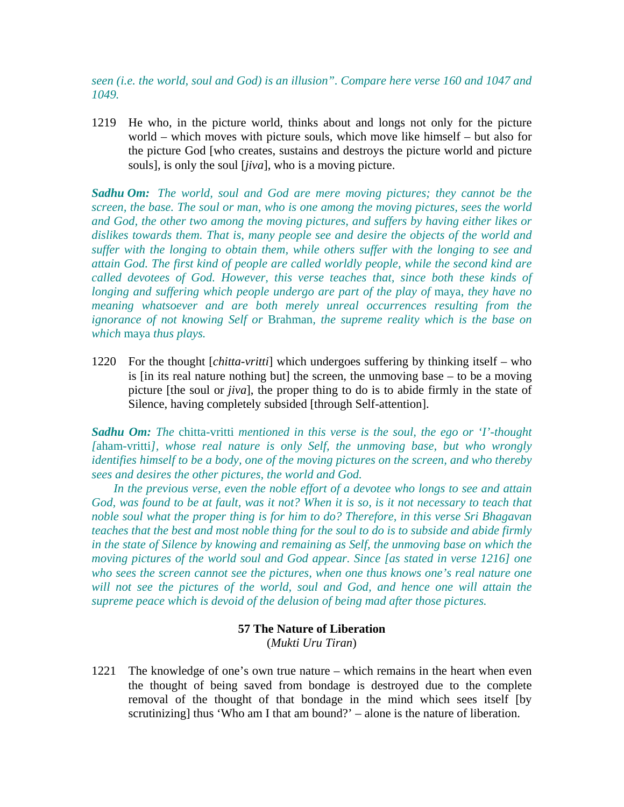*seen (i.e. the world, soul and God) is an illusion". Compare here verse 160 and 1047 and 1049.*

1219 He who, in the picture world, thinks about and longs not only for the picture world – which moves with picture souls, which move like himself – but also for the picture God [who creates, sustains and destroys the picture world and picture souls], is only the soul [*jiva*], who is a moving picture.

*Sadhu Om: The world, soul and God are mere moving pictures; they cannot be the screen, the base. The soul or man, who is one among the moving pictures, sees the world and God, the other two among the moving pictures, and suffers by having either likes or dislikes towards them. That is, many people see and desire the objects of the world and suffer with the longing to obtain them, while others suffer with the longing to see and attain God. The first kind of people are called worldly people, while the second kind are called devotees of God. However, this verse teaches that, since both these kinds of longing and suffering which people undergo are part of the play of* maya*, they have no meaning whatsoever and are both merely unreal occurrences resulting from the ignorance of not knowing Self or* Brahman*, the supreme reality which is the base on which* maya *thus plays.* 

1220 For the thought [*chitta-vritti*] which undergoes suffering by thinking itself – who is [in its real nature nothing but] the screen, the unmoving base – to be a moving picture [the soul or *jiva*], the proper thing to do is to abide firmly in the state of Silence, having completely subsided [through Self-attention].

*Sadhu Om: The* chitta-vritti *mentioned in this verse is the soul, the ego or 'I'-thought [*aham-vritti*], whose real nature is only Self, the unmoving base, but who wrongly identifies himself to be a body, one of the moving pictures on the screen, and who thereby sees and desires the other pictures, the world and God.* 

 *In the previous verse, even the noble effort of a devotee who longs to see and attain God, was found to be at fault, was it not? When it is so, is it not necessary to teach that noble soul what the proper thing is for him to do? Therefore, in this verse Sri Bhagavan teaches that the best and most noble thing for the soul to do is to subside and abide firmly in the state of Silence by knowing and remaining as Self, the unmoving base on which the moving pictures of the world soul and God appear. Since [as stated in verse 1216] one who sees the screen cannot see the pictures, when one thus knows one's real nature one*  will not see the pictures of the world, soul and God, and hence one will attain the *supreme peace which is devoid of the delusion of being mad after those pictures.* 

### **57 The Nature of Liberation**

(*Mukti Uru Tiran*)

1221 The knowledge of one's own true nature – which remains in the heart when even the thought of being saved from bondage is destroyed due to the complete removal of the thought of that bondage in the mind which sees itself [by scrutinizing] thus 'Who am I that am bound?' – alone is the nature of liberation.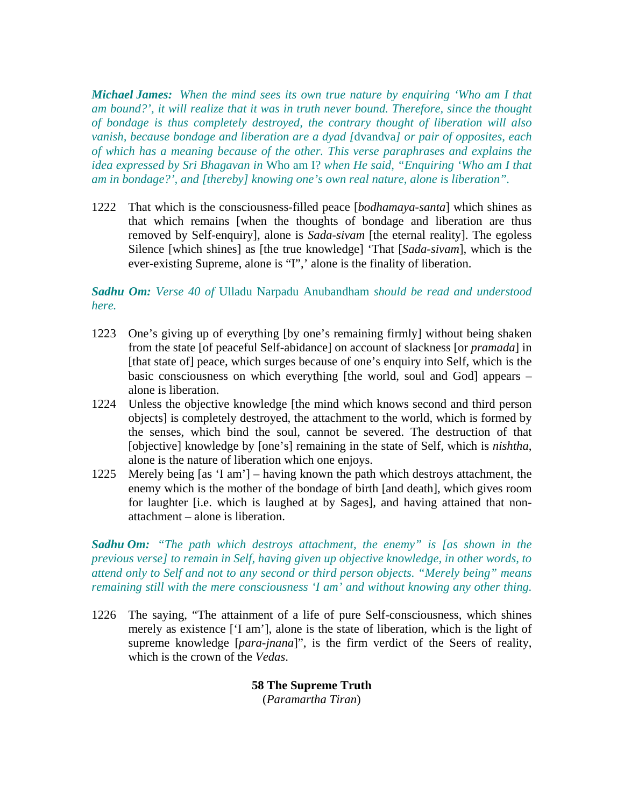*Michael James: When the mind sees its own true nature by enquiring 'Who am I that am bound?', it will realize that it was in truth never bound. Therefore, since the thought of bondage is thus completely destroyed, the contrary thought of liberation will also vanish, because bondage and liberation are a dyad [*dvandva*] or pair of opposites, each of which has a meaning because of the other. This verse paraphrases and explains the idea expressed by Sri Bhagavan in* Who am I? *when He said, "Enquiring 'Who am I that am in bondage?', and [thereby] knowing one's own real nature, alone is liberation".* 

1222 That which is the consciousness-filled peace [*bodhamaya-santa*] which shines as that which remains [when the thoughts of bondage and liberation are thus removed by Self-enquiry], alone is *Sada-sivam* [the eternal reality]. The egoless Silence [which shines] as [the true knowledge] 'That [*Sada-sivam*], which is the ever-existing Supreme, alone is "I",' alone is the finality of liberation.

# *Sadhu Om: Verse 40 of* Ulladu Narpadu Anubandham *should be read and understood here.*

- 1223 One's giving up of everything [by one's remaining firmly] without being shaken from the state [of peaceful Self-abidance] on account of slackness [or *pramada*] in [that state of] peace, which surges because of one's enquiry into Self, which is the basic consciousness on which everything [the world, soul and God] appears – alone is liberation.
- 1224 Unless the objective knowledge [the mind which knows second and third person objects] is completely destroyed, the attachment to the world, which is formed by the senses, which bind the soul, cannot be severed. The destruction of that [objective] knowledge by [one's] remaining in the state of Self, which is *nishtha*, alone is the nature of liberation which one enjoys.
- 1225 Merely being [as 'I am'] having known the path which destroys attachment, the enemy which is the mother of the bondage of birth [and death], which gives room for laughter [i.e. which is laughed at by Sages], and having attained that nonattachment – alone is liberation.

*Sadhu Om: "The path which destroys attachment, the enemy" is [as shown in the previous verse] to remain in Self, having given up objective knowledge, in other words, to attend only to Self and not to any second or third person objects. "Merely being" means remaining still with the mere consciousness 'I am' and without knowing any other thing.*

1226 The saying, "The attainment of a life of pure Self-consciousness, which shines merely as existence ['I am'], alone is the state of liberation, which is the light of supreme knowledge [*para-jnana*]", is the firm verdict of the Seers of reality, which is the crown of the *Vedas*.

> **58 The Supreme Truth**  (*Paramartha Tiran*)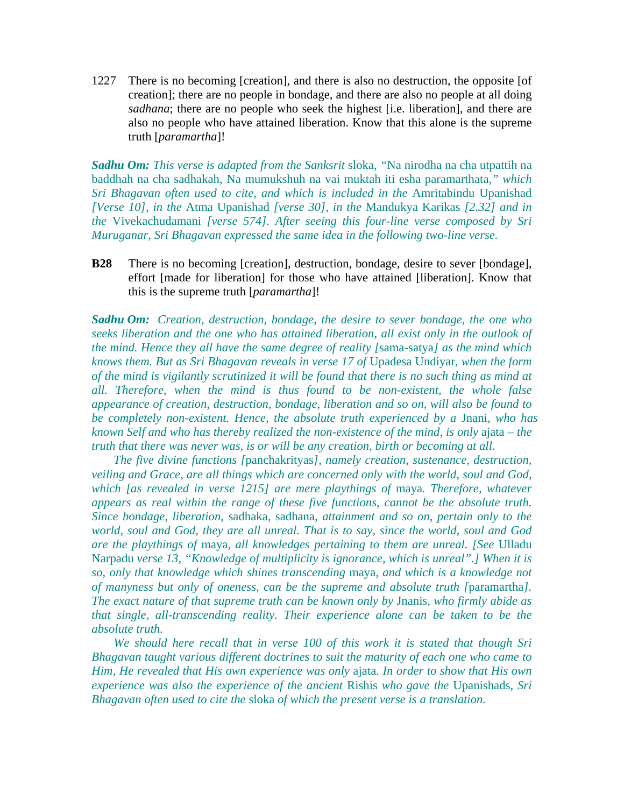1227 There is no becoming [creation], and there is also no destruction, the opposite [of creation]; there are no people in bondage, and there are also no people at all doing *sadhana*; there are no people who seek the highest [i.e. liberation], and there are also no people who have attained liberation. Know that this alone is the supreme truth [*paramartha*]!

*Sadhu Om: This verse is adapted from the Sanksrit* sloka*, "*Na nirodha na cha utpattih na baddhah na cha sadhakah, Na mumukshuh na vai muktah iti esha paramarthata*," which Sri Bhagavan often used to cite, and which is included in the* Amritabindu Upanishad *[Verse 10], in the* Atma Upanishad *[verse 30], in the* Mandukya Karikas *[2.32] and in the* Vivekachudamani *[verse 574]. After seeing this four-line verse composed by Sri Muruganar, Sri Bhagavan expressed the same idea in the following two-line verse.* 

**B28** There is no becoming [creation], destruction, bondage, desire to sever [bondage], effort [made for liberation] for those who have attained [liberation]. Know that this is the supreme truth [*paramartha*]!

*Sadhu Om: Creation, destruction, bondage, the desire to sever bondage, the one who seeks liberation and the one who has attained liberation, all exist only in the outlook of the mind. Hence they all have the same degree of reality [*sama-satya*] as the mind which knows them. But as Sri Bhagavan reveals in verse 17 of* Upadesa Undiyar*, when the form of the mind is vigilantly scrutinized it will be found that there is no such thing as mind at all. Therefore, when the mind is thus found to be non-existent, the whole false appearance of creation, destruction, bondage, liberation and so on, will also be found to be completely non-existent. Hence, the absolute truth experienced by a* Jnani*, who has known Self and who has thereby realized the non-existence of the mind, is only* ajata *– the truth that there was never was, is or will be any creation, birth or becoming at all.* 

 *The five divine functions [*panchakrityas*], namely creation, sustenance, destruction, veiling and Grace, are all things which are concerned only with the world, soul and God, which [as revealed in verse 1215] are mere playthings of* maya*. Therefore, whatever appears as real within the range of these five functions, cannot be the absolute truth. Since bondage, liberation,* sadhaka*,* sadhana*, attainment and so on, pertain only to the world, soul and God, they are all unreal. That is to say, since the world, soul and God are the playthings of* maya*, all knowledges pertaining to them are unreal. [See* Ulladu Narpadu *verse 13, "Knowledge of multiplicity is ignorance, which is unreal".] When it is so, only that knowledge which shines transcending* maya*, and which is a knowledge not of manyness but only of oneness, can be the supreme and absolute truth [*paramartha*]. The exact nature of that supreme truth can be known only by* Jnanis*, who firmly abide as that single, all-transcending reality. Their experience alone can be taken to be the absolute truth.* 

 *We should here recall that in verse 100 of this work it is stated that though Sri Bhagavan taught various different doctrines to suit the maturity of each one who came to Him, He revealed that His own experience was only* ajata*. In order to show that His own experience was also the experience of the ancient* Rishis *who gave the* Upanishads*, Sri Bhagavan often used to cite the* sloka *of which the present verse is a translation.*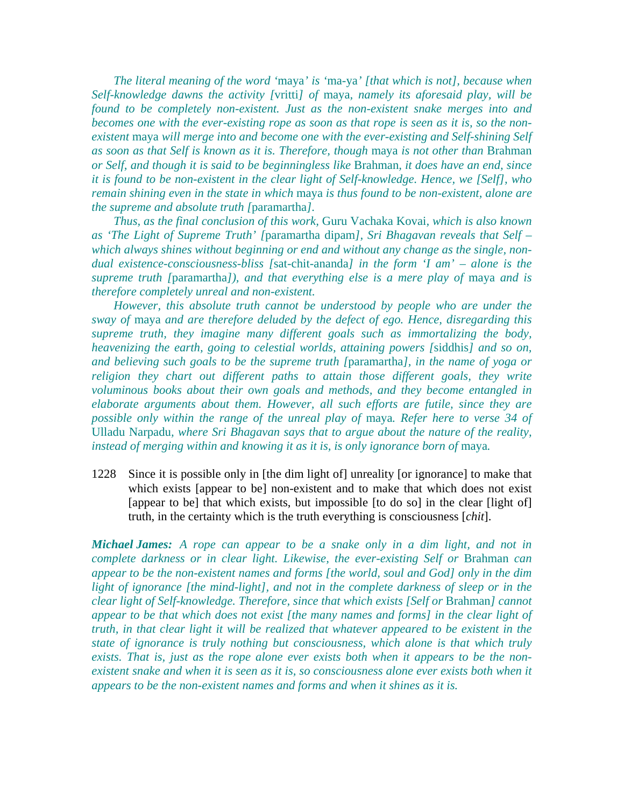*The literal meaning of the word '*maya*' is '*ma-ya*' [that which is not], because when Self-knowledge dawns the activity [*vritti*] of* maya*, namely its aforesaid play, will be found to be completely non-existent. Just as the non-existent snake merges into and becomes one with the ever-existing rope as soon as that rope is seen as it is, so the nonexistent* maya *will merge into and become one with the ever-existing and Self-shining Self as soon as that Self is known as it is. Therefore, though* maya *is not other than* Brahman *or Self, and though it is said to be beginningless like* Brahman*, it does have an end, since it is found to be non-existent in the clear light of Self-knowledge. Hence, we [Self], who remain shining even in the state in which* maya *is thus found to be non-existent, alone are the supreme and absolute truth [*paramartha*].* 

 *Thus, as the final conclusion of this work,* Guru Vachaka Kovai*, which is also known as 'The Light of Supreme Truth' [*paramartha dipam*], Sri Bhagavan reveals that Self – which always shines without beginning or end and without any change as the single, nondual existence-consciousness-bliss [*sat-chit-ananda*] in the form 'I am' – alone is the supreme truth [paramartha]), and that everything else is a mere play of maya and is therefore completely unreal and non-existent.* 

 *However, this absolute truth cannot be understood by people who are under the sway of* maya *and are therefore deluded by the defect of ego. Hence, disregarding this supreme truth, they imagine many different goals such as immortalizing the body, heavenizing the earth, going to celestial worlds, attaining powers [*siddhis*] and so on, and believing such goals to be the supreme truth [*paramartha*], in the name of yoga or religion they chart out different paths to attain those different goals, they write voluminous books about their own goals and methods, and they become entangled in elaborate arguments about them. However, all such efforts are futile, since they are possible only within the range of the unreal play of* maya*. Refer here to verse 34 of*  Ulladu Narpadu*, where Sri Bhagavan says that to argue about the nature of the reality, instead of merging within and knowing it as it is, is only ignorance born of maya.* 

1228 Since it is possible only in [the dim light of] unreality [or ignorance] to make that which exists [appear to be] non-existent and to make that which does not exist [appear to be] that which exists, but impossible [to do so] in the clear [light of] truth, in the certainty which is the truth everything is consciousness [*chit*].

*Michael James: A rope can appear to be a snake only in a dim light, and not in complete darkness or in clear light. Likewise, the ever-existing Self or Brahman can appear to be the non-existent names and forms [the world, soul and God] only in the dim light of ignorance [the mind-light], and not in the complete darkness of sleep or in the clear light of Self-knowledge. Therefore, since that which exists [Self or* Brahman*] cannot appear to be that which does not exist [the many names and forms] in the clear light of truth, in that clear light it will be realized that whatever appeared to be existent in the state of ignorance is truly nothing but consciousness, which alone is that which truly exists. That is, just as the rope alone ever exists both when it appears to be the nonexistent snake and when it is seen as it is, so consciousness alone ever exists both when it appears to be the non-existent names and forms and when it shines as it is.*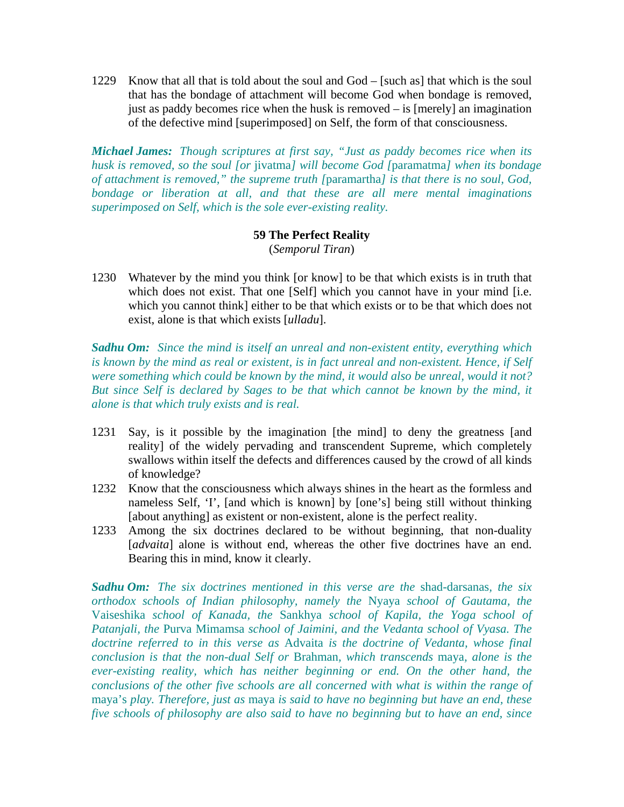1229 Know that all that is told about the soul and God – [such as] that which is the soul that has the bondage of attachment will become God when bondage is removed, just as paddy becomes rice when the husk is removed  $-$  is [merely] an imagination of the defective mind [superimposed] on Self, the form of that consciousness.

*Michael James: Though scriptures at first say, "Just as paddy becomes rice when its husk is removed, so the soul [or* jivatma*] will become God [*paramatma*] when its bondage of attachment is removed," the supreme truth [*paramartha*] is that there is no soul, God, bondage or liberation at all, and that these are all mere mental imaginations superimposed on Self, which is the sole ever-existing reality.* 

### **59 The Perfect Reality**

(*Semporul Tiran*)

1230 Whatever by the mind you think [or know] to be that which exists is in truth that which does not exist. That one [Self] which you cannot have in your mind [i.e. which you cannot think] either to be that which exists or to be that which does not exist, alone is that which exists [*ulladu*].

*Sadhu Om: Since the mind is itself an unreal and non-existent entity, everything which is known by the mind as real or existent, is in fact unreal and non-existent. Hence, if Self were something which could be known by the mind, it would also be unreal, would it not? But since Self is declared by Sages to be that which cannot be known by the mind, it alone is that which truly exists and is real.* 

- 1231 Say, is it possible by the imagination [the mind] to deny the greatness [and reality] of the widely pervading and transcendent Supreme, which completely swallows within itself the defects and differences caused by the crowd of all kinds of knowledge?
- 1232 Know that the consciousness which always shines in the heart as the formless and nameless Self, 'I', [and which is known] by [one's] being still without thinking [about anything] as existent or non-existent, alone is the perfect reality.
- 1233 Among the six doctrines declared to be without beginning, that non-duality [*advaita*] alone is without end, whereas the other five doctrines have an end. Bearing this in mind, know it clearly.

**Sadhu Om:** The six doctrines mentioned in this verse are the shad-darsanas, the six *orthodox schools of Indian philosophy, namely the* Nyaya *school of Gautama, the*  Vaiseshika *school of Kanada, the* Sankhya *school of Kapila, the Yoga school of Patanjali, the* Purva Mimamsa *school of Jaimini, and the Vedanta school of Vyasa. The doctrine referred to in this verse as* Advaita *is the doctrine of Vedanta, whose final conclusion is that the non-dual Self or* Brahman*, which transcends* maya*, alone is the ever-existing reality, which has neither beginning or end. On the other hand, the conclusions of the other five schools are all concerned with what is within the range of*  maya's *play. Therefore, just as* maya *is said to have no beginning but have an end, these five schools of philosophy are also said to have no beginning but to have an end, since*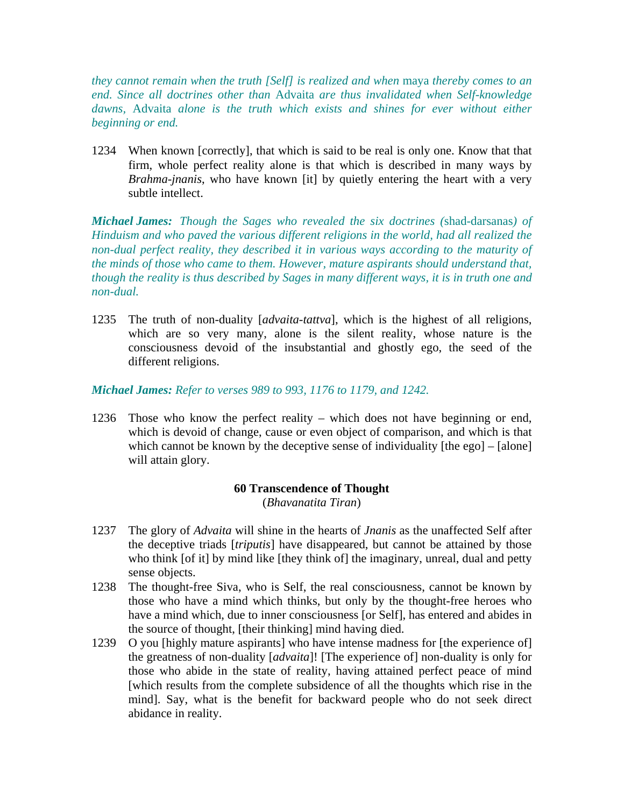*they cannot remain when the truth [Self] is realized and when* maya *thereby comes to an end. Since all doctrines other than* Advaita *are thus invalidated when Self-knowledge dawns,* Advaita *alone is the truth which exists and shines for ever without either beginning or end.* 

1234 When known [correctly], that which is said to be real is only one. Know that that firm, whole perfect reality alone is that which is described in many ways by *Brahma-jnanis*, who have known [it] by quietly entering the heart with a very subtle intellect.

*Michael James: Though the Sages who revealed the six doctrines (*shad-darsanas*) of Hinduism and who paved the various different religions in the world, had all realized the*  non-dual perfect reality, they described it in various ways according to the maturity of *the minds of those who came to them. However, mature aspirants should understand that, though the reality is thus described by Sages in many different ways, it is in truth one and non-dual.* 

1235 The truth of non-duality [*advaita-tattva*], which is the highest of all religions, which are so very many, alone is the silent reality, whose nature is the consciousness devoid of the insubstantial and ghostly ego, the seed of the different religions.

*Michael James: Refer to verses 989 to 993, 1176 to 1179, and 1242.* 

1236 Those who know the perfect reality – which does not have beginning or end, which is devoid of change, cause or even object of comparison, and which is that which cannot be known by the deceptive sense of individuality [the ego] – [alone] will attain glory.

# **60 Transcendence of Thought**

(*Bhavanatita Tiran*)

- 1237 The glory of *Advaita* will shine in the hearts of *Jnanis* as the unaffected Self after the deceptive triads [*triputis*] have disappeared, but cannot be attained by those who think [of it] by mind like [they think of] the imaginary, unreal, dual and petty sense objects.
- 1238 The thought-free Siva, who is Self, the real consciousness, cannot be known by those who have a mind which thinks, but only by the thought-free heroes who have a mind which, due to inner consciousness [or Self], has entered and abides in the source of thought, [their thinking] mind having died.
- 1239 O you [highly mature aspirants] who have intense madness for [the experience of] the greatness of non-duality [*advaita*]! [The experience of] non-duality is only for those who abide in the state of reality, having attained perfect peace of mind [which results from the complete subsidence of all the thoughts which rise in the mind]. Say, what is the benefit for backward people who do not seek direct abidance in reality.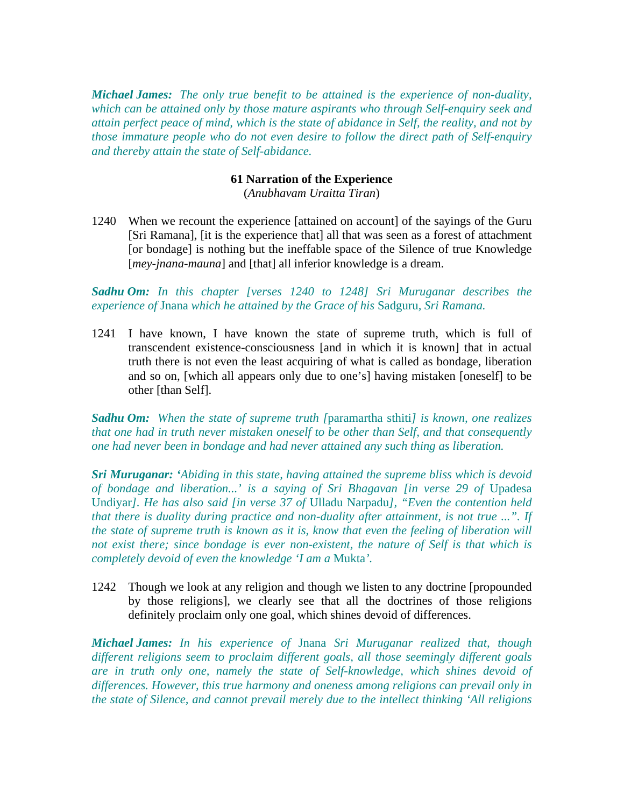*Michael James: The only true benefit to be attained is the experience of non-duality, which can be attained only by those mature aspirants who through Self-enquiry seek and attain perfect peace of mind, which is the state of abidance in Self, the reality, and not by those immature people who do not even desire to follow the direct path of Self-enquiry and thereby attain the state of Self-abidance.* 

### **61 Narration of the Experience**

(*Anubhavam Uraitta Tiran*)

1240 When we recount the experience [attained on account] of the sayings of the Guru [Sri Ramana], [it is the experience that] all that was seen as a forest of attachment [or bondage] is nothing but the ineffable space of the Silence of true Knowledge [*mey-jnana-mauna*] and [that] all inferior knowledge is a dream.

*Sadhu Om: In this chapter [verses 1240 to 1248] Sri Muruganar describes the experience of* Jnana *which he attained by the Grace of his* Sadguru*, Sri Ramana.* 

1241 I have known, I have known the state of supreme truth, which is full of transcendent existence-consciousness [and in which it is known] that in actual truth there is not even the least acquiring of what is called as bondage, liberation and so on, [which all appears only due to one's] having mistaken [oneself] to be other [than Self].

*Sadhu Om: When the state of supreme truth [*paramartha sthiti*] is known, one realizes that one had in truth never mistaken oneself to be other than Self, and that consequently one had never been in bondage and had never attained any such thing as liberation.* 

*Sri Muruganar: 'Abiding in this state, having attained the supreme bliss which is devoid of bondage and liberation...' is a saying of Sri Bhagavan [in verse 29 of* Upadesa Undiyar*]. He has also said [in verse 37 of* Ulladu Narpadu*], "Even the contention held that there is duality during practice and non-duality after attainment, is not true ...". If the state of supreme truth is known as it is, know that even the feeling of liberation will not exist there; since bondage is ever non-existent, the nature of Self is that which is completely devoid of even the knowledge 'I am a* Mukta*'.* 

1242 Though we look at any religion and though we listen to any doctrine [propounded by those religions], we clearly see that all the doctrines of those religions definitely proclaim only one goal, which shines devoid of differences.

*Michael James: In his experience of* Jnana *Sri Muruganar realized that, though different religions seem to proclaim different goals, all those seemingly different goals are in truth only one, namely the state of Self-knowledge, which shines devoid of differences. However, this true harmony and oneness among religions can prevail only in the state of Silence, and cannot prevail merely due to the intellect thinking 'All religions*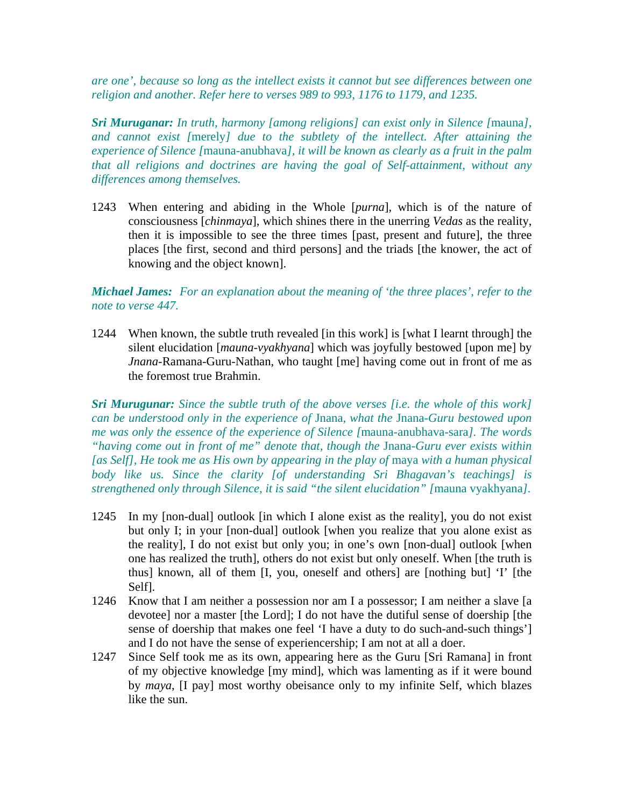*are one', because so long as the intellect exists it cannot but see differences between one religion and another. Refer here to verses 989 to 993, 1176 to 1179, and 1235.* 

*Sri Muruganar: In truth, harmony [among religions] can exist only in Silence [*mauna*], and cannot exist [*merely*] due to the subtlety of the intellect. After attaining the experience of Silence [*mauna-anubhava*], it will be known as clearly as a fruit in the palm that all religions and doctrines are having the goal of Self-attainment, without any differences among themselves.* 

1243 When entering and abiding in the Whole [*purna*], which is of the nature of consciousness [*chinmaya*], which shines there in the unerring *Vedas* as the reality, then it is impossible to see the three times [past, present and future], the three places [the first, second and third persons] and the triads [the knower, the act of knowing and the object known].

*Michael James: For an explanation about the meaning of 'the three places', refer to the note to verse 447.* 

1244 When known, the subtle truth revealed [in this work] is [what I learnt through] the silent elucidation [*mauna-vyakhyana*] which was joyfully bestowed [upon me] by *Jnana*-Ramana-Guru-Nathan, who taught [me] having come out in front of me as the foremost true Brahmin.

*Sri Murugunar: Since the subtle truth of the above verses [i.e. the whole of this work] can be understood only in the experience of* Jnana*, what the* Jnana*-Guru bestowed upon me was only the essence of the experience of Silence [*mauna-anubhava-sara*]. The words "having come out in front of me" denote that, though the* Jnana*-Guru ever exists within [as Self], He took me as His own by appearing in the play of* maya *with a human physical body like us. Since the clarity [of understanding Sri Bhagavan's teachings] is strengthened only through Silence, it is said "the silent elucidation" [*mauna vyakhyana*].* 

- 1245 In my [non-dual] outlook [in which I alone exist as the reality], you do not exist but only I; in your [non-dual] outlook [when you realize that you alone exist as the reality], I do not exist but only you; in one's own [non-dual] outlook [when one has realized the truth], others do not exist but only oneself. When [the truth is thus] known, all of them [I, you, oneself and others] are [nothing but] 'I' [the Self].
- 1246 Know that I am neither a possession nor am I a possessor; I am neither a slave [a devotee] nor a master [the Lord]; I do not have the dutiful sense of doership [the sense of doership that makes one feel 'I have a duty to do such-and-such things'] and I do not have the sense of experiencership; I am not at all a doer.
- 1247 Since Self took me as its own, appearing here as the Guru [Sri Ramana] in front of my objective knowledge [my mind], which was lamenting as if it were bound by *maya*, [I pay] most worthy obeisance only to my infinite Self, which blazes like the sun.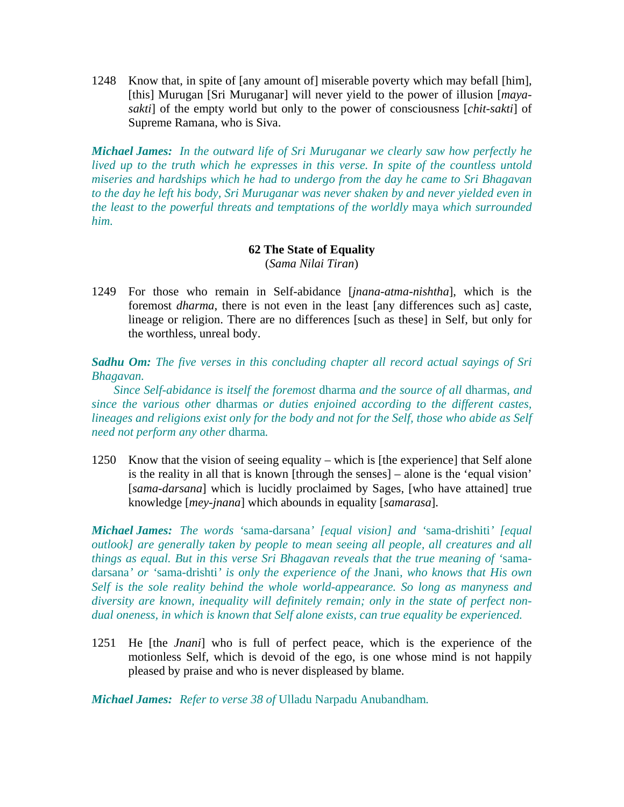1248 Know that, in spite of [any amount of] miserable poverty which may befall [him], [this] Murugan [Sri Muruganar] will never yield to the power of illusion [*mayasakti*] of the empty world but only to the power of consciousness [*chit-sakti*] of Supreme Ramana, who is Siva.

*Michael James: In the outward life of Sri Muruganar we clearly saw how perfectly he lived up to the truth which he expresses in this verse. In spite of the countless untold miseries and hardships which he had to undergo from the day he came to Sri Bhagavan to the day he left his body, Sri Muruganar was never shaken by and never yielded even in the least to the powerful threats and temptations of the worldly* maya *which surrounded him.* 

# **62 The State of Equality**

(*Sama Nilai Tiran*)

1249 For those who remain in Self-abidance [*jnana-atma-nishtha*], which is the foremost *dharma*, there is not even in the least [any differences such as] caste, lineage or religion. There are no differences [such as these] in Self, but only for the worthless, unreal body.

*Sadhu Om: The five verses in this concluding chapter all record actual sayings of Sri Bhagavan.* 

 *Since Self-abidance is itself the foremost* dharma *and the source of all* dharmas*, and since the various other* dharmas *or duties enjoined according to the different castes, lineages and religions exist only for the body and not for the Self, those who abide as Self need not perform any other* dharma*.* 

1250 Know that the vision of seeing equality – which is [the experience] that Self alone is the reality in all that is known [through the senses] – alone is the 'equal vision' [*sama-darsana*] which is lucidly proclaimed by Sages, [who have attained] true knowledge [*mey-jnana*] which abounds in equality [*samarasa*].

*Michael James: The words '*sama-darsana*' [equal vision] and '*sama-drishiti*' [equal outlook] are generally taken by people to mean seeing all people, all creatures and all things as equal. But in this verse Sri Bhagavan reveals that the true meaning of '*samadarsana*' or '*sama-drishti*' is only the experience of the* Jnani*, who knows that His own Self is the sole reality behind the whole world-appearance. So long as manyness and diversity are known, inequality will definitely remain; only in the state of perfect nondual oneness, in which is known that Self alone exists, can true equality be experienced.* 

1251 He [the *Jnani*] who is full of perfect peace, which is the experience of the motionless Self, which is devoid of the ego, is one whose mind is not happily pleased by praise and who is never displeased by blame.

*Michael James: Refer to verse 38 of* Ulladu Narpadu Anubandham*.*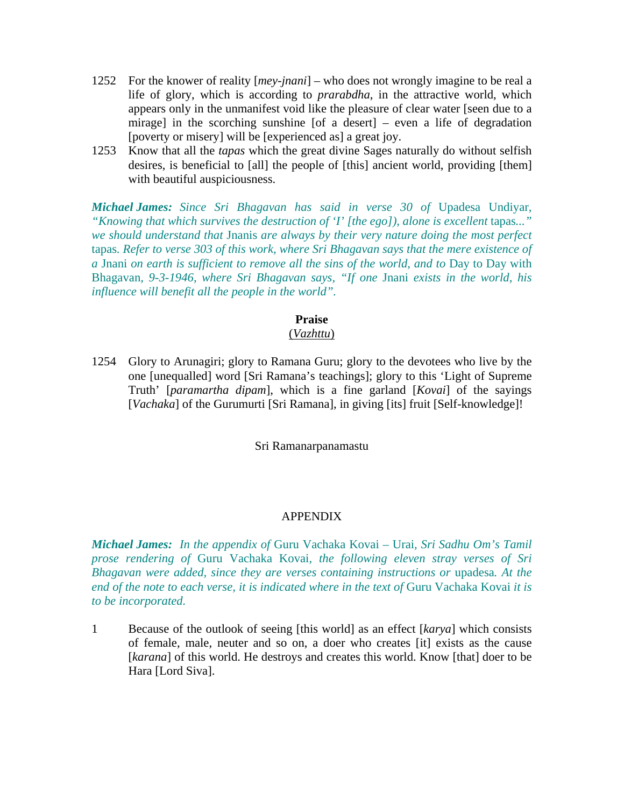- 1252 For the knower of reality [*mey-jnani*] who does not wrongly imagine to be real a life of glory, which is according to *prarabdha*, in the attractive world, which appears only in the unmanifest void like the pleasure of clear water [seen due to a mirage] in the scorching sunshine [of a desert] – even a life of degradation [poverty or misery] will be [experienced as] a great joy.
- 1253 Know that all the *tapas* which the great divine Sages naturally do without selfish desires, is beneficial to [all] the people of [this] ancient world, providing [them] with beautiful auspiciousness.

*Michael James: Since Sri Bhagavan has said in verse 30 of* Upadesa Undiyar*,*  "Knowing that which survives the destruction of 'I' [the ego]), alone is excellent tapas..." *we should understand that* Jnanis *are always by their very nature doing the most perfect*  tapas*. Refer to verse 303 of this work, where Sri Bhagavan says that the mere existence of a* Jnani *on earth is sufficient to remove all the sins of the world, and to Day to Day with* Bhagavan*, 9-3-1946, where Sri Bhagavan says, "If one* Jnani *exists in the world, his influence will benefit all the people in the world".* 

# **Praise**

# (*Vazhttu*)

1254 Glory to Arunagiri; glory to Ramana Guru; glory to the devotees who live by the one [unequalled] word [Sri Ramana's teachings]; glory to this 'Light of Supreme Truth' [*paramartha dipam*], which is a fine garland [*Kovai*] of the sayings [*Vachaka*] of the Gurumurti [Sri Ramana], in giving [its] fruit [Self-knowledge]!

### Sri Ramanarpanamastu

### APPENDIX

*Michael James: In the appendix of* Guru Vachaka Kovai – Urai*, Sri Sadhu Om's Tamil prose rendering of* Guru Vachaka Kovai*, the following eleven stray verses of Sri Bhagavan were added, since they are verses containing instructions or* upadesa*. At the end of the note to each verse, it is indicated where in the text of* Guru Vachaka Kovai *it is to be incorporated.* 

1 Because of the outlook of seeing [this world] as an effect [*karya*] which consists of female, male, neuter and so on, a doer who creates [it] exists as the cause [*karana*] of this world. He destroys and creates this world. Know [that] doer to be Hara [Lord Siva].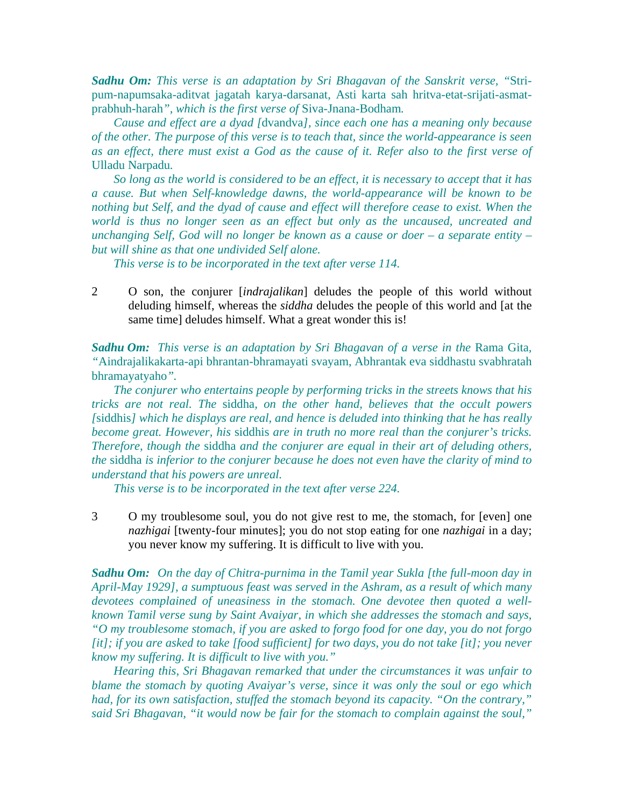*Sadhu Om: This verse is an adaptation by Sri Bhagavan of the Sanskrit verse, "*Stripum-napumsaka-aditvat jagatah karya-darsanat, Asti karta sah hritva-etat-srijati-asmatprabhuh-harah*", which is the first verse of* Siva-Jnana-Bodham*.* 

 *Cause and effect are a dyad [*dvandva*], since each one has a meaning only because of the other. The purpose of this verse is to teach that, since the world-appearance is seen as an effect, there must exist a God as the cause of it. Refer also to the first verse of*  Ulladu Narpadu*.* 

 *So long as the world is considered to be an effect, it is necessary to accept that it has a cause. But when Self-knowledge dawns, the world-appearance will be known to be nothing but Self, and the dyad of cause and effect will therefore cease to exist. When the world is thus no longer seen as an effect but only as the uncaused, uncreated and unchanging Self, God will no longer be known as a cause or doer – a separate entity – but will shine as that one undivided Self alone.* 

 *This verse is to be incorporated in the text after verse 114.* 

2 O son, the conjurer [*indrajalikan*] deludes the people of this world without deluding himself, whereas the *siddha* deludes the people of this world and [at the same time] deludes himself. What a great wonder this is!

**Sadhu Om:** This verse is an adaptation by Sri Bhagavan of a verse in the Rama Gita, *"*Aindrajalikakarta-api bhrantan-bhramayati svayam, Abhrantak eva siddhastu svabhratah bhramayatyaho*".* 

 *The conjurer who entertains people by performing tricks in the streets knows that his tricks are not real. The* siddha*, on the other hand, believes that the occult powers [*siddhis*] which he displays are real, and hence is deluded into thinking that he has really become great. However, his* siddhis *are in truth no more real than the conjurer's tricks. Therefore, though the* siddha *and the conjurer are equal in their art of deluding others, the* siddha *is inferior to the conjurer because he does not even have the clarity of mind to understand that his powers are unreal.* 

 *This verse is to be incorporated in the text after verse 224.* 

3 O my troublesome soul, you do not give rest to me, the stomach, for [even] one *nazhigai* [twenty-four minutes]; you do not stop eating for one *nazhigai* in a day; you never know my suffering. It is difficult to live with you.

*Sadhu Om: On the day of Chitra-purnima in the Tamil year Sukla [the full-moon day in April-May 1929], a sumptuous feast was served in the Ashram, as a result of which many devotees complained of uneasiness in the stomach. One devotee then quoted a wellknown Tamil verse sung by Saint Avaiyar, in which she addresses the stomach and says, "O my troublesome stomach, if you are asked to forgo food for one day, you do not forgo [it]; if you are asked to take [food sufficient] for two days, you do not take [it]; you never know my suffering. It is difficult to live with you."* 

 *Hearing this, Sri Bhagavan remarked that under the circumstances it was unfair to blame the stomach by quoting Avaiyar's verse, since it was only the soul or ego which had, for its own satisfaction, stuffed the stomach beyond its capacity. "On the contrary," said Sri Bhagavan, "it would now be fair for the stomach to complain against the soul,"*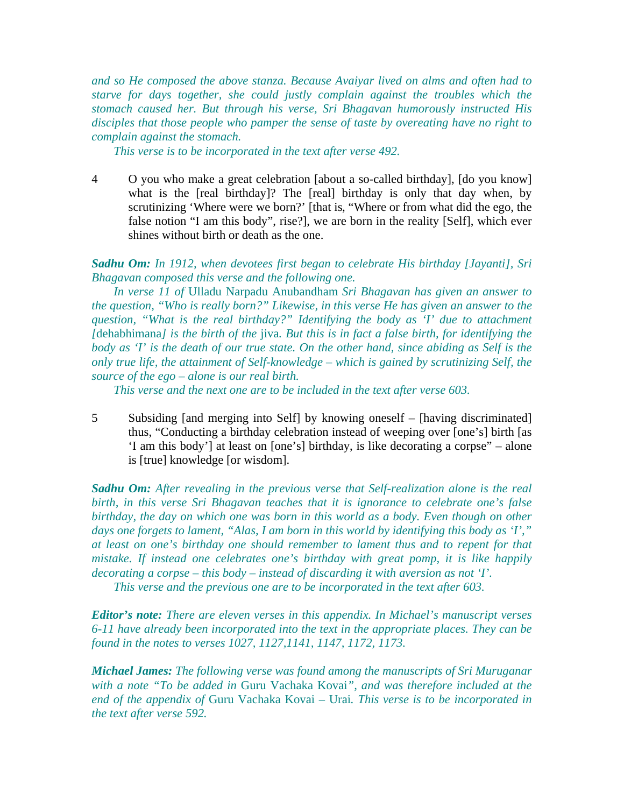*and so He composed the above stanza. Because Avaiyar lived on alms and often had to starve for days together, she could justly complain against the troubles which the stomach caused her. But through his verse, Sri Bhagavan humorously instructed His disciples that those people who pamper the sense of taste by overeating have no right to complain against the stomach.* 

 *This verse is to be incorporated in the text after verse 492.*

4 O you who make a great celebration [about a so-called birthday], [do you know] what is the [real birthday]? The [real] birthday is only that day when, by scrutinizing 'Where were we born?' [that is, "Where or from what did the ego, the false notion "I am this body", rise?], we are born in the reality [Self], which ever shines without birth or death as the one.

*Sadhu Om: In 1912, when devotees first began to celebrate His birthday [Jayanti], Sri Bhagavan composed this verse and the following one.* 

 *In verse 11 of* Ulladu Narpadu Anubandham *Sri Bhagavan has given an answer to the question, "Who is really born?" Likewise, in this verse He has given an answer to the question, "What is the real birthday?" Identifying the body as 'I' due to attachment [*dehabhimana*] is the birth of the* jiva*. But this is in fact a false birth, for identifying the body as 'I' is the death of our true state. On the other hand, since abiding as Self is the only true life, the attainment of Self-knowledge – which is gained by scrutinizing Self, the source of the ego – alone is our real birth.* 

 *This verse and the next one are to be included in the text after verse 603.* 

5 Subsiding [and merging into Self] by knowing oneself – [having discriminated] thus, "Conducting a birthday celebration instead of weeping over [one's] birth [as 'I am this body'] at least on [one's] birthday, is like decorating a corpse" – alone is [true] knowledge [or wisdom].

*Sadhu Om: After revealing in the previous verse that Self-realization alone is the real birth, in this verse Sri Bhagavan teaches that it is ignorance to celebrate one's false birthday, the day on which one was born in this world as a body. Even though on other days one forgets to lament, "Alas, I am born in this world by identifying this body as 'I'," at least on one's birthday one should remember to lament thus and to repent for that mistake. If instead one celebrates one's birthday with great pomp, it is like happily decorating a corpse – this body – instead of discarding it with aversion as not 'I'.* 

 *This verse and the previous one are to be incorporated in the text after 603.* 

*Editor's note: There are eleven verses in this appendix. In Michael's manuscript verses 6-11 have already been incorporated into the text in the appropriate places. They can be found in the notes to verses 1027, 1127,1141, 1147, 1172, 1173.*

*Michael James: The following verse was found among the manuscripts of Sri Muruganar with a note "To be added in* Guru Vachaka Kovai*", and was therefore included at the end of the appendix of* Guru Vachaka Kovai – Urai*. This verse is to be incorporated in the text after verse 592.*